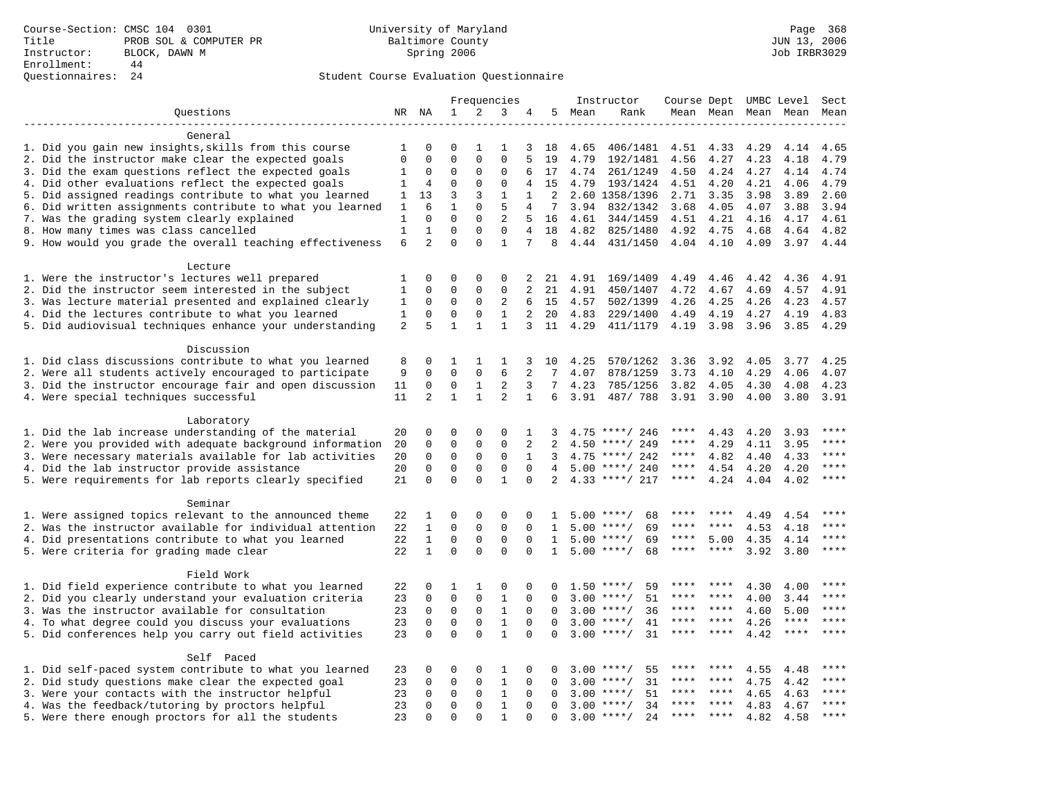# Questionnaires: 24 Student Course Evaluation Questionnaire

|                                                           |              |                         |                         |                         | Frequencies                  |                |                |        | Instructor                          |             |                     |      | Course Dept UMBC Level | Sect        |
|-----------------------------------------------------------|--------------|-------------------------|-------------------------|-------------------------|------------------------------|----------------|----------------|--------|-------------------------------------|-------------|---------------------|------|------------------------|-------------|
| Questions                                                 |              | NR NA                   | $\mathbf{1}$            | 2                       | 3                            | 4              |                | 5 Mean | Rank                                |             | Mean Mean Mean Mean |      |                        | Mean        |
|                                                           |              |                         |                         |                         |                              |                |                |        |                                     |             |                     |      |                        |             |
| General                                                   |              |                         |                         |                         |                              |                |                |        |                                     |             |                     |      |                        |             |
| 1. Did you gain new insights, skills from this course     | 1            | $\Omega$                | $\Omega$                | 1                       | 1                            | 3              | 18             | 4.65   | 406/1481                            | 4.51        | 4.33                | 4.29 | 4.14                   | 4.65        |
| 2. Did the instructor make clear the expected goals       | $\mathbf 0$  | $\mathbf 0$             | $\Omega$                | $\mathbf{0}$            | 0                            | 5              | 19             | 4.79   | 192/1481                            | 4.56        | 4.27                | 4.23 | 4.18                   | 4.79        |
| 3. Did the exam questions reflect the expected goals      | 1            | 0                       | $\Omega$                | $\mathbf{0}$            | $\mathbf 0$                  | 6              | 17             | 4.74   | 261/1249                            | 4.50        | 4.24                | 4.27 | 4.14                   | 4.74        |
| 4. Did other evaluations reflect the expected goals       | 1            | 4                       | $\mathbf 0$             | $\mathbf{0}$            | $\mathbf 0$                  | 4              | 15             | 4.79   | 193/1424                            | 4.51        | 4.20                | 4.21 | 4.06                   | 4.79        |
| 5. Did assigned readings contribute to what you learned   | 1            | 13                      | $\overline{3}$          | 3                       | 1                            | $\mathbf{1}$   | 2              |        | 2.60 1358/1396                      | 2.71        | 3.35                | 3.98 | 3.89                   | 2.60        |
| 6. Did written assignments contribute to what you learned | 1            | 6                       | $\mathbf{1}$            | $\Omega$                | 5                            | 4              | 7              |        | 3.94 832/1342                       | 3.68        | 4.05                | 4.07 | 3.88                   | 3.94        |
| 7. Was the grading system clearly explained               | 1            | $\mathbf 0$             | $\overline{0}$          | $\mathbf{0}$            | 2                            | 5              | 16             | 4.61   | 344/1459                            | 4.51        | 4.21                | 4.16 | 4.17                   | 4.61        |
| 8. How many times was class cancelled                     | $\mathbf{1}$ | $\mathbf{1}$            | $\mathbf 0$             | $\mathbf 0$             | $\mathbf 0$                  | $\overline{4}$ | 18             | 4.82   | 825/1480                            | 4.92        | 4.75                | 4.68 | 4.64                   | 4.82        |
| 9. How would you grade the overall teaching effectiveness | 6            | $\overline{2}$          | $\Omega$                | $\cap$                  | $\mathbf{1}$                 | 7              | 8              |        | 4.44 431/1450                       |             | 4.04 4.10           | 4.09 | 3.97                   | 4.44        |
| Lecture                                                   |              |                         |                         |                         |                              |                |                |        |                                     |             |                     |      |                        |             |
| 1. Were the instructor's lectures well prepared           | 1            | $\Omega$                | $\Omega$                | $\Omega$                | $\Omega$                     | 2              | 21             | 4.91   | 169/1409                            | 4.49        | 4.46                | 4.42 | 4.36                   | 4.91        |
| 2. Did the instructor seem interested in the subject      | $\mathbf{1}$ | $\mathbf 0$             | $\Omega$                | $\mathbf{0}$            | $\mathbf 0$                  | 2              | 21             | 4.91   | 450/1407                            | 4.72        | 4.67                | 4.69 | 4.57                   | 4.91        |
| 3. Was lecture material presented and explained clearly   | 1            | 0                       | 0                       | 0                       | $\overline{c}$               | 6              | 15             | 4.57   | 502/1399                            | 4.26        | 4.25                | 4.26 | 4.23                   | 4.57        |
| 4. Did the lectures contribute to what you learned        | 1            | 0                       | $\mathbf 0$             | $\mathbf{0}$            | $\mathbf{1}$                 | 2              | 20             | 4.83   | 229/1400                            | 4.49        | 4.19                | 4.27 | 4.19                   | 4.83        |
| 5. Did audiovisual techniques enhance your understanding  | 2            | 5                       | $\mathbf{1}$            | $\mathbf{1}$            | $\mathbf{1}$                 | 3              | 11             | 4.29   | 411/1179                            | 4.19        | 3.98                | 3.96 | 3.85                   | 4.29        |
|                                                           |              |                         |                         |                         |                              |                |                |        |                                     |             |                     |      |                        |             |
| Discussion                                                |              |                         |                         |                         |                              |                |                |        |                                     |             |                     |      |                        |             |
| 1. Did class discussions contribute to what you learned   | 8            | $\mathbf 0$             | 1                       | $\mathbf{1}$            | 1                            | 3              | 10             | 4.25   | 570/1262                            | 3.36        | 3.92                | 4.05 | 3.77                   | 4.25        |
| 2. Were all students actively encouraged to participate   | 9            | $\mathbf 0$             | $\mathbf 0$             | $\mathbf{0}$            | 6                            | 2              | 7              | 4.07   | 878/1259                            | 3.73        | 4.10                | 4.29 | 4.06                   | 4.07        |
| 3. Did the instructor encourage fair and open discussion  | 11           | $\mathbf 0$             | $\mathbf 0$             | $\mathbf 1$             | 2                            | 3              | 7              | 4.23   | 785/1256                            | 3.82        | 4.05                | 4.30 | 4.08                   | 4.23        |
| 4. Were special techniques successful                     | 11           | $\overline{2}$          | $\mathbf{1}$            | $\mathbf{1}$            | 2                            | $\mathbf{1}$   | 6              | 3.91   | 487/788                             | 3.91 3.90   |                     | 4.00 | 3.80                   | 3.91        |
| Laboratory                                                |              |                         |                         |                         |                              |                |                |        |                                     |             |                     |      |                        |             |
| 1. Did the lab increase understanding of the material     | 20           | 0                       | $\Omega$                | 0                       | $\Omega$                     | $\mathbf{1}$   | 3              |        | $4.75$ ****/ 246                    | ****        | 4.43                | 4.20 | 3.93                   | ****        |
| 2. Were you provided with adequate background information | 20           | $\mathbf 0$             | $\mathbf 0$             | $\mathbf 0$             | $\mathbf 0$                  | 2              | $\overline{2}$ | 4.50   | ****/ 249                           | ****        | 4.29                | 4.11 | 3.95                   | ****        |
| 3. Were necessary materials available for lab activities  | 20           | $\mathbf 0$             | $\mathbf 0$             | $\mathbf{0}$            | $\mathbf 0$                  | 1              | 3              |        | $4.75$ ****/ 242                    | $***$ * * * | 4.82                | 4.40 | 4.33                   | $***$       |
| 4. Did the lab instructor provide assistance              | 20           | $\Omega$                | $\Omega$                | $\mathbf 0$             | $\mathbf 0$                  | $\Omega$       | $\overline{4}$ |        | $5.00$ ****/ 240                    | $***$ * * * | 4.54                | 4.20 | 4.20                   | $***$       |
| 5. Were requirements for lab reports clearly specified    | 21           | $\Omega$                | $\Omega$                | $\Omega$                | $\mathbf{1}$                 | $\Omega$       | 2              |        | $4.33$ ****/ 217                    | $***$ * * * | 4.24                | 4.04 | 4.02                   | $***$       |
|                                                           |              |                         |                         |                         |                              |                |                |        |                                     |             |                     |      |                        |             |
| Seminar                                                   |              |                         |                         |                         |                              |                |                |        |                                     |             |                     |      |                        |             |
| 1. Were assigned topics relevant to the announced theme   | 22           | 1                       | 0                       | 0                       | $\Omega$                     | 0              | 1              | 5.00   | $***$ /<br>68                       |             |                     | 4.49 | 4.54                   | ****        |
| 2. Was the instructor available for individual attention  | 22           | $\mathbf{1}$            | $\mathbf 0$             | $\mathbf 0$             | $\mathbf 0$                  | $\Omega$       | $\mathbf{1}$   |        | $5.00$ ****/<br>69                  | ****        | $***$ *             | 4.53 | 4.18                   | $***$       |
| 4. Did presentations contribute to what you learned       | 22           | $\mathbf{1}$            | $\mathbf 0$             | $\mathbf 0$             | 0                            | $\mathbf 0$    | $\mathbf{1}$   |        | $5.00$ ****/<br>69                  | ****        | 5.00                | 4.35 | 4.14                   | ****        |
| 5. Were criteria for grading made clear                   | 22           | $\mathbf{1}$            | $\Omega$                | $\Omega$                | $\Omega$                     | $\Omega$       | $\mathbf{1}$   |        | $5.00$ ****/<br>68                  | ****        | $***$ *             | 3.92 | 3.80                   | ****        |
|                                                           |              |                         |                         |                         |                              |                |                |        |                                     |             |                     |      |                        |             |
| Field Work                                                |              | 0                       |                         |                         |                              |                |                |        | $1.50$ ****/<br>59                  | ****        |                     |      |                        | ****        |
| 1. Did field experience contribute to what you learned    | 22           |                         | 1                       | 1                       | 0                            | 0              | 0              |        |                                     | ****        | ****                | 4.30 | 4.00                   | $***$ * * * |
| 2. Did you clearly understand your evaluation criteria    | 23           | 0                       | $\mathbf 0$             | $\mathsf 0$             | $\mathbf{1}$                 | $\mathbf 0$    | 0              |        | 51<br>$3.00$ ****/                  | ****        | $***$ *             | 4.00 | 3.44                   | ****        |
| 3. Was the instructor available for consultation          | 23           | $\mathbf 0$             | $\mathbf 0$             | $\mathbf{0}$            | $\mathbf{1}$                 | $\Omega$       | $\Omega$       |        | $3.00$ ****/<br>36                  | ****        | $***$ *             | 4.60 | 5.00<br>$***$ * * *    | $***$ *     |
| 4. To what degree could you discuss your evaluations      | 23           | $\mathbf 0$<br>$\Omega$ | $\mathbf 0$<br>$\Omega$ | $\mathbf 0$<br>$\Omega$ | $\mathbf{1}$<br>$\mathbf{1}$ | $\mathbf 0$    | $\Omega$       | 3.00   | $***$ /<br>41<br>$3.00$ ****/<br>31 | ****        | ****                | 4.26 | ****                   | ****        |
| 5. Did conferences help you carry out field activities    | 23           |                         |                         |                         |                              | $\Omega$       | $\Omega$       |        |                                     |             |                     | 4.42 |                        |             |
| Self Paced                                                |              |                         |                         |                         |                              |                |                |        |                                     |             |                     |      |                        |             |
| 1. Did self-paced system contribute to what you learned   | 23           | 0                       | 0                       | $\mathbf 0$             | 1                            | 0              | 0              |        | $3.00$ ****/<br>55                  |             | ****                | 4.55 | 4.48                   | ****        |
| 2. Did study questions make clear the expected goal       | 23           | $\Omega$                | 0                       | $\Omega$                | 1                            | $\Omega$       | $\Omega$       | 3.00   | $***/$<br>31                        | ****        | ****                | 4.75 | 4.42                   | ****        |
| 3. Were your contacts with the instructor helpful         | 23           | $\Omega$                | $\mathbf 0$             | $\mathbf 0$             | $\mathbf{1}$                 | $\Omega$       | $\Omega$       | 3.00   | 51<br>$***/$                        | ****        | ****                | 4.65 | 4.63                   | ****        |
| 4. Was the feedback/tutoring by proctors helpful          | 23           | $\mathbf 0$             | $\mathbf 0$             | $\mathbf{0}$            | $\mathbf{1}$                 | 0              | 0              |        | $3.00$ ****/<br>34                  | ****        | ****                | 4.83 | 4.67                   | ****        |
| 5. Were there enough proctors for all the students        | 23           | $\Omega$                | $\Omega$                | $\Omega$                | $\mathbf{1}$                 | $\Omega$       | $\Omega$       |        | $3.00$ ****/<br>2.4                 | ****        | $* * * *$           | 4.82 | 4.58                   | ****        |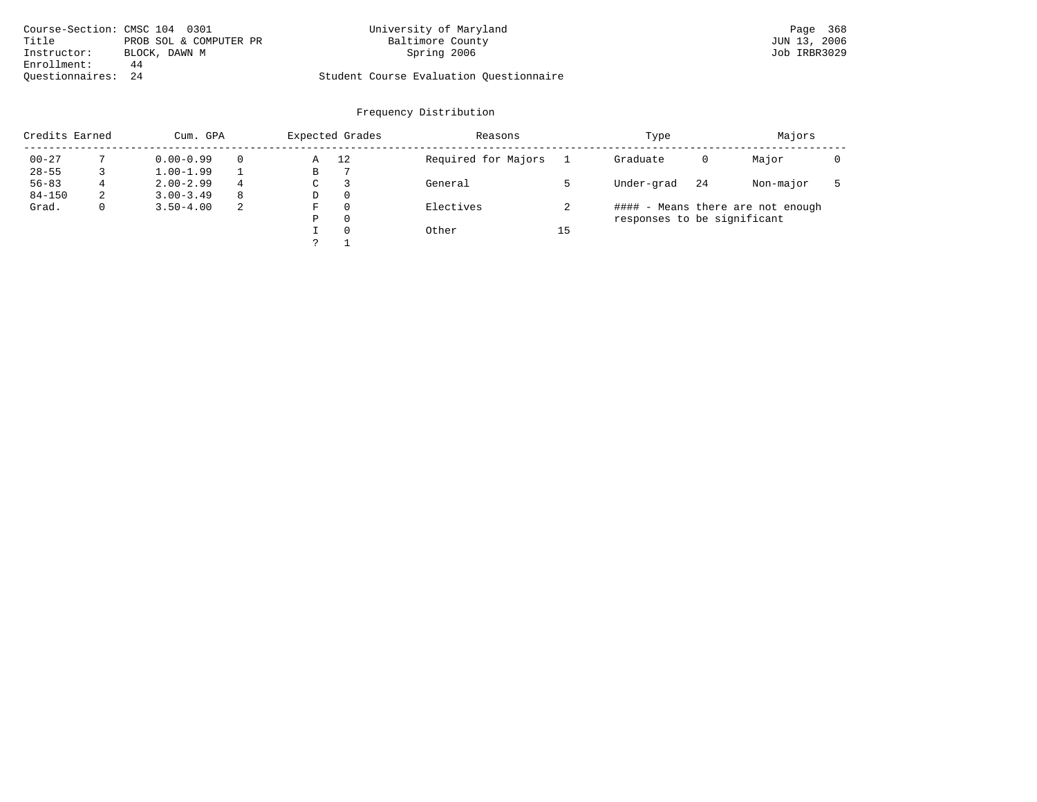| Course-Section: CMSC 104 0301 |                        | University of Maryland                  | Page 368     |
|-------------------------------|------------------------|-----------------------------------------|--------------|
| Title                         | PROB SOL & COMPUTER PR | Baltimore County                        | JUN 13, 2006 |
| Instructor:                   | BLOCK, DAWN M          | Spring 2006                             | Job IRBR3029 |
| Enrollment:                   | 44                     |                                         |              |
| Ouestionnaires: 24            |                        | Student Course Evaluation Questionnaire |              |

| Credits Earned |   | Cum. GPA      |   | Expected Grades |          | Reasons             |    | Type                        |    | Majors                            |  |
|----------------|---|---------------|---|-----------------|----------|---------------------|----|-----------------------------|----|-----------------------------------|--|
| $00 - 27$      |   | $0.00 - 0.99$ |   | Α               | 12       | Required for Majors |    | Graduate                    | 0  | Major                             |  |
| $28 - 55$      |   | $1.00 - 1.99$ |   | В               |          |                     |    |                             |    |                                   |  |
| $56 - 83$      | 4 | $2.00 - 2.99$ | 4 | C               |          | General             |    | Under-grad                  | 24 | Non-major                         |  |
| $84 - 150$     | 2 | $3.00 - 3.49$ | 8 | D               | $\Omega$ |                     |    |                             |    |                                   |  |
| Grad.          |   | $3.50 - 4.00$ | 2 | F               | $\Omega$ | Electives           |    |                             |    | #### - Means there are not enough |  |
|                |   |               |   | Ρ               | 0        |                     |    | responses to be significant |    |                                   |  |
|                |   |               |   |                 | $\Omega$ | Other               | 15 |                             |    |                                   |  |
|                |   |               |   |                 |          |                     |    |                             |    |                                   |  |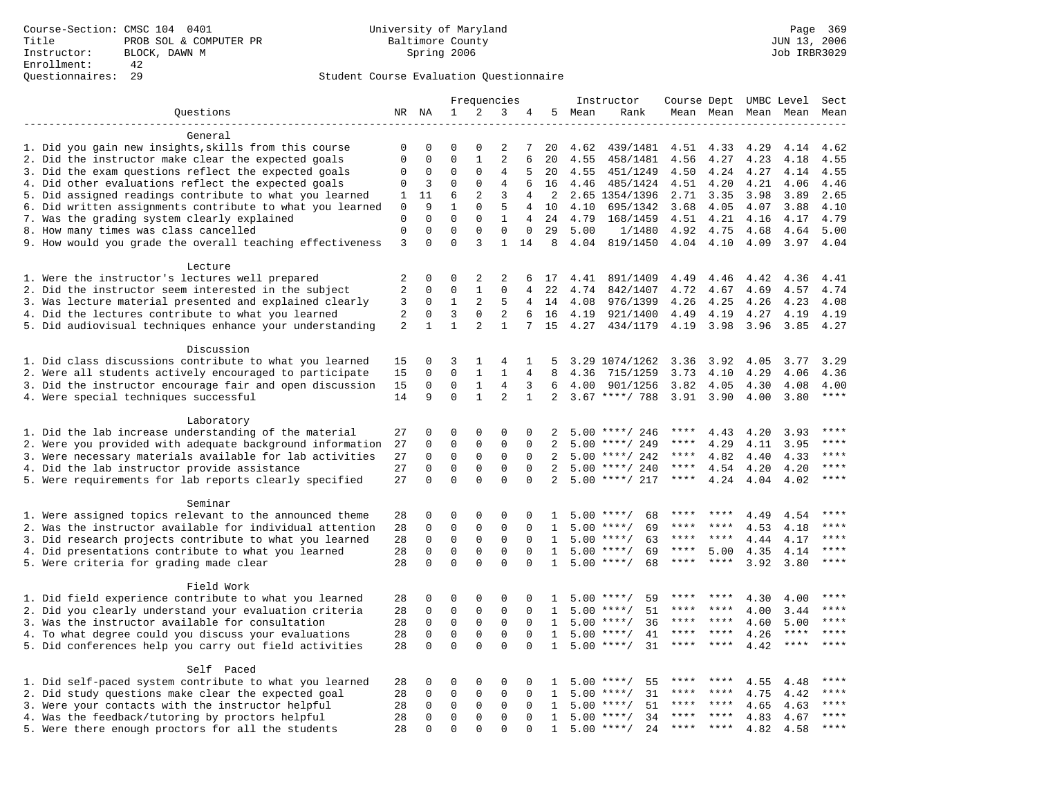|                                                                                                                |                |               |                             | Frequencies    |                             |                      |                   |      | Instructor                               | Course Dept UMBC Level |           |              |              | Sect      |
|----------------------------------------------------------------------------------------------------------------|----------------|---------------|-----------------------------|----------------|-----------------------------|----------------------|-------------------|------|------------------------------------------|------------------------|-----------|--------------|--------------|-----------|
| Questions                                                                                                      | NR NA          |               | $\mathbf{1}$                | 2              | 3                           | 4                    | 5                 | Mean | Rank                                     |                        | Mean Mean |              | Mean Mean    | Mean      |
|                                                                                                                |                |               |                             |                |                             |                      |                   |      |                                          |                        |           |              |              |           |
| General                                                                                                        |                |               |                             |                |                             |                      |                   |      |                                          |                        |           |              |              |           |
| 1. Did you gain new insights, skills from this course                                                          | 0              | 0             | 0                           | $\Omega$       | 2                           | 7                    | 20                | 4.62 | 439/1481                                 | 4.51                   | 4.33      | 4.29         | 4.14         | 4.62      |
| 2. Did the instructor make clear the expected goals                                                            | $\mathbf 0$    | $\mathbf 0$   | $\Omega$                    | $\mathbf{1}$   | 2                           | 6                    | 20                | 4.55 | 458/1481                                 | 4.56                   | 4.27      | 4.23         | 4.18         | 4.55      |
| 3. Did the exam questions reflect the expected goals                                                           | 0              | 0             | $\Omega$                    | $\Omega$       | 4                           | 5                    | 20                | 4.55 | 451/1249                                 | 4.50                   | 4.24      | 4.27         | 4.14         | 4.55      |
| 4. Did other evaluations reflect the expected goals                                                            | $\Omega$       | 3             | $\Omega$                    | 0              | 4                           | 6                    | 16                | 4.46 | 485/1424                                 | 4.51                   | 4.20      | 4.21         | 4.06         | 4.46      |
| 5. Did assigned readings contribute to what you learned                                                        | 1              | 11            | 6                           | $\overline{2}$ | 3                           | 4                    | 2                 |      | 2.65 1354/1396                           | 2.71                   | 3.35      | 3.98         | 3.89         | 2.65      |
| 6. Did written assignments contribute to what you learned                                                      | $\mathbf{0}$   | 9             | $\mathbf{1}$                | $\Omega$       | 5                           | 4                    | 10                | 4.10 | 695/1342                                 | 3.68                   | 4.05      | 4.07         | 3.88         | 4.10      |
| 7. Was the grading system clearly explained                                                                    | 0              | $\Omega$      | $\Omega$                    | $\Omega$       | $\mathbf{1}$                | $\overline{4}$       | 24                | 4.79 | 168/1459                                 | 4.51                   | 4.21      | 4.16         | 4.17         | 4.79      |
| 8. How many times was class cancelled                                                                          | $\mathsf 0$    | 0<br>$\Omega$ | $\mathbf{0}$<br>$\Omega$    | 0<br>3         | $\mathbf 0$<br>$\mathbf{1}$ | $\mathbf 0$          | 29                | 5.00 | 1/1480                                   | 4.92                   | 4.75      | 4.68         | 4.64         | 5.00      |
| 9. How would you grade the overall teaching effectiveness                                                      | 3              |               |                             |                |                             | 14                   | 8                 | 4.04 | 819/1450                                 | 4.04                   | 4.10      | 4.09         | 3.97         | 4.04      |
| Lecture                                                                                                        |                |               |                             |                |                             |                      |                   |      |                                          |                        |           |              |              |           |
| 1. Were the instructor's lectures well prepared                                                                | 2              | 0             | $\Omega$                    | 2              | 2                           | 6                    | 17                | 4.41 | 891/1409                                 | 4.49                   | 4.46      | 4.42         | 4.36         | 4.41      |
| 2. Did the instructor seem interested in the subject                                                           | $\overline{2}$ | 0             | $\mathbf{0}$                | $\mathbf{1}$   | $\mathbf 0$                 | 4                    | 22                | 4.74 | 842/1407                                 | 4.72                   | 4.67      | 4.69         | 4.57         | 4.74      |
| 3. Was lecture material presented and explained clearly                                                        | 3              | $\mathbf 0$   | $\mathbf{1}$                | 2              | 5                           | 4                    | 14                | 4.08 | 976/1399                                 | 4.26                   | 4.25      | 4.26         | 4.23         | 4.08      |
| 4. Did the lectures contribute to what you learned                                                             | 2              | $\Omega$      | 3                           | $\Omega$       | $\overline{2}$              | 6                    | 16                | 4.19 | 921/1400                                 | 4.49                   | 4.19      | 4.27         | 4.19         | 4.19      |
| 5. Did audiovisual techniques enhance your understanding                                                       | $\overline{c}$ | $\mathbf{1}$  | $\mathbf{1}$                | $\overline{a}$ | $\mathbf{1}$                | 7                    | 15                | 4.27 | 434/1179                                 | 4.19                   | 3.98      | 3.96         | 3.85         | 4.27      |
|                                                                                                                |                |               |                             |                |                             |                      |                   |      |                                          |                        |           |              |              |           |
| Discussion                                                                                                     |                |               |                             |                |                             |                      |                   |      |                                          |                        |           |              |              |           |
| 1. Did class discussions contribute to what you learned                                                        | 15             | 0             | 3                           | 1              | 4                           | 1                    | 5                 |      | 3.29 1074/1262                           | 3.36                   | 3.92      | 4.05         | 3.77         | 3.29      |
| 2. Were all students actively encouraged to participate                                                        | 15             | 0             | $\Omega$                    | $\mathbf{1}$   | $\mathbf{1}$                | 4                    | 8                 | 4.36 | 715/1259                                 | 3.73                   | 4.10      | 4.29         | 4.06         | 4.36      |
| 3. Did the instructor encourage fair and open discussion                                                       | 15             | 0             | $\mathbf{0}$                | $\mathbf{1}$   | 4                           | 3                    | 6                 | 4.00 | 901/1256                                 | 3.82                   | 4.05      | 4.30         | 4.08         | 4.00      |
| 4. Were special techniques successful                                                                          | 14             | 9             | $\Omega$                    | $\mathbf{1}$   | 2                           | $\mathbf{1}$         | 2                 |      | $3.67$ ****/ 788                         | 3.91                   | 3.90      | 4.00         | 3.80         | $***$     |
|                                                                                                                |                |               |                             |                |                             |                      |                   |      |                                          |                        |           |              |              |           |
| Laboratory                                                                                                     |                |               |                             |                |                             |                      |                   |      |                                          |                        |           |              |              |           |
| 1. Did the lab increase understanding of the material                                                          | 27             | $\Omega$      | $\Omega$                    | 0              | $\mathbf 0$                 | $\Omega$             | $\mathfrak{D}$    |      | $5.00$ ****/ 246                         |                        | 4.43      | 4.20         | 3.93         |           |
| 2. Were you provided with adequate background information                                                      | 27             | 0             | $\mathbf 0$                 | 0              | $\mathbf 0$                 | 0                    | 2                 | 5.00 | ****/ 249                                | ****                   | 4.29      | 4.11         | 3.95         | ****      |
| 3. Were necessary materials available for lab activities                                                       | 27             | 0             | $\mathbf 0$                 | $\mathbf 0$    | $\mathsf 0$                 | $\mathbf 0$          | 2                 |      | $5.00$ ****/ 242                         | ****                   | 4.82      | 4.40         | 4.33         | $***$     |
| 4. Did the lab instructor provide assistance                                                                   | 27             | $\Omega$      | $\Omega$                    | 0              | $\mathbf 0$                 | $\Omega$             | 2                 |      | $5.00$ ****/ 240                         | ****                   | 4.54      | 4.20         | 4.20         | $***$     |
| 5. Were requirements for lab reports clearly specified                                                         | 27             | $\Omega$      | $\mathbf 0$                 | $\Omega$       | $\mathbf 0$                 | $\Omega$             | 2                 |      | $5.00$ ****/ 217                         | ****                   | 4.24      | 4.04         | 4.02         | $* * * *$ |
|                                                                                                                |                |               |                             |                |                             |                      |                   |      |                                          |                        |           |              |              |           |
| Seminar                                                                                                        |                |               |                             |                |                             |                      |                   |      |                                          | ****                   | ****      |              |              | * * * *   |
| 1. Were assigned topics relevant to the announced theme                                                        | 28             | 0<br>0        | $\mathbf 0$<br>$\mathbf{0}$ | $\Omega$<br>0  | $\Omega$<br>$\mathbf 0$     | $\Omega$<br>$\Omega$ | 1<br>$\mathbf{1}$ |      | 68<br>$5.00$ ****/<br>69<br>$5.00$ ****/ | ****                   |           | 4.49<br>4.53 | 4.54<br>4.18 | ****      |
| 2. Was the instructor available for individual attention                                                       | 28             | $\mathbf 0$   | $\mathbf 0$                 | $\mathsf 0$    | $\mathsf 0$                 | $\mathbf 0$          | 1                 | 5.00 | $***/$<br>63                             | ****                   | ****      | 4.44         |              | ****      |
| 3. Did research projects contribute to what you learned<br>4. Did presentations contribute to what you learned | 28<br>28       | $\mathbf 0$   | $\mathsf 0$                 | $\mathbf 0$    | $\mathsf 0$                 | $\mathbf 0$          | 1                 |      | 69<br>$5.00$ ****/                       | $***$ * * *            | 5.00      | 4.35         | 4.17<br>4.14 | $***$     |
| 5. Were criteria for grading made clear                                                                        | 28             | $\Omega$      | $\Omega$                    | $\Omega$       | $\Omega$                    | $\Omega$             | 1                 |      | $5.00$ ****/<br>68                       | ****                   | $***$     | 3.92         | 3.80         | ****      |
|                                                                                                                |                |               |                             |                |                             |                      |                   |      |                                          |                        |           |              |              |           |
| Field Work                                                                                                     |                |               |                             |                |                             |                      |                   |      |                                          |                        |           |              |              |           |
| 1. Did field experience contribute to what you learned                                                         | 28             | 0             | 0                           | $\mathbf 0$    | $\mathbf 0$                 | 0                    | 1                 |      | $5.00$ ****/<br>59                       |                        |           | 4.30         | 4.00         | ****      |
| 2. Did you clearly understand your evaluation criteria                                                         | 28             | $\Omega$      | $\mathbf 0$                 | $\Omega$       | $\mathbf 0$                 | $\Omega$             | $\mathbf{1}$      | 5.00 | 51<br>$***$ /                            | ****                   | ****      | 4.00         | 3.44         | ****      |
| 3. Was the instructor available for consultation                                                               | 28             | $\mathbf 0$   | $\mathbf{0}$                | $\mathbf 0$    | $\mathbf 0$                 | $\Omega$             | $\mathbf{1}$      |      | 36<br>$5.00$ ****/                       | ****                   | ****      | 4.60         | 5.00         | ****      |
| 4. To what degree could you discuss your evaluations                                                           | 28             | $\mathbf 0$   | $\mathbf 0$                 | $\mathbf 0$    | $\mathbf 0$                 | $\Omega$             | $\mathbf{1}$      | 5.00 | $***$ /<br>41                            | ****                   | $***$ *   | 4.26         | $***$ * * *  | ****      |
| 5. Did conferences help you carry out field activities                                                         | 28             | $\Omega$      | $\Omega$                    | $\Omega$       | $\Omega$                    | $\Omega$             | $\mathbf{1}$      | 5.00 | 31<br>$***$ /                            | ****                   | $* * * *$ | 4.42         | $***$ * * *  | ****      |
|                                                                                                                |                |               |                             |                |                             |                      |                   |      |                                          |                        |           |              |              |           |
| Self Paced                                                                                                     |                |               |                             |                |                             |                      |                   |      |                                          |                        |           |              |              |           |
| 1. Did self-paced system contribute to what you learned                                                        | 28             | 0             | $\mathbf 0$                 | $\mathbf 0$    | $\mathbf 0$                 | $\Omega$             | 1                 | 5.00 | ****/<br>55                              |                        |           | 4.55         | 4.48         | ****      |
| 2. Did study questions make clear the expected goal                                                            | 28             | $\mathbf 0$   | $\mathbf 0$                 | $\mathbf 0$    | $\mathbf 0$                 | $\Omega$             | 1                 | 5.00 | 31<br>$***/$                             | ****                   | ****      | 4.75         | 4.42         | ****      |
| 3. Were your contacts with the instructor helpful                                                              | 28             | $\Omega$      | $\mathbf 0$                 | $\mathbf 0$    | $\mathbf 0$                 | $\Omega$             | 1                 | 5.00 | 51<br>$* * * * /$                        | ****                   | ****      | 4.65         | 4.63         | $***$     |
| 4. Was the feedback/tutoring by proctors helpful                                                               | 28             | $\Omega$      | $\mathbf{0}$                | 0              | $\mathbf 0$                 | $\Omega$             | $\mathbf{1}$      | 5.00 | 34<br>$***/$                             | ****                   | ****      | 4.83         | 4.67         | ****      |
| 5. Were there enough proctors for all the students                                                             | 28             | $\Omega$      | $\Omega$                    | $\Omega$       | $\Omega$                    | $\Omega$             | $\mathbf{1}$      | 5.00 | $***$ /<br>24                            | ****                   |           | 4.82         | 4.58         | $***$     |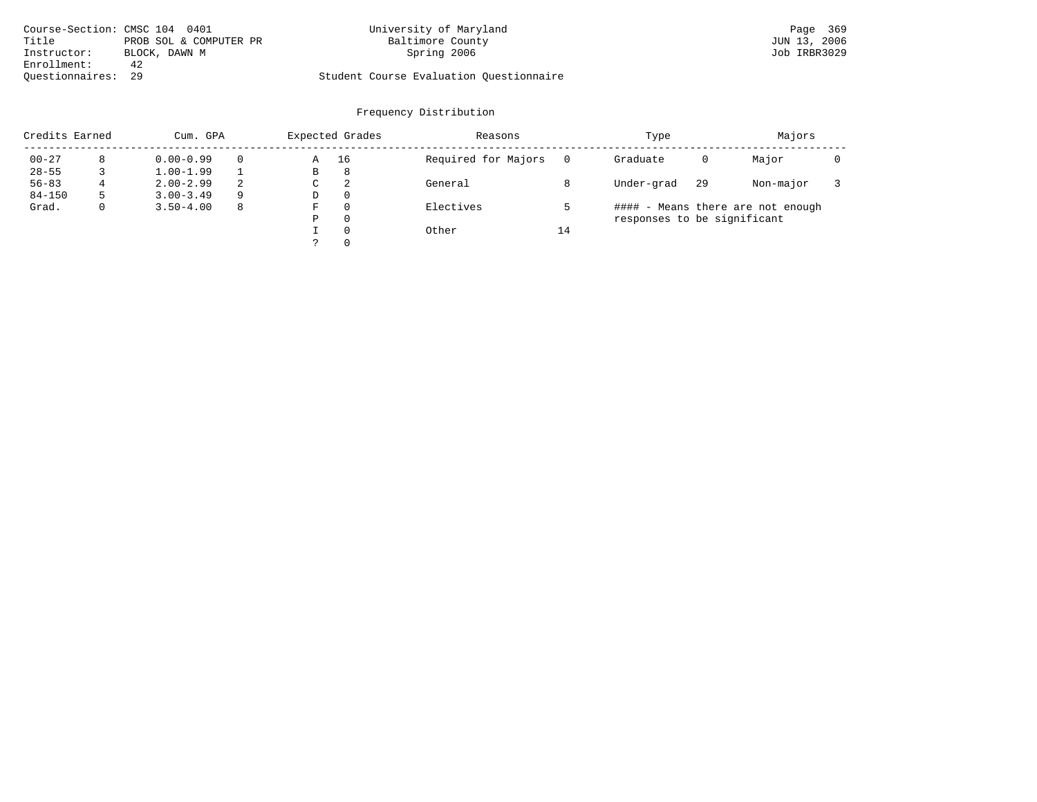| Course-Section: CMSC 104 0401 |                        | University of Maryland                  | Page 369     |
|-------------------------------|------------------------|-----------------------------------------|--------------|
| Title                         | PROB SOL & COMPUTER PR | Baltimore County                        | JUN 13, 2006 |
| Instructor:                   | BLOCK, DAWN M          | Spring 2006                             | Job IRBR3029 |
| Enrollment:                   | 42                     |                                         |              |
| Ouestionnaires: 29            |                        | Student Course Evaluation Questionnaire |              |

| Credits Earned |   | Cum. GPA      |   |   | Expected Grades | Reasons             |    | Type                        |    | Majors                            |  |
|----------------|---|---------------|---|---|-----------------|---------------------|----|-----------------------------|----|-----------------------------------|--|
| $00 - 27$      |   | $0.00 - 0.99$ |   | Α | 16              | Required for Majors |    | Graduate                    | 0  | Major                             |  |
| $28 - 55$      |   | $1.00 - 1.99$ |   | B | 8               |                     |    |                             |    |                                   |  |
| $56 - 83$      | 4 | $2.00 - 2.99$ | 2 | C | 2               | General             |    | Under-grad                  | 29 | Non-major                         |  |
| $84 - 150$     |   | $3.00 - 3.49$ | 9 | D | $\Omega$        |                     |    |                             |    |                                   |  |
| Grad.          |   | $3.50 - 4.00$ | 8 | F | $\Omega$        | Electives           |    |                             |    | #### - Means there are not enough |  |
|                |   |               |   | Ρ | 0               |                     |    | responses to be significant |    |                                   |  |
|                |   |               |   |   | $\Omega$        | Other               | 14 |                             |    |                                   |  |
|                |   |               |   |   | $\Omega$        |                     |    |                             |    |                                   |  |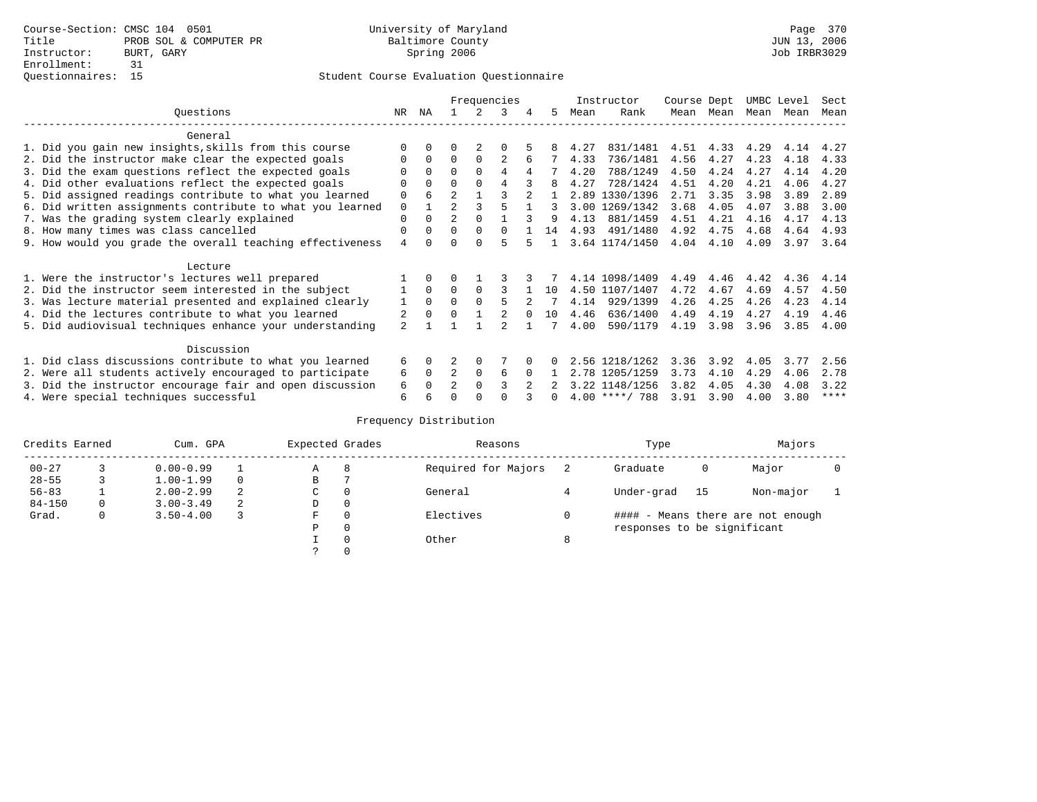|                                                           |                |              |                | Frequencies |        |               |    |      | Instructor       | Course Dept |      | UMBC Level |      | Sect        |
|-----------------------------------------------------------|----------------|--------------|----------------|-------------|--------|---------------|----|------|------------------|-------------|------|------------|------|-------------|
| Ouestions                                                 | NR.            | ΝA           |                |             | 3      |               | 5. | Mean | Rank             | Mean        | Mean | Mean       | Mean | Mean        |
| General                                                   |                |              |                |             |        |               |    |      |                  |             |      |            |      |             |
| 1. Did you gain new insights, skills from this course     |                | $\Omega$     | O              |             |        |               |    | 4.27 | 831/1481         | 4.51        | 4.33 | 4.29       | 4.14 | 4.27        |
| 2. Did the instructor make clear the expected goals       | O              | $\Omega$     | $\Omega$       | $\Omega$    |        |               |    | 4.33 | 736/1481         | 4.56        | 4.27 | 4.23       | 4.18 | 4.33        |
| 3. Did the exam questions reflect the expected goals      |                | $\Omega$     | $\Omega$       | $\Omega$    | 4      | 4             |    | 4.20 | 788/1249         | 4.50        | 4.24 | 4.27       | 4.14 | 4.20        |
| 4. Did other evaluations reflect the expected goals       | O              | $\Omega$     | $\Omega$       | $\Omega$    | 4      |               | 8  | 4.27 | 728/1424         | 4.51        | 4.20 | 4.21       | 4.06 | 4.27        |
| 5. Did assigned readings contribute to what you learned   | $\mathbf 0$    |              | $\mathfrak{D}$ |             |        | $\mathcal{D}$ |    | 2.89 | 1330/1396        | 2.71        | 3.35 | 3.98       | 3.89 | 2.89        |
| 6. Did written assignments contribute to what you learned | $\mathbf 0$    |              | $\mathfrak{D}$ |             |        |               | 3  |      | 3.00 1269/1342   | 3.68        | 4.05 | 4.07       | 3.88 | 3.00        |
| 7. Was the grading system clearly explained               | $\Omega$       | $\Omega$     | $\overline{2}$ | $\Omega$    |        |               | q  | 4.13 | 881/1459         | 4.51        | 4.21 | 4.16       | 4.17 | 4.13        |
| 8. How many times was class cancelled                     | 0              | $\Omega$     | $\Omega$       | $\Omega$    | $\cap$ |               | 14 | 4.93 | 491/1480         | 4.92        | 4.75 | 4.68       | 4.64 | 4.93        |
| 9. How would you grade the overall teaching effectiveness | $\overline{4}$ | <sup>n</sup> | U              | ∩           | 5      |               |    |      | 3.64 1174/1450   | 4.04        | 4.10 | 4.09       | 3.97 | 3.64        |
|                                                           |                |              |                |             |        |               |    |      |                  |             |      |            |      |             |
| Lecture                                                   |                |              |                |             |        |               |    |      |                  |             |      |            |      |             |
| 1. Were the instructor's lectures well prepared           |                |              |                |             |        |               |    |      | 4.14 1098/1409   | 4.49        | 4.46 | 4.42       | 4.36 | 4.14        |
| 2. Did the instructor seem interested in the subject      |                | $\Omega$     | $\Omega$       | $\Omega$    |        |               | 10 |      | 4.50 1107/1407   | 4.72        | 4.67 | 4.69       | 4.57 | 4.50        |
| 3. Was lecture material presented and explained clearly   | 1              | $\Omega$     | $\Omega$       |             |        |               |    | 4.14 | 929/1399         | 4.26        | 4.25 | 4.26       | 4.23 | 4.14        |
| 4. Did the lectures contribute to what you learned        |                | $\Omega$     | $\Omega$       |             |        |               | 10 | 4.46 | 636/1400         | 4.49        | 4.19 | 4.27       | 4.19 | 4.46        |
| 5. Did audiovisual techniques enhance your understanding  | $\mathfrak{D}$ |              |                |             |        |               |    | 4.00 | 590/1179         | 4.19        | 3.98 | 3.96       | 3.85 | 4.00        |
|                                                           |                |              |                |             |        |               |    |      |                  |             |      |            |      |             |
| Discussion                                                |                |              |                |             |        |               |    |      |                  |             |      |            |      |             |
| 1. Did class discussions contribute to what you learned   | 6              | $\Omega$     |                | $\Omega$    |        |               |    |      | 2.56 1218/1262   | 3.36        | 3.92 | 4.05       | 3.77 | 2.56        |
| 2. Were all students actively encouraged to participate   | 6              | $\Omega$     | $\overline{2}$ | $\Omega$    | 6      |               |    |      | 2.78 1205/1259   | 3.73        | 4.10 | 4.29       | 4.06 | 2.78        |
| 3. Did the instructor encourage fair and open discussion  | 6              |              | $\mathfrak{D}$ | $\Omega$    |        |               |    |      | 3.22 1148/1256   | 3.82        | 4.05 | 4.30       | 4.08 | 3.22        |
| 4. Were special techniques successful                     | 6              |              |                |             |        |               |    |      | $4.00$ ****/ 788 | 3.91        | 3.90 | 4.00       | 3.80 | $***$ * * * |

| Credits Earned |   | Cum. GPA      |   | Expected Grades |          | Reasons             |   | Type                        |      | Majors                            |  |
|----------------|---|---------------|---|-----------------|----------|---------------------|---|-----------------------------|------|-----------------------------------|--|
| $00 - 27$      |   | $0.00 - 0.99$ |   | А               | 8        | Required for Majors |   | Graduate                    | 0    | Major                             |  |
| $28 - 55$      | 3 | $1.00 - 1.99$ |   | В               |          |                     |   |                             |      |                                   |  |
| $56 - 83$      |   | $2.00 - 2.99$ | 2 | $\sim$<br>◡     | 0        | General             |   | Under-grad                  | - 15 | Non-major                         |  |
| $84 - 150$     | 0 | $3.00 - 3.49$ | 2 | D               | 0        |                     |   |                             |      |                                   |  |
| Grad.          | 0 | $3.50 - 4.00$ |   | F               | 0        | Electives           | 0 |                             |      | #### - Means there are not enough |  |
|                |   |               |   | Ρ               | 0        |                     |   | responses to be significant |      |                                   |  |
|                |   |               |   |                 | $\Omega$ | Other               | 8 |                             |      |                                   |  |
|                |   |               |   |                 |          |                     |   |                             |      |                                   |  |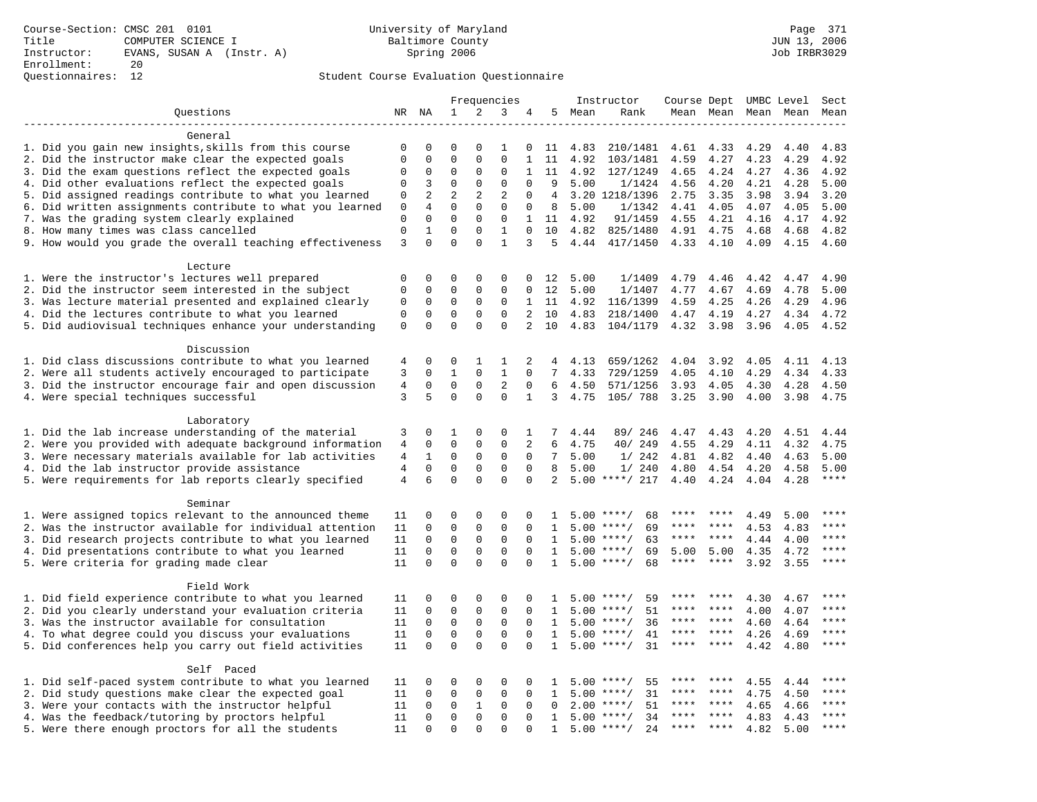# Questionnaires: 12 Student Course Evaluation Questionnaire

|                                                                                                            | Frequencies    |              |              | Instructor   |                | Course Dept UMBC Level |                   |         |                    | Sect        |             |      |                     |               |
|------------------------------------------------------------------------------------------------------------|----------------|--------------|--------------|--------------|----------------|------------------------|-------------------|---------|--------------------|-------------|-------------|------|---------------------|---------------|
| Ouestions                                                                                                  |                | NR NA        | 1            | 2            | 3              | 4                      | 5                 | Mean    | Rank               |             |             |      | Mean Mean Mean Mean | Mean          |
|                                                                                                            |                |              |              |              |                |                        |                   |         |                    |             |             |      |                     |               |
| General                                                                                                    |                |              |              |              |                |                        |                   |         |                    |             |             |      |                     |               |
| 1. Did you gain new insights, skills from this course                                                      | $\mathbf 0$    | 0            | $\mathbf 0$  | $\Omega$     | 1              | 0                      | 11                | 4.83    | 210/1481           | 4.61        | 4.33        | 4.29 | 4.40                | 4.83          |
| 2. Did the instructor make clear the expected goals                                                        | $\mathbf 0$    | $\mathbf 0$  | $\mathbf{0}$ | $\Omega$     | $\Omega$       | $\mathbf{1}$           | 11                | 4.92    | 103/1481           | 4.59        | 4.27        | 4.23 | 4.29                | 4.92          |
| 3. Did the exam questions reflect the expected goals                                                       | 0              | 0            | $\mathbf 0$  | $\mathbf 0$  | $\mathbf 0$    | $\mathbf{1}$           | 11                | 4.92    | 127/1249           | 4.65        | 4.24        | 4.27 | 4.36                | 4.92          |
| 4. Did other evaluations reflect the expected goals                                                        | 0              | 3            | $\mathbf{0}$ | $\mathbf 0$  | $\mathbf 0$    | $\mathbf 0$            | 9                 | 5.00    | 1/1424             | 4.56        | 4.20        | 4.21 | 4.28                | 5.00          |
| 5. Did assigned readings contribute to what you learned                                                    | 0              | 2            | 2            | 2            | 2              | $\mathbf 0$            | 4                 |         | 3.20 1218/1396     | 2.75        | 3.35        | 3.98 | 3.94                | 3.20          |
| 6. Did written assignments contribute to what you learned                                                  | 0              | 4            | $\mathbf 0$  | $\mathbf 0$  | $\mathbf{0}$   | $\mathbf 0$            | 8                 | 5.00    | 1/1342             | 4.41        | 4.05        | 4.07 | 4.05                | 5.00          |
| 7. Was the grading system clearly explained                                                                | $\mathbf 0$    | $\Omega$     | $\Omega$     | $\Omega$     | $\mathbf{0}$   | $\mathbf{1}$           |                   | 11 4.92 | 91/1459            | 4.55        | 4.21        | 4.16 | 4.17                | 4.92          |
| 8. How many times was class cancelled                                                                      | $\mathsf 0$    | $\mathbf{1}$ | $\Omega$     | $\Omega$     | $\mathbf{1}$   | $\Omega$               | 10                | 4.82    | 825/1480           | 4.91        | 4.75        | 4.68 | 4.68                | 4.82          |
| 9. How would you grade the overall teaching effectiveness                                                  | 3              | $\Omega$     | $\Omega$     | $\Omega$     | $\mathbf{1}$   | 3                      | 5                 | 4.44    | 417/1450           | 4.33        | 4.10        | 4.09 | 4.15                | 4.60          |
| Lecture                                                                                                    |                |              |              |              |                |                        |                   |         |                    |             |             |      |                     |               |
| 1. Were the instructor's lectures well prepared                                                            | $\mathbf 0$    | 0            | $\mathbf 0$  | $\mathbf 0$  | $\Omega$       | $\Omega$               | 12                | 5.00    | 1/1409             | 4.79        | 4.46        | 4.42 | 4.47                | 4.90          |
| 2. Did the instructor seem interested in the subject                                                       | $\mathbf 0$    | $\mathbf 0$  | $\mathbf{0}$ | $\mathbf 0$  | $\mathbf{0}$   | $\Omega$               | 12                | 5.00    | 1/1407             | 4.77        | 4.67        | 4.69 | 4.78                | 5.00          |
| 3. Was lecture material presented and explained clearly                                                    | 0              | $\mathbf 0$  | $\mathbf 0$  | $\mathsf{O}$ | 0              | $\mathbf{1}$           | 11                | 4.92    | 116/1399           | 4.59        | 4.25        | 4.26 | 4.29                | 4.96          |
| 4. Did the lectures contribute to what you learned                                                         | $\mathbf 0$    | $\mathbf 0$  | $\mathbf{0}$ | $\mathbf 0$  | $\mathbf 0$    | 2                      | 10                | 4.83    | 218/1400           | 4.47        | 4.19        | 4.27 | 4.34                | 4.72          |
| 5. Did audiovisual techniques enhance your understanding                                                   | $\mathbf 0$    | $\Omega$     | $\Omega$     | $\Omega$     | $\Omega$       | 2                      | 10                | 4.83    | 104/1179           | 4.32        | 3.98        | 3.96 | 4.05                | 4.52          |
|                                                                                                            |                |              |              |              |                |                        |                   |         |                    |             |             |      |                     |               |
| Discussion                                                                                                 |                |              |              |              |                |                        |                   |         |                    |             |             |      |                     |               |
| 1. Did class discussions contribute to what you learned                                                    | 4              | 0            | $\Omega$     | 1            | 1              | 2                      | 4                 | 4.13    | 659/1262           | 4.04        | 3.92        | 4.05 | 4.11                | 4.13          |
| 2. Were all students actively encouraged to participate                                                    | 3              | $\mathbf 0$  | $\mathbf{1}$ | $\mathbf 0$  | $\mathbf{1}$   | $\mathbf 0$            | 7                 | 4.33    | 729/1259           | 4.05        | 4.10        | 4.29 | 4.34                | 4.33          |
| 3. Did the instructor encourage fair and open discussion                                                   | 4              | 0            | $\mathsf 0$  | 0            | $\overline{2}$ | $\mathbf 0$            | 6                 | 4.50    | 571/1256           | 3.93        | 4.05        | 4.30 | 4.28                | 4.50          |
| 4. Were special techniques successful                                                                      | 3              | 5            | $\Omega$     | $\mathbf 0$  | $\Omega$       | 1                      | 3                 | 4.75    | 105/ 788           | 3.25        | 3.90        | 4.00 | 3.98                | 4.75          |
|                                                                                                            |                |              |              |              |                |                        |                   |         |                    |             |             |      |                     |               |
| Laboratory                                                                                                 |                |              |              |              |                |                        |                   |         |                    |             |             |      |                     |               |
| 1. Did the lab increase understanding of the material                                                      | 3              | 0            | 1            | $\mathsf 0$  | 0              | $\mathbf{1}$           | 7                 | 4.44    | 89/ 246            | 4.47        | 4.43        | 4.20 | 4.51                | 4.44          |
| 2. Were you provided with adequate background information                                                  | 4              | 0            | $\mathbf 0$  | $\mathbf 0$  | $\mathbf 0$    | 2                      | 6                 | 4.75    | 40/ 249            | 4.55        | 4.29        | 4.11 | 4.32                | 4.75          |
| 3. Were necessary materials available for lab activities                                                   | 4              | 1            | 0            | 0            | $\mathbf 0$    | 0                      | 7                 | 5.00    | 1/242              | 4.81        | 4.82        | 4.40 | 4.63                | 5.00          |
| 4. Did the lab instructor provide assistance                                                               | 4              | $\Omega$     | $\mathbf{0}$ | $\mathbf 0$  | $\mathbf 0$    | $\Omega$               | 8                 | 5.00    | 1/240              | 4.80        | 4.54        | 4.20 | 4.58                | 5.00          |
| 5. Were requirements for lab reports clearly specified                                                     | $\overline{4}$ | 6            | $\Omega$     | $\Omega$     | $\mathbf 0$    | $\Omega$               | $\overline{2}$    | 5.00    | ****/ 217          | 4.40        | 4.24        | 4.04 | 4.28                | $***$         |
|                                                                                                            |                |              |              |              |                |                        |                   |         |                    |             |             |      |                     |               |
| Seminar                                                                                                    |                |              |              |              |                |                        |                   |         |                    |             |             |      |                     |               |
| 1. Were assigned topics relevant to the announced theme                                                    | 11             | 0            | 0            | $\mathbf 0$  | $\mathbf 0$    | 0                      | 1                 | 5.00    | $***$ /<br>68      | ****        | ****        | 4.49 | 5.00                | ****          |
| 2. Was the instructor available for individual attention                                                   | 11             | 0            | $\mathbf 0$  | $\mathbf 0$  | $\mathbf{0}$   | 0                      | 1                 | 5.00    | $***/$<br>69       | ****        |             | 4.53 | 4.83                |               |
| 3. Did research projects contribute to what you learned                                                    | 11             | $\mathbf 0$  | $\mathbf 0$  | $\mathbf 0$  | $\mathbf 0$    | $\Omega$               | $\mathbf{1}$      | 5.00    | 63<br>$***/$       | $***$ * *   | $***$       | 4.44 | 4.00                | ****          |
| 4. Did presentations contribute to what you learned                                                        | 11             | $\mathbf 0$  | $\mathbf{0}$ | $\mathbf 0$  | $\mathbf 0$    | $\Omega$               | $\mathbf{1}$      | 5.00    | $***$ /<br>69      | 5.00        | 5.00        | 4.35 | 4.72                | $***$<br>**** |
| 5. Were criteria for grading made clear                                                                    | 11             | $\mathbf 0$  | $\mathbf{0}$ | $\Omega$     | $\mathbf 0$    | $\Omega$               | 1                 |         | $5.00$ ****/<br>68 | $***$ * *   | $***$       | 3.92 | 3.55                |               |
| Field Work                                                                                                 |                |              |              |              |                |                        |                   |         |                    |             |             |      |                     |               |
| 1. Did field experience contribute to what you learned                                                     | 11             | 0            | $\mathbf 0$  | $\mathbf 0$  | $\mathbf 0$    | $\Omega$               |                   |         | $5.00$ ****/<br>59 |             |             | 4.30 |                     |               |
|                                                                                                            | 11             | $\Omega$     | $\mathbf 0$  | $\mathbf 0$  | $\mathbf 0$    | $\Omega$               | 1<br>$\mathbf{1}$ | 5.00    | 51<br>$***/$       | ****        | ****        | 4.00 | 4.67<br>4.07        | ****          |
| 2. Did you clearly understand your evaluation criteria<br>3. Was the instructor available for consultation | 11             | $\mathbf 0$  | $\mathbf 0$  | $\mathbf 0$  | $\mathbf 0$    | $\Omega$               | $\mathbf{1}$      | 5.00    | $***$ /<br>36      | ****        | ****        | 4.60 | 4.64                | ****          |
| 4. To what degree could you discuss your evaluations                                                       | 11             | $\mathbf 0$  | $\mathbf 0$  | $\mathbf 0$  | $\mathsf 0$    | $\mathbf 0$            | 1                 | 5.00    | $***/$<br>41       | $***$ * * * | $***$ *     | 4.26 | 4.69                | $***$         |
| 5. Did conferences help you carry out field activities                                                     | 11             | $\Omega$     | $\mathbf 0$  | $\Omega$     | $\Omega$       | $\Omega$               | 1                 | 5.00    | 31<br>$***$ /      | $***$ * * * | ****        | 4.42 | 4.80                | $***$         |
|                                                                                                            |                |              |              |              |                |                        |                   |         |                    |             |             |      |                     |               |
| Self Paced                                                                                                 |                |              |              |              |                |                        |                   |         |                    |             |             |      |                     |               |
| 1. Did self-paced system contribute to what you learned                                                    | 11             | 0            | 0            | $\mathbf 0$  | $\mathbf 0$    | $\mathbf 0$            | $\mathbf{1}$      | 5.00    | 55<br>****/        | ****        |             | 4.55 | 4.44                | ****          |
| 2. Did study questions make clear the expected goal                                                        | 11             | $\mathbf 0$  | $\mathbf 0$  | $\mathbf 0$  | $\mathsf 0$    | $\mathbf 0$            | 1                 | 5.00    | $***$ /<br>31      | ****        | $* * * * *$ | 4.75 | 4.50                | ****          |
| 3. Were your contacts with the instructor helpful                                                          | 11             | $\mathbf 0$  | $\mathbf 0$  | 1            | $\mathbf{0}$   | 0                      | $\Omega$          | 2.00    | 51<br>$***$ /      | ****        | ****        | 4.65 | 4.66                | ****          |
| 4. Was the feedback/tutoring by proctors helpful                                                           | 11             | 0            | $\mathbf{0}$ | $\mathbf 0$  | $\mathbf{0}$   | $\Omega$               | 1                 | 5.00    | $***/$<br>34       |             |             | 4.83 | 4.43                | ****          |
| 5. Were there enough proctors for all the students                                                         | 11             | 0            | $\mathbf{0}$ | $\Omega$     | $\Omega$       | $\Omega$               | 1                 |         | $5.00$ ****/<br>24 | $***$ * *   | $***$       | 4.82 | 5.00                | ****          |
|                                                                                                            |                |              |              |              |                |                        |                   |         |                    |             |             |      |                     |               |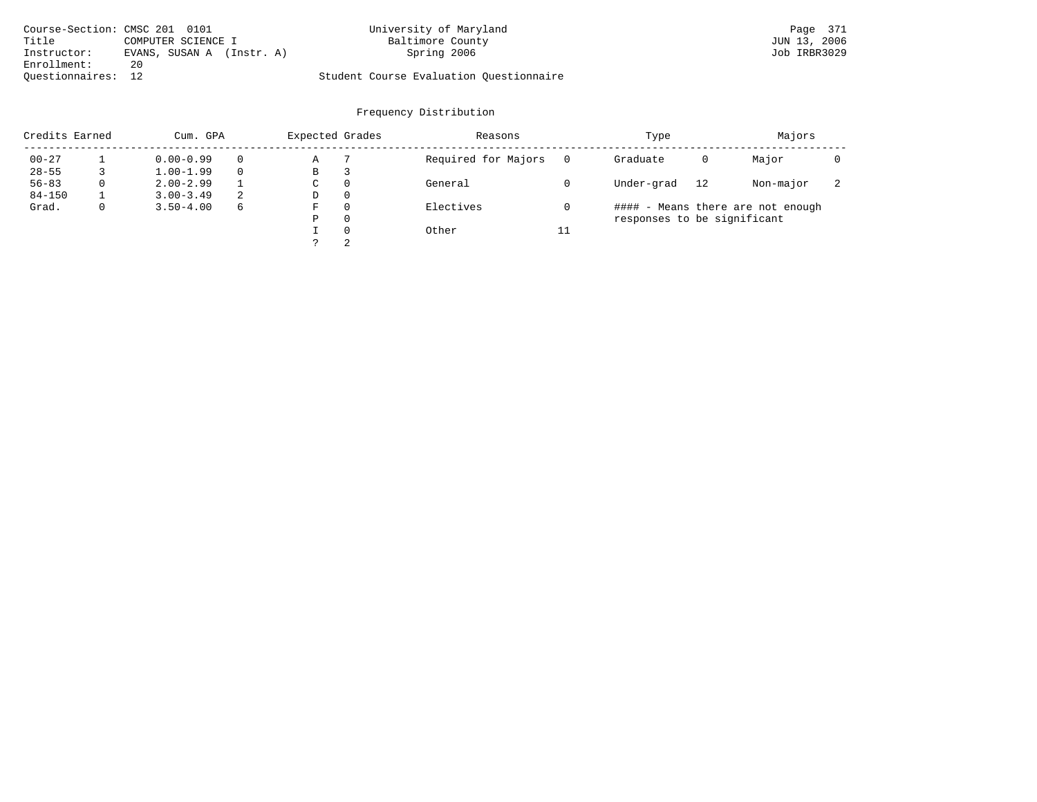| Course-Section: CMSC 201 0101 |                           | University of Maryland                  | Page 371     |
|-------------------------------|---------------------------|-----------------------------------------|--------------|
| Title                         | COMPUTER SCIENCE I        | Baltimore County                        | JUN 13, 2006 |
| Instructor:                   | EVANS, SUSAN A (Instr. A) | Spring 2006                             | Job IRBR3029 |
| Enrollment:                   | 20                        |                                         |              |
| Ouestionnaires: 12            |                           | Student Course Evaluation Questionnaire |              |

| Credits Earned |             | Cum. GPA      |    | Expected Grades |          | Reasons             |    | Type                        |    | Majors                            |                          |  |
|----------------|-------------|---------------|----|-----------------|----------|---------------------|----|-----------------------------|----|-----------------------------------|--------------------------|--|
| $00 - 27$      |             | $0.00 - 0.99$ |    | Α               |          | Required for Majors |    | Graduate                    | 0  | Major                             |                          |  |
| $28 - 55$      |             | $1.00 - 1.99$ |    | В               | 3        |                     |    |                             |    |                                   |                          |  |
| $56 - 83$      | $\Omega$    | $2.00 - 2.99$ |    | C               | $\Omega$ | General             |    | Under-grad                  | 12 | Non-major                         | $\overline{\phantom{a}}$ |  |
| $84 - 150$     |             | $3.00 - 3.49$ | -2 | D               | $\Omega$ |                     |    |                             |    |                                   |                          |  |
| Grad.          | $\mathbf 0$ | $3.50 - 4.00$ | 6  | F               | $\Omega$ | Electives           |    |                             |    | #### - Means there are not enough |                          |  |
|                |             |               |    | Ρ               | $\Omega$ |                     |    | responses to be significant |    |                                   |                          |  |
|                |             |               |    |                 | $\Omega$ | Other               | 11 |                             |    |                                   |                          |  |
|                |             |               |    |                 | 2        |                     |    |                             |    |                                   |                          |  |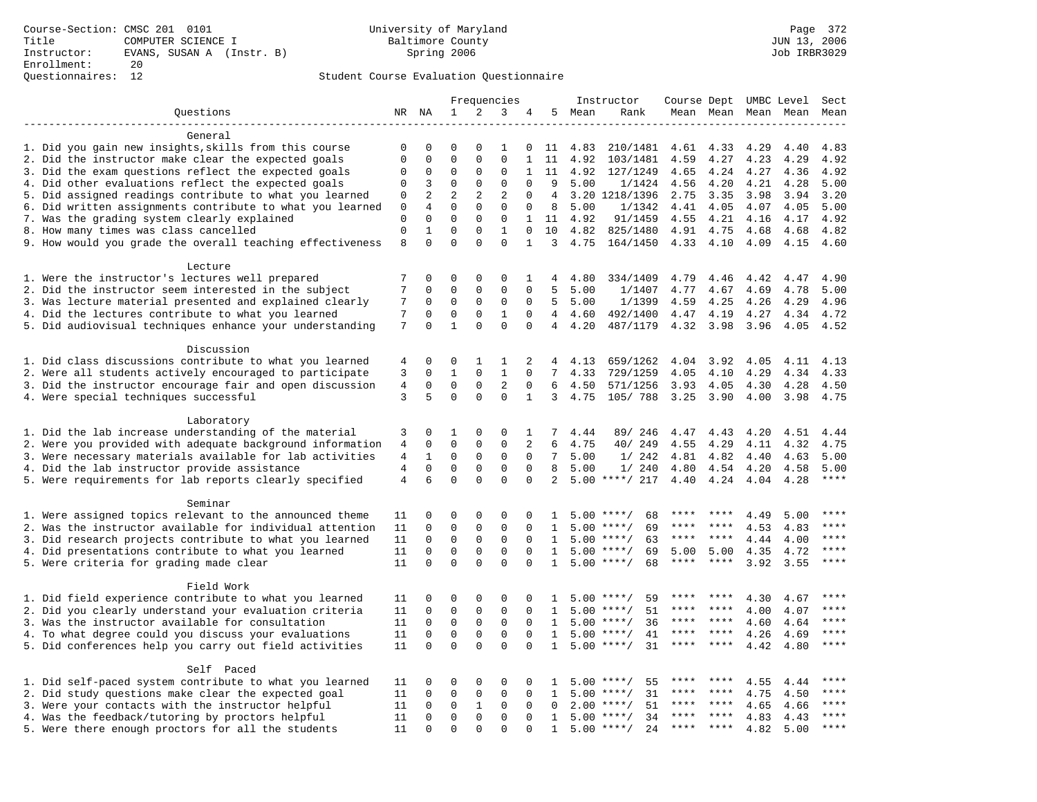# Questionnaires: 12 Student Course Evaluation Questionnaire

|                                                           | Frequencies    |                         |              |                             |                         |              | Instructor     |         | Course Dept UMBC Level |             |                     |      | Sect |               |
|-----------------------------------------------------------|----------------|-------------------------|--------------|-----------------------------|-------------------------|--------------|----------------|---------|------------------------|-------------|---------------------|------|------|---------------|
| Ouestions                                                 |                | NR NA                   | 1            | 2                           | 3                       | 4            | 5              | Mean    | Rank                   |             | Mean Mean Mean Mean |      |      | Mean          |
|                                                           |                |                         |              |                             |                         |              |                |         |                        |             |                     |      |      |               |
| General                                                   |                |                         |              |                             |                         |              |                |         |                        |             |                     |      |      |               |
| 1. Did you gain new insights, skills from this course     | $\mathbf 0$    | 0                       | $\mathbf 0$  | $\Omega$                    | 1                       | 0            | 11             | 4.83    | 210/1481               | 4.61        | 4.33                | 4.29 | 4.40 | 4.83          |
| 2. Did the instructor make clear the expected goals       | $\mathbf 0$    | $\mathbf 0$             | $\mathbf{0}$ | $\Omega$                    | $\Omega$                | $\mathbf{1}$ | 11             | 4.92    | 103/1481               | 4.59        | 4.27                | 4.23 | 4.29 | 4.92          |
| 3. Did the exam questions reflect the expected goals      | 0              | 0                       | $\mathbf 0$  | $\mathbf 0$                 | $\mathbf 0$             | $\mathbf{1}$ | 11             | 4.92    | 127/1249               | 4.65        | 4.24                | 4.27 | 4.36 | 4.92          |
| 4. Did other evaluations reflect the expected goals       | 0              | 3                       | $\mathbf{0}$ | $\mathbf 0$                 | $\mathbf 0$             | $\mathbf 0$  | 9              | 5.00    | 1/1424                 | 4.56        | 4.20                | 4.21 | 4.28 | 5.00          |
| 5. Did assigned readings contribute to what you learned   | 0              | 2                       | 2            | 2                           | 2                       | $\mathbf 0$  | 4              |         | 3.20 1218/1396         | 2.75        | 3.35                | 3.98 | 3.94 | 3.20          |
| 6. Did written assignments contribute to what you learned | 0              | 4                       | $\mathbf 0$  | $\mathbf 0$                 | $\mathbf{0}$            | $\mathbf 0$  | 8              | 5.00    | 1/1342                 | 4.41        | 4.05                | 4.07 | 4.05 | 5.00          |
| 7. Was the grading system clearly explained               | $\mathbf 0$    | $\Omega$                | $\Omega$     | $\Omega$                    | $\mathbf{0}$            | $\mathbf{1}$ |                | 11 4.92 | 91/1459                | 4.55        | 4.21                | 4.16 | 4.17 | 4.92          |
| 8. How many times was class cancelled                     | $\mathsf 0$    | $\mathbf{1}$            | $\Omega$     | $\Omega$                    | $\mathbf{1}$            | $\Omega$     | 10             | 4.82    | 825/1480               | 4.91        | 4.75                | 4.68 | 4.68 | 4.82          |
| 9. How would you grade the overall teaching effectiveness | 8              | $\Omega$                | $\Omega$     | $\Omega$                    | $\Omega$                | $\mathbf{1}$ | 3              | 4.75    | 164/1450               | 4.33        | 4.10                | 4.09 | 4.15 | 4.60          |
| Lecture                                                   |                |                         |              |                             |                         |              |                |         |                        |             |                     |      |      |               |
| 1. Were the instructor's lectures well prepared           | 7              | $\Omega$                | $\Omega$     | $\Omega$                    | $\Omega$                | 1            | 4              | 4.80    | 334/1409               | 4.79        | 4.46                | 4.42 | 4.47 | 4.90          |
| 2. Did the instructor seem interested in the subject      | 7              | $\mathbf 0$             | $\mathbf{0}$ | $\mathbf 0$                 | $\mathbf{0}$            | $\mathbf 0$  | 5              | 5.00    | 1/1407                 | 4.77        | 4.67                | 4.69 | 4.78 | 5.00          |
| 3. Was lecture material presented and explained clearly   | 7              | 0                       | $\mathbf 0$  | $\mathsf 0$                 | $\mathbf 0$             | 0            | 5              | 5.00    | 1/1399                 | 4.59        | 4.25                | 4.26 | 4.29 | 4.96          |
| 4. Did the lectures contribute to what you learned        | 7              | $\mathbf 0$             | $\mathbf 0$  | $\mathbf 0$                 | $\mathbf{1}$            | $\mathbf 0$  | $\overline{4}$ | 4.60    | 492/1400               | 4.47        | 4.19                | 4.27 | 4.34 | 4.72          |
| 5. Did audiovisual techniques enhance your understanding  | 7              | $\Omega$                | $\mathbf{1}$ | $\Omega$                    | $\Omega$                | $\Omega$     | 4              | 4.20    | 487/1179               | 4.32        | 3.98                | 3.96 | 4.05 | 4.52          |
|                                                           |                |                         |              |                             |                         |              |                |         |                        |             |                     |      |      |               |
| Discussion                                                |                |                         |              |                             |                         |              |                |         |                        |             |                     |      |      |               |
| 1. Did class discussions contribute to what you learned   | 4              | 0                       | 0            | 1                           | 1                       | 2            | 4              | 4.13    | 659/1262               | 4.04        | 3.92                | 4.05 | 4.11 | 4.13          |
| 2. Were all students actively encouraged to participate   | 3              | $\mathbf 0$             | $\mathbf{1}$ | $\mathbf 0$                 | $\mathbf{1}$            | $\mathbf 0$  | 7              | 4.33    | 729/1259               | 4.05        | 4.10                | 4.29 | 4.34 | 4.33          |
| 3. Did the instructor encourage fair and open discussion  | 4              | 0                       | $\mathsf 0$  | 0                           | $\overline{2}$          | $\mathbf 0$  | 6              | 4.50    | 571/1256               | 3.93        | 4.05                | 4.30 | 4.28 | 4.50          |
| 4. Were special techniques successful                     | 3              | 5                       | $\Omega$     | $\mathbf 0$                 | $\Omega$                | 1            | 3              | 4.75    | 105/ 788               | 3.25        | 3.90                | 4.00 | 3.98 | 4.75          |
|                                                           |                |                         |              |                             |                         |              |                |         |                        |             |                     |      |      |               |
| Laboratory                                                |                |                         |              |                             |                         |              |                |         |                        |             |                     |      |      |               |
| 1. Did the lab increase understanding of the material     | 3              | 0                       | 1            | $\mathsf 0$                 | 0                       | $\mathbf{1}$ | 7              | 4.44    | 89/ 246                | 4.47        | 4.43                | 4.20 | 4.51 | 4.44          |
| 2. Were you provided with adequate background information | 4              | 0                       | $\mathbf 0$  | $\mathbf 0$                 | $\mathbf 0$             | 2            | 6              | 4.75    | 40/ 249                | 4.55        | 4.29                | 4.11 | 4.32 | 4.75          |
| 3. Were necessary materials available for lab activities  | 4              | 1                       | 0            | 0                           | $\mathbf 0$             | 0            | 7              | 5.00    | 1/242                  | 4.81        | 4.82                | 4.40 | 4.63 | 5.00          |
| 4. Did the lab instructor provide assistance              | 4              | $\Omega$                | $\mathbf{0}$ | $\mathbf 0$                 | $\mathbf 0$             | $\Omega$     | 8              | 5.00    | 1/240                  | 4.80        | 4.54                | 4.20 | 4.58 | 5.00          |
| 5. Were requirements for lab reports clearly specified    | $\overline{4}$ | 6                       | $\Omega$     | $\Omega$                    | $\mathbf 0$             | $\Omega$     | $\overline{2}$ |         | $5.00$ ****/ 217       | 4.40        | 4.24                | 4.04 | 4.28 | $***$         |
|                                                           |                |                         |              |                             |                         |              |                |         |                        |             |                     |      |      |               |
| Seminar                                                   |                |                         |              |                             |                         |              |                |         |                        |             |                     |      |      |               |
| 1. Were assigned topics relevant to the announced theme   | 11             | 0                       | 0            | $\mathbf 0$                 | $\mathbf 0$             | 0            | 1              | 5.00    | $***$ /<br>68          | ****        | ****                | 4.49 | 5.00 | ****          |
| 2. Was the instructor available for individual attention  | 11             | 0                       | $\mathbf 0$  | 0                           | $\mathbf{0}$            | 0            | 1              | 5.00    | $***/$<br>69           | ****        |                     | 4.53 | 4.83 |               |
| 3. Did research projects contribute to what you learned   | 11             | $\mathbf 0$             | $\mathbf 0$  | $\mathbf 0$                 | $\mathbf 0$             | $\Omega$     | $\mathbf{1}$   | 5.00    | 63<br>$***/$           | $***$ * *   | $***$               | 4.44 | 4.00 | ****          |
| 4. Did presentations contribute to what you learned       | 11             | $\mathbf 0$             | $\mathbf{0}$ | $\mathbf 0$                 | $\mathbf 0$             | $\Omega$     | $\mathbf{1}$   | 5.00    | $***$ /<br>69          | 5.00        | 5.00                | 4.35 | 4.72 | $***$<br>**** |
| 5. Were criteria for grading made clear                   | 11             | $\mathbf 0$             | $\mathbf{0}$ | $\Omega$                    | $\mathbf 0$             | $\Omega$     | 1              |         | $5.00$ ****/<br>68     | $***$ * *   | $***$               | 3.92 | 3.55 |               |
| Field Work                                                |                |                         |              |                             |                         |              |                |         |                        |             |                     |      |      |               |
| 1. Did field experience contribute to what you learned    | 11             | 0                       | $\mathbf 0$  | $\mathbf 0$                 | $\mathbf 0$             | $\Omega$     |                |         | $5.00$ ****/<br>59     |             |                     | 4.30 |      |               |
|                                                           |                | $\Omega$                | $\mathbf 0$  | $\mathbf 0$                 | $\mathbf 0$             |              | 1              |         | 51                     | ****        | ****                |      | 4.67 | ****          |
| 2. Did you clearly understand your evaluation criteria    | 11             |                         |              |                             |                         | $\Omega$     | $\mathbf{1}$   | 5.00    | $***/$<br>$***$ /      | ****        | ****                | 4.00 | 4.07 | ****          |
| 3. Was the instructor available for consultation          | 11             | $\mathbf 0$             | $\mathbf 0$  | $\mathsf{O}$<br>$\mathbf 0$ | $\mathbf 0$             | $\Omega$     | $\mathbf{1}$   | 5.00    | 36<br>$***/$           | $***$ * * * | $***$ *             | 4.60 | 4.64 | $***$         |
| 4. To what degree could you discuss your evaluations      | 11             | $\mathbf 0$<br>$\Omega$ | $\mathbf 0$  | $\Omega$                    | $\mathsf 0$<br>$\Omega$ | $\mathbf 0$  | 1              | 5.00    | 41<br>31               | $***$ * * * | ****                | 4.26 | 4.69 | $***$         |
| 5. Did conferences help you carry out field activities    | 11             |                         | $\mathbf 0$  |                             |                         | $\Omega$     | 1              | 5.00    | $***$ /                |             |                     | 4.42 | 4.80 |               |
| Self Paced                                                |                |                         |              |                             |                         |              |                |         |                        |             |                     |      |      |               |
| 1. Did self-paced system contribute to what you learned   | 11             | 0                       | 0            | $\mathbf 0$                 | $\mathbf 0$             | $\mathbf 0$  | $\mathbf{1}$   | 5.00    | 55<br>****/            | ****        |                     | 4.55 | 4.44 | ****          |
| 2. Did study questions make clear the expected goal       | 11             | $\mathbf 0$             | $\mathbf 0$  | $\mathsf{O}$                | $\mathsf 0$             | $\mathbf 0$  | 1              | 5.00    | $***$ /<br>31          | ****        | $* * * *$           | 4.75 | 4.50 | ****          |
| 3. Were your contacts with the instructor helpful         | 11             | $\mathbf 0$             | $\mathbf 0$  | 1                           | $\mathbf{0}$            | 0            | $\Omega$       | 2.00    | 51<br>$***$ /          | ****        | ****                | 4.65 | 4.66 | ****          |
| 4. Was the feedback/tutoring by proctors helpful          | 11             | 0                       | $\mathbf{0}$ | $\mathbf 0$                 | $\mathbf{0}$            | $\Omega$     | 1              | 5.00    | $***/$<br>34           |             |                     | 4.83 | 4.43 | ****          |
| 5. Were there enough proctors for all the students        | 11             | 0                       | $\mathbf{0}$ | $\Omega$                    | $\Omega$                | $\Omega$     | 1              |         | $5.00$ ****/<br>24     | $***$ * *   | $***$               | 4.82 | 5.00 | ****          |
|                                                           |                |                         |              |                             |                         |              |                |         |                        |             |                     |      |      |               |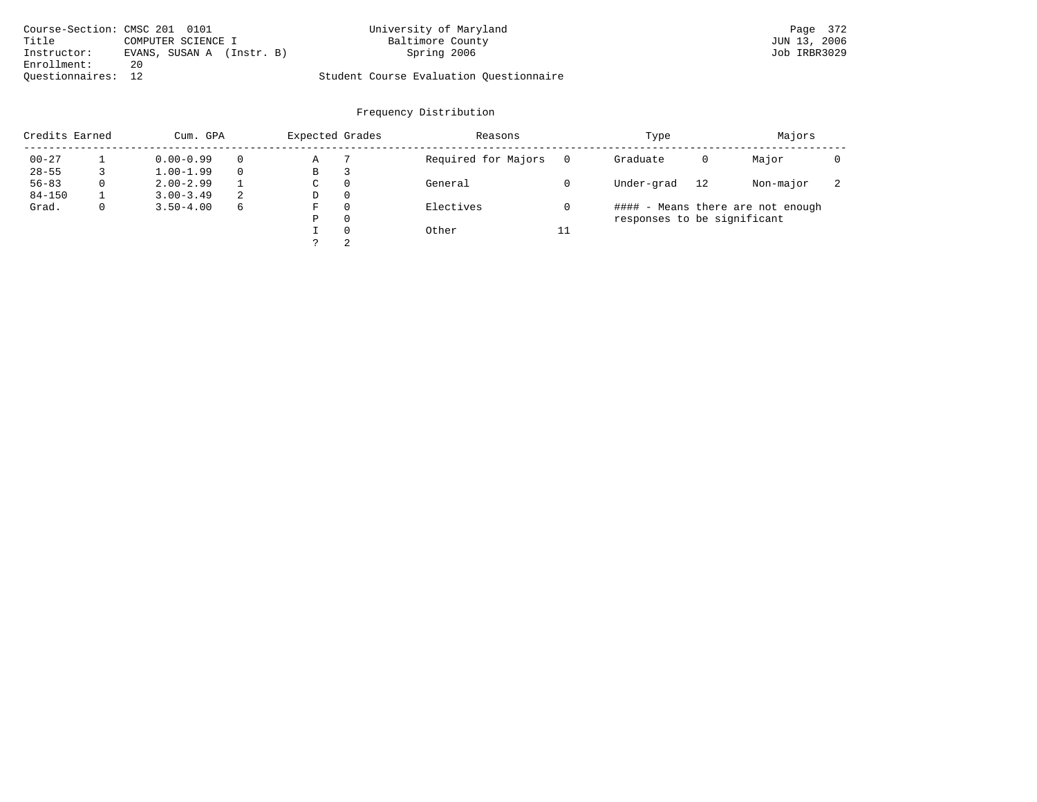| Course-Section: CMSC 201 0101 |                           | University of Maryland                  | Page 372     |
|-------------------------------|---------------------------|-----------------------------------------|--------------|
| Title                         | COMPUTER SCIENCE I        | Baltimore County                        | JUN 13, 2006 |
| Instructor:                   | EVANS, SUSAN A (Instr. B) | Spring 2006                             | Job IRBR3029 |
| Enrollment:                   | 20                        |                                         |              |
| Ouestionnaires: 12            |                           | Student Course Evaluation Ouestionnaire |              |

| Credits Earned |   | Cum. GPA      |   | Expected Grades |          | Reasons             |          | Type                        |    | Majors                            |   |
|----------------|---|---------------|---|-----------------|----------|---------------------|----------|-----------------------------|----|-----------------------------------|---|
| $00 - 27$      |   | $0.00 - 0.99$ |   | Α               |          | Required for Majors | $\Omega$ | Graduate                    | 0  | Major                             |   |
| $28 - 55$      |   | $1.00 - 1.99$ |   | В               | 3        |                     |          |                             |    |                                   |   |
| $56 - 83$      | 0 | $2.00 - 2.99$ |   | $\sim$<br>◡     | 0        | General             |          | Under-grad                  | 12 | Non-major                         | 2 |
| $84 - 150$     |   | $3.00 - 3.49$ | 2 | D               | 0        |                     |          |                             |    |                                   |   |
| Grad.          | 0 | $3.50 - 4.00$ | 6 | F               | 0        | Electives           |          |                             |    | #### - Means there are not enough |   |
|                |   |               |   | Ρ               | 0        |                     |          | responses to be significant |    |                                   |   |
|                |   |               |   |                 | $\Omega$ | Other               | 11       |                             |    |                                   |   |
|                |   |               |   |                 | 2        |                     |          |                             |    |                                   |   |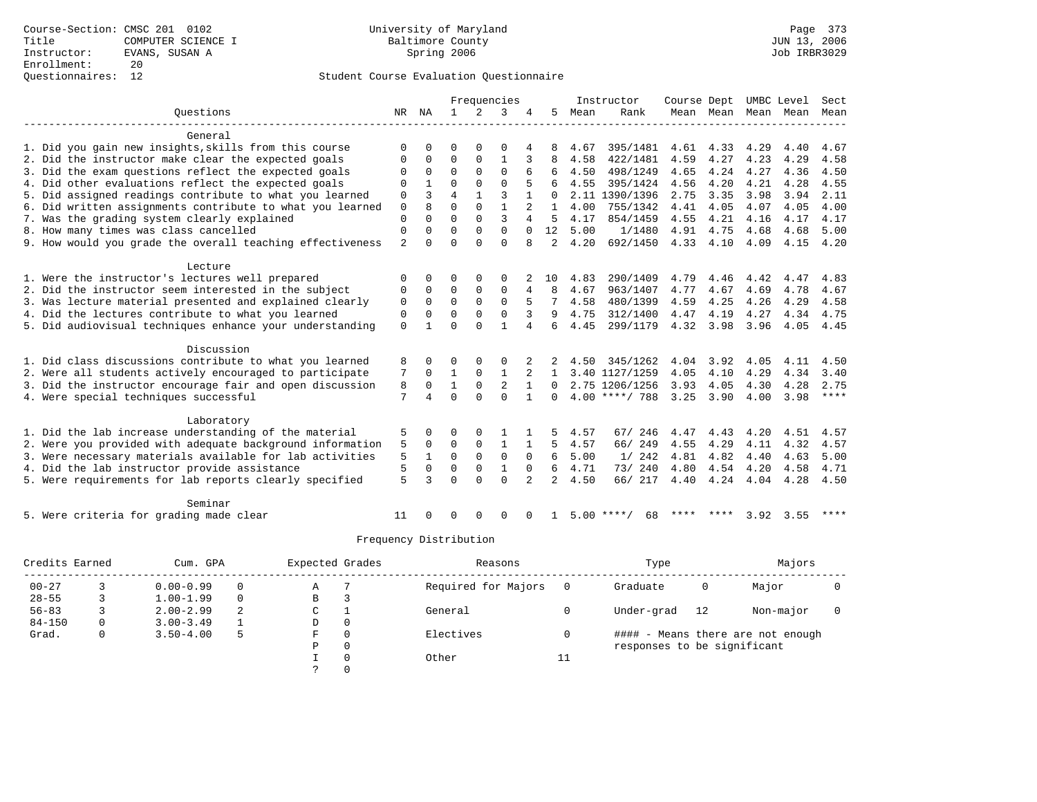|                                                           |                |                | Frequencies    |                |                | Instructor     | Course Dept    |      |                    | UMBC Level | Sect           |      |      |             |
|-----------------------------------------------------------|----------------|----------------|----------------|----------------|----------------|----------------|----------------|------|--------------------|------------|----------------|------|------|-------------|
| Ouestions                                                 | NR             | NA             | $\mathbf{1}$   | $\overline{2}$ | 3              |                | 5              | Mean | Rank               |            | Mean Mean Mean |      | Mean | Mean        |
|                                                           |                |                |                |                |                |                |                |      |                    |            |                |      |      |             |
| General                                                   |                |                |                |                |                |                |                |      |                    |            |                |      |      |             |
| 1. Did you gain new insights, skills from this course     | $\Omega$       |                | ∩              |                |                |                |                | 4.67 | 395/1481           | 4.61       | 4.33           | 4.29 | 4.40 | 4.67        |
| 2. Did the instructor make clear the expected goals       | ∩              | $\Omega$       | $\Omega$       | $\Omega$       |                | 3              |                | 4.58 | 422/1481           | 4.59       | 4.27           | 4.23 | 4.29 | 4.58        |
| 3. Did the exam questions reflect the expected goals      | $\cap$         | $\Omega$       | $\Omega$       | $\Omega$       | $\Omega$       |                |                | 4.50 | 498/1249           | 4.65       | 4.24           | 4.27 | 4.36 | 4.50        |
| 4. Did other evaluations reflect the expected goals       |                |                | $\Omega$       | $\Omega$       | $\Omega$       |                |                | 4.55 | 395/1424           | 4.56       | 4.20           | 4.21 | 4.28 | 4.55        |
| 5. Did assigned readings contribute to what you learned   | $\Omega$       | ς              | $\overline{4}$ |                | $\mathbf{3}$   |                | $\Omega$       |      | 2.11 1390/1396     | 2.75       | 3.35           | 3.98 | 3.94 | 2.11        |
| 6. Did written assignments contribute to what you learned | $\mathbf{0}$   | $\mathsf{R}$   | $\Omega$       | $\Omega$       |                |                | $\mathbf{1}$   | 4.00 | 755/1342           | 4.41       | 4.05           | 4.07 | 4.05 | 4.00        |
| 7. Was the grading system clearly explained               | $\Omega$       | $\Omega$       | $\Omega$       | $\Omega$       | 3              | 4              | 5              | 4.17 | 854/1459           | 4.55       | 4.21           | 4.16 | 4.17 | 4.17        |
| 8. How many times was class cancelled                     | $\Omega$       | $\Omega$       | $\Omega$       | $\Omega$       | $\Omega$       | $\Omega$       | 12             | 5.00 | 1/1480             | 4.91       | 4.75           | 4.68 | 4.68 | 5.00        |
| 9. How would you grade the overall teaching effectiveness | $\overline{a}$ | ∩              | $\Omega$       | $\cap$         | $\Omega$       | 8              | $\overline{2}$ | 4.20 | 692/1450           | 4.33       | 4.10           | 4.09 | 4.15 | 4.20        |
| Lecture                                                   |                |                |                |                |                |                |                |      |                    |            |                |      |      |             |
| 1. Were the instructor's lectures well prepared           | $\Omega$       | $\Omega$       | ∩              |                | $\Omega$       |                | 10             | 4.83 | 290/1409           | 4.79       | 4.46           | 4.42 | 4.47 | 4.83        |
| 2. Did the instructor seem interested in the subject      | $\Omega$       | $\Omega$       | $\Omega$       | $\Omega$       | $\Omega$       | 4              | 8              | 4.67 | 963/1407           | 4.77       | 4.67           | 4.69 | 4.78 | 4.67        |
| 3. Was lecture material presented and explained clearly   | $\Omega$       | $\Omega$       | $\Omega$       | $\Omega$       | $\Omega$       | 5              | 7              | 4.58 | 480/1399           | 4.59       | 4.25           | 4.26 | 4.29 | 4.58        |
| 4. Did the lectures contribute to what you learned        | $\Omega$       | $\Omega$       | $\Omega$       | $\Omega$       | $\Omega$       | 3              |                | 4.75 | 312/1400           | 4.47       | 4.19           | 4.27 | 4.34 | 4.75        |
| 5. Did audiovisual techniques enhance your understanding  | $\Omega$       |                | $\Omega$       | $\Omega$       |                | 4              |                | 4.45 | 299/1179           | 4.32       | 3.98           | 3.96 | 4.05 | 4.45        |
|                                                           |                |                |                |                |                |                |                |      |                    |            |                |      |      |             |
| Discussion                                                |                |                |                |                |                |                |                |      |                    |            |                |      |      |             |
| 1. Did class discussions contribute to what you learned   | 8              |                | $\Omega$       |                |                |                |                | 4.50 | 345/1262           | 4.04       | 3.92           | 4.05 | 4.11 | 4.50        |
| 2. Were all students actively encouraged to participate   | 7              | $\Omega$       | $\mathbf{1}$   | $\Omega$       | $\mathbf{1}$   | 2              | 1              |      | 3.40 1127/1259     | 4.05       | 4.10           | 4.29 | 4.34 | 3.40        |
| 3. Did the instructor encourage fair and open discussion  | 8              | $\Omega$       | $\mathbf{1}$   | $\Omega$       | $\mathfrak{D}$ | $\mathbf{1}$   | $\Omega$       |      | 2.75 1206/1256     | 3.93       | 4.05           | 4.30 | 4.28 | 2.75        |
| 4. Were special techniques successful                     | 7              | $\overline{4}$ | $\Omega$       | $\cap$         | $\Omega$       | $\mathbf{1}$   | $\Omega$       |      | $4.00$ ****/ 788   | 3.25       | 3.90           | 4.00 | 3.98 | $***$ * * * |
| Laboratory                                                |                |                |                |                |                |                |                |      |                    |            |                |      |      |             |
| 1. Did the lab increase understanding of the material     | 5              | 0              | $\Omega$       | $\Omega$       |                |                |                | 4.57 | 67/ 246            | 4.47       | 4.43           | 4.20 | 4.51 | 4.57        |
| 2. Were you provided with adequate background information | 5              | 0              | $\mathbf 0$    | $\mathbf 0$    | 1              |                | 5              | 4.57 | 66/ 249            | 4.55       | 4.29           | 4.11 | 4.32 | 4.57        |
| 3. Were necessary materials available for lab activities  | 5              | $\mathbf{1}$   | $\Omega$       | $\Omega$       | $\Omega$       | $\Omega$       | 6              | 5.00 | 1/242              | 4.81       | 4.82           | 4.40 | 4.63 | 5.00        |
| 4. Did the lab instructor provide assistance              | 5              | $\Omega$       | $\Omega$       | $\Omega$       | $\mathbf{1}$   | $\Omega$       | 6              | 4.71 | 73/240             | 4.80       | 4.54           | 4.20 | 4.58 | 4.71        |
| 5. Were requirements for lab reports clearly specified    | 5              | ζ              | $\Omega$       | $\cap$         | $\Omega$       | $\overline{2}$ | $\overline{a}$ | 4.50 | 66/ 217            | 4.40       | 4.24           | 4.04 | 4.28 | 4.50        |
|                                                           |                |                |                |                |                |                |                |      |                    |            |                |      |      |             |
| Seminar                                                   |                |                |                |                |                |                |                |      |                    |            |                |      |      |             |
| 5. Were criteria for grading made clear                   | 11             |                |                |                | $\Omega$       |                |                |      | $5.00$ ****/<br>68 |            | **** ****      | 3.92 | 3.55 | ****        |

| Credits Earned |   | Cum. GPA      |          | Expected Grades |          | Reasons             |    | Type                        |    | Majors                            |  |
|----------------|---|---------------|----------|-----------------|----------|---------------------|----|-----------------------------|----|-----------------------------------|--|
| $00 - 27$      |   | $0.00 - 0.99$ |          | Α               |          | Required for Majors |    | Graduate                    | 0  | Major                             |  |
| $28 - 55$      |   | $1.00 - 1.99$ | $\Omega$ | B               |          |                     |    |                             |    |                                   |  |
| $56 - 83$      |   | $2.00 - 2.99$ | 2        | C.              |          | General             |    | Under-grad                  | 12 | Non-major                         |  |
| $84 - 150$     | 0 | $3.00 - 3.49$ |          | D               | 0        |                     |    |                             |    |                                   |  |
| Grad.          | 0 | $3.50 - 4.00$ | 5        | F               | $\Omega$ | Electives           |    |                             |    | #### - Means there are not enough |  |
|                |   |               |          | Ρ               | 0        |                     |    | responses to be significant |    |                                   |  |
|                |   |               |          |                 | $\Omega$ | Other               | TТ |                             |    |                                   |  |
|                |   |               |          |                 |          |                     |    |                             |    |                                   |  |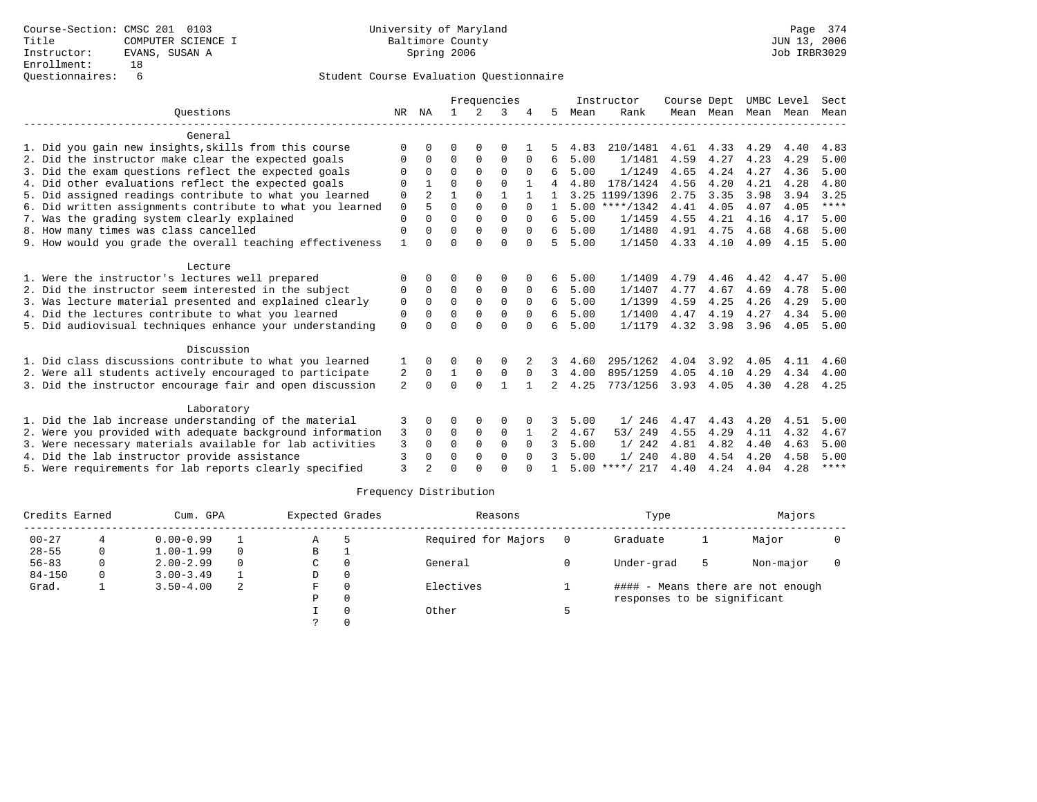|                                                           |          | Frequencies    |              |               |              |              | Instructor     | Course Dept |                  | UMBC Level |           | Sect |      |             |
|-----------------------------------------------------------|----------|----------------|--------------|---------------|--------------|--------------|----------------|-------------|------------------|------------|-----------|------|------|-------------|
| Ouestions                                                 | NR       | ΝA             |              | $\mathcal{L}$ | 3            |              | 5.             | Mean        | Rank             |            | Mean Mean | Mean | Mean | Mean        |
| General                                                   |          |                |              |               |              |              |                |             |                  |            |           |      |      |             |
| 1. Did you gain new insights, skills from this course     | ∩        |                | O            | $\Omega$      | $\Omega$     |              |                | 4.83        | 210/1481         | 4.61       | 4.33      | 4.29 | 4.40 | 4.83        |
| 2. Did the instructor make clear the expected goals       | $\Omega$ | $\Omega$       | 0            | 0             | $\mathbf 0$  | $\Omega$     | 6              | 5.00        | 1/1481           | 4.59       | 4.27      | 4.23 | 4.29 | 5.00        |
| 3. Did the exam questions reflect the expected goals      | O        | 0              | $\Omega$     | $\Omega$      | $\Omega$     | $\Omega$     | 6              | 5.00        | 1/1249           | 4.65       | 4.24      | 4.27 | 4.36 | 5.00        |
| 4. Did other evaluations reflect the expected goals       | $\Omega$ |                | $\Omega$     | $\Omega$      | $\Omega$     |              |                | 4.80        | 178/1424         | 4.56       | 4.20      | 4.21 | 4.28 | 4.80        |
| 5. Did assigned readings contribute to what you learned   | 0        | $\overline{2}$ | $\mathbf{1}$ | $\Omega$      | $\mathbf{1}$ | $\mathbf{1}$ | $\mathbf{1}$   |             | 3.25 1199/1396   | 2.75       | 3.35      | 3.98 | 3.94 | 3.25        |
| 6. Did written assignments contribute to what you learned | $\Omega$ | 5              | $\Omega$     | $\Omega$      | $\Omega$     | $\Omega$     | $\mathbf{1}$   |             | $5.00$ ****/1342 | 4.41       | 4.05      | 4.07 | 4.05 | $***$ * * * |
| 7. Was the grading system clearly explained               | $\Omega$ |                | $\Omega$     | $\Omega$      | $\Omega$     | $\Omega$     | 6              | 5.00        | 1/1459           | 4.55       | 4.21      | 4.16 | 4.17 | 5.00        |
| 8. How many times was class cancelled                     | $\Omega$ | 0              | $\Omega$     | $\Omega$      | $\Omega$     | $\Omega$     | 6              | 5.00        | 1/1480           | 4.91       | 4.75      | 4.68 | 4.68 | 5.00        |
| 9. How would you grade the overall teaching effectiveness | 1        | 0              | 0            | $\Omega$      | $\Omega$     | $\Omega$     | 5              | 5.00        | 1/1450           | 4.33       | 4.10      | 4.09 | 4.15 | 5.00        |
|                                                           |          |                |              |               |              |              |                |             |                  |            |           |      |      |             |
| Lecture                                                   |          |                |              |               |              |              |                |             |                  |            |           |      |      |             |
| 1. Were the instructor's lectures well prepared           | 0        | 0              | 0            | 0             | 0            |              | 6              | 5.00        | 1/1409           | 4.79       | 4.46      | 4.42 | 4.47 | 5.00        |
| 2. Did the instructor seem interested in the subject      | $\Omega$ | $\Omega$       | $\Omega$     | $\Omega$      | $\Omega$     | $\Omega$     | 6              | 5.00        | 1/1407           | 4.77       | 4.67      | 4.69 | 4.78 | 5.00        |
| 3. Was lecture material presented and explained clearly   | 0        | $\Omega$       | $\Omega$     | $\Omega$      | $\Omega$     | $\Omega$     | 6              | 5.00        | 1/1399           | 4.59       | 4.25      | 4.26 | 4.29 | 5.00        |
| 4. Did the lectures contribute to what you learned        | 0        | 0              | $\Omega$     | 0             | $\Omega$     | $\Omega$     | 6              | 5.00        | 1/1400           | 4.47       | 4.19      | 4.27 | 4.34 | 5.00        |
| 5. Did audiovisual techniques enhance your understanding  | $\Omega$ | 0              | $\Omega$     | $\Omega$      | $\Omega$     | $\Omega$     | 6              | 5.00        | 1/1179           |            | 4.32 3.98 | 3.96 | 4.05 | 5.00        |
| Discussion                                                |          |                |              |               |              |              |                |             |                  |            |           |      |      |             |
| 1. Did class discussions contribute to what you learned   |          | 0              | O            | 0             | $\Omega$     |              | 3              | 4.60        | 295/1262         | 4.04       | 3.92      | 4.05 | 4.11 | 4.60        |
| 2. Were all students actively encouraged to participate   | 2        | $\Omega$       | $\mathbf{1}$ | $\mathbf 0$   | $\mathbf 0$  | $\Omega$     | 3              | 4.00        | 895/1259         | 4.05       | 4.10      | 4.29 | 4.34 | 4.00        |
| 3. Did the instructor encourage fair and open discussion  | 2        | 0              | $\Omega$     | $\Omega$      | 1            |              | $\mathcal{L}$  | 4.25        | 773/1256         | 3.93       | 4.05      | 4.30 | 4.28 | 4.25        |
|                                                           |          |                |              |               |              |              |                |             |                  |            |           |      |      |             |
| Laboratory                                                |          |                |              |               |              |              |                |             |                  |            |           |      |      |             |
| 1. Did the lab increase understanding of the material     | 3        | 0              | 0            | 0             | 0            |              |                | 5.00        | 1/246            | 4.47       | 4.43      | 4.20 | 4.51 | 5.00        |
| 2. Were you provided with adequate background information | 3        | $\Omega$       | $\Omega$     | $\Omega$      | $\Omega$     |              | $\overline{2}$ | 4.67        | 53/ 249          | 4.55       | 4.29      | 4.11 | 4.32 | 4.67        |
| 3. Were necessary materials available for lab activities  | 3        | 0              | $\Omega$     | $\Omega$      | $\Omega$     | $\Omega$     | 3              | 5.00        | 1/242            | 4.81       | 4.82      | 4.40 | 4.63 | 5.00        |
| 4. Did the lab instructor provide assistance              | 3        | 0              | $\Omega$     | $\Omega$      | $\Omega$     | $\Omega$     |                | 5.00        | 1/240            | 4.80       | 4.54      | 4.20 | 4.58 | 5.00        |
| 5. Were requirements for lab reports clearly specified    | 3        |                | ∩            | $\cap$        | $\cap$       |              |                | 5.00        | ****/ 217        | 4.40       | 4.24      | 4.04 | 4.28 | $* * * * *$ |

| Credits Earned |   | Cum. GPA      |          | Expected Grades | Reasons             | Type                        |    | Majors                            |  |
|----------------|---|---------------|----------|-----------------|---------------------|-----------------------------|----|-----------------------------------|--|
| $00 - 27$      |   | $0.00 - 0.99$ |          | Α               | Required for Majors | Graduate                    |    | Major                             |  |
| $28 - 55$      |   | $1.00 - 1.99$ | $\Omega$ | В               |                     |                             |    |                                   |  |
| $56 - 83$      |   | $2.00 - 2.99$ | $\Omega$ | C               | General             | Under-grad                  | -5 | Non-major                         |  |
| $84 - 150$     | 0 | $3.00 - 3.49$ |          | D               |                     |                             |    |                                   |  |
| Grad.          |   | $3.50 - 4.00$ | 2        | F               | Electives           |                             |    | #### - Means there are not enough |  |
|                |   |               |          | Ρ               |                     | responses to be significant |    |                                   |  |
|                |   |               |          |                 | Other               |                             |    |                                   |  |
|                |   |               |          |                 |                     |                             |    |                                   |  |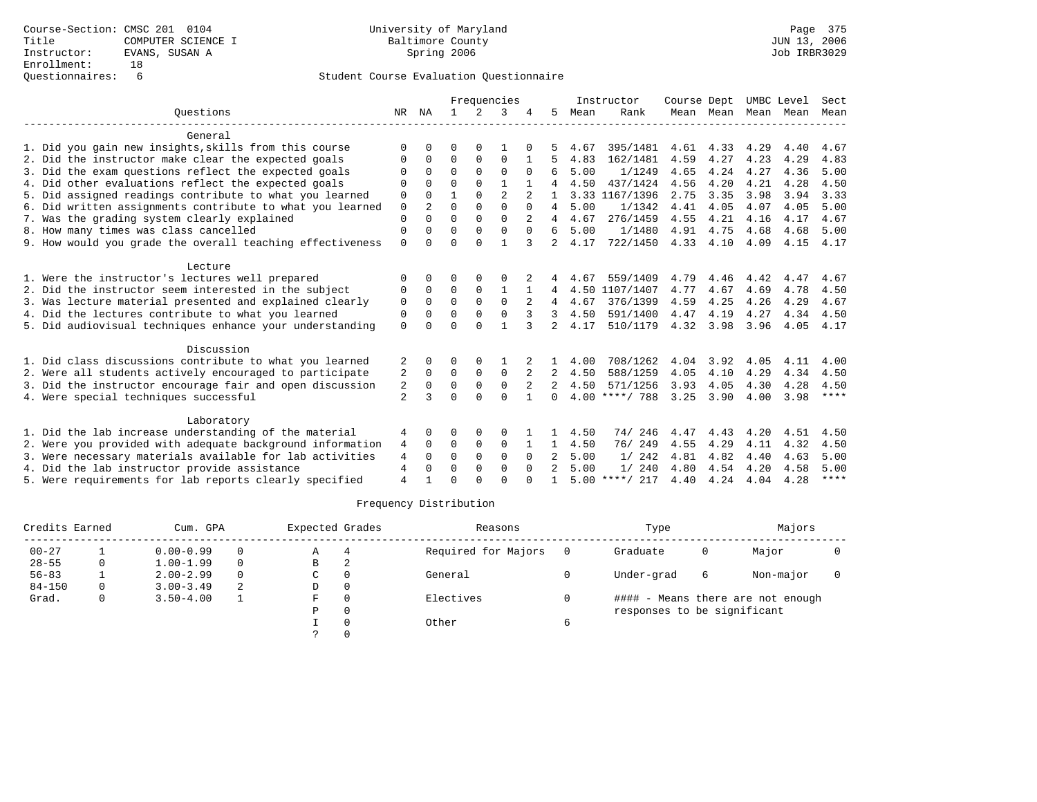|                                                           |                |                | Frequencies  |             |                |                | Instructor   | Course Dept |                  | UMBC Level |                | Sect |      |             |
|-----------------------------------------------------------|----------------|----------------|--------------|-------------|----------------|----------------|--------------|-------------|------------------|------------|----------------|------|------|-------------|
| Ouestions                                                 | NR             | ΝA             | $\mathbf{1}$ | $2^{\circ}$ | ζ              |                | 5            | Mean        | Rank             |            | Mean Mean Mean |      | Mean | Mean        |
| General                                                   |                |                |              |             |                |                |              |             |                  |            |                |      |      |             |
| 1. Did you gain new insights, skills from this course     | ∩              |                | <sup>0</sup> | 0           |                |                |              | 4.67        | 395/1481         | 4.61       | 4.33           | 4.29 | 4.40 | 4.67        |
| 2. Did the instructor make clear the expected goals       | O              | $\Omega$       | 0            | $\Omega$    | $\Omega$       |                |              | 4.83        | 162/1481         | 4.59       | 4.27           | 4.23 | 4.29 | 4.83        |
| 3. Did the exam questions reflect the expected goals      |                |                | $\Omega$     |             | 0              | $\Omega$       | 6            | 5.00        | 1/1249           | 4.65       | 4.24           | 4.27 | 4.36 | 5.00        |
| 4. Did other evaluations reflect the expected goals       | $\Omega$       | $\Omega$       | $\Omega$     | $\Omega$    |                |                |              | 4.50        | 437/1424         | 4.56       | 4.20           | 4.21 | 4.28 | 4.50        |
| 5. Did assigned readings contribute to what you learned   | 0              | $\Omega$       |              | $\Omega$    | $\overline{a}$ |                |              |             | 3.33 1167/1396   | 2.75       | 3.35           | 3.98 | 3.94 | 3.33        |
| 6. Did written assignments contribute to what you learned | $\mathbf 0$    | $\overline{a}$ | $\Omega$     | $\Omega$    | $\Omega$       | $\Omega$       | 4            | 5.00        | 1/1342           | 4.41       | 4.05           | 4.07 | 4.05 | 5.00        |
| 7. Was the grading system clearly explained               | $\Omega$       |                | $\Omega$     |             | $\Omega$       | 2              | 4            | 4.67        | 276/1459         | 4.55       | 4.21           | 4.16 | 4.17 | 4.67        |
| 8. How many times was class cancelled                     | $\Omega$       | $\Omega$       | $\Omega$     | $\Omega$    | $\Omega$       | $\Omega$       | 6            | 5.00        | 1/1480           | 4.91       | 4.75           | 4.68 | 4.68 | 5.00        |
| 9. How would you grade the overall teaching effectiveness | $\Omega$       |                | $\Omega$     | $\Omega$    |                | 3              | 2            | 4.17        | 722/1450         | 4.33       | 4.10           | 4.09 | 4.15 | 4.17        |
| Lecture                                                   |                |                |              |             |                |                |              |             |                  |            |                |      |      |             |
| 1. Were the instructor's lectures well prepared           |                |                |              |             |                |                |              | 4.67        | 559/1409         | 4.79       | 4.46           | 4.42 | 4.47 | 4.67        |
| 2. Did the instructor seem interested in the subject      | 0              | $\Omega$       | $\Omega$     | $\mathbf 0$ |                |                | 4            |             | 4.50 1107/1407   | 4.77       | 4.67           | 4.69 | 4.78 | 4.50        |
| 3. Was lecture material presented and explained clearly   | $\Omega$       | $\Omega$       | $\Omega$     | $\Omega$    | $\Omega$       | $\overline{2}$ | 4            | 4.67        | 376/1399         | 4.59       | 4.25           | 4.26 | 4.29 | 4.67        |
| 4. Did the lectures contribute to what you learned        | 0              |                | $\Omega$     |             | $\Omega$       | 3              | 3            | 4.50        | 591/1400         | 4.47       | 4.19           | 4.27 | 4.34 | 4.50        |
| 5. Did audiovisual techniques enhance your understanding  | $\Omega$       |                | $\Omega$     | $\cap$      |                |                | $2^{\circ}$  | 4.17        | 510/1179         | 4.32       | 3.98           | 3.96 | 4.05 | 4.17        |
| Discussion                                                |                |                |              |             |                |                |              |             |                  |            |                |      |      |             |
| 1. Did class discussions contribute to what you learned   | 2              |                | O            |             |                |                |              | 4.00        | 708/1262         | 4.04       | 3.92           | 4.05 | 4.11 | 4.00        |
| 2. Were all students actively encouraged to participate   | 2              | $\Omega$       | $\Omega$     | $\Omega$    | $\Omega$       |                | 2            | 4.50        | 588/1259         | 4.05       | 4.10           | 4.29 | 4.34 | 4.50        |
| 3. Did the instructor encourage fair and open discussion  | 2              | $\Omega$       | $\Omega$     | $\mathbf 0$ | $\Omega$       |                |              | 4.50        | 571/1256         | 3.93       | 4.05           | 4.30 | 4.28 | 4.50        |
| 4. Were special techniques successful                     | $\overline{a}$ | २              | $\cap$       | $\cap$      | $\cap$         |                | $\Omega$     |             | $4.00$ ****/ 788 | 3.25       | 3.90           | 4.00 | 3.98 | $***$ * * * |
| Laboratory                                                |                |                |              |             |                |                |              |             |                  |            |                |      |      |             |
| 1. Did the lab increase understanding of the material     | 4              | $\Omega$       | 0            | 0           | $\Omega$       |                |              | 4.50        | 74/246           | 4.47       | 4.43           | 4.20 | 4.51 | 4.50        |
| 2. Were you provided with adequate background information | 4              | $\Omega$       | 0            | $\mathbf 0$ | 0              |                | $\mathbf{1}$ | 4.50        | 76/249           | 4.55       | 4.29           | 4.11 | 4.32 | 4.50        |
| 3. Were necessary materials available for lab activities  | 4              | $\Omega$       | $\Omega$     | $\Omega$    | $\Omega$       | <sup>0</sup>   |              | 5.00        | 1/242            | 4.81       | 4.82           | 4.40 | 4.63 | 5.00        |
| 4. Did the lab instructor provide assistance              | 4              | $\Omega$       | $\Omega$     | $\Omega$    | $\Omega$       | $\Omega$       |              | 5.00        | 1/240            | 4.80       | 4.54           | 4.20 | 4.58 | 5.00        |
| 5. Were requirements for lab reports clearly specified    | $\overline{4}$ |                | $\cap$       |             | $\cap$         |                |              |             | $5.00$ ****/ 217 | 4.40       | 4.24           | 4.04 | 4.28 | $* * * * *$ |

|            | Credits Earned |               | Cum. GPA | Expected Grades |          | Reasons             |   | Type                        |   | Majors                            |  |
|------------|----------------|---------------|----------|-----------------|----------|---------------------|---|-----------------------------|---|-----------------------------------|--|
| $00 - 27$  |                | $0.00 - 0.99$ | $\Omega$ | Α               | 4        | Required for Majors |   | Graduate                    | 0 | Major                             |  |
| $28 - 55$  | 0              | $1.00 - 1.99$ | $\Omega$ | B               | 2        |                     |   |                             |   |                                   |  |
| $56 - 83$  |                | $2.00 - 2.99$ | $\Omega$ | C               |          | General             |   | Under-grad                  | 6 | Non-major                         |  |
| $84 - 150$ |                | $3.00 - 3.49$ |          | D               | $\Omega$ |                     |   |                             |   |                                   |  |
| Grad.      |                | $3.50 - 4.00$ |          | F               |          | Electives           |   |                             |   | #### - Means there are not enough |  |
|            |                |               |          | Ρ               |          |                     |   | responses to be significant |   |                                   |  |
|            |                |               |          |                 |          | Other               | 6 |                             |   |                                   |  |
|            |                |               |          |                 |          |                     |   |                             |   |                                   |  |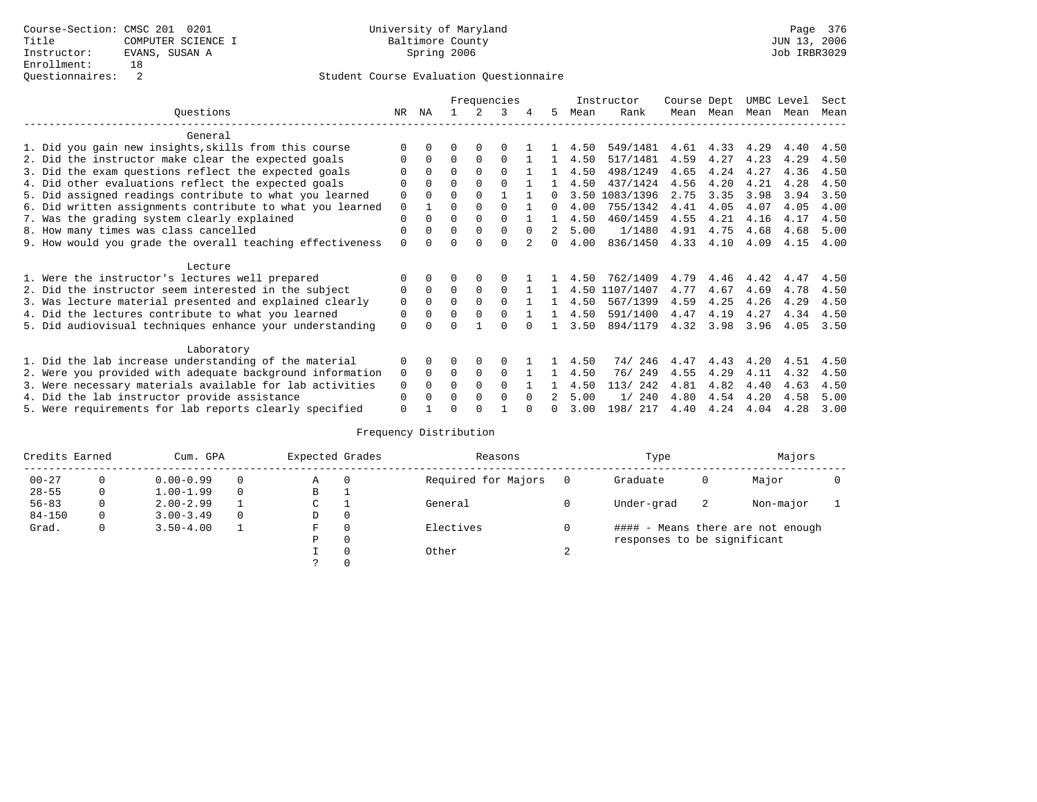|                                                           |             |              | Frequencies |          |          |          |              |      | Instructor | Course Dept |      | UMBC Level |      | Sect |
|-----------------------------------------------------------|-------------|--------------|-------------|----------|----------|----------|--------------|------|------------|-------------|------|------------|------|------|
| Ouestions                                                 | NR.         | ΝA           |             | 2        | 3        |          | 5.           | Mean | Rank       | Mean        | Mean | Mean       | Mean | Mean |
| General                                                   |             |              |             |          |          |          |              |      |            |             |      |            |      |      |
| 1. Did you gain new insights, skills from this course     |             |              |             |          |          |          |              | 4.50 | 549/1481   | 4.61        | 4.33 | 4.29       | 4.40 | 4.50 |
| 2. Did the instructor make clear the expected goals       | $\Omega$    | 0            | $\Omega$    | $\Omega$ | $\Omega$ |          |              | 4.50 | 517/1481   | 4.59        | 4.27 | 4.23       | 4.29 | 4.50 |
| 3. Did the exam questions reflect the expected goals      | ∩           | <sup>0</sup> | $\Omega$    | $\cap$   | $\Omega$ |          |              | 4.50 | 498/1249   | 4.65        | 4.24 | 4.27       | 4.36 | 4.50 |
| 4. Did other evaluations reflect the expected goals       |             |              | $\Omega$    | $\Omega$ | $\cap$   |          |              | 4.50 | 437/1424   | 4.56        | 4.20 | 4.21       | 4.28 | 4.50 |
| 5. Did assigned readings contribute to what you learned   | 0           |              | $\Omega$    | $\Omega$ |          |          | <sup>n</sup> | 3.50 | 1083/1396  | 2.75        | 3.35 | 3.98       | 3.94 | 3.50 |
| 6. Did written assignments contribute to what you learned | 0           |              | $\Omega$    |          |          |          | 0            | 4.00 | 755/1342   | 4.41        | 4.05 | 4.07       | 4.05 | 4.00 |
| 7. Was the grading system clearly explained               | $\Omega$    | <sup>0</sup> | $\Omega$    | $\Omega$ | $\cap$   |          | 1.           | 4.50 | 460/1459   | 4.55        | 4.21 | 4.16       | 4.17 | 4.50 |
| 8. How many times was class cancelled                     | $\Omega$    |              | $\Omega$    | $\Omega$ | $\Omega$ | $\Omega$ |              | 5.00 | 1/1480     | 4.91        | 4.75 | 4.68       | 4.68 | 5.00 |
| 9. How would you grade the overall teaching effectiveness | $\Omega$    |              | $\Omega$    | $\cap$   | $\Omega$ |          | 0            | 4.00 | 836/1450   | 4.33        | 4.10 | 4.09       | 4.15 | 4.00 |
| Lecture                                                   |             |              |             |          |          |          |              |      |            |             |      |            |      |      |
| 1. Were the instructor's lectures well prepared           | ∩           | 0            | 0           | 0        | $\Omega$ |          |              | 4.50 | 762/1409   | 4.79        | 4.46 | 4.42       | 4.47 | 4.50 |
| 2. Did the instructor seem interested in the subject      | $\Omega$    | $\Omega$     | $\Omega$    | $\Omega$ | $\Omega$ |          |              | 4.50 | 1107/1407  | 4.77        | 4.67 | 4.69       | 4.78 | 4.50 |
| 3. Was lecture material presented and explained clearly   | $\mathbf 0$ | $\Omega$     | $\Omega$    | $\Omega$ | $\Omega$ |          |              | 4.50 | 567/1399   | 4.59        | 4.25 | 4.26       | 4.29 | 4.50 |
| 4. Did the lectures contribute to what you learned        | 0           |              | $\Omega$    | $\Omega$ | $\Omega$ |          |              | 4.50 | 591/1400   | 4.47        | 4.19 | 4.27       | 4.34 | 4.50 |
| 5. Did audiovisual techniques enhance your understanding  | $\Omega$    |              | U           |          | ∩        |          |              | 3.50 | 894/1179   | 4.32        | 3.98 | 3.96       | 4.05 | 3.50 |
| Laboratory                                                |             |              |             |          |          |          |              |      |            |             |      |            |      |      |
| 1. Did the lab increase understanding of the material     | $\Omega$    |              | 0           | $\Omega$ | O        |          |              | 4.50 | 74/246     | 4.47        | 4.43 | 4.20       | 4.51 | 4.50 |
| 2. Were you provided with adequate background information | $\Omega$    | $\Omega$     | $\Omega$    | $\Omega$ | $\Omega$ |          |              | 4.50 | 76/249     | 4.55        | 4.29 | 4.11       | 4.32 | 4.50 |
| 3. Were necessary materials available for lab activities  | $\Omega$    | <sup>n</sup> | $\Omega$    | $\Omega$ | $\Omega$ |          |              | 4.50 | 113/ 242   | 4.81        | 4.82 | 4.40       | 4.63 | 4.50 |
| 4. Did the lab instructor provide assistance              | $\Omega$    |              | $\Omega$    | $\Omega$ | $\Omega$ |          |              | 5.00 | 1/240      | 4.80        | 4.54 | 4.20       | 4.58 | 5.00 |
| 5. Were requirements for lab reports clearly specified    | $\Omega$    |              | U           |          |          |          | <sup>n</sup> | 3.00 | 198/ 217   | 4.40        | 4.24 | 4.04       | 4.28 | 3.00 |

| Credits Earned |   | Cum. GPA      | Expected Grades |          | Reasons             |   | Type                        |   | Majors                            |  |
|----------------|---|---------------|-----------------|----------|---------------------|---|-----------------------------|---|-----------------------------------|--|
| $00 - 27$      |   | $0.00 - 0.99$ | Α               | $\Omega$ | Required for Majors |   | Graduate                    | 0 | Major                             |  |
| $28 - 55$      |   | $1.00 - 1.99$ | В               |          |                     |   |                             |   |                                   |  |
| $56 - 83$      | 0 | $2.00 - 2.99$ | C               |          | General             |   | Under-grad                  | 2 | Non-major                         |  |
| $84 - 150$     | 0 | $3.00 - 3.49$ | D               | $\Omega$ |                     |   |                             |   |                                   |  |
| Grad.          | 0 | $3.50 - 4.00$ | F               |          | Electives           |   |                             |   | #### - Means there are not enough |  |
|                |   |               | Ρ               | $\Omega$ |                     |   | responses to be significant |   |                                   |  |
|                |   |               |                 | $\Omega$ | Other               | ▵ |                             |   |                                   |  |
|                |   |               | $\mathcal{P}$   |          |                     |   |                             |   |                                   |  |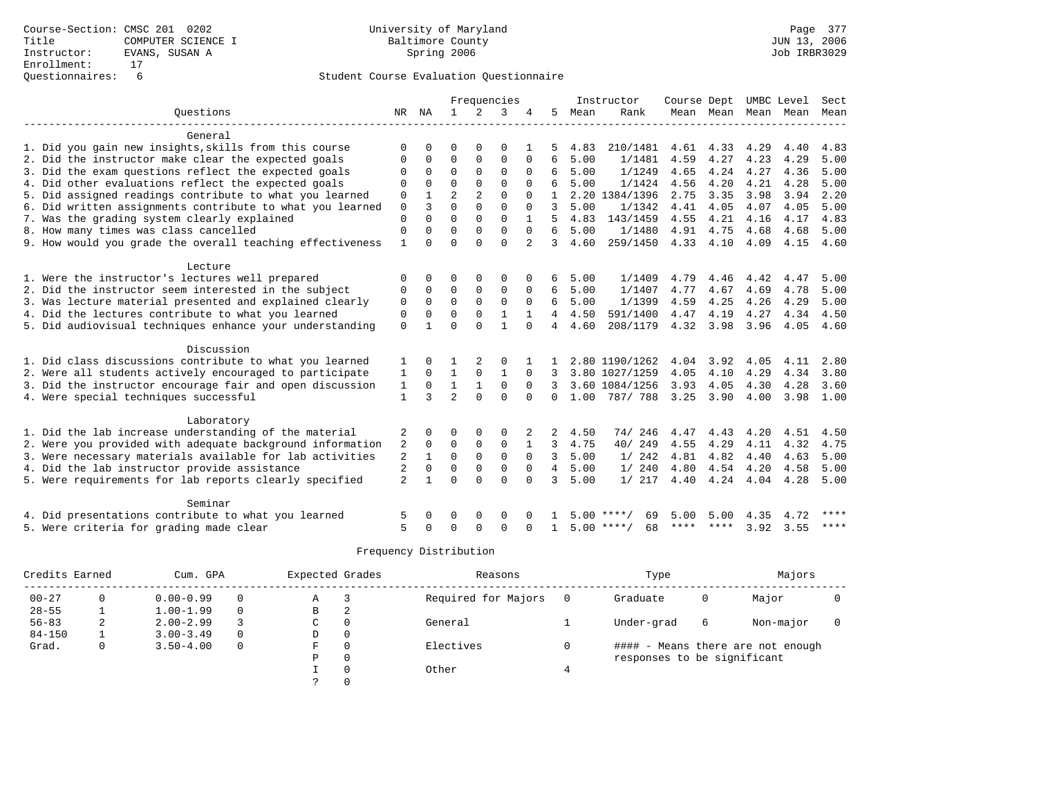|                                                           |                   |             |                |                | Frequencies  |          |                |      | Instructor         | Course Dept |           |      | UMBC Level | Sect        |
|-----------------------------------------------------------|-------------------|-------------|----------------|----------------|--------------|----------|----------------|------|--------------------|-------------|-----------|------|------------|-------------|
| Ouestions                                                 | NR                | ΝA          | $\mathbf{1}$   | 2              | 3            |          | 5              | Mean | Rank               |             | Mean Mean | Mean | Mean       | Mean        |
|                                                           |                   |             |                |                |              |          |                |      |                    |             |           |      |            |             |
| General                                                   |                   |             |                |                |              |          |                |      |                    |             |           |      |            |             |
| 1. Did you gain new insights, skills from this course     |                   |             | $\Omega$       | $\Omega$       | $\Omega$     |          |                | 4.83 | 210/1481           | 4.61        | 4.33      | 4.29 | 4.40       | 4.83        |
| 2. Did the instructor make clear the expected goals       | $\Omega$          | $\Omega$    | $\Omega$       | $\Omega$       | $\Omega$     | $\Omega$ | 6              | 5.00 | 1/1481             | 4.59        | 4.27      | 4.23 | 4.29       | 5.00        |
| 3. Did the exam questions reflect the expected goals      | $\Omega$          | $\Omega$    | $\Omega$       | $\Omega$       | $\Omega$     | $\Omega$ | 6              | 5.00 | 1/1249             | 4.65        | 4.24      | 4.27 | 4.36       | 5.00        |
| 4. Did other evaluations reflect the expected goals       | $\Omega$          | $\Omega$    | $\Omega$       | $\Omega$       | $\Omega$     | $\Omega$ |                | 5.00 | 1/1424             | 4.56        | 4.20      | 4.21 | 4.28       | 5.00        |
| 5. Did assigned readings contribute to what you learned   | 0                 |             | $\overline{2}$ | $\overline{2}$ | $\Omega$     | $\Omega$ |                |      | 2.20 1384/1396     | 2.75        | 3.35      | 3.98 | 3.94       | 2.20        |
| 6. Did written assignments contribute to what you learned | $\mathbf 0$       | 3           | $\Omega$       | $\Omega$       | $\Omega$     | $\Omega$ | 3              | 5.00 | 1/1342             | 4.41        | 4.05      | 4.07 | 4.05       | 5.00        |
| 7. Was the grading system clearly explained               | $\mathbf 0$       | $\Omega$    | $\Omega$       | $\Omega$       | $\Omega$     |          | 5              | 4.83 | 143/1459           | 4.55        | 4.21      | 4.16 | 4.17       | 4.83        |
| 8. How many times was class cancelled                     | 0                 | $\Omega$    | $\Omega$       | $\Omega$       | $\Omega$     | $\Omega$ | 6              | 5.00 | 1/1480             | 4.91        | 4.75      | 4.68 | 4.68       | 5.00        |
| 9. How would you grade the overall teaching effectiveness | 1                 | $\Omega$    | $\Omega$       | $\Omega$       | $\Omega$     | 2        | २              | 4.60 | 259/1450           | 4.33        | 4.10      | 4.09 | 4.15       | 4.60        |
|                                                           |                   |             |                |                |              |          |                |      |                    |             |           |      |            |             |
| Lecture                                                   |                   |             |                |                |              |          |                |      |                    |             |           |      |            |             |
| 1. Were the instructor's lectures well prepared           | $\Omega$          | $\Omega$    | $\Omega$       | $\Omega$       | $\Omega$     |          | 6              | 5.00 | 1/1409             | 4.79        | 4.46      | 4.42 | 4.47       | 5.00        |
| 2. Did the instructor seem interested in the subject      | $\Omega$          | $\Omega$    | $\mathbf 0$    | $\mathbf{0}$   | $\mathbf 0$  | $\Omega$ | 6              | 5.00 | 1/1407             | 4.77        | 4.67      | 4.69 | 4.78       | 5.00        |
| 3. Was lecture material presented and explained clearly   | 0                 | $\Omega$    | $\Omega$       | $\Omega$       | $\Omega$     | $\Omega$ | 6              | 5.00 | 1/1399             | 4.59        | 4.25      | 4.26 | 4.29       | 5.00        |
| 4. Did the lectures contribute to what you learned        | $\Omega$          | $\Omega$    | $\Omega$       | $\Omega$       | 1            |          | 4              | 4.50 | 591/1400           | 4.47        | 4.19      | 4.27 | 4.34       | 4.50        |
| 5. Did audiovisual techniques enhance your understanding  | $\Omega$          |             | $\Omega$       | $\Omega$       | $\mathbf{1}$ | $\Omega$ | 4              | 4.60 | 208/1179           | 4.32        | 3.98      | 3.96 | 4.05       | 4.60        |
| Discussion                                                |                   |             |                |                |              |          |                |      |                    |             |           |      |            |             |
| 1. Did class discussions contribute to what you learned   |                   |             |                |                | $\Omega$     |          |                |      | 2.80 1190/1262     | 4.04        | 3.92      | 4.05 | 4.11       | 2.80        |
| 2. Were all students actively encouraged to participate   |                   | $\mathbf 0$ | $\mathbf{1}$   | 0              | $\mathbf{1}$ | 0        | 3              |      | 3.80 1027/1259     | 4.05        | 4.10      | 4.29 | 4.34       | 3.80        |
| 3. Did the instructor encourage fair and open discussion  |                   | 0           | 1              |                | 0            | $\Omega$ |                |      | 3.60 1084/1256     | 3.93        | 4.05      | 4.30 | 4.28       | 3.60        |
| 4. Were special techniques successful                     | 1<br>$\mathbf{1}$ | 3           | $\overline{a}$ | $\Omega$       | $\Omega$     | $\Omega$ | $\Omega$       | 1.00 | 787/788            | 3.25        | 3.90      | 4.00 | 3.98       | 1.00        |
|                                                           |                   |             |                |                |              |          |                |      |                    |             |           |      |            |             |
| Laboratory                                                |                   |             |                |                |              |          |                |      |                    |             |           |      |            |             |
| 1. Did the lab increase understanding of the material     | 2                 | $\Omega$    | ∩              | $\Omega$       | $\Omega$     |          | 2              | 4.50 | 74/246             | 4.47        | 4.43      | 4.20 | 4.51       | 4.50        |
| 2. Were you provided with adequate background information | 2                 | $\mathbf 0$ | 0              | $\mathbf{0}$   | 0            |          | 3              | 4.75 | 40/249             | 4.55        | 4.29      | 4.11 | 4.32       | 4.75        |
| 3. Were necessary materials available for lab activities  | 2                 | 1           | $\Omega$       | $\Omega$       | $\Omega$     | $\Omega$ | 3              | 5.00 | 1/242              | 4.81        | 4.82      | 4.40 | 4.63       | 5.00        |
| 4. Did the lab instructor provide assistance              | 2                 | $\mathbf 0$ | $\Omega$       | $\Omega$       | $\Omega$     | $\Omega$ | $\overline{4}$ | 5.00 | 1/240              | 4.80        | 4.54      | 4.20 | 4.58       | 5.00        |
| 5. Were requirements for lab reports clearly specified    | $\overline{a}$    |             | $\Omega$       | $\cap$         | $\Omega$     | $\Omega$ | 3              | 5.00 | 1/217              | 4.40        | 4.24      | 4.04 | 4.28       | 5.00        |
|                                                           |                   |             |                |                |              |          |                |      |                    |             |           |      |            |             |
| Seminar                                                   |                   |             |                |                |              |          |                |      |                    |             |           |      |            |             |
| 4. Did presentations contribute to what you learned       |                   |             |                |                | O            |          |                | 5.00 | 69                 | 5.00        | 5.00      | 4.35 | 4.72       | ****        |
| 5. Were criteria for grading made clear                   | 5                 | $\cap$      | $\Omega$       |                | $\Omega$     | ∩        | $\mathbf{1}$   |      | $5.00$ ****/<br>68 |             | **** **** | 3.92 | 3.55       | $***$ * * * |

| Credits Earned |   | Cum. GPA      |          | Expected Grades |          | Reasons             | Type                        |   | Majors                            |  |
|----------------|---|---------------|----------|-----------------|----------|---------------------|-----------------------------|---|-----------------------------------|--|
| $00 - 27$      |   | $0.00 - 0.99$ | 0        | Α               |          | Required for Majors | Graduate                    | 0 | Major                             |  |
| $28 - 55$      |   | $1.00 - 1.99$ | 0        | в               |          |                     |                             |   |                                   |  |
| $56 - 83$      | 2 | $2.00 - 2.99$ |          | C               |          | General             | Under-grad                  | 6 | Non-major                         |  |
| $84 - 150$     |   | $3.00 - 3.49$ | $\Omega$ | D               | $\Omega$ |                     |                             |   |                                   |  |
| Grad.          | 0 | $3.50 - 4.00$ | 0        | F               |          | Electives           |                             |   | #### - Means there are not enough |  |
|                |   |               |          | Ρ               | 0        |                     | responses to be significant |   |                                   |  |
|                |   |               |          |                 |          | Other               |                             |   |                                   |  |
|                |   |               |          |                 |          |                     |                             |   |                                   |  |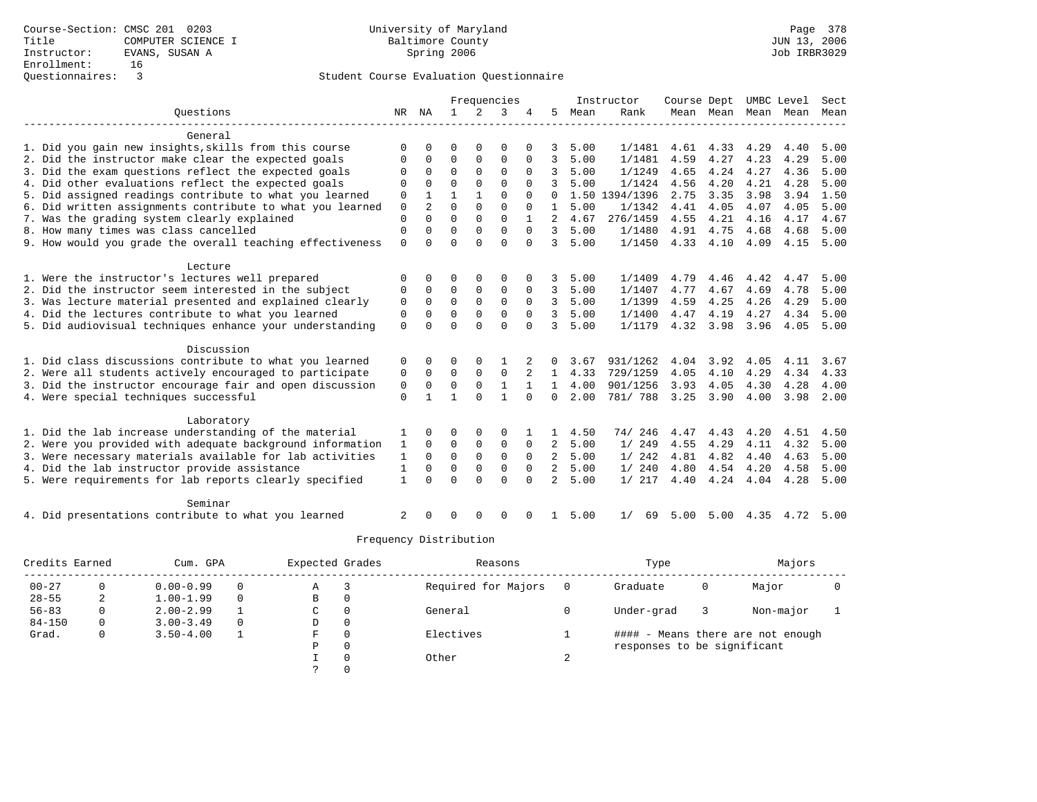|                                                           |              |                |              |             | Frequencies  |             |                |      | Instructor     | Course Dept |                |                   | UMBC Level | Sect |
|-----------------------------------------------------------|--------------|----------------|--------------|-------------|--------------|-------------|----------------|------|----------------|-------------|----------------|-------------------|------------|------|
| Ouestions                                                 | NR           | ΝA             | $\mathbf{1}$ | 2           | 3            |             | 5              | Mean | Rank           |             | Mean Mean Mean |                   | Mean       | Mean |
| General                                                   |              |                |              |             |              |             |                |      |                |             |                |                   |            |      |
| 1. Did you gain new insights, skills from this course     | $\Omega$     |                | $\Omega$     |             | $\Omega$     |             |                | 5.00 | 1/1481         | 4.61        | 4.33           | 4.29              | 4.40       | 5.00 |
| 2. Did the instructor make clear the expected goals       | <sup>0</sup> | O              | $\Omega$     | $\Omega$    | $\Omega$     | $\Omega$    | 3              | 5.00 | 1/1481         | 4.59        | 4.27           | 4.23              | 4.29       | 5.00 |
| 3. Did the exam questions reflect the expected goals      | $\cap$       | $\Omega$       | $\Omega$     | $\Omega$    | $\Omega$     | $\Omega$    | 3              | 5.00 | 1/1249         | 4.65        | 4.24           | 4.27              | 4.36       | 5.00 |
| 4. Did other evaluations reflect the expected goals       |              |                | $\Omega$     | $\Omega$    | $\Omega$     |             | 3              | 5.00 | 1/1424         | 4.56        | 4.20           | 4.21              | 4.28       | 5.00 |
| 5. Did assigned readings contribute to what you learned   | $\mathbf 0$  |                |              |             | $\Omega$     | $\Omega$    | $\Omega$       |      | 1.50 1394/1396 | 2.75        | 3.35           | 3.98              | 3.94       | 1.50 |
| 6. Did written assignments contribute to what you learned | $\Omega$     | $\overline{a}$ | $\Omega$     | $\Omega$    | $\Omega$     | $\Omega$    | $\mathbf{1}$   | 5.00 | 1/1342         | 4.41        | 4.05           | 4.07              | 4.05       | 5.00 |
| 7. Was the grading system clearly explained               | $\mathbf 0$  | $\Omega$       | $\Omega$     | $\Omega$    | $\Omega$     |             | 2              | 4.67 | 276/1459       | 4.55        | 4.21           | 4.16              | 4.17       | 4.67 |
| 8. How many times was class cancelled                     | $\mathbf 0$  | O              | $\Omega$     | $\Omega$    | $\Omega$     | $\Omega$    | 3              | 5.00 | 1/1480         | 4.91        | 4.75           | 4.68              | 4.68       | 5.00 |
| 9. How would you grade the overall teaching effectiveness | $\Omega$     | ∩              | $\cap$       | $\cap$      | $\Omega$     | $\Omega$    | 3              | 5.00 | 1/1450         | 4.33        | 4.10           | 4.09              | 4.15       | 5.00 |
| Lecture                                                   |              |                |              |             |              |             |                |      |                |             |                |                   |            |      |
| 1. Were the instructor's lectures well prepared           | <sup>0</sup> | 0              | ∩            | 0           | <sup>0</sup> |             | 3              | 5.00 | 1/1409         | 4.79        | 4.46           | 4.42              | 4.47       | 5.00 |
| 2. Did the instructor seem interested in the subject      | $\Omega$     | $\Omega$       | $\mathbf 0$  | $\mathbf 0$ | $\mathbf 0$  | $\Omega$    | 3              | 5.00 | 1/1407         | 4.77        | 4.67           | 4.69              | 4.78       | 5.00 |
| 3. Was lecture material presented and explained clearly   | $\Omega$     | $\Omega$       | $\Omega$     | $\Omega$    | $\Omega$     | $\mathbf 0$ | 3              | 5.00 | 1/1399         | 4.59        | 4.25           | 4.26              | 4.29       | 5.00 |
| 4. Did the lectures contribute to what you learned        | $\mathbf 0$  | $\Omega$       | $\Omega$     | $\mathbf 0$ | $\mathbf 0$  | $\Omega$    | 3              | 5.00 | 1/1400         | 4.47        | 4.19           | 4.27              | 4.34       | 5.00 |
| 5. Did audiovisual techniques enhance your understanding  | $\Omega$     |                | $\Omega$     | $\Omega$    | $\Omega$     |             | 3              | 5.00 | 1/1179         | 4.32        | 3.98           | 3.96              | 4.05       | 5.00 |
| Discussion                                                |              |                |              |             |              |             |                |      |                |             |                |                   |            |      |
| 1. Did class discussions contribute to what you learned   | 0            | 0              | $\Omega$     |             |              |             |                | 3.67 | 931/1262       | 4.04        | 3.92           | 4.05              | 4.11       | 3.67 |
| 2. Were all students actively encouraged to participate   | 0            | $\Omega$       | $\mathbf 0$  | $\Omega$    | 0            | 2           | $\mathbf{1}$   | 4.33 | 729/1259       | 4.05        | 4.10           | 4.29              | 4.34       | 4.33 |
| 3. Did the instructor encourage fair and open discussion  | 0            | $\mathbf 0$    | $\mathbf 0$  | $\mathbf 0$ | $\mathbf{1}$ |             | $\mathbf{1}$   | 4.00 | 901/1256       | 3.93        | 4.05           | 4.30              | 4.28       | 4.00 |
| 4. Were special techniques successful                     | $\mathbf{0}$ |                |              | $\cap$      | $\mathbf{1}$ | $\Omega$    | $\Omega$       | 2.00 | 781/ 788       | 3.25        | 3.90           | 4.00              | 3.98       | 2.00 |
| Laboratory                                                |              |                |              |             |              |             |                |      |                |             |                |                   |            |      |
| 1. Did the lab increase understanding of the material     | 1            | $\Omega$       | $\Omega$     | $\Omega$    | $\Omega$     |             |                | 4.50 | 74/246         | 4.47        | 4.43           | 4.20              | 4.51       | 4.50 |
| 2. Were you provided with adequate background information | 1            | $\Omega$       | 0            | 0           | $\mathbf 0$  | 0           | 2              | 5.00 | 1/249          | 4.55        | 4.29           | 4.11              | 4.32       | 5.00 |
| 3. Were necessary materials available for lab activities  | 1            | $\Omega$       | $\Omega$     | $\Omega$    | $\Omega$     | $\Omega$    | $\overline{2}$ | 5.00 | 1/242          | 4.81        | 4.82           | 4.40              | 4.63       | 5.00 |
| 4. Did the lab instructor provide assistance              | $\mathbf{1}$ |                | $\Omega$     | $\Omega$    | 0            | $\Omega$    | 2              | 5.00 | 1/240          | 4.80        |                | 4.54 4.20         | 4.58       | 5.00 |
| 5. Were requirements for lab reports clearly specified    | $\mathbf{1}$ | U              | $\Omega$     | $\Omega$    | $\Omega$     | $\Omega$    | $\overline{a}$ | 5.00 | 1/217          | 4.40        | 4.24           | 4.04              | 4.28       | 5.00 |
| Seminar                                                   |              |                |              |             |              |             |                |      |                |             |                |                   |            |      |
| 4. Did presentations contribute to what you learned       | 2            |                | $\Omega$     | ∩           | $\Omega$     |             | 1.             | 5.00 | 1/<br>69       | 5.00        |                | $5.00 \quad 4.35$ | 4.72       | 5.00 |

| Credits Earned |          | Cum. GPA      |          | Expected Grades |          | Reasons             |   | Type                        |   | Majors                            |  |
|----------------|----------|---------------|----------|-----------------|----------|---------------------|---|-----------------------------|---|-----------------------------------|--|
| $00 - 27$      |          | $0.00 - 0.99$ | $\Omega$ | Α               |          | Required for Majors |   | Graduate                    | 0 | Major                             |  |
| $28 - 55$      |          | $1.00 - 1.99$ | $\Omega$ | В               | 0        |                     |   |                             |   |                                   |  |
| $56 - 83$      | $\Omega$ | $2.00 - 2.99$ |          | C               | 0        | General             |   | Under-grad                  |   | Non-major                         |  |
| $84 - 150$     | $\Omega$ | $3.00 - 3.49$ | $\Omega$ | D               | 0        |                     |   |                             |   |                                   |  |
| Grad.          | 0        | $3.50 - 4.00$ |          | F               | 0        | Electives           |   |                             |   | #### - Means there are not enough |  |
|                |          |               |          | Ρ               | 0        |                     |   | responses to be significant |   |                                   |  |
|                |          |               |          |                 | $\Omega$ | Other               | ▵ |                             |   |                                   |  |
|                |          |               |          |                 | $\Omega$ |                     |   |                             |   |                                   |  |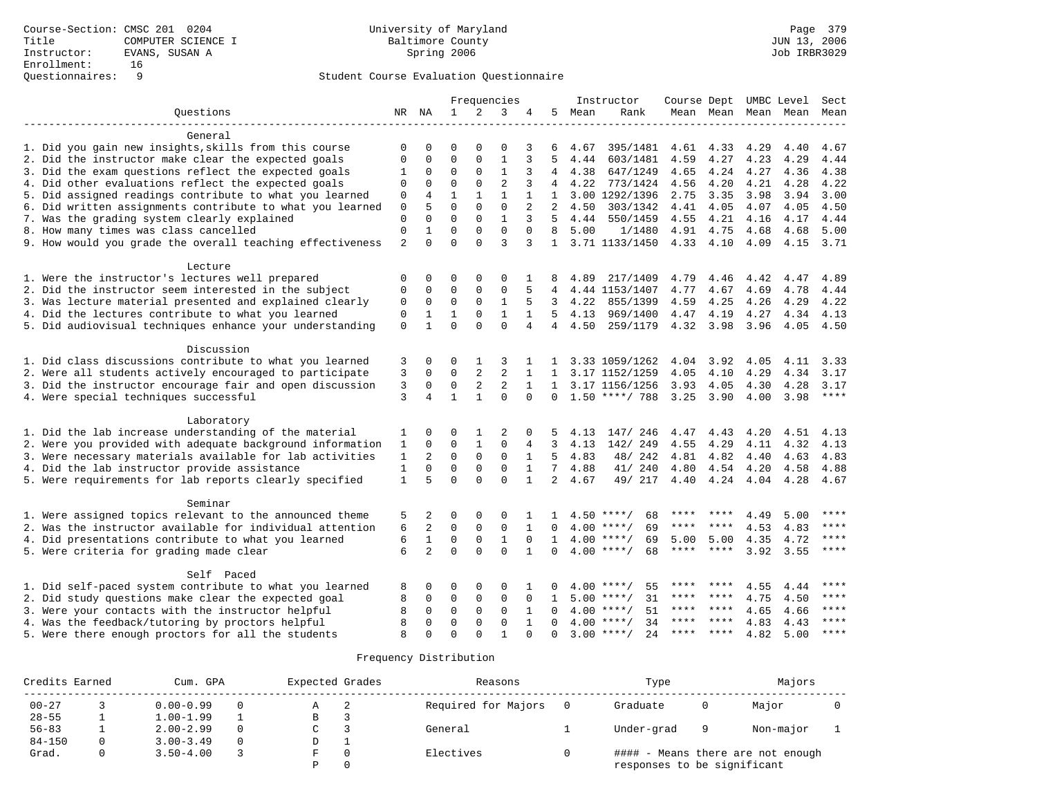|                                                           |                |                         |              |                | Frequencies    |              |                |      | Instructor          | Course Dept |                     |      | UMBC Level | Sect  |
|-----------------------------------------------------------|----------------|-------------------------|--------------|----------------|----------------|--------------|----------------|------|---------------------|-------------|---------------------|------|------------|-------|
| Questions                                                 |                | NR NA                   | $\mathbf{1}$ | 2              | 3              |              | 5              | Mean | Rank                |             | Mean Mean Mean Mean |      |            | Mean  |
| General                                                   |                |                         |              |                |                |              |                |      |                     |             |                     |      |            |       |
| 1. Did you gain new insights, skills from this course     | $\mathbf 0$    | $\Omega$                | $\Omega$     | $\Omega$       | $\Omega$       | 3            |                | 4.67 | 395/1481            | 4.61        | 4.33                | 4.29 | 4.40       | 4.67  |
| 2. Did the instructor make clear the expected goals       | $\mathbf 0$    | $\mathbf 0$             | $\mathbf{0}$ | $\Omega$       | 1              | 3            | .5             | 4.44 | 603/1481            | 4.59        | 4.27                | 4.23 | 4.29       | 4.44  |
| 3. Did the exam questions reflect the expected goals      | 1              | 0                       | $\mathbf 0$  | $\mathbf 0$    | $\mathbf 1$    | 3            | 4              | 4.38 | 647/1249            | 4.65        | 4.24                | 4.27 | 4.36       | 4.38  |
| 4. Did other evaluations reflect the expected goals       | 0              | 0                       | $\mathbf{0}$ | $\mathbf 0$    | $\overline{2}$ | 3            | 4              | 4.22 | 773/1424            | 4.56        | 4.20                | 4.21 | 4.28       | 4.22  |
| 5. Did assigned readings contribute to what you learned   | 0              | 4                       | $\mathbf{1}$ | $\mathbf{1}$   | $\mathbf{1}$   | $\mathbf{1}$ | 1              |      | 3.00 1292/1396      | 2.75        | 3.35                | 3.98 | 3.94       | 3.00  |
| 6. Did written assignments contribute to what you learned | 0              | 5                       | $\Omega$     | $\Omega$       | $\mathbf 0$    | 2            | 2              | 4.50 | 303/1342            | 4.41        | 4.05                | 4.07 | 4.05       | 4.50  |
| 7. Was the grading system clearly explained               | $\mathbf 0$    | $\Omega$                | $\Omega$     | $\Omega$       | $\mathbf{1}$   | 3            | 5              | 4.44 | 550/1459            | 4.55        | 4.21                | 4.16 | 4.17       | 4.44  |
| 8. How many times was class cancelled                     | $\overline{0}$ | $\mathbf{1}$            | $\mathbf{0}$ | $\Omega$       | $\mathbf 0$    | $\Omega$     | 8              | 5.00 | 1/1480              | 4.91        | 4.75                | 4.68 | 4.68       | 5.00  |
| 9. How would you grade the overall teaching effectiveness | $\overline{2}$ | $\Omega$                | $\Omega$     | $\Omega$       | $\mathbf{3}$   | 3            | $\mathbf{1}$   |      | 3.71 1133/1450      |             | 4.33 4.10           | 4.09 | 4.15       | 3.71  |
| Lecture                                                   |                |                         |              |                |                |              |                |      |                     |             |                     |      |            |       |
| 1. Were the instructor's lectures well prepared           | 0              | 0                       | 0            | 0              | 0              | 1            |                | 4.89 | 217/1409            | 4.79        | 4.46                | 4.42 | 4.47       | 4.89  |
| 2. Did the instructor seem interested in the subject      | 0              | 0                       | $\mathbf{0}$ | $\mathbf 0$    | $\mathbf{0}$   | 5            | 4              |      | 4.44 1153/1407      | 4.77        | 4.67                | 4.69 | 4.78       | 4.44  |
| 3. Was lecture material presented and explained clearly   | 0              | 0                       | $\mathbf 0$  | $\mathbf 0$    | 1              | 5            | 3              | 4.22 | 855/1399            | 4.59        | 4.25                | 4.26 | 4.29       | 4.22  |
| 4. Did the lectures contribute to what you learned        | 0              | $\mathbf{1}$            | $\mathbf 1$  | $\mathsf 0$    | $\mathbf{1}$   | 1            | .5             | 4.13 | 969/1400            | 4.47        | 4.19                | 4.27 | 4.34       | 4.13  |
| 5. Did audiovisual techniques enhance your understanding  | $\mathbf 0$    | $\mathbf{1}$            | $\Omega$     | $\Omega$       | $\Omega$       | 4            | $\overline{4}$ | 4.50 | 259/1179            | 4.32        | 3.98                | 3.96 | 4.05       | 4.50  |
| Discussion                                                |                |                         |              |                |                |              |                |      |                     |             |                     |      |            |       |
| 1. Did class discussions contribute to what you learned   | 3              | 0                       | $\mathbf 0$  | 1              | 3              |              |                |      | 3.33 1059/1262      | 4.04        | 3.92                | 4.05 | 4.11       | 3.33  |
| 2. Were all students actively encouraged to participate   | 3              | $\Omega$                | $\Omega$     | 2              | $\mathfrak{D}$ | $\mathbf{1}$ | $\mathbf{1}$   |      | 3.17 1152/1259      | 4.05        | 4.10                | 4.29 | 4.34       | 3.17  |
| 3. Did the instructor encourage fair and open discussion  | 3              | 0                       | $\mathbf 0$  | $\overline{c}$ | $\overline{2}$ | 1            | 1              |      | 3.17 1156/1256      | 3.93        | 4.05                | 4.30 | 4.28       | 3.17  |
| 4. Were special techniques successful                     | 3              | 4                       | $\mathbf{1}$ | $\mathbf{1}$   | $\Omega$       | $\Omega$     | $\mathbf{0}$   |      | $1.50$ ****/ 788    | 3.25        | 3.90                | 4.00 | 3.98       | ****  |
| Laboratory                                                |                |                         |              |                |                |              |                |      |                     |             |                     |      |            |       |
| 1. Did the lab increase understanding of the material     | 1              | $\Omega$                | $\mathbf 0$  | 1              | 2              | U            |                | 4.13 | 147/ 246            | 4.47        | 4.43                | 4.20 | 4.51       | 4.13  |
| 2. Were you provided with adequate background information | 1              | $\Omega$                | $\mathbf 0$  | $\mathbf{1}$   | 0              | 4            | 3              | 4.13 | 142/249             | 4.55        | 4.29                | 4.11 | 4.32       | 4.13  |
| 3. Were necessary materials available for lab activities  | $\mathbf{1}$   | $\overline{c}$          | $\mathbf 0$  | $\mathbf 0$    | $\mathbf{0}$   | $\mathbf{1}$ | 5              | 4.83 | 48/ 242             | 4.81        | 4.82                | 4.40 | 4.63       | 4.83  |
| 4. Did the lab instructor provide assistance              | $\mathbf{1}$   | $\Omega$                | $\Omega$     | $\mathbf 0$    | $\Omega$       | $\mathbf{1}$ | $7^{\circ}$    | 4.88 | 41/ 240             | 4.80        | 4.54                | 4.20 | 4.58       | 4.88  |
| 5. Were requirements for lab reports clearly specified    | $\mathbf{1}$   | 5                       | $\Omega$     | $\Omega$       | $\Omega$       | $\mathbf{1}$ | $\overline{2}$ | 4.67 | 49/ 217             | 4.40        | 4.24                | 4.04 | 4.28       | 4.67  |
| Seminar                                                   |                |                         |              |                |                |              |                |      |                     |             |                     |      |            |       |
| 1. Were assigned topics relevant to the announced theme   | 5              | 2                       | 0            | $\mathbf 0$    | 0              |              |                |      | $4.50$ ****/<br>68  | ****        |                     | 4.49 | 5.00       |       |
| 2. Was the instructor available for individual attention  | 6              | $\overline{\mathbf{c}}$ | $\mathsf 0$  | $\mathsf 0$    | $\mathsf 0$    | 1            | $\Omega$       | 4.00 | 69<br>$***/$        | ****        | ****                | 4.53 | 4.83       | ****  |
| 4. Did presentations contribute to what you learned       | 6              | $\mathbf{1}$            | $\mathbf 0$  | $\mathbf 0$    | 1              | $\Omega$     | $\mathbf{1}$   |      | $4.00$ ****/<br>69  | 5.00        | 5.00                | 4.35 | 4.72       | ****  |
| 5. Were criteria for grading made clear                   | 6              | $\overline{2}$          | $\Omega$     | $\Omega$       | $\Omega$       | $\mathbf{1}$ | $\Omega$       |      | $4.00$ ****/<br>68  | $***$ * * * | $***$ *             | 3.92 | 3.55       | ****  |
| Self Paced                                                |                |                         |              |                |                |              |                |      |                     |             |                     |      |            |       |
| 1. Did self-paced system contribute to what you learned   | 8              | 0                       | $\mathbf 0$  | $\mathbf 0$    | $\mathbf 0$    |              |                |      | $4.00$ ****/<br>55  | ****        | ****                | 4.55 | 4.44       | ****  |
| 2. Did study questions make clear the expected goal       | 8              | 0                       | $\mathbf 0$  | $\mathbf 0$    | 0              | 0            | $\mathbf{1}$   | 5.00 | $***$ /<br>31       | ****        | ****                | 4.75 | 4.50       | ****  |
| 3. Were your contacts with the instructor helpful         | 8              | 0                       | $\mathbf{0}$ | $\mathbf 0$    | $\mathbf{0}$   | 1            | $\Omega$       | 4.00 | 51<br>$* * * * /$   | $***$ * *   | ****                | 4.65 | 4.66       | ****  |
| 4. Was the feedback/tutoring by proctors helpful          | 8              | $\Omega$                | $\mathbf{0}$ | $\mathbf 0$    | $\mathbf{0}$   | 1            | $\Omega$       |      | $4.00$ ****/<br>34  | ****        | ****                | 4.83 | 4.43       | $***$ |
| 5. Were there enough proctors for all the students        | $\mathsf{R}$   | $\Omega$                | $\Omega$     | $\Omega$       | $\mathbf{1}$   | $\Omega$     | $\Omega$       |      | 2.4<br>$3.00$ ****/ | ****        | $***$ * * *         | 4.82 | 5.00       | ****  |

| Credits Earned | Cum. GPA      | Expected Grades | Reasons             | Type                        |    | Majors                            |  |
|----------------|---------------|-----------------|---------------------|-----------------------------|----|-----------------------------------|--|
| $00 - 27$      | $0.00 - 0.99$ |                 | Required for Majors | Graduate                    |    | Major                             |  |
| $28 - 55$      | $1.00 - 1.99$ | В               |                     |                             |    |                                   |  |
| $56 - 83$      | $2.00 - 2.99$ |                 | General             | Under-grad                  | -9 | Non-major                         |  |
| $84 - 150$     | $3.00 - 3.49$ | D               |                     |                             |    |                                   |  |
| Grad.          | $3.50 - 4.00$ |                 | Electives           |                             |    | #### - Means there are not enough |  |
|                |               |                 |                     | responses to be significant |    |                                   |  |
|                |               |                 |                     |                             |    |                                   |  |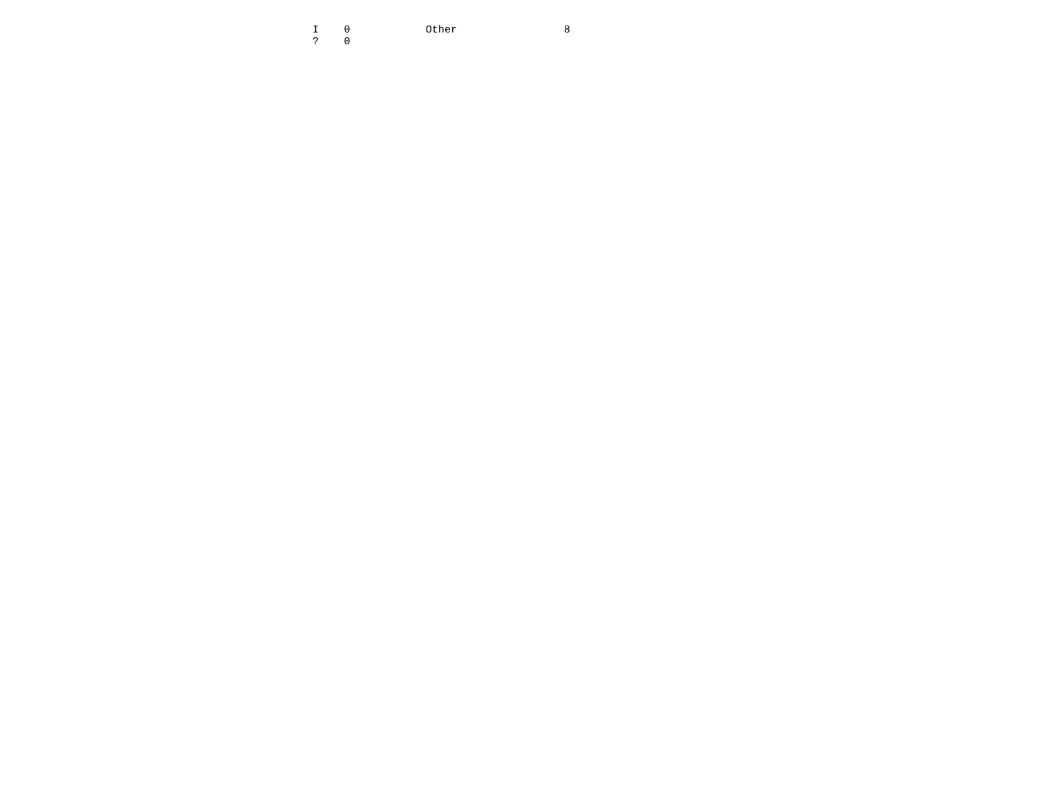I 0 Other 8  $\overline{\phantom{a}}$ ? 0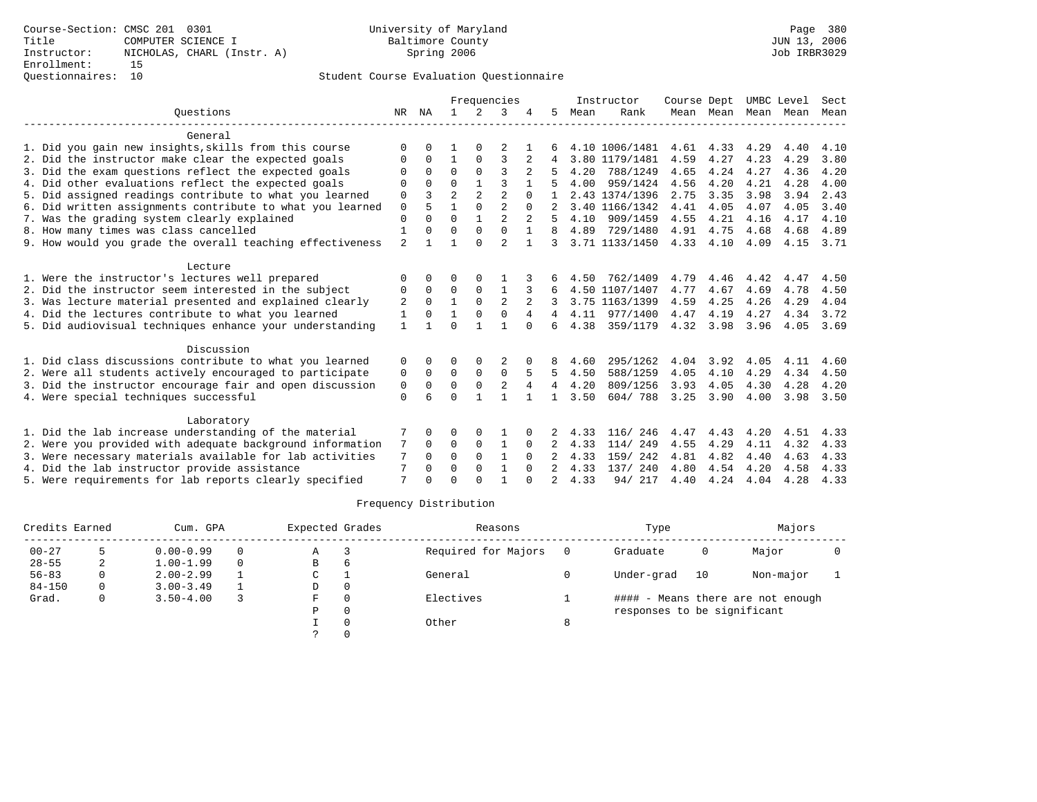# Questionnaires: 10 Student Course Evaluation Questionnaire

|                                                           |                |          |                |              | Frequencies    |                |                |      | Instructor     | Course Dept |      |                     | UMBC Level | Sect |
|-----------------------------------------------------------|----------------|----------|----------------|--------------|----------------|----------------|----------------|------|----------------|-------------|------|---------------------|------------|------|
| Ouestions                                                 | NR             | ΝA       | $\mathbf{1}$   | 2            | 3              |                | 5              | Mean | Rank           |             |      | Mean Mean Mean Mean |            | Mean |
| General                                                   |                |          |                |              |                |                |                |      |                |             |      |                     |            |      |
| 1. Did you gain new insights, skills from this course     | 0              |          |                |              |                |                |                |      | 4.10 1006/1481 | 4.61        | 4.33 | 4.29                | 4.40       | 4.10 |
| 2. Did the instructor make clear the expected goals       | 0              | $\Omega$ | 1              | $\mathbf 0$  | 3              | 2              | 4              |      | 3.80 1179/1481 | 4.59        | 4.27 | 4.23                | 4.29       | 3.80 |
| 3. Did the exam questions reflect the expected goals      | $\Omega$       | $\Omega$ | $\Omega$       | $\Omega$     | 3              |                |                | 4.20 | 788/1249       | 4.65        | 4.24 | 4.27                | 4.36       | 4.20 |
| 4. Did other evaluations reflect the expected goals       | $\Omega$       | $\Omega$ | $\Omega$       | $\mathbf{1}$ | ς              |                |                | 4.00 | 959/1424       | 4.56        | 4.20 | 4.21                | 4.28       | 4.00 |
| 5. Did assigned readings contribute to what you learned   | 0              |          | $\overline{2}$ | 2            | $\overline{a}$ |                |                |      | 2.43 1374/1396 | 2.75        | 3.35 | 3.98                | 3.94       | 2.43 |
| 6. Did written assignments contribute to what you learned | 0              | 5        | $\mathbf{1}$   | $\Omega$     | $\mathfrak{D}$ | $\cap$         |                |      | 3.40 1166/1342 | 4.41        | 4.05 | 4.07                | 4.05       | 3.40 |
| 7. Was the grading system clearly explained               | $\mathbf 0$    | $\Omega$ | $\Omega$       | $\mathbf{1}$ | $\overline{a}$ |                |                | 4.10 | 909/1459       | 4.55        | 4.21 | 4.16                | 4.17       | 4.10 |
| 8. How many times was class cancelled                     | 1              | $\Omega$ | $\Omega$       | $\Omega$     | $\mathbf 0$    | $\mathbf 1$    | 8              | 4.89 | 729/1480       | 4.91        | 4.75 | 4.68                | 4.68       | 4.89 |
| 9. How would you grade the overall teaching effectiveness | $\overline{a}$ |          |                | $\Omega$     | $\overline{a}$ | $\mathbf{1}$   | 3              |      | 3.71 1133/1450 | 4.33        | 4.10 | 4.09                | 4.15       | 3.71 |
| Lecture                                                   |                |          |                |              |                |                |                |      |                |             |      |                     |            |      |
| 1. Were the instructor's lectures well prepared           | 0              |          |                |              |                |                |                | 4.50 | 762/1409       | 4.79        | 4.46 | 4.42                | 4.47       | 4.50 |
| 2. Did the instructor seem interested in the subject      | 0              | 0        | 0              | 0            |                | 3              |                |      | 4.50 1107/1407 | 4.77        | 4.67 | 4.69                | 4.78       | 4.50 |
| 3. Was lecture material presented and explained clearly   | 2              | $\Omega$ | 1              | $\Omega$     | $\overline{2}$ | $\overline{a}$ |                |      | 3.75 1163/1399 | 4.59        | 4.25 | 4.26                | 4.29       | 4.04 |
| 4. Did the lectures contribute to what you learned        | 1              | $\Omega$ | $\mathbf{1}$   | $\Omega$     | $\mathbf{0}$   | 4              |                | 4.11 | 977/1400       | 4.47        | 4.19 | 4.27                | 4.34       | 3.72 |
| 5. Did audiovisual techniques enhance your understanding  | $\mathbf{1}$   |          | $\Omega$       |              |                | $\Omega$       | 6              | 4.38 | 359/1179       | 4.32        | 3.98 | 3.96                | 4.05       | 3.69 |
| Discussion                                                |                |          |                |              |                |                |                |      |                |             |      |                     |            |      |
| 1. Did class discussions contribute to what you learned   | 0              | 0        |                |              |                |                | 8              | 4.60 | 295/1262       | 4.04        | 3.92 | 4.05                | 4.11       | 4.60 |
| 2. Were all students actively encouraged to participate   | 0              | 0        | 0              | $\mathbf 0$  | $\mathbf 0$    |                | 5              | 4.50 | 588/1259       | 4.05        | 4.10 | 4.29                | 4.34       | 4.50 |
| 3. Did the instructor encourage fair and open discussion  | 0              | $\Omega$ | $\Omega$       | $\mathbf 0$  | $\overline{2}$ | $\overline{4}$ | 4              | 4.20 | 809/1256       | 3.93        | 4.05 | 4.30                | 4.28       | 4.20 |
| 4. Were special techniques successful                     | $\Omega$       | ี        | $\Omega$       | $\mathbf{1}$ | $\mathbf{1}$   |                | $\mathbf{1}$   | 3.50 | 604/788        | 3.25        | 3.90 | 4.00                | 3.98       | 3.50 |
| Laboratory                                                |                |          |                |              |                |                |                |      |                |             |      |                     |            |      |
| 1. Did the lab increase understanding of the material     |                | $\Omega$ | O              | $\Omega$     |                | 0              |                | 4.33 | 116/ 246       | 4.47        | 4.43 | 4.20                | 4.51       | 4.33 |
| 2. Were you provided with adequate background information | 7              | 0        | 0              | $\mathbf 0$  | $\mathbf{1}$   | 0              |                | 4.33 | 114/ 249       | 4.55        | 4.29 | 4.11                | 4.32       | 4.33 |
| 3. Were necessary materials available for lab activities  | 7              | $\Omega$ | $\Omega$       | $\Omega$     | $\mathbf{1}$   | $\Omega$       |                | 4.33 | 159/ 242       | 4.81        | 4.82 | 4.40                | 4.63       | 4.33 |
| 4. Did the lab instructor provide assistance              | 7              | $\Omega$ | $\Omega$       | $\Omega$     | $\mathbf{1}$   | $\Omega$       |                | 4.33 | 137/240        | 4.80        | 4.54 | 4.20                | 4.58       | 4.33 |
| 5. Were requirements for lab reports clearly specified    | 7              | $\cap$   | $\cap$         | ∩            |                |                | $\mathfrak{D}$ | 4.33 | 94/ 217        | 4.40        | 4.24 | 4.04                | 4.28       | 4.33 |

| Credits Earned |   | Cum. GPA      |          | Expected Grades |   | Reasons             |   | Type                        |    | Majors                            |  |
|----------------|---|---------------|----------|-----------------|---|---------------------|---|-----------------------------|----|-----------------------------------|--|
| $00 - 27$      |   | $0.00 - 0.99$ | $\Omega$ | Α               |   | Required for Majors |   | Graduate                    | 0  | Major                             |  |
| $28 - 55$      | 2 | $1.00 - 1.99$ | $\Omega$ | В               | b |                     |   |                             |    |                                   |  |
| $56 - 83$      | 0 | $2.00 - 2.99$ |          | C               |   | General             |   | Under-grad                  | 10 | Non-major                         |  |
| $84 - 150$     | 0 | $3.00 - 3.49$ |          | D               |   |                     |   |                             |    |                                   |  |
| Grad.          | 0 | $3.50 - 4.00$ |          | F               |   | Electives           |   |                             |    | #### - Means there are not enough |  |
|                |   |               |          | P               |   |                     |   | responses to be significant |    |                                   |  |
|                |   |               |          |                 |   | Other               | 8 |                             |    |                                   |  |
|                |   |               |          |                 |   |                     |   |                             |    |                                   |  |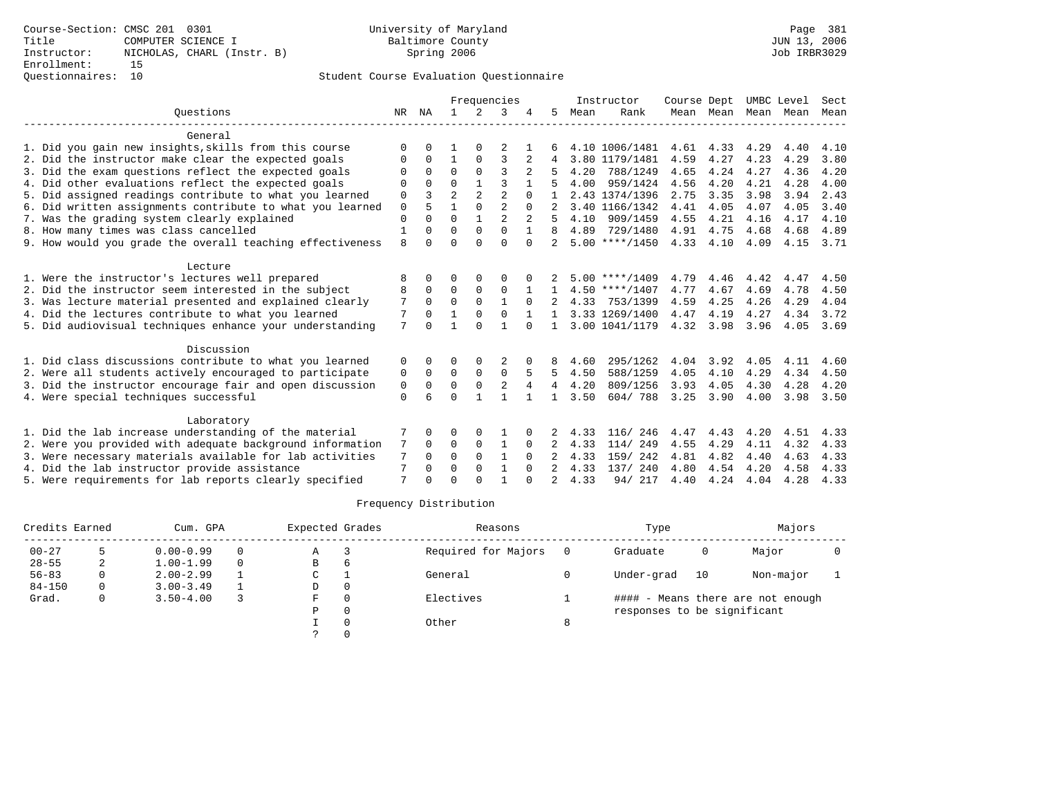# Questionnaires: 10 Student Course Evaluation Questionnaire

|                                                           |              |          |                |                | Frequencies    |                |                |      | Instructor       | Course Dept |           |      | UMBC Level | Sect |
|-----------------------------------------------------------|--------------|----------|----------------|----------------|----------------|----------------|----------------|------|------------------|-------------|-----------|------|------------|------|
| Ouestions                                                 | NR           | ΝA       | $\mathbf{1}$   | $\mathcal{L}$  | 3              |                | 5.             | Mean | Rank             |             | Mean Mean | Mean | Mean       | Mean |
| General                                                   |              |          |                |                |                |                |                |      |                  |             |           |      |            |      |
| 1. Did you gain new insights, skills from this course     | $\Omega$     | $\Omega$ |                |                | 2              |                |                |      | 4.10 1006/1481   | 4.61        | 4.33      | 4.29 | 4.40       | 4.10 |
| 2. Did the instructor make clear the expected goals       | O            | $\Omega$ | $\mathbf{1}$   | $\Omega$       | 3              | 2              |                |      | 3.80 1179/1481   | 4.59        | 4.27      | 4.23 | 4.29       | 3.80 |
| 3. Did the exam questions reflect the expected goals      | O            | 0        | $\Omega$       | $\Omega$       | ς              |                |                | 4.20 | 788/1249         | 4.65        | 4.24      | 4.27 | 4.36       | 4.20 |
| 4. Did other evaluations reflect the expected goals       | 0            | $\Omega$ | $\Omega$       | $\mathbf{1}$   | 3              |                |                | 4.00 | 959/1424         | 4.56        | 4.20      | 4.21 | 4.28       | 4.00 |
| 5. Did assigned readings contribute to what you learned   | $\mathbf 0$  | 3        | $\overline{a}$ | $\overline{a}$ | $\overline{a}$ | $\Omega$       |                |      | 2.43 1374/1396   | 2.75        | 3.35      | 3.98 | 3.94       | 2.43 |
| 6. Did written assignments contribute to what you learned | $\mathbf 0$  | 5        | $\mathbf{1}$   | $\Omega$       | $\overline{a}$ | $\Omega$       |                |      | 3.40 1166/1342   | 4.41        | 4.05      | 4.07 | 4.05       | 3.40 |
| 7. Was the grading system clearly explained               | $\mathbf{0}$ | $\Omega$ | $\Omega$       | $\mathbf{1}$   | $\mathfrak{D}$ |                | 5              | 4.10 | 909/1459         | 4.55        | 4.21      | 4.16 | 4.17       | 4.10 |
| 8. How many times was class cancelled                     | 1            | $\Omega$ | $\Omega$       | $\Omega$       | $\Omega$       | $\mathbf{1}$   | 8              | 4.89 | 729/1480         | 4.91        | 4.75      | 4.68 | 4.68       | 4.89 |
| 9. How would you grade the overall teaching effectiveness | 8            | U        | $\Omega$       | $\cap$         | $\Omega$       | $\Omega$       |                |      | $5.00$ ****/1450 | 4.33        | 4.10      | 4.09 | 4.15       | 3.71 |
| Lecture                                                   |              |          |                |                |                |                |                |      |                  |             |           |      |            |      |
| 1. Were the instructor's lectures well prepared           | 8            | $\Omega$ | O              | $\Omega$       | O              |                |                |      | $5.00$ ****/1409 | 4.79        | 4.46      | 4.42 | 4.47       | 4.50 |
| 2. Did the instructor seem interested in the subject      | 8            | $\Omega$ | $\Omega$       | $\mathbf 0$    | 0              |                |                |      | $4.50$ ****/1407 | 4.77        | 4.67      | 4.69 | 4.78       | 4.50 |
| 3. Was lecture material presented and explained clearly   | 7            | $\Omega$ | $\Omega$       | $\Omega$       | $\mathbf{1}$   | $\Omega$       |                | 4.33 | 753/1399         | 4.59        | 4.25      | 4.26 | 4.29       | 4.04 |
| 4. Did the lectures contribute to what you learned        | 7            | $\Omega$ |                | $\Omega$       | $\Omega$       |                |                |      | 3.33 1269/1400   | 4.47        | 4.19      | 4.27 | 4.34       | 3.72 |
| 5. Did audiovisual techniques enhance your understanding  | 7            | ∩        | 1              | $\cap$         | $\mathbf{1}$   | $\Omega$       | $\mathbf{1}$   |      | 3.00 1041/1179   | 4.32        | 3.98      | 3.96 | 4.05       | 3.69 |
| Discussion                                                |              |          |                |                |                |                |                |      |                  |             |           |      |            |      |
| 1. Did class discussions contribute to what you learned   | 0            | 0        | 0              |                |                |                | 8              | 4.60 | 295/1262         | 4.04        | 3.92      | 4.05 | 4.11       | 4.60 |
| 2. Were all students actively encouraged to participate   | 0            | $\Omega$ | $\Omega$       | $\Omega$       | $\Omega$       | 5              | 5              | 4.50 | 588/1259         | 4.05        | 4.10      | 4.29 | 4.34       | 4.50 |
| 3. Did the instructor encourage fair and open discussion  | 0            | $\Omega$ | $\Omega$       | $\mathbf 0$    | $\overline{2}$ | $\overline{4}$ | 4              | 4.20 | 809/1256         | 3.93        | 4.05      | 4.30 | 4.28       | 4.20 |
| 4. Were special techniques successful                     | $\Omega$     |          | $\Omega$       | 1              | $\mathbf{1}$   |                | $\mathbf{1}$   | 3.50 | 604/788          | 3.25        | 3.90      | 4.00 | 3.98       | 3.50 |
| Laboratory                                                |              |          |                |                |                |                |                |      |                  |             |           |      |            |      |
| 1. Did the lab increase understanding of the material     |              | $\Omega$ | O              | $\Omega$       |                |                |                | 4.33 | 116/246          | 4.47        | 4.43      | 4.20 | 4.51       | 4.33 |
| 2. Were you provided with adequate background information | 7            | $\Omega$ | 0              | $\mathbf 0$    | 1              | $\Omega$       |                | 4.33 | 114/ 249         | 4.55        | 4.29      | 4.11 | 4.32       | 4.33 |
| 3. Were necessary materials available for lab activities  | 7            | $\Omega$ | $\Omega$       | $\Omega$       | $\mathbf{1}$   | $\Omega$       |                | 4.33 | 159/ 242         | 4.81        | 4.82      | 4.40 | 4.63       | 4.33 |
| 4. Did the lab instructor provide assistance              | 7            | 0        | $\Omega$       | $\Omega$       | $\mathbf{1}$   | $\Omega$       | $\mathfrak{D}$ | 4.33 | 137/ 240         | 4.80        | 4.54      | 4.20 | 4.58       | 4.33 |
| 5. Were requirements for lab reports clearly specified    | 7            | $\Omega$ | $\cap$         | $\cap$         |                | U              |                | 4.33 | 94/ 217          | 4.40        | 4.24      | 4.04 | 4.28       | 4.33 |

| Credits Earned |   | Cum. GPA      |          | Expected Grades |              | Reasons             |   | Type                        |    | Majors                            |  |
|----------------|---|---------------|----------|-----------------|--------------|---------------------|---|-----------------------------|----|-----------------------------------|--|
| $00 - 27$      |   | $0.00 - 0.99$ | $\Omega$ | Α               |              | Required for Majors |   | Graduate                    | 0  | Major                             |  |
| $28 - 55$      | 2 | $1.00 - 1.99$ | $\Omega$ | В               | <sub>6</sub> |                     |   |                             |    |                                   |  |
| $56 - 83$      | 0 | $2.00 - 2.99$ |          | C               |              | General             |   | Under-grad                  | 10 | Non-major                         |  |
| $84 - 150$     | 0 | $3.00 - 3.49$ |          | D               |              |                     |   |                             |    |                                   |  |
| Grad.          | 0 | $3.50 - 4.00$ |          | F               |              | Electives           |   |                             |    | #### - Means there are not enough |  |
|                |   |               |          | P               |              |                     |   | responses to be significant |    |                                   |  |
|                |   |               |          |                 |              | Other               | 8 |                             |    |                                   |  |
|                |   |               |          |                 |              |                     |   |                             |    |                                   |  |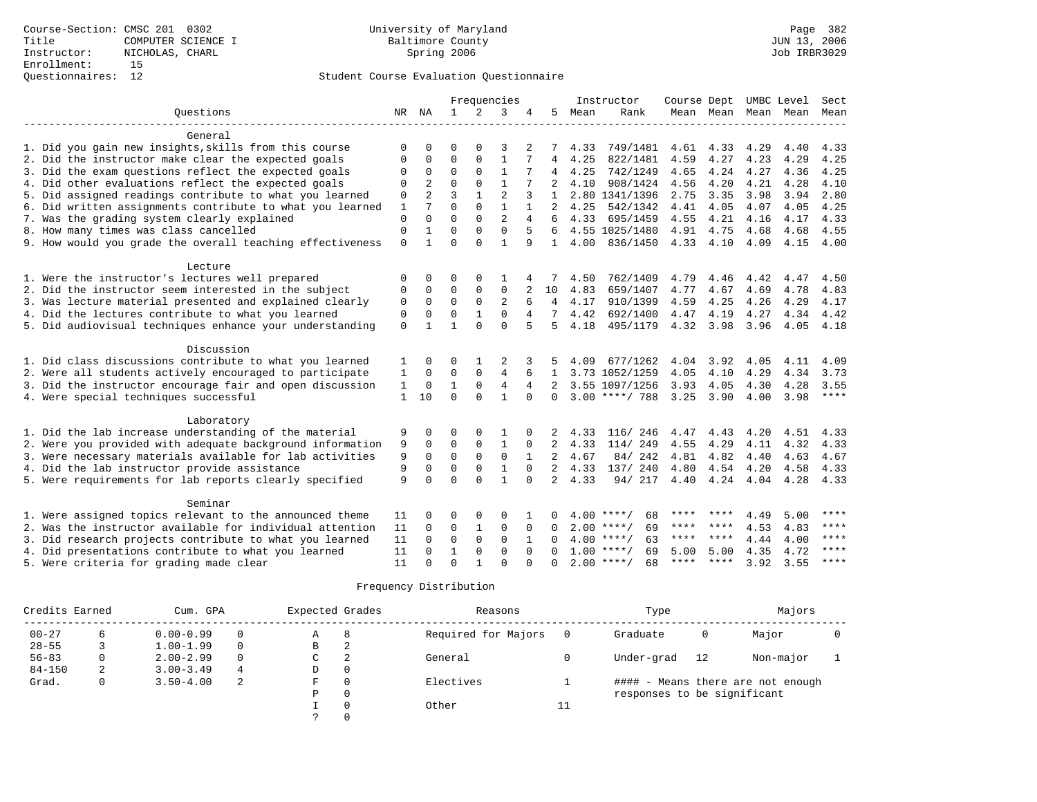|                                                           |              |                |              |              | Frequencies    |              |                |      | Instructor         | Course Dept |             | UMBC Level          |      | Sect        |
|-----------------------------------------------------------|--------------|----------------|--------------|--------------|----------------|--------------|----------------|------|--------------------|-------------|-------------|---------------------|------|-------------|
| Ouestions                                                 |              | NR NA          | $\mathbf{1}$ | 2            | 3              | 4            | 5              | Mean | Rank               |             |             | Mean Mean Mean Mean |      | Mean        |
|                                                           |              |                |              |              |                |              |                |      |                    |             |             |                     |      |             |
| General                                                   |              |                |              |              |                |              |                |      |                    |             |             |                     |      |             |
| 1. Did you gain new insights, skills from this course     | ∩            |                | ∩            | $\cap$       | 3              |              |                | 4.33 | 749/1481           | 4.61        | 4.33        | 4.29                | 4.40 | 4.33        |
| 2. Did the instructor make clear the expected goals       | 0            | $\Omega$       | $\mathbf 0$  | $\mathbf{0}$ | 1              |              | 4              | 4.25 | 822/1481           | 4.59        | 4.27        | 4.23                | 4.29 | 4.25        |
| 3. Did the exam questions reflect the expected goals      | 0            | 0              | $\mathbf 0$  | $\mathbf{0}$ | $\mathbf{1}$   |              | 4              | 4.25 | 742/1249           | 4.65        | 4.24        | 4.27                | 4.36 | 4.25        |
| 4. Did other evaluations reflect the expected goals       | 0            | $\overline{2}$ | $\Omega$     | $\Omega$     | $\mathbf{1}$   |              | $\overline{2}$ | 4.10 | 908/1424           | 4.56        | 4.20        | 4.21                | 4.28 | 4.10        |
| 5. Did assigned readings contribute to what you learned   | $\mathbf 0$  | $\overline{a}$ | 3            | $\mathbf{1}$ | $\overline{2}$ | 3            | $\mathbf{1}$   |      | 2.80 1341/1396     | 2.75        | 3.35        | 3.98                | 3.94 | 2.80        |
| 6. Did written assignments contribute to what you learned | $\mathbf{1}$ | 7              | $\Omega$     | $\Omega$     | $\mathbf{1}$   | $\mathbf{1}$ | $\overline{2}$ | 4.25 | 542/1342           | 4.41        | 4.05        | 4.07                | 4.05 | 4.25        |
| 7. Was the grading system clearly explained               | $\mathsf 0$  | $\Omega$       | $\Omega$     | $\Omega$     | $\overline{2}$ | 4            | 6              | 4.33 | 695/1459           | 4.55        | 4.21        | 4.16                | 4.17 | 4.33        |
| 8. How many times was class cancelled                     | $\Omega$     |                | $\Omega$     | $\Omega$     | $\Omega$       | 5            |                |      | 4.55 1025/1480     | 4.91        | 4.75        | 4.68                | 4.68 | 4.55        |
| 9. How would you grade the overall teaching effectiveness | $\Omega$     | $\mathbf{1}$   | $\Omega$     | $\Omega$     | $\mathbf{1}$   | 9            | $\mathbf{1}$   | 4.00 | 836/1450           |             | 4.33 4.10   | 4.09                | 4.15 | 4.00        |
|                                                           |              |                |              |              |                |              |                |      |                    |             |             |                     |      |             |
| Lecture                                                   |              |                |              |              |                |              |                |      |                    |             |             |                     |      |             |
| 1. Were the instructor's lectures well prepared           | 0            | 0              | $\Omega$     | $\Omega$     |                |              |                | 4.50 | 762/1409           | 4.79        | 4.46        | 4.42                | 4.47 | 4.50        |
| 2. Did the instructor seem interested in the subject      | 0            | 0              | $\mathbf 0$  | $\Omega$     | 0              |              | 10             | 4.83 | 659/1407           | 4.77        | 4.67        | 4.69                | 4.78 | 4.83        |
| 3. Was lecture material presented and explained clearly   | 0            | $\mathbf 0$    | 0            | $\Omega$     | 2              | 6            | $\overline{4}$ | 4.17 | 910/1399           | 4.59        | 4.25        | 4.26                | 4.29 | 4.17        |
| 4. Did the lectures contribute to what you learned        | $\mathbf 0$  | $\Omega$       | $\mathbf 0$  | $\mathbf{1}$ | $\Omega$       | 4            | 7              | 4.42 | 692/1400           | 4.47        | 4.19        | 4.27                | 4.34 | 4.42        |
| 5. Did audiovisual techniques enhance your understanding  | $\Omega$     |                | $\mathbf{1}$ | $\Omega$     | $\Omega$       | 5            | 5.             | 4.18 | 495/1179           | 4.32 3.98   |             | 3.96                | 4.05 | 4.18        |
|                                                           |              |                |              |              |                |              |                |      |                    |             |             |                     |      |             |
| Discussion                                                |              |                |              |              |                |              |                |      |                    |             |             |                     |      |             |
| 1. Did class discussions contribute to what you learned   | 1            | 0              | 0            |              | 2              | 3            |                | 4.09 | 677/1262           | 4.04        | 3.92        | 4.05                | 4.11 | 4.09        |
| 2. Were all students actively encouraged to participate   | 1            | $\Omega$       | $\Omega$     | $\mathbf 0$  | $\overline{4}$ | 6            | $\mathbf{1}$   |      | 3.73 1052/1259     | 4.05        | 4.10        | 4.29                | 4.34 | 3.73        |
| 3. Did the instructor encourage fair and open discussion  | 1            | $\Omega$       | $\mathbf{1}$ | $\Omega$     | 4              | 4            | 2              |      | 3.55 1097/1256     | 3.93        | 4.05        | 4.30                | 4.28 | 3.55        |
| 4. Were special techniques successful                     | $\mathbf{1}$ | 10             | $\Omega$     | $\Omega$     | 1              | $\Omega$     | 0              |      | $3.00$ ****/ 788   | 3.25        | 3.90        | 4.00                | 3.98 | $***$       |
|                                                           |              |                |              |              |                |              |                |      |                    |             |             |                     |      |             |
| Laboratory                                                |              |                |              |              |                |              |                |      |                    |             |             |                     |      |             |
| 1. Did the lab increase understanding of the material     | 9            | $\Omega$       | $\Omega$     | $\Omega$     | 1              |              |                | 4.33 | 116/ 246           | 4.47        | 4.43        | 4.20                | 4.51 | 4.33        |
| 2. Were you provided with adequate background information | 9            | $\Omega$       | $\Omega$     | $\mathbf 0$  | 1              | $\Omega$     | 2              | 4.33 | 114/ 249           | 4.55        | 4.29        | 4.11                | 4.32 | 4.33        |
| 3. Were necessary materials available for lab activities  | 9            | $\Omega$       | $\Omega$     | $\Omega$     | $\Omega$       |              | 2              | 4.67 | 84/242             | 4.81        | 4.82        | 4.40                | 4.63 | 4.67        |
| 4. Did the lab instructor provide assistance              | 9            | $\Omega$       | $\Omega$     | $\Omega$     | $\mathbf{1}$   | $\Omega$     | $\overline{2}$ | 4.33 | 137/ 240           | 4.80        | 4.54        | 4.20                | 4.58 | 4.33        |
| 5. Were requirements for lab reports clearly specified    | 9            | $\Omega$       | $\Omega$     | $\cap$       | $\mathbf{1}$   | $\Omega$     | $\overline{2}$ | 4.33 | 94/217             | 4.40        | 4.24 4.04   |                     | 4.28 | 4.33        |
|                                                           |              |                |              |              |                |              |                |      |                    |             |             |                     |      |             |
| Seminar                                                   |              |                |              |              |                |              |                |      |                    |             |             |                     |      |             |
| 1. Were assigned topics relevant to the announced theme   | 11           |                | $\Omega$     | $\Omega$     | $\Omega$       |              |                |      | $4.00$ ****/<br>68 | ****        |             | 4.49                | 5.00 | ****        |
| 2. Was the instructor available for individual attention  | 11           | $\Omega$       | $\mathbf 0$  | 1            | $\mathbf 0$    | $\mathbf 0$  | $\Omega$       |      | $2.00$ ****/<br>69 | ****        | ****        | 4.53                | 4.83 | ****        |
| 3. Did research projects contribute to what you learned   | 11           | $\Omega$       | $\mathbf 0$  | $\mathbf{0}$ | $\mathbf 0$    | 1            | $\Omega$       |      | $4.00$ ****/<br>63 | ****        | $* * * * *$ | 4.44                | 4.00 | ****        |
| 4. Did presentations contribute to what you learned       | 11           | $\Omega$       | 1            | $\mathbf 0$  | $\mathbf 0$    | $\Omega$     | $\Omega$       |      | $1.00$ ****/<br>69 | 5.00        | 5.00        | 4.35                | 4.72 | $***$ * * * |
| 5. Were criteria for grading made clear                   | 11           | $\Omega$       | $\Omega$     |              | $\Omega$       |              | $\Omega$       |      | $2.00$ ****/<br>68 | ****        | $***$ * * * | 3.92                | 3.55 | $***$ * * * |

| Credits Earned |   | Cum. GPA      |          | Expected Grades |   | Reasons             |    | Type                        |    | Majors                            |  |
|----------------|---|---------------|----------|-----------------|---|---------------------|----|-----------------------------|----|-----------------------------------|--|
| $00 - 27$      |   | $0.00 - 0.99$ |          | Α               | 8 | Required for Majors |    | Graduate                    | 0  | Major                             |  |
| $28 - 55$      |   | $1.00 - 1.99$ | $\Omega$ | B               | 2 |                     |    |                             |    |                                   |  |
| $56 - 83$      |   | $2.00 - 2.99$ | $\Omega$ | C               | 2 | General             |    | Under-grad                  | 12 | Non-major                         |  |
| $84 - 150$     | 2 | $3.00 - 3.49$ | 4        | D               | 0 |                     |    |                             |    |                                   |  |
| Grad.          |   | $3.50 - 4.00$ | 2        | F               | 0 | Electives           |    |                             |    | #### - Means there are not enough |  |
|                |   |               |          | Р               | 0 |                     |    | responses to be significant |    |                                   |  |
|                |   |               |          |                 | 0 | Other               | 11 |                             |    |                                   |  |
|                |   |               |          |                 |   |                     |    |                             |    |                                   |  |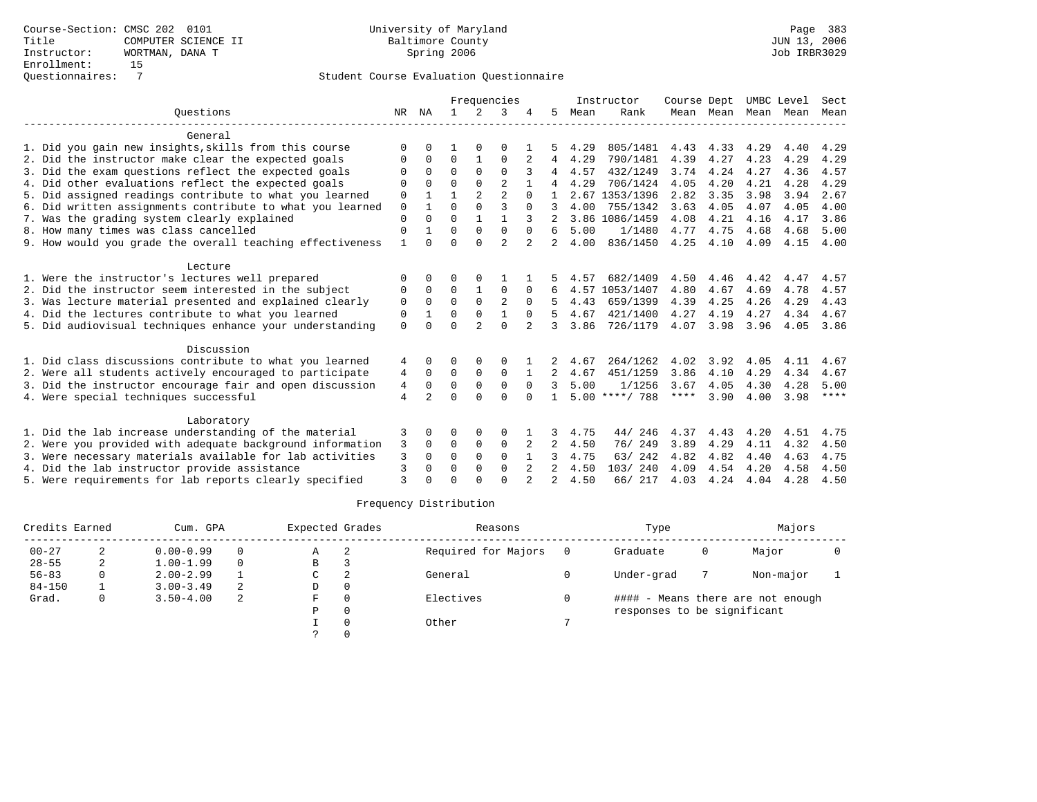|                                                           |                |                |              |                | Frequencies    |                |   |      | Instructor       | Course Dept |                |      | UMBC Level | Sect        |
|-----------------------------------------------------------|----------------|----------------|--------------|----------------|----------------|----------------|---|------|------------------|-------------|----------------|------|------------|-------------|
| Ouestions                                                 | NR             | ΝA             | $\mathbf{1}$ | $2^{1}$        | ζ              |                | 5 | Mean | Rank             |             | Mean Mean Mean |      | Mean       | Mean        |
| General                                                   |                |                |              |                |                |                |   |      |                  |             |                |      |            |             |
| 1. Did you gain new insights, skills from this course     | O              |                |              |                | O              |                |   | 4.29 | 805/1481         | 4.43        | 4.33           | 4.29 | 4.40       | 4.29        |
| 2. Did the instructor make clear the expected goals       | 0              | $\Omega$       | $\Omega$     |                | $\Omega$       |                | 4 | 4.29 | 790/1481         | 4.39        | 4.27           | 4.23 | 4.29       | 4.29        |
| 3. Did the exam questions reflect the expected goals      |                |                | $\Omega$     |                | $\Omega$       |                |   | 4.57 | 432/1249         | 3.74        | 4.24           | 4.27 | 4.36       | 4.57        |
| 4. Did other evaluations reflect the expected goals       | $\Omega$       | $\Omega$       | $\Omega$     | $\Omega$       | $\overline{2}$ |                | 4 | 4.29 | 706/1424         | 4.05        | 4.20           | 4.21 | 4.28       | 4.29        |
| 5. Did assigned readings contribute to what you learned   | 0              |                |              | $\overline{a}$ | $\overline{2}$ | $\cap$         |   |      | 2.67 1353/1396   | 2.82        | 3.35           | 3.98 | 3.94       | 2.67        |
| 6. Did written assignments contribute to what you learned | $\mathbf 0$    |                | $\Omega$     | $\Omega$       | ζ              | $\Omega$       |   | 4.00 | 755/1342         | 3.63        | 4.05           | 4.07 | 4.05       | 4.00        |
| 7. Was the grading system clearly explained               | $\Omega$       |                | $\Omega$     |                |                |                |   |      | 3.86 1086/1459   | 4.08        | 4.21           | 4.16 | 4.17       | 3.86        |
| 8. How many times was class cancelled                     | $\Omega$       |                | $\Omega$     | $\Omega$       | $\Omega$       | $\Omega$       | 6 | 5.00 | 1/1480           | 4.77        | 4.75           | 4.68 | 4.68       | 5.00        |
| 9. How would you grade the overall teaching effectiveness |                |                | $\Omega$     |                | $\overline{2}$ | $\overline{2}$ | 2 | 4.00 | 836/1450         | 4.25        | 4.10           | 4.09 | 4.15       | 4.00        |
| Lecture                                                   |                |                |              |                |                |                |   |      |                  |             |                |      |            |             |
| 1. Were the instructor's lectures well prepared           |                |                |              |                |                |                |   | 4.57 | 682/1409         | 4.50        | 4.46           | 4.42 | 4.47       | 4.57        |
| 2. Did the instructor seem interested in the subject      | 0              | $\Omega$       | $\Omega$     |                | $\Omega$       | 0              |   | 4.57 | 1053/1407        | 4.80        | 4.67           | 4.69 | 4.78       | 4.57        |
| 3. Was lecture material presented and explained clearly   | $\Omega$       | $\Omega$       | $\Omega$     | $\Omega$       | $\overline{2}$ | $\Omega$       |   | 4.43 | 659/1399         | 4.39        | 4.25           | 4.26 | 4.29       | 4.43        |
| 4. Did the lectures contribute to what you learned        | 0              |                | $\Omega$     | $\Omega$       |                | $\Omega$       |   | 4.67 | 421/1400         | 4.27        | 4.19           | 4.27 | 4.34       | 4.67        |
| 5. Did audiovisual techniques enhance your understanding  | $\Omega$       |                | $\Omega$     | $\mathfrak{D}$ | $\Omega$       |                | 3 | 3.86 | 726/1179         | 4.07        | 3.98           | 3.96 | 4.05       | 3.86        |
| Discussion                                                |                |                |              |                |                |                |   |      |                  |             |                |      |            |             |
| 1. Did class discussions contribute to what you learned   | 4              |                | ∩            |                | 0              |                |   | 4.67 | 264/1262         | 4.02        | 3.92           | 4.05 | 4.11       | 4.67        |
| 2. Were all students actively encouraged to participate   | 4              | $\Omega$       | $\Omega$     | $\Omega$       | $\Omega$       |                | 2 | 4.67 | 451/1259         | 3.86        | 4.10           | 4.29 | 4.34       | 4.67        |
| 3. Did the instructor encourage fair and open discussion  | 4              | $\Omega$       | $\Omega$     | $\mathbf 0$    | $\Omega$       | $\Omega$       | २ | 5.00 | 1/1256           | 3.67        | 4.05           | 4.30 | 4.28       | 5.00        |
| 4. Were special techniques successful                     | $\overline{4}$ | $\mathfrak{D}$ | $\Omega$     | $\cap$         | $\cap$         | $\cap$         |   |      | $5.00$ ****/ 788 | ****        | 3.90           | 4.00 | 3.98       | $***$ * * * |
| Laboratory                                                |                |                |              |                |                |                |   |      |                  |             |                |      |            |             |
| 1. Did the lab increase understanding of the material     | 3              | 0              | $\Omega$     | 0              | $\Omega$       |                | 3 | 4.75 | 44/<br>246       | 4.37        | 4.43           | 4.20 | 4.51       | 4.75        |
| 2. Were you provided with adequate background information | 3              | $\Omega$       | $\mathbf 0$  | $\mathbf{0}$   | $\mathbf 0$    |                | 2 | 4.50 | 76/249           | 3.89        | 4.29           | 4.11 | 4.32       | 4.50        |
| 3. Were necessary materials available for lab activities  | 3              |                | $\Omega$     | $\Omega$       | $\Omega$       |                |   | 4.75 | 63/242           | 4.82        | 4.82           | 4.40 | 4.63       | 4.75        |
| 4. Did the lab instructor provide assistance              | 3              | $\Omega$       | $\Omega$     | $\Omega$       | $\Omega$       |                | 2 | 4.50 | 103/240          | 4.09        | 4.54           | 4.20 | 4.58       | 4.50        |
| 5. Were requirements for lab reports clearly specified    | $\mathbf{3}$   |                |              |                | $\cap$         |                |   | 4.50 | 66/ 217          | 4.03        | 4.24           | 4.04 | 4.28       | 4.50        |

| Credits Earned |   | Cum. GPA      |          | Expected Grades |          | Reasons             | Type                        |   | Majors                            |  |
|----------------|---|---------------|----------|-----------------|----------|---------------------|-----------------------------|---|-----------------------------------|--|
| $00 - 27$      |   | $0.00 - 0.99$ | 0        | A               |          | Required for Majors | Graduate                    | 0 | Major                             |  |
| $28 - 55$      | 2 | $1.00 - 1.99$ | $\Omega$ | B               |          |                     |                             |   |                                   |  |
| $56 - 83$      |   | $2.00 - 2.99$ |          | C               |          | General             | Under-grad                  |   | Non-major                         |  |
| $84 - 150$     |   | $3.00 - 3.49$ | 2        | D               |          |                     |                             |   |                                   |  |
| Grad.          | 0 | $3.50 - 4.00$ | 2        | F.              |          | Electives           |                             |   | #### - Means there are not enough |  |
|                |   |               |          | P               | $\Omega$ |                     | responses to be significant |   |                                   |  |
|                |   |               |          |                 |          | Other               |                             |   |                                   |  |
|                |   |               |          |                 |          |                     |                             |   |                                   |  |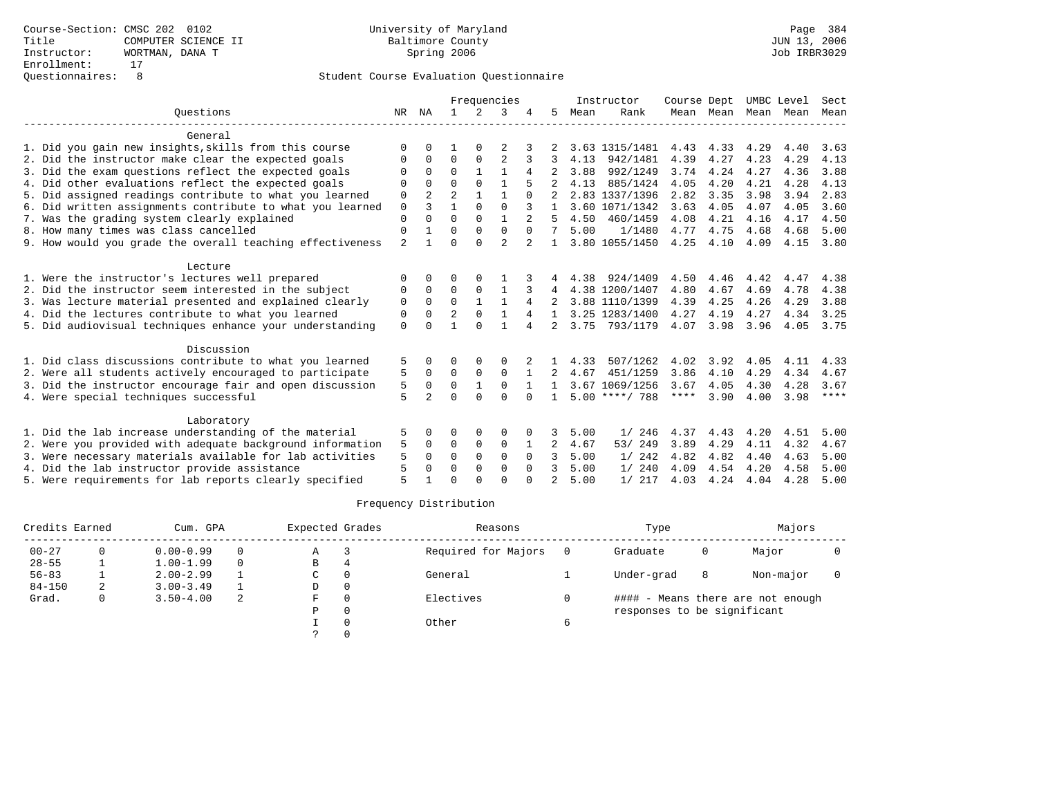|                                                           |                | Frequencies    |                |              |                |          | Instructor     | Course Dept |                  | UMBC Level |           | Sect |      |             |
|-----------------------------------------------------------|----------------|----------------|----------------|--------------|----------------|----------|----------------|-------------|------------------|------------|-----------|------|------|-------------|
| Ouestions                                                 |                | NR NA          | $\mathbf{1}$   | $2^{\circ}$  | 3              |          | 5              | Mean        | Rank             |            | Mean Mean | Mean | Mean | Mean        |
| General                                                   |                |                |                |              |                |          |                |             |                  |            |           |      |      |             |
| 1. Did you gain new insights, skills from this course     | $\Omega$       | <sup>0</sup>   |                | $\Omega$     |                |          |                |             | 3.63 1315/1481   | 4.43       | 4.33      | 4.29 | 4.40 | 3.63        |
| 2. Did the instructor make clear the expected goals       | O              | $\Omega$       | 0              | 0            | $\overline{2}$ |          |                | 4.13        | 942/1481         | 4.39       | 4.27      | 4.23 | 4.29 | 4.13        |
| 3. Did the exam questions reflect the expected goals      | O              | 0              | $\Omega$       |              |                | 4        |                | 3.88        | 992/1249         | 3.74       | 4.24      | 4.27 | 4.36 | 3.88        |
| 4. Did other evaluations reflect the expected goals       | $\Omega$       | $\Omega$       | $\Omega$       | $\Omega$     | 1              |          |                | 4.13        | 885/1424         | 4.05       | 4.20      | 4.21 | 4.28 | 4.13        |
| 5. Did assigned readings contribute to what you learned   | 0              | 2              | $\overline{2}$ |              | 1              | $\Omega$ |                |             | 2.83 1337/1396   | 2.82       | 3.35      | 3.98 | 3.94 | 2.83        |
| 6. Did written assignments contribute to what you learned | $\mathbf 0$    | 3              | 1              | $\Omega$     | $\Omega$       |          |                |             | 3.60 1071/1342   | 3.63       | 4.05      | 4.07 | 4.05 | 3.60        |
| 7. Was the grading system clearly explained               | $\Omega$       |                | $\Omega$       | $\Omega$     |                |          |                | 4.50        | 460/1459         | 4.08       | 4.21      | 4.16 | 4.17 | 4.50        |
| 8. How many times was class cancelled                     | 0              |                | $\Omega$       | $\Omega$     | $\mathbf 0$    | $\Omega$ |                | 5.00        | 1/1480           | 4.77       | 4.75      | 4.68 | 4.68 | 5.00        |
| 9. How would you grade the overall teaching effectiveness | $\overline{2}$ |                | $\Omega$       | $\Omega$     | $\overline{a}$ | 2        |                |             | 3.80 1055/1450   | 4.25       | 4.10      | 4.09 | 4.15 | 3.80        |
| Lecture                                                   |                |                |                |              |                |          |                |             |                  |            |           |      |      |             |
| 1. Were the instructor's lectures well prepared           | $\Omega$       |                | O              |              |                |          |                | 4.38        | 924/1409         | 4.50       | 4.46      | 4.42 | 4.47 | 4.38        |
| 2. Did the instructor seem interested in the subject      | 0              | $\Omega$       | $\Omega$       | $\Omega$     | 1              | 3        | 4              |             | 4.38 1200/1407   | 4.80       | 4.67      | 4.69 | 4.78 | 4.38        |
| 3. Was lecture material presented and explained clearly   | 0              | $\Omega$       | $\Omega$       | $\mathbf{1}$ | $\mathbf{1}$   |          |                |             | 3.88 1110/1399   | 4.39       | 4.25      | 4.26 | 4.29 | 3.88        |
| 4. Did the lectures contribute to what you learned        | 0              | $\Omega$       | 2              | $\Omega$     |                | 4        | 1.             |             | 3.25 1283/1400   | 4.27       | 4.19      | 4.27 | 4.34 | 3.25        |
| 5. Did audiovisual techniques enhance your understanding  | $\Omega$       |                |                | $\cap$       |                | 4        | $\mathfrak{D}$ | 3.75        | 793/1179         | 4.07       | 3.98      | 3.96 | 4.05 | 3.75        |
| Discussion                                                |                |                |                |              |                |          |                |             |                  |            |           |      |      |             |
| 1. Did class discussions contribute to what you learned   | 5              |                | 0              | 0            | 0              |          |                | 4.33        | 507/1262         | 4.02       | 3.92      | 4.05 | 4.11 | 4.33        |
| 2. Were all students actively encouraged to participate   | 5              | $\Omega$       | 0              | 0            | $\Omega$       |          |                | 4.67        | 451/1259         | 3.86       | 4.10      | 4.29 | 4.34 | 4.67        |
| 3. Did the instructor encourage fair and open discussion  | 5              | 0              | 0              |              | $\Omega$       |          |                |             | 3.67 1069/1256   | 3.67       | 4.05      | 4.30 | 4.28 | 3.67        |
| 4. Were special techniques successful                     | 5              | $\mathfrak{D}$ | $\Omega$       | $\cap$       | $\cap$         | $\cap$   | $\mathbf{1}$   |             | $5.00$ ****/ 788 | ****       | 3.90      | 4.00 | 3.98 | $***$ * * * |
| Laboratory                                                |                |                |                |              |                |          |                |             |                  |            |           |      |      |             |
| 1. Did the lab increase understanding of the material     | 5              | 0              | 0              | 0            | $\Omega$       | 0        | 3              | 5.00        | 1/246            | 4.37       | 4.43      | 4.20 | 4.51 | 5.00        |
| 2. Were you provided with adequate background information | 5              | 0              | 0              | 0            | $\mathbf 0$    |          | 2              | 4.67        | 53/ 249          | 3.89       | 4.29      | 4.11 | 4.32 | 4.67        |
| 3. Were necessary materials available for lab activities  | 5              | 0              | $\Omega$       | $\Omega$     | $\Omega$       | $\Omega$ | 3              | 5.00        | 1/242            | 4.82       | 4.82      | 4.40 | 4.63 | 5.00        |
| 4. Did the lab instructor provide assistance              | 5              | 0              | $\Omega$       | $\Omega$     | $\Omega$       | $\Omega$ | 3              | 5.00        | 1/240            | 4.09       | 4.54      | 4.20 | 4.58 | 5.00        |
| 5. Were requirements for lab reports clearly specified    | 5              |                | ∩              | $\cap$       | $\cap$         | $\cap$   | 2              | 5.00        | 1/217            | 4.03       | 4.24      | 4.04 | 4.28 | 5.00        |

| Credits Earned |   | Cum. GPA      |          | Expected Grades | Reasons             |   | Type                        |   | Majors                            |  |
|----------------|---|---------------|----------|-----------------|---------------------|---|-----------------------------|---|-----------------------------------|--|
| $00 - 27$      |   | $0.00 - 0.99$ | $\Omega$ | Α               | Required for Majors |   | Graduate                    | 0 | Major                             |  |
| $28 - 55$      |   | $1.00 - 1.99$ | $\Omega$ | В               |                     |   |                             |   |                                   |  |
| $56 - 83$      |   | $2.00 - 2.99$ |          | C               | General             |   | Under-grad                  | 8 | Non-major                         |  |
| $84 - 150$     | 2 | $3.00 - 3.49$ |          | D               |                     |   |                             |   |                                   |  |
| Grad.          | 0 | $3.50 - 4.00$ | 2        | F               | Electives           |   |                             |   | #### - Means there are not enough |  |
|                |   |               |          | P               |                     |   | responses to be significant |   |                                   |  |
|                |   |               |          |                 | Other               | 6 |                             |   |                                   |  |
|                |   |               |          |                 |                     |   |                             |   |                                   |  |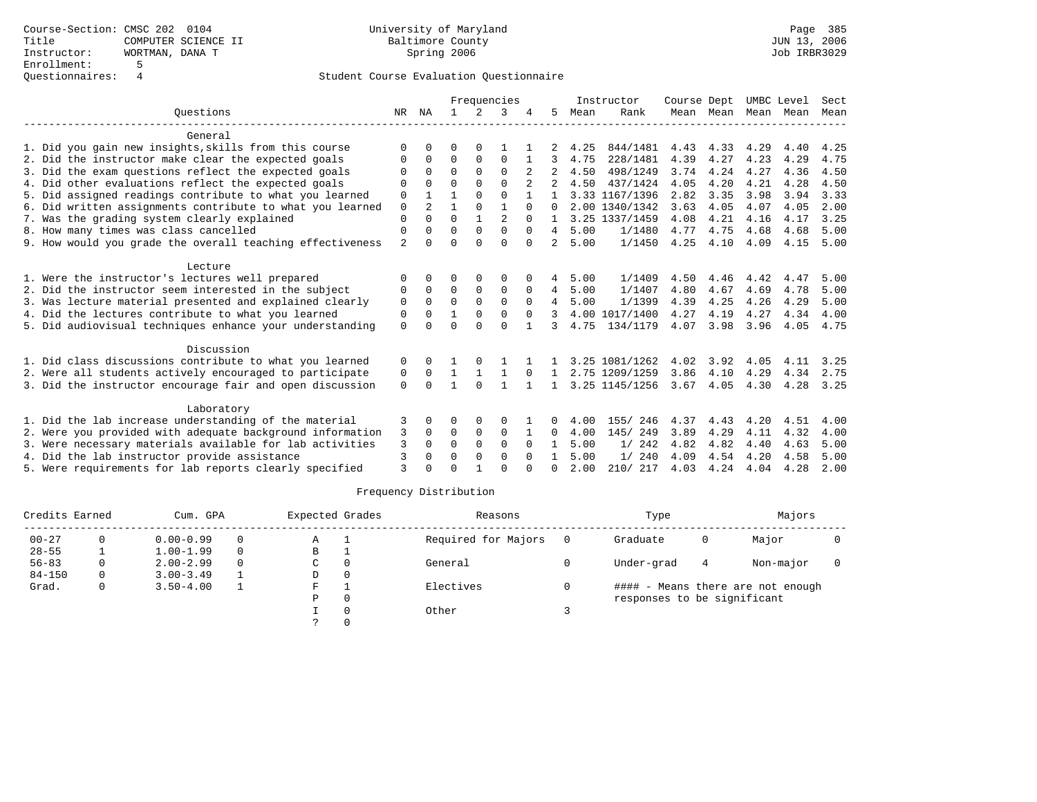|                                                           | Frequencies    |              |              |               |                |          | Instructor     | Course Dept |                | UMBC Level |           | Sect |      |      |
|-----------------------------------------------------------|----------------|--------------|--------------|---------------|----------------|----------|----------------|-------------|----------------|------------|-----------|------|------|------|
| Ouestions                                                 | NR             | ΝA           |              | $\mathcal{L}$ |                |          | 5              | Mean        | Rank           |            | Mean Mean | Mean | Mean | Mean |
| General                                                   |                |              |              |               |                |          |                |             |                |            |           |      |      |      |
| 1. Did you gain new insights, skills from this course     | ∩              |              | O            |               |                |          |                | 4.25        | 844/1481       | 4.43       | 4.33      | 4.29 | 4.40 | 4.25 |
| 2. Did the instructor make clear the expected goals       | $\Omega$       | $\Omega$     | 0            | $\Omega$      | $\Omega$       |          |                | 4.75        | 228/1481       | 4.39       | 4.27      | 4.23 | 4.29 | 4.75 |
| 3. Did the exam questions reflect the expected goals      | O              | 0            | $\Omega$     | $\Omega$      | $\Omega$       | 2        |                | 4.50        | 498/1249       | 3.74       | 4.24      | 4.27 | 4.36 | 4.50 |
| 4. Did other evaluations reflect the expected goals       | $\Omega$       |              | $\Omega$     | $\Omega$      | $\cap$         |          |                | 4.50        | 437/1424       | 4.05       | 4.20      | 4.21 | 4.28 | 4.50 |
| 5. Did assigned readings contribute to what you learned   | $\Omega$       |              | 1            | $\Omega$      | $\Omega$       | 1        | $\mathbf{1}$   |             | 3.33 1167/1396 | 2.82       | 3.35      | 3.98 | 3.94 | 3.33 |
| 6. Did written assignments contribute to what you learned | $\Omega$       | 2            |              | $\Omega$      | 1              | $\Omega$ | $\cap$         |             | 2.00 1340/1342 | 3.63       | 4.05      | 4.07 | 4.05 | 2.00 |
| 7. Was the grading system clearly explained               | $\Omega$       | $\Omega$     | $\Omega$     |               | $\mathfrak{D}$ | $\Omega$ |                |             | 3.25 1337/1459 | 4.08       | 4.21      | 4.16 | 4.17 | 3.25 |
| 8. How many times was class cancelled                     | $\Omega$       | <sup>0</sup> | $\Omega$     | $\Omega$      | $\Omega$       | $\Omega$ | 4              | 5.00        | 1/1480         | 4.77       | 4.75      | 4.68 | 4.68 | 5.00 |
| 9. How would you grade the overall teaching effectiveness | $\overline{2}$ | <sup>0</sup> | <sup>0</sup> | ∩             | $\Omega$       | $\Omega$ | 2              | 5.00        | 1/1450         | 4.25       | 4.10      | 4.09 | 4.15 | 5.00 |
| Lecture                                                   |                |              |              |               |                |          |                |             |                |            |           |      |      |      |
| 1. Were the instructor's lectures well prepared           | 0              | 0            | 0            | 0             | 0              |          | 4              | 5.00        | 1/1409         | 4.50       | 4.46      | 4.42 | 4.47 | 5.00 |
| 2. Did the instructor seem interested in the subject      | $\Omega$       | $\Omega$     | $\Omega$     | $\Omega$      | $\Omega$       | $\Omega$ | $\overline{4}$ | 5.00        | 1/1407         | 4.80       | 4.67      | 4.69 | 4.78 | 5.00 |
| 3. Was lecture material presented and explained clearly   | $\mathbf 0$    | $\Omega$     | $\Omega$     | $\Omega$      | $\Omega$       | $\Omega$ | 4              | 5.00        | 1/1399         | 4.39       | 4.25      | 4.26 | 4.29 | 5.00 |
| 4. Did the lectures contribute to what you learned        | 0              | $\Omega$     |              | 0             | $\Omega$       | $\Omega$ |                |             | 4.00 1017/1400 | 4.27       | 4.19      | 4.27 | 4.34 | 4.00 |
| 5. Did audiovisual techniques enhance your understanding  | $\Omega$       | <sup>0</sup> | $\Omega$     | $\Omega$      | $\Omega$       |          | 3              | 4.75        | 134/1179       | 4.07       | 3.98      | 3.96 | 4.05 | 4.75 |
| Discussion                                                |                |              |              |               |                |          |                |             |                |            |           |      |      |      |
| 1. Did class discussions contribute to what you learned   | 0              | 0            |              |               |                |          |                |             | 3.25 1081/1262 | 4.02       | 3.92      | 4.05 | 4.11 | 3.25 |
| 2. Were all students actively encouraged to participate   | 0              | $\Omega$     | $\mathbf{1}$ |               | 1              | $\Omega$ | 1              |             | 2.75 1209/1259 | 3.86       | 4.10      | 4.29 | 4.34 | 2.75 |
| 3. Did the instructor encourage fair and open discussion  | $\Omega$       | <sup>0</sup> |              | $\Omega$      |                |          |                |             | 3.25 1145/1256 | 3.67       | 4.05      | 4.30 | 4.28 | 3.25 |
|                                                           |                |              |              |               |                |          |                |             |                |            |           |      |      |      |
| Laboratory                                                |                |              |              |               |                |          |                |             |                |            |           |      |      |      |
| 1. Did the lab increase understanding of the material     | 3              | 0            | 0            | 0             | $\Omega$       |          | 0              | 4.00        | 155/<br>246    | 4.37       | 4.43      | 4.20 | 4.51 | 4.00 |
| 2. Were you provided with adequate background information | 3              | $\Omega$     | $\Omega$     | $\Omega$      | $\Omega$       |          | 0              | 4.00        | 145/ 249       | 3.89       | 4.29      | 4.11 | 4.32 | 4.00 |
| 3. Were necessary materials available for lab activities  | 3              | 0            | $\Omega$     | $\Omega$      | $\Omega$       | $\Omega$ |                | 5.00        | 1/242          | 4.82       | 4.82      | 4.40 | 4.63 | 5.00 |
| 4. Did the lab instructor provide assistance              | 3              | 0            | $\Omega$     | $\Omega$      | $\Omega$       | $\Omega$ |                | 5.00        | 1/240          | 4.09       | 4.54      | 4.20 | 4.58 | 5.00 |
| 5. Were requirements for lab reports clearly specified    | ζ              |              | ∩            |               | $\cap$         |          | <sup>0</sup>   | 2.00        | 210/217        | 4.03       | 4.24      | 4.04 | 4.28 | 2.00 |

| Credits Earned |   | Cum. GPA      |          | Expected Grades |          | Reasons             | Type                        |   | Majors                            |  |
|----------------|---|---------------|----------|-----------------|----------|---------------------|-----------------------------|---|-----------------------------------|--|
| $00 - 27$      | 0 | $0.00 - 0.99$ | $\Omega$ | Α               |          | Required for Majors | Graduate                    | 0 | Major                             |  |
| $28 - 55$      |   | $1.00 - 1.99$ | $\Omega$ | В               |          |                     |                             |   |                                   |  |
| $56 - 83$      | 0 | $2.00 - 2.99$ | $\Omega$ | C               | 0        | General             | Under-grad                  | 4 | Non-major                         |  |
| $84 - 150$     | 0 | $3.00 - 3.49$ |          | D               | 0        |                     |                             |   |                                   |  |
| Grad.          | 0 | $3.50 - 4.00$ |          | F               |          | Electives           |                             |   | #### - Means there are not enough |  |
|                |   |               |          | Ρ               | 0        |                     | responses to be significant |   |                                   |  |
|                |   |               |          |                 | $\Omega$ | Other               |                             |   |                                   |  |
|                |   |               |          |                 |          |                     |                             |   |                                   |  |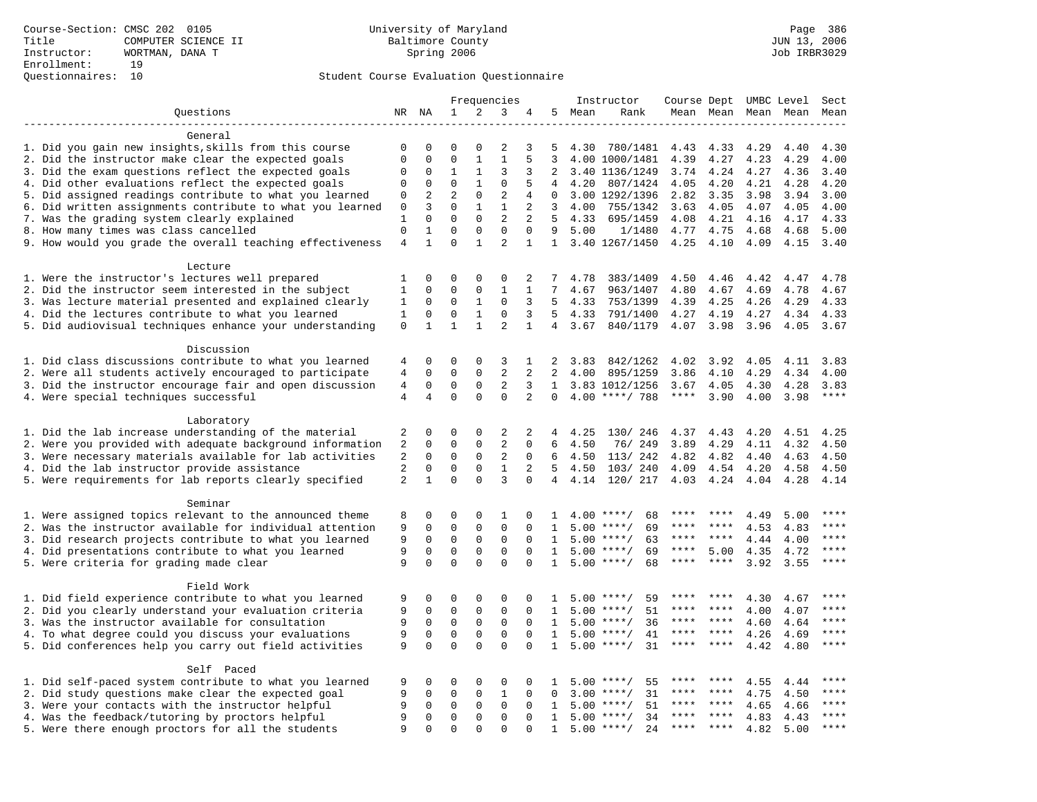|                                                                                                | Frequencies    |                            |                            |                            |                            | Instructor           | Course Dept UMBC Level |        |                                          |             | Sect         |                     |              |         |
|------------------------------------------------------------------------------------------------|----------------|----------------------------|----------------------------|----------------------------|----------------------------|----------------------|------------------------|--------|------------------------------------------|-------------|--------------|---------------------|--------------|---------|
| Questions                                                                                      |                | NR NA                      | $\mathbf{1}$               | 2                          | 3                          | 4                    |                        | 5 Mean | Rank                                     |             |              | Mean Mean Mean Mean |              | Mean    |
|                                                                                                |                |                            |                            |                            |                            |                      |                        |        |                                          |             |              |                     |              |         |
| General                                                                                        |                |                            |                            |                            |                            |                      |                        |        |                                          |             |              |                     |              |         |
| 1. Did you gain new insights, skills from this course                                          | 0              | 0                          | $\Omega$                   | $\Omega$                   | 2                          | 3                    | 5                      | 4.30   | 780/1481                                 | 4.43        | 4.33         | 4.29                | 4.40         | 4.30    |
| 2. Did the instructor make clear the expected goals                                            | $\mathbf 0$    | $\Omega$                   | $\Omega$                   | $\mathbf{1}$               | $\mathbf{1}$               | 5                    | 3                      |        | 4.00 1000/1481                           | 4.39        | 4.27         | 4.23                | 4.29         | 4.00    |
| 3. Did the exam questions reflect the expected goals                                           | 0              | $\mathbf 0$                | 1                          | 1                          | 3                          | 3                    | 2                      |        | 3.40 1136/1249                           | 3.74        | 4.24         | 4.27                | 4.36         | 3.40    |
| 4. Did other evaluations reflect the expected goals                                            | 0              | 0                          | $\mathbf 0$                | $\mathbf{1}$               | $\mathbf 0$                | 5                    | 4                      | 4.20   | 807/1424                                 | 4.05        | 4.20         | 4.21                | 4.28         | 4.20    |
| 5. Did assigned readings contribute to what you learned                                        | 0              | $\overline{2}$             | $\overline{2}$             | $\mathbf 0$                | $\overline{2}$             | 4                    | $\mathbf 0$            |        | 3.00 1292/1396                           | 2.82        | 3.35         | 3.98                | 3.94         | 3.00    |
| 6. Did written assignments contribute to what you learned                                      | 0              | 3                          | $\mathbf 0$                | $\mathbf{1}$               | $\mathbf{1}$               | 2                    | 3                      | 4.00   | 755/1342                                 | 3.63        | 4.05         | 4.07                | 4.05         | 4.00    |
| 7. Was the grading system clearly explained                                                    | $\mathbf{1}$   | $\Omega$                   | $\Omega$                   | $\Omega$                   | $\overline{a}$             | 2                    | $5^{\circ}$            | 4.33   | 695/1459                                 | 4.08        | 4.21         | 4.16                | 4.17         | 4.33    |
| 8. How many times was class cancelled                                                          | $\Omega$       | 1                          | $\Omega$<br>$\Omega$       | $\Omega$<br>$\mathbf{1}$   | $\Omega$<br>$\overline{2}$ | $\Omega$             | 9                      | 5.00   | 1/1480                                   | 4.77        | 4.75         | 4.68                | 4.68         | 5.00    |
| 9. How would you grade the overall teaching effectiveness                                      | $\,4$          | $\mathbf{1}$               |                            |                            |                            | $\mathbf{1}$         |                        |        | 1 3.40 1267/1450                         | 4.25        | 4.10         | 4.09                | 4.15         | 3.40    |
| Lecture                                                                                        |                |                            |                            |                            |                            |                      |                        |        |                                          |             |              |                     |              |         |
| 1. Were the instructor's lectures well prepared                                                | 1              | $\Omega$                   | $\Omega$                   | $\Omega$                   | $\Omega$                   | 2                    | 7                      | 4.78   | 383/1409                                 | 4.50        | 4.46         | 4.42                | 4.47         | 4.78    |
| 2. Did the instructor seem interested in the subject                                           | $\mathbf{1}$   | $\mathbf 0$                | $\mathbf 0$                | $\mathbf{0}$               | $\mathbf{1}$               | 1                    | 7                      | 4.67   | 963/1407                                 | 4.80        | 4.67         | 4.69                | 4.78         | 4.67    |
| 3. Was lecture material presented and explained clearly                                        | 1              | 0                          | $\mathbf 0$                | 1                          | $\mathbf 0$                | 3                    | 5                      | 4.33   | 753/1399                                 | 4.39        | 4.25         | 4.26                | 4.29         | 4.33    |
| 4. Did the lectures contribute to what you learned                                             | $\mathbf{1}$   | $\mathbf 0$                | $\mathbf 0$                | $\mathbf{1}$               | $\mathbf 0$                | 3                    | 5                      | 4.33   | 791/1400                                 | 4.27        | 4.19         | 4.27                | 4.34         | 4.33    |
| 5. Did audiovisual techniques enhance your understanding                                       | $\mathbf 0$    | $\mathbf{1}$               | $\mathbf{1}$               | $\mathbf{1}$               | $\overline{2}$             | $\mathbf{1}$         | $\overline{4}$         | 3.67   | 840/1179                                 | 4.07        | 3.98         | 3.96                | 4.05         | 3.67    |
|                                                                                                |                |                            |                            |                            |                            |                      |                        |        |                                          |             |              |                     |              |         |
| Discussion                                                                                     |                |                            |                            |                            |                            |                      |                        |        |                                          |             |              |                     |              |         |
| 1. Did class discussions contribute to what you learned                                        | 4              | 0                          | $\Omega$                   | $\Omega$                   | 3                          | 1                    | 2                      | 3.83   | 842/1262                                 | 4.02        | 3.92         | 4.05                | 4.11         | 3.83    |
| 2. Were all students actively encouraged to participate                                        | 4              | $\mathbf 0$                | $\mathbf 0$                | $\mathbf{0}$               | 2                          | 2                    | $\overline{2}$         | 4.00   | 895/1259                                 | 3.86        | 4.10         | 4.29                | 4.34         | 4.00    |
| 3. Did the instructor encourage fair and open discussion                                       | 4              | 0                          | 0                          | 0                          | $\overline{a}$             | 3                    | $\mathbf{1}$           |        | 3.83 1012/1256                           | 3.67        | 4.05         | 4.30                | 4.28         | 3.83    |
| 4. Were special techniques successful                                                          | $\overline{4}$ | 4                          | $\mathbf 0$                | $\Omega$                   | $\Omega$                   | $\overline{2}$       | $\Omega$               |        | $4.00$ ****/ 788                         | ****        | 3.90         | 4.00                | 3.98         | $***$   |
|                                                                                                |                |                            |                            |                            |                            |                      |                        |        |                                          |             |              |                     |              |         |
| Laboratory                                                                                     |                |                            |                            |                            |                            |                      |                        |        |                                          |             |              |                     |              |         |
| 1. Did the lab increase understanding of the material                                          | 2              | 0                          | $\Omega$                   | 0                          | 2                          | 2                    | 4                      | 4.25   | 130/ 246                                 | 4.37        | 4.43         | 4.20                | 4.51         | 4.25    |
| 2. Were you provided with adequate background information                                      | 2              | 0                          | $\mathbf 0$                | $\mathbf{0}$               | 2                          | 0                    | 6                      | 4.50   | 76/249                                   | 3.89        | 4.29         | 4.11                | 4.32         | 4.50    |
| 3. Were necessary materials available for lab activities                                       | 2              | 0                          | 0                          | 0                          | 2                          | 0                    | 6                      | 4.50   | 113/242                                  | 4.82        | 4.82         | 4.40                | 4.63         | 4.50    |
| 4. Did the lab instructor provide assistance                                                   | 2              | 0                          | $\mathbf 0$                | 0                          | $\mathbf{1}$               | 2                    | 5                      | 4.50   | 103/240                                  | 4.09        | 4.54         | 4.20                | 4.58         | 4.50    |
| 5. Were requirements for lab reports clearly specified                                         | 2              | $\mathbf{1}$               | $\Omega$                   | $\Omega$                   | 3                          | $\Omega$             | $\overline{4}$         | 4.14   | 120/ 217                                 | 4.03        | 4.24         | 4.04                | 4.28         | 4.14    |
|                                                                                                |                |                            |                            |                            |                            |                      |                        |        |                                          |             |              |                     |              |         |
| Seminar                                                                                        |                |                            |                            |                            |                            |                      |                        |        |                                          | ****        | ****         |                     |              | ****    |
| 1. Were assigned topics relevant to the announced theme                                        | 8              | 0                          | 0                          | 0                          | 1                          | 0                    | 1                      |        | $4.00$ ****/<br>68                       | ****        |              | 4.49                | 5.00         |         |
| 2. Was the instructor available for individual attention                                       | 9              | $\mathbf 0$                | 0                          | 0                          | $\mathbf 0$                | $\mathbf 0$          | 1                      | 5.00   | $***/$<br>69                             | $***$ * *   |              | 4.53                | 4.83         | ****    |
| 3. Did research projects contribute to what you learned                                        | 9<br>9         | $\mathbf 0$<br>$\mathbf 0$ | $\mathbf 0$<br>$\mathbf 0$ | $\mathbf 0$<br>$\mathbf 0$ | $\mathbf 0$<br>$\mathbf 0$ | $\Omega$<br>$\Omega$ | 1<br>$\mathbf{1}$      |        | $5.00$ ****/<br>63<br>$5.00$ ****/<br>69 | $***$ * * * | ****<br>5.00 | 4.44                | 4.00<br>4.72 | $***$   |
| 4. Did presentations contribute to what you learned<br>5. Were criteria for grading made clear | 9              | $\mathbf 0$                | $\mathbf 0$                | $\Omega$                   | $\Omega$                   | $\Omega$             | 1                      |        | $5.00$ ****/<br>68                       | ****        | $***$ * * *  | 4.35<br>3.92        | 3.55         | ****    |
|                                                                                                |                |                            |                            |                            |                            |                      |                        |        |                                          |             |              |                     |              |         |
| Field Work                                                                                     |                |                            |                            |                            |                            |                      |                        |        |                                          |             |              |                     |              |         |
| 1. Did field experience contribute to what you learned                                         | 9              | 0                          | 0                          | $\mathbf 0$                | 0                          | $\Omega$             | 1.                     |        | $5.00$ ****/<br>59                       |             |              | 4.30                | 4.67         | ****    |
| 2. Did you clearly understand your evaluation criteria                                         | 9              | $\Omega$                   | $\mathbf 0$                | $\mathbf 0$                | $\mathbf 0$                | $\Omega$             | $\mathbf{1}$           | 5.00   | 51<br>$***/$                             | ****        | ****         | 4.00                | 4.07         | $***$   |
| 3. Was the instructor available for consultation                                               | 9              | $\mathbf 0$                | $\mathbf 0$                | $\mathbf 0$                | $\mathbf 0$                | $\Omega$             | $\mathbf{1}$           |        | $5.00$ ****/<br>36                       | ****        | $***$ *      | 4.60                | 4.64         | ****    |
| 4. To what degree could you discuss your evaluations                                           | 9              | $\mathbf 0$                | $\mathbf 0$                | $\mathbf{0}$               | $\mathbf 0$                | $\mathbf 0$          | $\mathbf{1}$           |        | $5.00$ ****/<br>41                       | $***$ * * * | $***$ *      | 4.26                | 4.69         | $***$   |
| 5. Did conferences help you carry out field activities                                         | 9              | $\Omega$                   | $\Omega$                   | $\Omega$                   | $\Omega$                   | $\Omega$             | $\mathbf{1}$           | 5.00   | 31<br>$***/$                             | ****        | ****         | 4.42                | 4.80         | $***$   |
|                                                                                                |                |                            |                            |                            |                            |                      |                        |        |                                          |             |              |                     |              |         |
| Self Paced                                                                                     |                |                            |                            |                            |                            |                      |                        |        |                                          |             |              |                     |              |         |
| 1. Did self-paced system contribute to what you learned                                        | 9              | 0                          | 0                          | $\mathbf 0$                | $\Omega$                   | $\Omega$             | $\mathbf{1}$           |        | 55<br>$5.00$ ****/                       | ****        |              | 4.55                | 4.44         | ****    |
| 2. Did study questions make clear the expected goal                                            | 9              | $\mathbf 0$                | $\mathbf 0$                | $\mathbf 0$                | $\mathbf{1}$               | $\mathbf 0$          | 0                      | 3.00   | $***/$<br>31                             | ****        | ****         | 4.75                | 4.50         | ****    |
| 3. Were your contacts with the instructor helpful                                              | 9              | $\mathbf 0$                | $\mathbf 0$                | $\mathbf 0$                | $\mathbf 0$                | 0                    | 1                      | 5.00   | 51<br>$***$ /                            | ****        | ****         | 4.65                | 4.66         | ****    |
| 4. Was the feedback/tutoring by proctors helpful                                               | 9              | 0                          | $\mathbf 0$                | $\mathbf 0$                | $\mathbf 0$                | $\Omega$             | $\mathbf{1}$           | 5.00   | $***/$<br>34                             |             |              | 4.83                | 4.43         | * * * * |
| 5. Were there enough proctors for all the students                                             | 9              | $\Omega$                   | $\Omega$                   | $\Omega$                   | $\Omega$                   | $\Omega$             | $\mathbf{1}$           |        | $5.00$ ****/<br>24                       | ****        | $***$ *      | 4.82                | 5.00         | ****    |
|                                                                                                |                |                            |                            |                            |                            |                      |                        |        |                                          |             |              |                     |              |         |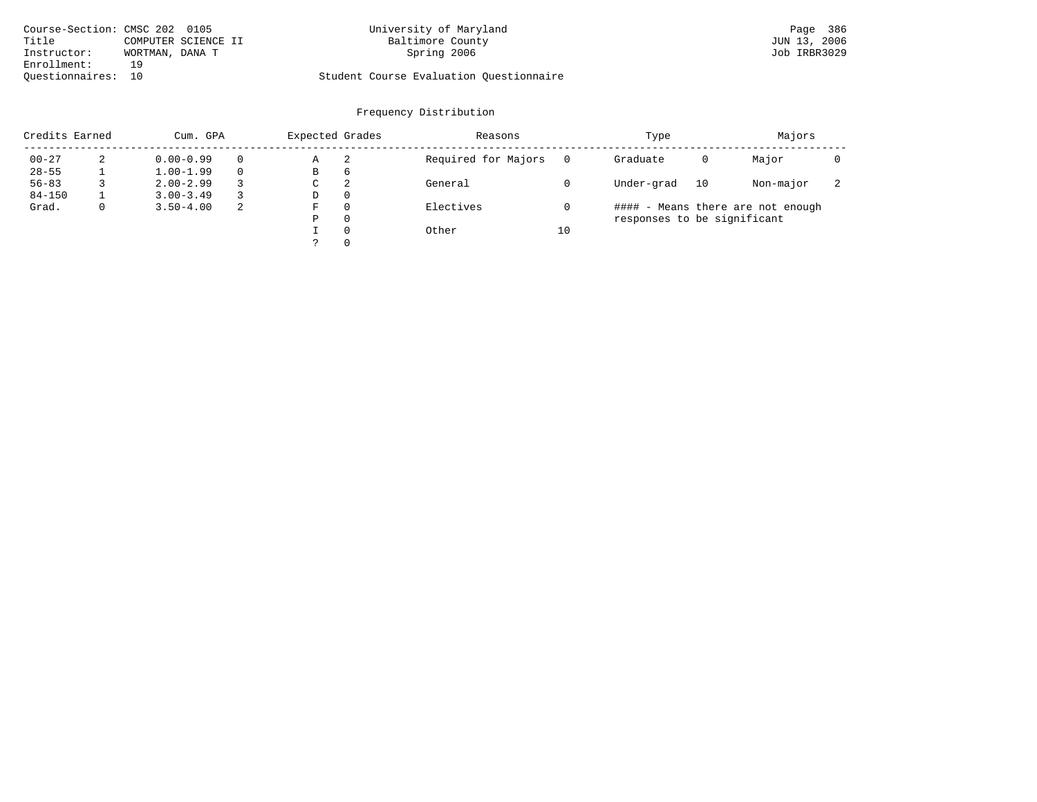|                    | Course-Section: CMSC 202 0105 | University of Maryland                  | Page 386     |
|--------------------|-------------------------------|-----------------------------------------|--------------|
| Title              | COMPUTER SCIENCE II           | Baltimore County                        | JUN 13, 2006 |
| Instructor:        | WORTMAN, DANA T               | Spring 2006                             | Job IRBR3029 |
| Enrollment:        | 1 Q                           |                                         |              |
| Ouestionnaires: 10 |                               | Student Course Evaluation Ouestionnaire |              |

| Credits Earned |             | Cum. GPA      |    | Expected Grades |          | Reasons             |    | Type                        |    | Majors                            |                          |
|----------------|-------------|---------------|----|-----------------|----------|---------------------|----|-----------------------------|----|-----------------------------------|--------------------------|
| $00 - 27$      | 2           | $0.00 - 0.99$ |    | Α               | 2        | Required for Majors |    | Graduate                    | 0  | Major                             |                          |
| $28 - 55$      |             | $1.00 - 1.99$ |    | В               | 6        |                     |    |                             |    |                                   |                          |
| $56 - 83$      |             | $2.00 - 2.99$ |    | C               | 2        | General             |    | Under-grad                  | 10 | Non-major                         | $\overline{\phantom{a}}$ |
| $84 - 150$     |             | $3.00 - 3.49$ |    | D               | $\Omega$ |                     |    |                             |    |                                   |                          |
| Grad.          | $\mathbf 0$ | $3.50 - 4.00$ | -2 | F               | $\Omega$ | Electives           |    |                             |    | #### - Means there are not enough |                          |
|                |             |               |    | Ρ               | $\Omega$ |                     |    | responses to be significant |    |                                   |                          |
|                |             |               |    |                 | $\Omega$ | Other               | 10 |                             |    |                                   |                          |
|                |             |               |    |                 | $\Omega$ |                     |    |                             |    |                                   |                          |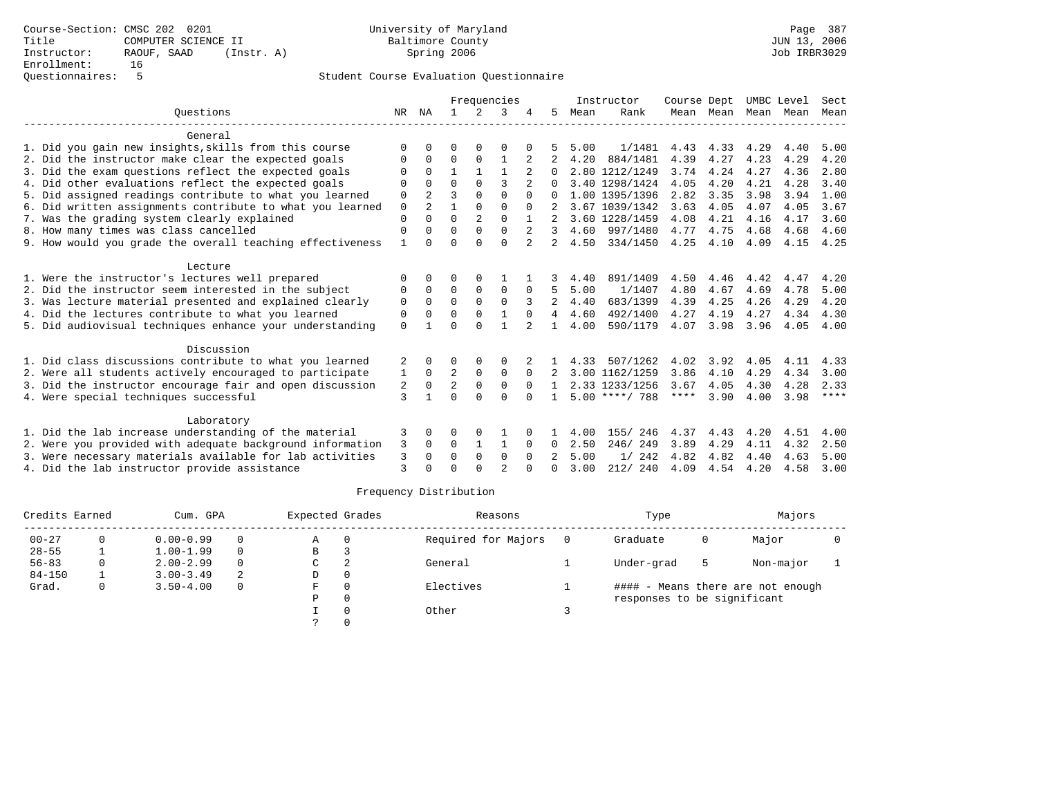|                                                           |              |                |              |                | Frequencies    |                |              |      | Instructor       | Course Dept |           | UMBC Level |      | Sect        |
|-----------------------------------------------------------|--------------|----------------|--------------|----------------|----------------|----------------|--------------|------|------------------|-------------|-----------|------------|------|-------------|
| Ouestions                                                 | NR           | ΝA             |              | 2              | 3              |                | 5            | Mean | Rank             |             | Mean Mean | Mean Mean  |      | Mean        |
| General                                                   |              |                |              |                |                |                |              |      |                  |             |           |            |      |             |
| 1. Did you gain new insights, skills from this course     | 0            |                | U            | O              | O              |                |              | 5.00 | 1/1481           | 4.43        | 4.33      | 4.29       | 4.40 | 5.00        |
| 2. Did the instructor make clear the expected goals       | 0            | $\Omega$       | $\Omega$     | $\Omega$       |                | 2              |              | 4.20 | 884/1481         | 4.39        | 4.27      | 4.23       | 4.29 | 4.20        |
| 3. Did the exam questions reflect the expected goals      |              | $\Omega$       | $\mathbf{1}$ | $\mathbf{1}$   | $\mathbf{1}$   | 2              | 0            |      | 2.80 1212/1249   | 3.74        | 4.24      | 4.27       | 4.36 | 2.80        |
| 4. Did other evaluations reflect the expected goals       | U            | $\Omega$       | $\Omega$     | $\Omega$       | 3              | $\mathfrak{D}$ |              |      | 3.40 1298/1424   | 4.05        | 4.20      | 4.21       | 4.28 | 3.40        |
| 5. Did assigned readings contribute to what you learned   | 0            | $\overline{a}$ |              | <sup>0</sup>   | $\Omega$       | $\Omega$       | 0            |      | 1.00 1395/1396   | 2.82        | 3.35      | 3.98       | 3.94 | 1.00        |
| 6. Did written assignments contribute to what you learned | 0            | 2              |              | 0              | 0              | $\Omega$       |              |      | 3.67 1039/1342   | 3.63        | 4.05      | 4.07       | 4.05 | 3.67        |
| 7. Was the grading system clearly explained               | 0            | $\Omega$       | $\Omega$     | $\overline{2}$ | $\Omega$       |                |              |      | 3.60 1228/1459   | 4.08        | 4.21      | 4.16       | 4.17 | 3.60        |
| 8. How many times was class cancelled                     | 0            | 0              | U            | $\Omega$       | $\Omega$       | 2              | 3            | 4.60 | 997/1480         | 4.77        | 4.75      | 4.68       | 4.68 | 4.60        |
| 9. How would you grade the overall teaching effectiveness | $\mathbf{1}$ | $\Omega$       | U            | $\Omega$       | $\Omega$       | 2              | 2.           | 4.50 | 334/1450         | 4.25        | 4.10      | 4.09       | 4.15 | 4.25        |
| Lecture                                                   |              |                |              |                |                |                |              |      |                  |             |           |            |      |             |
| 1. Were the instructor's lectures well prepared           | 0            | 0              | U            | 0              |                |                |              | 4.40 | 891/1409         | 4.50        | 4.46      | 4.42       | 4.47 | 4.20        |
| 2. Did the instructor seem interested in the subject      | 0            | 0              | 0            | 0              | 0              | 0              | 5            | 5.00 | 1/1407           | 4.80        | 4.67      | 4.69       | 4.78 | 5.00        |
| 3. Was lecture material presented and explained clearly   | 0            | $\Omega$       | $\Omega$     | $\Omega$       | $\Omega$       |                | 2            | 4.40 | 683/1399         | 4.39        | 4.25      | 4.26       | 4.29 | 4.20        |
| 4. Did the lectures contribute to what you learned        | 0            | $\Omega$       | $\Omega$     | $\Omega$       | $\mathbf{1}$   | $\Omega$       | 4            | 4.60 | 492/1400         | 4.27        | 4.19      | 4.27       | 4.34 | 4.30        |
| 5. Did audiovisual techniques enhance your understanding  | 0            | $\mathbf{1}$   | U            | $\Omega$       |                |                | $\mathbf{1}$ | 4.00 | 590/1179         | 4.07        | 3.98      | 3.96       | 4.05 | 4.00        |
| Discussion                                                |              |                |              |                |                |                |              |      |                  |             |           |            |      |             |
| 1. Did class discussions contribute to what you learned   | 2            | 0              | U            | 0              | 0              |                |              | 4.33 | 507/1262         | 4.02        | 3.92      | 4.05       | 4.11 | 4.33        |
| 2. Were all students actively encouraged to participate   | 1            | 0              | 2            | 0              | 0              | 0              |              |      | 3.00 1162/1259   | 3.86        | 4.10      | 4.29       | 4.34 | 3.00        |
| 3. Did the instructor encourage fair and open discussion  | 2            | $\Omega$       | 2            | $\mathbf 0$    | $\Omega$       | $\Omega$       |              |      | 2.33 1233/1256   | 3.67        | 4.05      | 4.30       | 4.28 | 2.33        |
| 4. Were special techniques successful                     | 3            |                | U            | <sup>0</sup>   | <sup>n</sup>   | $\cap$         |              |      | $5.00$ ****/ 788 | $***$ * * * | 3.90      | 4.00       | 3.98 | $***$ * * * |
| Laboratory                                                |              |                |              |                |                |                |              |      |                  |             |           |            |      |             |
| 1. Did the lab increase understanding of the material     | 3            | 0              | U            | 0              |                |                |              | 4.00 | 155/ 246         | 4.37        | 4.43      | 4.20       | 4.51 | 4.00        |
| 2. Were you provided with adequate background information | 3            | $\Omega$       | 0            | $\mathbf{1}$   | -1             | $\Omega$       | 0            | 2.50 | 246/249          | 3.89        | 4.29      | 4.11       | 4.32 | 2.50        |
| 3. Were necessary materials available for lab activities  | 3            | $\Omega$       | $\Omega$     | $\mathbf 0$    | 0              | $\Omega$       |              | 5.00 | 242<br>1/        | 4.82        | 4.82      | 4.40       | 4.63 | 5.00        |
| 4. Did the lab instructor provide assistance              | 3            | U              |              | $\cap$         | $\mathfrak{D}$ |                |              | 3.00 | 212/240          | 4.09        | 4.54      | 4.20       | 4.58 | 3.00        |

| Credits Earned |    | Cum. GPA      |          | Expected Grades |          | Reasons             | Type                        |   | Majors                            |  |
|----------------|----|---------------|----------|-----------------|----------|---------------------|-----------------------------|---|-----------------------------------|--|
| $00 - 27$      | 0  | $0.00 - 0.99$ | $\Omega$ | A               | $\Omega$ | Required for Majors | Graduate                    | 0 | Major                             |  |
| $28 - 55$      |    | $1.00 - 1.99$ | $\Omega$ | B               |          |                     |                             |   |                                   |  |
| $56 - 83$      | 0. | $2.00 - 2.99$ | $\Omega$ | C               |          | General             | Under-grad                  | 5 | Non-major                         |  |
| $84 - 150$     |    | $3.00 - 3.49$ | 2        | D               | 0        |                     |                             |   |                                   |  |
| Grad.          | 0  | $3.50 - 4.00$ | 0        | F.              | $\Omega$ | Electives           |                             |   | #### - Means there are not enough |  |
|                |    |               |          | Ρ               | 0        |                     | responses to be significant |   |                                   |  |
|                |    |               |          |                 |          | Other               |                             |   |                                   |  |
|                |    |               |          |                 |          |                     |                             |   |                                   |  |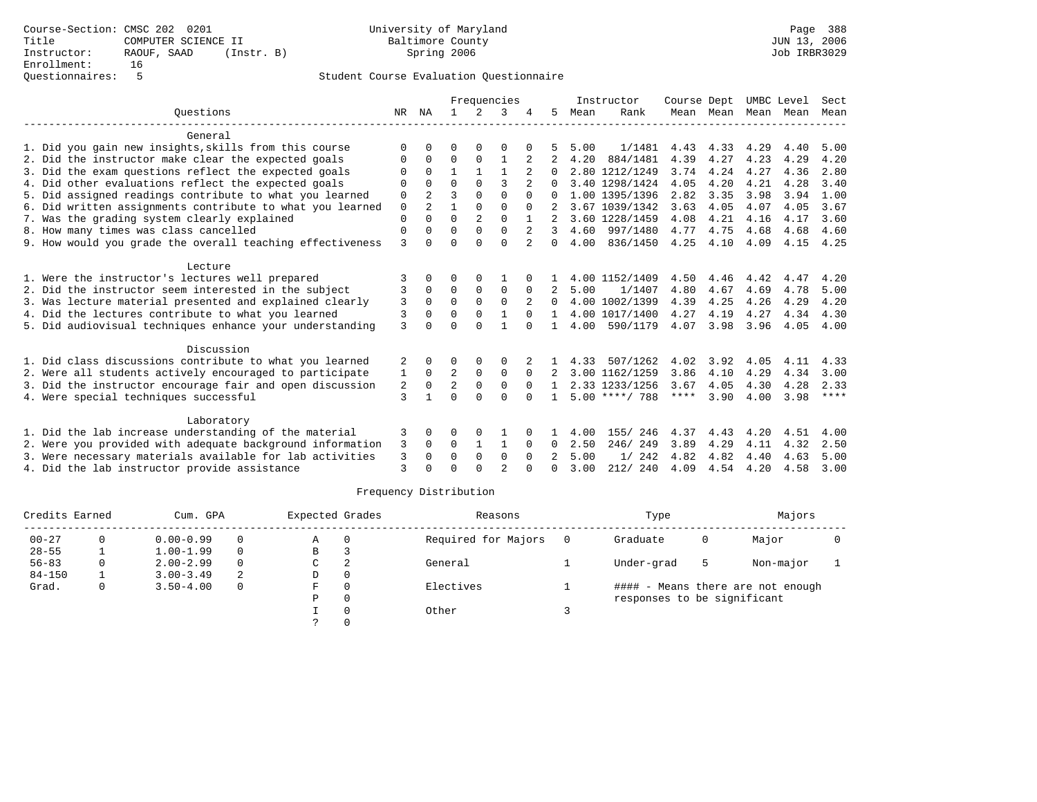|                                                           |    |                |              |                | Frequencies    |                |              |      | Instructor       | Course Dept |           |      | UMBC Level | Sect        |
|-----------------------------------------------------------|----|----------------|--------------|----------------|----------------|----------------|--------------|------|------------------|-------------|-----------|------|------------|-------------|
| Ouestions                                                 | NR | ΝA             |              | 2              | 3              |                | 5            | Mean | Rank             |             | Mean Mean |      | Mean Mean  | Mean        |
| General                                                   |    |                |              |                |                |                |              |      |                  |             |           |      |            |             |
| 1. Did you gain new insights, skills from this course     | U  |                | O            |                | O              |                |              | 5.00 | 1/1481           | 4.43        | 4.33      | 4.29 | 4.40       | 5.00        |
| 2. Did the instructor make clear the expected goals       | O  | $\Omega$       | $\Omega$     | $\Omega$       | $\mathbf{1}$   | 2              |              | 4.20 | 884/1481         | 4.39        | 4.27      | 4.23 | 4.29       | 4.20        |
| 3. Did the exam questions reflect the expected goals      |    | $\Omega$       | $\mathbf{1}$ | $\mathbf{1}$   | $\mathbf{1}$   |                | 0            |      | 2.80 1212/1249   | 3.74        | 4.24      | 4.27 | 4.36       | 2.80        |
| 4. Did other evaluations reflect the expected goals       | O  | $\Omega$       | $\Omega$     | $\Omega$       | ζ              | $\overline{2}$ |              |      | 3.40 1298/1424   | 4.05        | 4.20      | 4.21 | 4.28       | 3.40        |
| 5. Did assigned readings contribute to what you learned   | 0  | $\overline{a}$ | ς            | $\Omega$       | $\Omega$       | $\Omega$       | 0            |      | 1.00 1395/1396   | 2.82        | 3.35      | 3.98 | 3.94       | 1.00        |
| 6. Did written assignments contribute to what you learned | 0  | $\overline{2}$ |              | $\Omega$       | 0              | $\Omega$       |              |      | 3.67 1039/1342   | 3.63        | 4.05      | 4.07 | 4.05       | 3.67        |
| 7. Was the grading system clearly explained               | 0  | $\Omega$       | $\Omega$     | $\overline{2}$ | $\Omega$       | 1              |              |      | 3.60 1228/1459   | 4.08        | 4.21      | 4.16 | 4.17       | 3.60        |
| 8. How many times was class cancelled                     | 0  | $\Omega$       | 0            | $\Omega$       | $\Omega$       | 2              | 3            | 4.60 | 997/1480         | 4.77        | 4.75      | 4.68 | 4.68       | 4.60        |
| 9. How would you grade the overall teaching effectiveness | 3  | $\Omega$       | 0            | $\Omega$       | $\Omega$       | $\mathfrak{D}$ | $\Omega$     | 4.00 | 836/1450         | 4.25        | 4.10      | 4.09 | 4.15       | 4.25        |
| Lecture                                                   |    |                |              |                |                |                |              |      |                  |             |           |      |            |             |
| 1. Were the instructor's lectures well prepared           | 3  | $\Omega$       | U            | 0              |                |                |              |      | 4.00 1152/1409   | 4.50        | 4.46      | 4.42 | 4.47       | 4.20        |
| 2. Did the instructor seem interested in the subject      | 3  | 0              | 0            | $\mathbf 0$    | 0              | 0              |              | 5.00 | 1/1407           | 4.80        | 4.67      | 4.69 | 4.78       | 5.00        |
| 3. Was lecture material presented and explained clearly   | 3  | $\Omega$       | $\Omega$     | $\Omega$       | $\Omega$       |                | 0            |      | 4.00 1002/1399   | 4.39        | 4.25      | 4.26 | 4.29       | 4.20        |
| 4. Did the lectures contribute to what you learned        | 3  | $\Omega$       | $\Omega$     | $\Omega$       | $\mathbf{1}$   | $\Omega$       |              |      | 4.00 1017/1400   | 4.27        | 4.19      | 4.27 | 4.34       | 4.30        |
| 5. Did audiovisual techniques enhance your understanding  | 3  | $\Omega$       | 0            | $\Omega$       |                | $\cap$         | $\mathbf{1}$ | 4.00 | 590/1179         | 4.07        | 3.98      | 3.96 | 4.05       | 4.00        |
| Discussion                                                |    |                |              |                |                |                |              |      |                  |             |           |      |            |             |
| 1. Did class discussions contribute to what you learned   | 2  | $\Omega$       | O            | $\Omega$       | 0              |                |              | 4.33 | 507/1262         | 4.02        | 3.92      | 4.05 | 4.11       | 4.33        |
| 2. Were all students actively encouraged to participate   | 1  | $\mathbf 0$    | 2            | $\mathbf 0$    | 0              | $\Omega$       |              |      | 3.00 1162/1259   | 3.86        | 4.10      | 4.29 | 4.34       | 3.00        |
| 3. Did the instructor encourage fair and open discussion  | 2  | $\Omega$       | 2            | $\mathbf{0}$   | $\Omega$       | $\Omega$       |              |      | 2.33 1233/1256   | 3.67        | 4.05      | 4.30 | 4.28       | 2.33        |
| 4. Were special techniques successful                     | 3  | $\mathbf{1}$   | ∩            | $\cap$         | $\cap$         |                |              |      | $5.00$ ****/ 788 | ****        | 3.90      | 4.00 | 3.98       | $***$ * * * |
| Laboratory                                                |    |                |              |                |                |                |              |      |                  |             |           |      |            |             |
| 1. Did the lab increase understanding of the material     | 3  | $\Omega$       | U            | 0              |                |                |              | 4.00 | 155/ 246         | 4.37        | 4.43      | 4.20 | 4.51       | 4.00        |
| 2. Were you provided with adequate background information | 3  | 0              | $\Omega$     | $\mathbf{1}$   | 1              | 0              | 0            | 2.50 | 246/249          | 3.89        | 4.29      | 4.11 | 4.32       | 2.50        |
| 3. Were necessary materials available for lab activities  | 3  | $\Omega$       | $\Omega$     | $\mathbf 0$    | 0              | $\Omega$       |              | 5.00 | 242<br>1/        | 4.82        | 4.82      | 4.40 | 4.63       | 5.00        |
| 4. Did the lab instructor provide assistance              | 3  | U              | U            | U              | $\mathfrak{D}$ |                | U            | 3.00 | 212/240          | 4.09        | 4.54      | 4.20 | 4.58       | 3.00        |

| Credits Earned |    | Cum. GPA      |          | Expected Grades |          | Reasons             | Type                        |   | Majors                            |  |
|----------------|----|---------------|----------|-----------------|----------|---------------------|-----------------------------|---|-----------------------------------|--|
| $00 - 27$      | 0  | $0.00 - 0.99$ | $\Omega$ | A               | $\Omega$ | Required for Majors | Graduate                    | 0 | Major                             |  |
| $28 - 55$      |    | $1.00 - 1.99$ | $\Omega$ | B               |          |                     |                             |   |                                   |  |
| $56 - 83$      | 0. | $2.00 - 2.99$ | $\Omega$ | C               |          | General             | Under-grad                  | 5 | Non-major                         |  |
| $84 - 150$     |    | $3.00 - 3.49$ | 2        | D               | 0        |                     |                             |   |                                   |  |
| Grad.          | 0  | $3.50 - 4.00$ | 0        | F.              | $\Omega$ | Electives           |                             |   | #### - Means there are not enough |  |
|                |    |               |          | Ρ               | 0        |                     | responses to be significant |   |                                   |  |
|                |    |               |          |                 |          | Other               |                             |   |                                   |  |
|                |    |               |          |                 |          |                     |                             |   |                                   |  |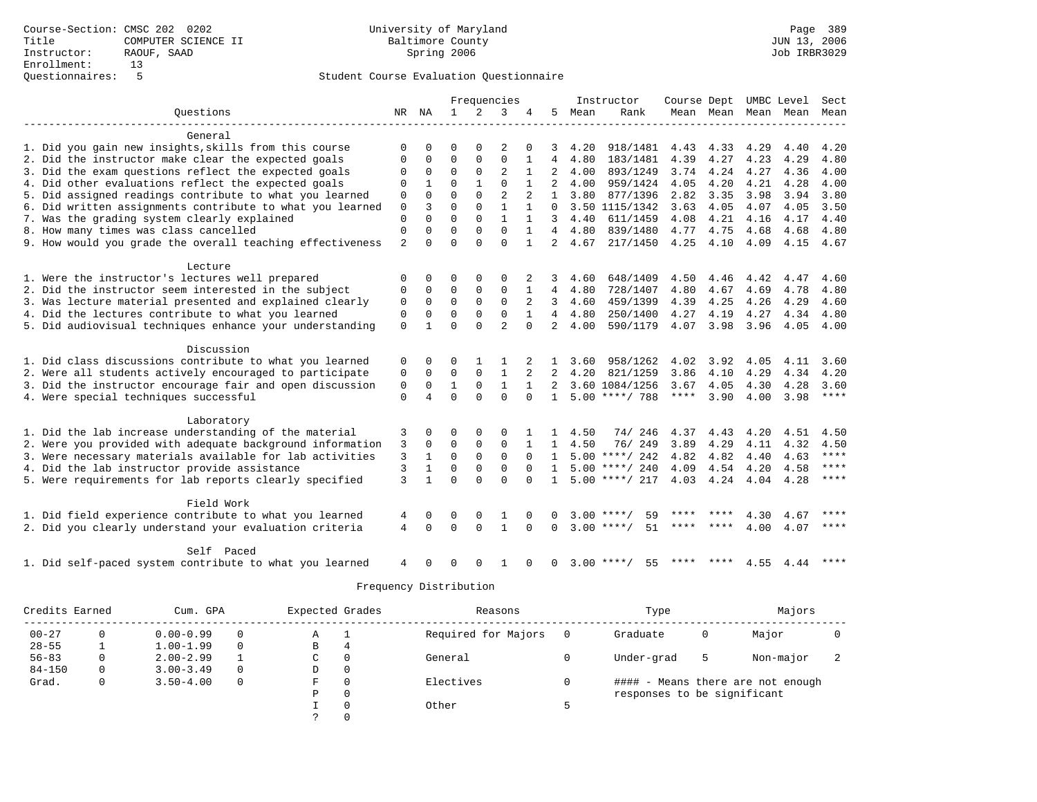|                                                            |             |              |              |                | Frequencies    |              |                |      | Instructor         | Course Dept |      |           | UMBC Level               | Sect        |
|------------------------------------------------------------|-------------|--------------|--------------|----------------|----------------|--------------|----------------|------|--------------------|-------------|------|-----------|--------------------------|-------------|
| Ouestions                                                  | NR NA       |              | 1            | $\overline{2}$ | 3              | 4            | 5              | Mean | Rank               |             |      |           | Mean Mean Mean Mean Mean |             |
|                                                            |             |              |              |                |                |              |                |      |                    |             |      |           |                          |             |
| General                                                    |             |              |              |                |                |              |                |      |                    |             |      |           |                          |             |
| 1. Did you gain new insights, skills from this course      | $\Omega$    | U            | O            | $\Omega$       |                |              |                | 4.20 | 918/1481           | 4.43        | 4.33 | 4.29      | 4.40                     | 4.20        |
| 2. Did the instructor make clear the expected goals        | $\Omega$    | $\Omega$     | $\Omega$     | 0              | $\Omega$       | 1            | 4              | 4.80 | 183/1481           | 4.39        | 4.27 | 4.23      | 4.29                     | 4.80        |
| 3. Did the exam questions reflect the expected goals       |             | 0            | $\mathbf 0$  | 0              | $\overline{2}$ |              | 2              | 4.00 | 893/1249           | 3.74        | 4.24 | 4.27      | 4.36                     | 4.00        |
| 4. Did other evaluations reflect the expected goals        | 0           |              | 0            |                | $\mathbf 0$    |              | 2              | 4.00 | 959/1424           | 4.05        | 4.20 | 4.21      | 4.28                     | 4.00        |
| 5. Did assigned readings contribute to what you learned    | $\mathbf 0$ | $\Omega$     | $\Omega$     | $\Omega$       | $\overline{2}$ |              | $\mathbf{1}$   | 3.80 | 877/1396           | 2.82        | 3.35 | 3.98      | 3.94                     | 3.80        |
| 6. Did written assignments contribute to what you learned  | $\mathbf 0$ | ζ            | $\Omega$     | $\Omega$       | $\mathbf{1}$   | $\mathbf{1}$ | $\Omega$       |      | 3.50 1115/1342     | 3.63        | 4.05 | 4.07      | 4.05                     | 3.50        |
| 7. Was the grading system clearly explained                | $\Omega$    | $\Omega$     | $\Omega$     | $\Omega$       | 1              |              | 3              | 4.40 | 611/1459           | 4.08        | 4.21 | 4.16      | 4.17                     | 4.40        |
| 8. How many times was class cancelled                      | $\Omega$    | $\Omega$     | $\Omega$     | $\Omega$       | $\Omega$       |              | $\overline{4}$ | 4.80 | 839/1480           | 4.77        | 4.75 | 4.68      | 4.68                     | 4.80        |
| 9. How would you grade the overall teaching effectiveness  | 2           | $\cap$       | $\cap$       | $\cap$         | $\Omega$       | $\mathbf{1}$ | $\overline{a}$ | 4.67 | 217/1450           | 4.25        | 4.10 | 4.09      | 4.15                     | 4.67        |
|                                                            |             |              |              |                |                |              |                |      |                    |             |      |           |                          |             |
| Lecture<br>1. Were the instructor's lectures well prepared | 0           | 0            | $\Omega$     | $\Omega$       | 0              | 2            | 3              | 4.60 | 648/1409           | 4.50        | 4.46 | 4.42      | 4.47                     | 4.60        |
| 2. Did the instructor seem interested in the subject       | 0           | 0            | 0            | 0              | $\mathbf 0$    |              | 4              | 4.80 | 728/1407           | 4.80        | 4.67 | 4.69      | 4.78                     | 4.80        |
| 3. Was lecture material presented and explained clearly    | 0           | 0            | $\Omega$     | $\Omega$       | $\Omega$       | 2            | 3              | 4.60 | 459/1399           | 4.39        | 4.25 | 4.26      | 4.29                     | 4.60        |
| 4. Did the lectures contribute to what you learned         | $\mathbf 0$ | 0            | $\Omega$     | $\Omega$       | $\Omega$       | $\mathbf{1}$ | $\overline{4}$ | 4.80 | 250/1400           | 4.27        | 4.19 | 4.27      | 4.34                     | 4.80        |
| 5. Did audiovisual techniques enhance your understanding   | $\Omega$    |              | $\Omega$     | $\Omega$       | $\overline{a}$ | $\Omega$     | $\overline{a}$ | 4.00 | 590/1179           | 4.07        | 3.98 | 3.96      | 4.05                     | 4.00        |
|                                                            |             |              |              |                |                |              |                |      |                    |             |      |           |                          |             |
| Discussion                                                 |             |              |              |                |                |              |                |      |                    |             |      |           |                          |             |
| 1. Did class discussions contribute to what you learned    | 0           | 0            | O            |                |                |              |                | 3.60 | 958/1262           | 4.02        | 3.92 | 4.05      | 4.11                     | 3.60        |
| 2. Were all students actively encouraged to participate    | 0           | 0            | $\mathbf 0$  | 0              | $\mathbf{1}$   |              |                | 4.20 | 821/1259           | 3.86        | 4.10 | 4.29      | 4.34                     | 4.20        |
| 3. Did the instructor encourage fair and open discussion   | 0           | $\Omega$     | $\mathbf{1}$ | $\Omega$       | $\mathbf{1}$   |              | $\overline{2}$ |      | 3.60 1084/1256     | 3.67        | 4.05 | 4.30      | 4.28                     | 3.60        |
| 4. Were special techniques successful                      | $\mathbf 0$ | 4            | $\Omega$     | $\cap$         | $\Omega$       | $\Omega$     | $\mathbf{1}$   |      | $5.00$ ****/ 788   | $***$ * * * | 3.90 | 4.00      | 3.98                     | $***$ * * * |
|                                                            |             |              |              |                |                |              |                |      |                    |             |      |           |                          |             |
| Laboratory                                                 |             |              |              |                |                |              |                |      |                    |             |      |           |                          |             |
| 1. Did the lab increase understanding of the material      | 3           | 0            | O            | $\Omega$       | $\Omega$       |              |                | 4.50 | 74/ 246            | 4.37        | 4.43 | 4.20      | 4.51                     | 4.50        |
| 2. Were you provided with adequate background information  | 3           | 0            | $\Omega$     | 0              | $\mathbf 0$    |              | $\mathbf{1}$   | 4.50 | 76/249             | 3.89        | 4.29 | 4.11      | 4.32                     | 4.50        |
| 3. Were necessary materials available for lab activities   | 3           | $\mathbf{1}$ | $\Omega$     | $\Omega$       | $\Omega$       | $\Omega$     | 1              |      | $5.00$ ****/ 242   | 4.82        | 4.82 | 4.40      | 4.63                     | $***$ * * * |
| 4. Did the lab instructor provide assistance               | 3           |              | $\Omega$     | 0              | $\mathbf 0$    | $\Omega$     | $\mathbf{1}$   |      | $5.00$ ****/ 240   | 4.09        | 4.54 | 4.20      | 4.58                     | $* * * *$   |
| 5. Were requirements for lab reports clearly specified     | 3           | $\mathbf{1}$ | $\Omega$     | $\Omega$       | $\Omega$       | $\Omega$     | $\mathbf{1}$   |      | $5.00$ ****/ 217   | 4.03 4.24   |      | 4.04 4.28 |                          | $***$ * * * |
| Field Work                                                 |             |              |              |                |                |              |                |      |                    |             |      |           |                          |             |
| 1. Did field experience contribute to what you learned     |             | 0            | 0            | 0              | 1              | <sup>0</sup> | 0              |      | $3.00$ ****/<br>59 |             |      | 4.30      | 4.67                     | ****        |
| 2. Did you clearly understand your evaluation criteria     | 4<br>4      | $\Omega$     | $\Omega$     | $\Omega$       | $\mathbf{1}$   | $\Omega$     | $\Omega$       |      | $3.00$ ****/<br>51 |             | **** | 4.00      | 4.07                     | ****        |
|                                                            |             |              |              |                |                |              |                |      |                    |             |      |           |                          |             |
| Self Paced                                                 |             |              |              |                |                |              |                |      |                    |             |      |           |                          |             |
| 1. Did self-paced system contribute to what you learned    | 4           | <sup>0</sup> | 0            | $\Omega$       | 1              | $\Omega$     | $\Omega$       |      | $3.00$ ****/<br>55 |             |      | 4.55      | 4.44                     | ****        |

| Credits Earned | Cum. GPA      |          | Expected Grades |          | Reasons             | Type                        |   | Majors                            |   |
|----------------|---------------|----------|-----------------|----------|---------------------|-----------------------------|---|-----------------------------------|---|
| $00 - 27$      | $0.00 - 0.99$ |          | Α               |          | Required for Majors | Graduate                    | 0 | Major                             |   |
| $28 - 55$      | $1.00 - 1.99$ | $\Omega$ | В               | 4        |                     |                             |   |                                   |   |
| $56 - 83$      | $2.00 - 2.99$ |          | C               | $\Omega$ | General             | Under-grad                  | 5 | Non-major                         | z |
| $84 - 150$     | $3.00 - 3.49$ | $\Omega$ | D               | 0        |                     |                             |   |                                   |   |
| Grad.          | $3.50 - 4.00$ | $\Omega$ | F               | $\Omega$ | Electives           |                             |   | #### - Means there are not enough |   |
|                |               |          | Ρ               | $\Omega$ |                     | responses to be significant |   |                                   |   |
|                |               |          |                 | $\Omega$ | Other               |                             |   |                                   |   |
|                |               |          |                 | $\Omega$ |                     |                             |   |                                   |   |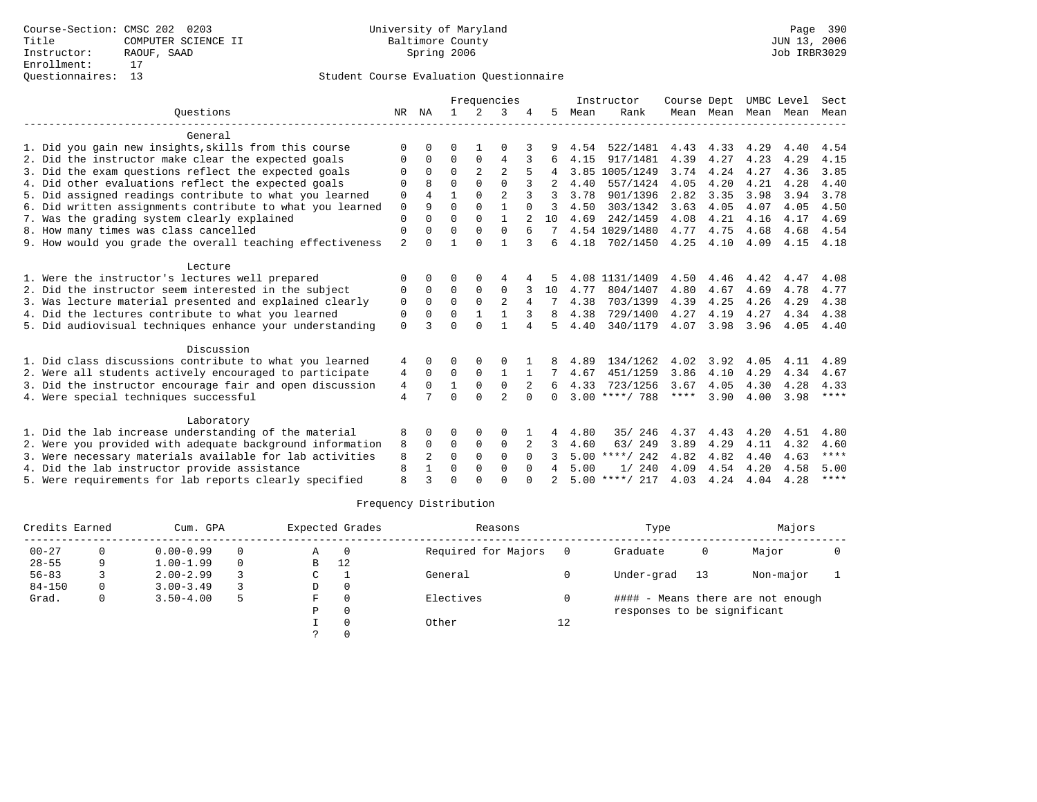|                                                           | Frequencies    |                |              |                | Instructor     | Course Dept |              |      | UMBC Level       | Sect |           |      |      |             |
|-----------------------------------------------------------|----------------|----------------|--------------|----------------|----------------|-------------|--------------|------|------------------|------|-----------|------|------|-------------|
| Ouestions                                                 | NR             | ΝA             | $\mathbf{1}$ | $\mathcal{L}$  | 3              |             | 5.           | Mean | Rank             |      | Mean Mean | Mean | Mean | Mean        |
| General                                                   |                |                |              |                |                |             |              |      |                  |      |           |      |      |             |
| 1. Did you gain new insights, skills from this course     | $\Omega$       | U              | 0            |                | 0              |             |              | 4.54 | 522/1481         | 4.43 | 4.33      | 4.29 | 4.40 | 4.54        |
| 2. Did the instructor make clear the expected goals       | O              | 0              | $\Omega$     | $\Omega$       | 4              | 3           | 6            | 4.15 | 917/1481         | 4.39 | 4.27      | 4.23 | 4.29 | 4.15        |
| 3. Did the exam questions reflect the expected goals      | $\Omega$       | $\Omega$       | $\Omega$     | $\overline{a}$ | $\overline{2}$ |             |              |      | 3.85 1005/1249   | 3.74 | 4.24      | 4.27 | 4.36 | 3.85        |
| 4. Did other evaluations reflect the expected goals       | $\Omega$       | R              | $\Omega$     | $\Omega$       | $\Omega$       |             |              | 4.40 | 557/1424         | 4.05 | 4.20      | 4.21 | 4.28 | 4.40        |
| 5. Did assigned readings contribute to what you learned   | 0              | $\overline{4}$ | 1            | $\Omega$       | $\overline{2}$ | 3           | ζ            | 3.78 | 901/1396         | 2.82 | 3.35      | 3.98 | 3.94 | 3.78        |
| 6. Did written assignments contribute to what you learned | $\mathbf 0$    | 9              | $\Omega$     | $\Omega$       | $\mathbf{1}$   | $\Omega$    | ζ            | 4.50 | 303/1342         | 3.63 | 4.05      | 4.07 | 4.05 | 4.50        |
| 7. Was the grading system clearly explained               | $\Omega$       |                | $\Omega$     | $\Omega$       | 1              |             | 10           | 4.69 | 242/1459         | 4.08 | 4.21      | 4.16 | 4.17 | 4.69        |
| 8. How many times was class cancelled                     | $\Omega$       | 0              | $\Omega$     | $\Omega$       | $\Omega$       | 6           |              |      | 4.54 1029/1480   | 4.77 | 4.75      | 4.68 | 4.68 | 4.54        |
| 9. How would you grade the overall teaching effectiveness | $\overline{2}$ | U              |              | $\Omega$       | $\mathbf{1}$   | २           | 6            | 4.18 | 702/1450         | 4.25 | 4.10      | 4.09 | 4.15 | 4.18        |
| Lecture                                                   |                |                |              |                |                |             |              |      |                  |      |           |      |      |             |
| 1. Were the instructor's lectures well prepared           | $\Omega$       |                | O            | $\Omega$       |                |             |              |      | 4.08 1131/1409   | 4.50 | 4.46      | 4.42 | 4.47 | 4.08        |
| 2. Did the instructor seem interested in the subject      | 0              | $\Omega$       | $\Omega$     | 0              | $\Omega$       |             | 10           | 4.77 | 804/1407         | 4.80 | 4.67      | 4.69 | 4.78 | 4.77        |
| 3. Was lecture material presented and explained clearly   | $\Omega$       | $\Omega$       | $\Omega$     | $\Omega$       | $\overline{2}$ |             |              | 4.38 | 703/1399         | 4.39 | 4.25      | 4.26 | 4.29 | 4.38        |
| 4. Did the lectures contribute to what you learned        | $\Omega$       | 0              | $\Omega$     |                |                |             | 8            | 4.38 | 729/1400         | 4.27 | 4.19      | 4.27 | 4.34 | 4.38        |
| 5. Did audiovisual techniques enhance your understanding  | $\Omega$       | $\mathbf{z}$   | $\Omega$     | $\cap$         |                | 4           | 5            | 4.40 | 340/1179         | 4.07 | 3.98      | 3.96 | 4.05 | 4.40        |
| Discussion                                                |                |                |              |                |                |             |              |      |                  |      |           |      |      |             |
| 1. Did class discussions contribute to what you learned   | 4              | 0              | 0            | O              | O              |             |              | 4.89 | 134/1262         | 4.02 | 3.92      | 4.05 | 4.11 | 4.89        |
| 2. Were all students actively encouraged to participate   | 4              | $\Omega$       | $\Omega$     | $\Omega$       | $\mathbf{1}$   |             |              | 4.67 | 451/1259         | 3.86 | 4.10      | 4.29 | 4.34 | 4.67        |
| 3. Did the instructor encourage fair and open discussion  | 4              | $\Omega$       | 1            | $\mathbf 0$    | $\mathbf 0$    | 2           |              | 4.33 | 723/1256         | 3.67 | 4.05      | 4.30 | 4.28 | 4.33        |
| 4. Were special techniques successful                     | $\overline{4}$ |                | $\cap$       | $\cap$         | $\overline{a}$ | $\cap$      | <sup>n</sup> |      | $3.00$ ****/ 788 | **** | 3.90      | 4.00 | 3.98 | $***$ * * * |
| Laboratory                                                |                |                |              |                |                |             |              |      |                  |      |           |      |      |             |
| 1. Did the lab increase understanding of the material     | 8              | 0              | O            | 0              | $\Omega$       |             | 4            | 4.80 | 246<br>35/       | 4.37 | 4.43      | 4.20 | 4.51 | 4.80        |
| 2. Were you provided with adequate background information | 8              | $\Omega$       | 0            | $\mathbf 0$    | $\mathbf 0$    |             | 3.           | 4.60 | 63/249           | 3.89 | 4.29      | 4.11 | 4.32 | 4.60        |
| 3. Were necessary materials available for lab activities  | 8              | 2              | $\Omega$     | $\Omega$       | $\Omega$       | $\Omega$    |              |      | $5.00$ ****/ 242 | 4.82 | 4.82      | 4.40 | 4.63 | ****        |
| 4. Did the lab instructor provide assistance              | 8              | $\mathbf{1}$   | 0            | 0              | $\mathbf 0$    | $\Omega$    | 4            | 5.00 | 1/240            | 4.09 | 4.54      | 4.20 | 4.58 | 5.00        |
| 5. Were requirements for lab reports clearly specified    | $\mathsf{R}$   | ζ              | $\Omega$     | $\cap$         | $\cap$         | ∩           |              |      | $5.00$ ****/ 217 | 4.03 | 4.24      | 4.04 | 4.28 | $* * * * *$ |

| Credits Earned |   | Cum. GPA      |          |   | Expected Grades | Reasons             |    | Type                        |    | Majors                            |  |
|----------------|---|---------------|----------|---|-----------------|---------------------|----|-----------------------------|----|-----------------------------------|--|
| $00 - 27$      |   | $0.00 - 0.99$ | $\Omega$ | Α |                 | Required for Majors |    | Graduate                    | 0  | Major                             |  |
| $28 - 55$      | 9 | $1.00 - 1.99$ | $\Omega$ | B | 12              |                     |    |                             |    |                                   |  |
| $56 - 83$      |   | $2.00 - 2.99$ |          | C |                 | General             |    | Under-grad                  | 13 | Non-major                         |  |
| $84 - 150$     |   | $3.00 - 3.49$ |          | D | $\Omega$        |                     |    |                             |    |                                   |  |
| Grad.          |   | $3.50 - 4.00$ | 5        | F |                 | Electives           |    |                             |    | #### - Means there are not enough |  |
|                |   |               |          | Ρ |                 |                     |    | responses to be significant |    |                                   |  |
|                |   |               |          |   |                 | Other               | 12 |                             |    |                                   |  |
|                |   |               |          |   |                 |                     |    |                             |    |                                   |  |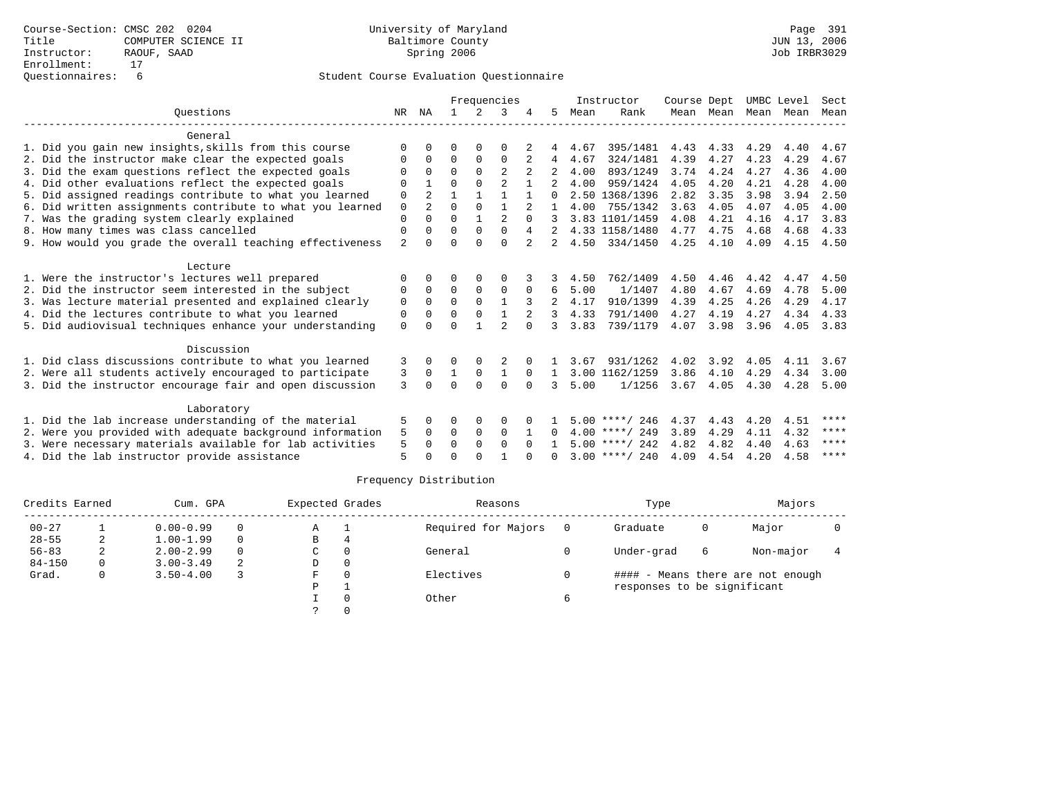|                                                           | Frequencies    |                |          |               |                | Instructor | Course Dept    |      | UMBC Level       |      | Sect      |      |      |         |
|-----------------------------------------------------------|----------------|----------------|----------|---------------|----------------|------------|----------------|------|------------------|------|-----------|------|------|---------|
| Ouestions                                                 | NR             | NA             |          | $\mathcal{L}$ | 3              |            | 5.             | Mean | Rank             |      | Mean Mean | Mean | Mean | Mean    |
| General                                                   |                |                |          |               |                |            |                |      |                  |      |           |      |      |         |
| 1. Did you gain new insights, skills from this course     | ∩              |                | U        | $\Omega$      | $\Omega$       |            |                | 4.67 | 395/1481         | 4.43 | 4.33      | 4.29 | 4.40 | 4.67    |
| 2. Did the instructor make clear the expected goals       | O              | 0              | $\Omega$ | $\Omega$      | $\Omega$       | 2          | 4              | 4.67 | 324/1481         | 4.39 | 4.27      | 4.23 | 4.29 | 4.67    |
| 3. Did the exam questions reflect the expected goals      | $\Omega$       | $\Omega$       | $\Omega$ | $\Omega$      |                |            |                | 4.00 | 893/1249         | 3.74 | 4.24      | 4.27 | 4.36 | 4.00    |
| 4. Did other evaluations reflect the expected goals       | $\Omega$       |                | $\Omega$ | $\Omega$      | $\overline{2}$ |            |                | 4.00 | 959/1424         | 4.05 | 4.20      | 4.21 | 4.28 | 4.00    |
| 5. Did assigned readings contribute to what you learned   | 0              | $\overline{2}$ | 1        | 1             | 1              |            |                |      | 2.50 1368/1396   | 2.82 | 3.35      | 3.98 | 3.94 | 2.50    |
| 6. Did written assignments contribute to what you learned | $\mathbf 0$    | $\overline{2}$ | $\Omega$ | $\Omega$      |                |            |                | 4.00 | 755/1342         | 3.63 | 4.05      | 4.07 | 4.05 | 4.00    |
| 7. Was the grading system clearly explained               | $\Omega$       | $\Omega$       | $\Omega$ |               | $\overline{a}$ | $\Omega$   |                |      | 3.83 1101/1459   | 4.08 | 4.21      | 4.16 | 4.17 | 3.83    |
| 8. How many times was class cancelled                     | $\Omega$       | $\Omega$       | $\Omega$ | $\Omega$      | $\mathbf 0$    | 4          |                |      | 4.33 1158/1480   | 4.77 | 4.75      | 4.68 | 4.68 | 4.33    |
| 9. How would you grade the overall teaching effectiveness | $\mathfrak{D}$ |                | $\Omega$ | $\cap$        | $\Omega$       |            |                | 4.50 | 334/1450         | 4.25 | 4.10      | 4.09 | 4.15 | 4.50    |
| Lecture                                                   |                |                |          |               |                |            |                |      |                  |      |           |      |      |         |
| 1. Were the instructor's lectures well prepared           | $\Omega$       | 0              | 0        | 0             | $\Omega$       |            |                | 4.50 | 762/1409         | 4.50 | 4.46      | 4.42 | 4.47 | 4.50    |
| 2. Did the instructor seem interested in the subject      | $\Omega$       | $\Omega$       | $\Omega$ | $\Omega$      | $\mathbf 0$    | $\Omega$   | 6              | 5.00 | 1/1407           | 4.80 | 4.67      | 4.69 | 4.78 | 5.00    |
| 3. Was lecture material presented and explained clearly   | $\mathbf 0$    | 0              | 0        | $\mathbf 0$   | $\mathbf{1}$   |            | $\overline{2}$ | 4.17 | 910/1399         | 4.39 | 4.25      | 4.26 | 4.29 | 4.17    |
| 4. Did the lectures contribute to what you learned        | $\Omega$       | $\Omega$       | $\Omega$ | $\Omega$      | $\mathbf{1}$   |            | 3              | 4.33 | 791/1400         | 4.27 | 4.19      | 4.27 | 4.34 | 4.33    |
| 5. Did audiovisual techniques enhance your understanding  | $\Omega$       | <sup>n</sup>   | $\Omega$ |               | $\mathcal{D}$  | $\cap$     | 3              | 3.83 | 739/1179         | 4.07 | 3.98      | 3.96 | 4.05 | 3.83    |
| Discussion                                                |                |                |          |               |                |            |                |      |                  |      |           |      |      |         |
| 1. Did class discussions contribute to what you learned   | 3              | 0              | 0        |               |                |            |                | 3.67 | 931/1262         | 4.02 | 3.92      | 4.05 | 4.11 | 3.67    |
| 2. Were all students actively encouraged to participate   | 3              | $\Omega$       |          | 0             | 1              | $\Omega$   | 1              |      | 3.00 1162/1259   | 3.86 | 4.10      | 4.29 | 4.34 | 3.00    |
| 3. Did the instructor encourage fair and open discussion  | 3              | $\cap$         | $\cap$   | $\cap$        | $\cap$         | $\cap$     | 3              | 5.00 | 1/1256           | 3.67 | 4.05      | 4.30 | 4.28 | 5.00    |
| Laboratory                                                |                |                |          |               |                |            |                |      |                  |      |           |      |      |         |
| 1. Did the lab increase understanding of the material     | 5              |                | 0        |               | $\Omega$       |            |                |      | $5.00$ ****/ 246 | 4.37 | 4.43      | 4.20 | 4.51 | ****    |
| 2. Were you provided with adequate background information | 5              | $\Omega$       | $\Omega$ | $\Omega$      | $\Omega$       |            | 0              |      | $4.00$ ****/ 249 | 3.89 | 4.29      | 4.11 | 4.32 | $***$ * |
| 3. Were necessary materials available for lab activities  | 5              | $\Omega$       | $\Omega$ | $\Omega$      | $\Omega$       | $\Omega$   | $\mathbf{1}$   |      | $5.00$ ****/ 242 | 4.82 | 4.82      | 4.40 | 4.63 | ****    |
| 4. Did the lab instructor provide assistance              | 5              |                | $\Omega$ | $\cap$        |                |            | <sup>n</sup>   |      | $3.00$ ****/ 240 | 4.09 | 4.54      | 4.20 | 4.58 | ****    |
|                                                           |                |                |          |               |                |            |                |      |                  |      |           |      |      |         |

| Credits Earned |   | Cum. GPA      |          | Expected Grades |          | Reasons             |     | Type                        |   | Majors                            |  |
|----------------|---|---------------|----------|-----------------|----------|---------------------|-----|-----------------------------|---|-----------------------------------|--|
| $00 - 27$      |   | $0.00 - 0.99$ | 0        | Α               |          | Required for Majors | - 0 | Graduate                    | 0 | Major                             |  |
| $28 - 55$      | 2 | $1.00 - 1.99$ | $\Omega$ | B               | 4        |                     |     |                             |   |                                   |  |
| $56 - 83$      | 2 | $2.00 - 2.99$ | $\Omega$ | C               | $\Omega$ | General             |     | Under-grad                  | 6 | Non-major                         |  |
| $84 - 150$     | 0 | $3.00 - 3.49$ | 2        | D               | 0        |                     |     |                             |   |                                   |  |
| Grad.          | 0 | $3.50 - 4.00$ |          | F.              | $\Omega$ | Electives           |     |                             |   | #### - Means there are not enough |  |
|                |   |               |          | D               |          |                     |     | responses to be significant |   |                                   |  |
|                |   |               |          |                 |          | Other               | 6   |                             |   |                                   |  |
|                |   |               |          |                 |          |                     |     |                             |   |                                   |  |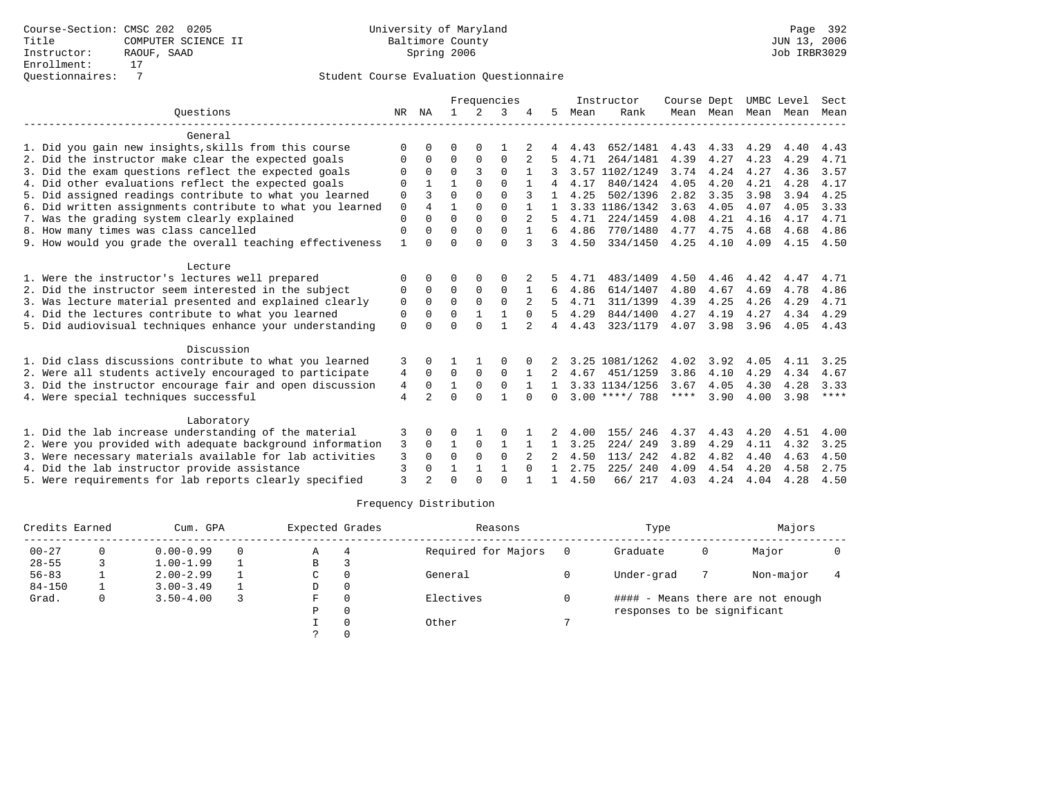|                                                           | Frequencies    |                |              |               |              | Instructor   | Course Dept  |      | UMBC Level       |      | Sect      |      |      |             |
|-----------------------------------------------------------|----------------|----------------|--------------|---------------|--------------|--------------|--------------|------|------------------|------|-----------|------|------|-------------|
| Ouestions                                                 | NR             | ΝA             | $\mathbf{1}$ | $\mathcal{L}$ | 3            |              | 5.           | Mean | Rank             |      | Mean Mean | Mean | Mean | Mean        |
| General                                                   |                |                |              |               |              |              |              |      |                  |      |           |      |      |             |
| 1. Did you gain new insights, skills from this course     | $\Omega$       | O              | 0            | O             |              |              |              | 4.43 | 652/1481         | 4.43 | 4.33      | 4.29 | 4.40 | 4.43        |
| 2. Did the instructor make clear the expected goals       | O              | $\Omega$       | $\Omega$     | 0             | $\Omega$     | 2            |              | 4.71 | 264/1481         | 4.39 | 4.27      | 4.23 | 4.29 | 4.71        |
| 3. Did the exam questions reflect the expected goals      |                | 0              | $\Omega$     | ς             | $\Omega$     |              |              |      | 3.57 1102/1249   | 3.74 | 4.24      | 4.27 | 4.36 | 3.57        |
| 4. Did other evaluations reflect the expected goals       | $\Omega$       |                |              | $\Omega$      | $\Omega$     |              |              | 4.17 | 840/1424         | 4.05 | 4.20      | 4.21 | 4.28 | 4.17        |
| 5. Did assigned readings contribute to what you learned   | 0              | 3              | $\Omega$     | $\Omega$      | $\Omega$     |              |              | 4.25 | 502/1396         | 2.82 | 3.35      | 3.98 | 3.94 | 4.25        |
| 6. Did written assignments contribute to what you learned | $\mathbf 0$    | 4              | 1            | $\Omega$      | $\cap$       | $\mathbf{1}$ |              |      | 3.33 1186/1342   | 3.63 | 4.05      | 4.07 | 4.05 | 3.33        |
| 7. Was the grading system clearly explained               | $\Omega$       |                | $\Omega$     | $\Omega$      | $\Omega$     |              |              | 4.71 | 224/1459         | 4.08 | 4.21      | 4.16 | 4.17 | 4.71        |
| 8. How many times was class cancelled                     | 0              | <sup>0</sup>   | $\Omega$     | $\Omega$      | $\Omega$     | $\mathbf{1}$ | 6            | 4.86 | 770/1480         | 4.77 | 4.75      | 4.68 | 4.68 | 4.86        |
| 9. How would you grade the overall teaching effectiveness | 1              |                | $\Omega$     | $\Omega$      | $\Omega$     | 3            | 3            | 4.50 | 334/1450         | 4.25 | 4.10      | 4.09 | 4.15 | 4.50        |
| Lecture                                                   |                |                |              |               |              |              |              |      |                  |      |           |      |      |             |
| 1. Were the instructor's lectures well prepared           | $\Omega$       |                | 0            | $\Omega$      | $\Omega$     |              |              | 4.71 | 483/1409         | 4.50 | 4.46      | 4.42 | 4.47 | 4.71        |
| 2. Did the instructor seem interested in the subject      | 0              | $\Omega$       | $\Omega$     | 0             | $\Omega$     |              | 6            | 4.86 | 614/1407         | 4.80 | 4.67      | 4.69 | 4.78 | 4.86        |
| 3. Was lecture material presented and explained clearly   | 0              | $\Omega$       | $\Omega$     | $\Omega$      | $\Omega$     |              |              | 4.71 | 311/1399         | 4.39 | 4.25      | 4.26 | 4.29 | 4.71        |
| 4. Did the lectures contribute to what you learned        | 0              | 0              | $\Omega$     |               |              | $\Omega$     |              | 4.29 | 844/1400         | 4.27 | 4.19      | 4.27 | 4.34 | 4.29        |
| 5. Did audiovisual techniques enhance your understanding  | $\mathbf 0$    |                | $\Omega$     | $\cap$        | $\mathbf{1}$ |              | 4            | 4.43 | 323/1179         | 4.07 | 3.98      | 3.96 | 4.05 | 4.43        |
| Discussion                                                |                |                |              |               |              |              |              |      |                  |      |           |      |      |             |
| 1. Did class discussions contribute to what you learned   | 3              | 0              |              |               | O            |              |              |      | 3.25 1081/1262   | 4.02 | 3.92      | 4.05 | 4.11 | 3.25        |
| 2. Were all students actively encouraged to participate   | 4              | 0              | 0            | 0             | $\mathbf 0$  |              |              | 4.67 | 451/1259         | 3.86 | 4.10      | 4.29 | 4.34 | 4.67        |
| 3. Did the instructor encourage fair and open discussion  | 4              | 0              | 1            | $\mathbf 0$   | $\mathbf 0$  |              |              |      | 3.33 1134/1256   | 3.67 | 4.05      | 4.30 | 4.28 | 3.33        |
| 4. Were special techniques successful                     | $\overline{4}$ | $\overline{2}$ | $\Omega$     | $\cap$        | $\mathbf{1}$ | $\cap$       | <sup>0</sup> |      | $3.00$ ****/ 788 | **** | 3.90      | 4.00 | 3.98 | $***$ * * * |
| Laboratory                                                |                |                |              |               |              |              |              |      |                  |      |           |      |      |             |
| 1. Did the lab increase understanding of the material     | 3              | 0              | O            |               | $\Omega$     |              |              | 4.00 | 155/ 246         | 4.37 | 4.43      | 4.20 | 4.51 | 4.00        |
| 2. Were you provided with adequate background information | 3              | $\Omega$       | $\mathbf{1}$ | $\Omega$      | 1            |              |              | 3.25 | 224/249          | 3.89 | 4.29      | 4.11 | 4.32 | 3.25        |
| 3. Were necessary materials available for lab activities  | 3              | 0              | $\Omega$     | $\Omega$      | $\Omega$     |              | 2            | 4.50 | 113/242          | 4.82 | 4.82      | 4.40 | 4.63 | 4.50        |
| 4. Did the lab instructor provide assistance              | 3              | 0              |              |               | $\mathbf{1}$ | $\Omega$     |              | 2.75 | 225/240          | 4.09 | 4.54      | 4.20 | 4.58 | 2.75        |
| 5. Were requirements for lab reports clearly specified    | ζ              |                | $\cap$       | $\cap$        | $\cap$       |              |              | 4.50 | 66/ 217          | 4.03 | 4.24      | 4.04 | 4.28 | 4.50        |

| Credits Earned |   | Cum. GPA      |          | Expected Grades | Reasons             |  | Type                        |   | Majors                            |  |
|----------------|---|---------------|----------|-----------------|---------------------|--|-----------------------------|---|-----------------------------------|--|
| $00 - 27$      |   | $0.00 - 0.99$ | $\Omega$ | Α               | Required for Majors |  | Graduate                    | 0 | Major                             |  |
| $28 - 55$      |   | $1.00 - 1.99$ |          | В               |                     |  |                             |   |                                   |  |
| $56 - 83$      |   | $2.00 - 2.99$ |          | C               | General             |  | Under-grad                  |   | Non-major                         |  |
| $84 - 150$     |   | $3.00 - 3.49$ |          | D               |                     |  |                             |   |                                   |  |
| Grad.          | 0 | $3.50 - 4.00$ |          | F               | Electives           |  |                             |   | #### - Means there are not enough |  |
|                |   |               |          | P               |                     |  | responses to be significant |   |                                   |  |
|                |   |               |          | Other           | 7                   |  |                             |   |                                   |  |
|                |   |               |          |                 |                     |  |                             |   |                                   |  |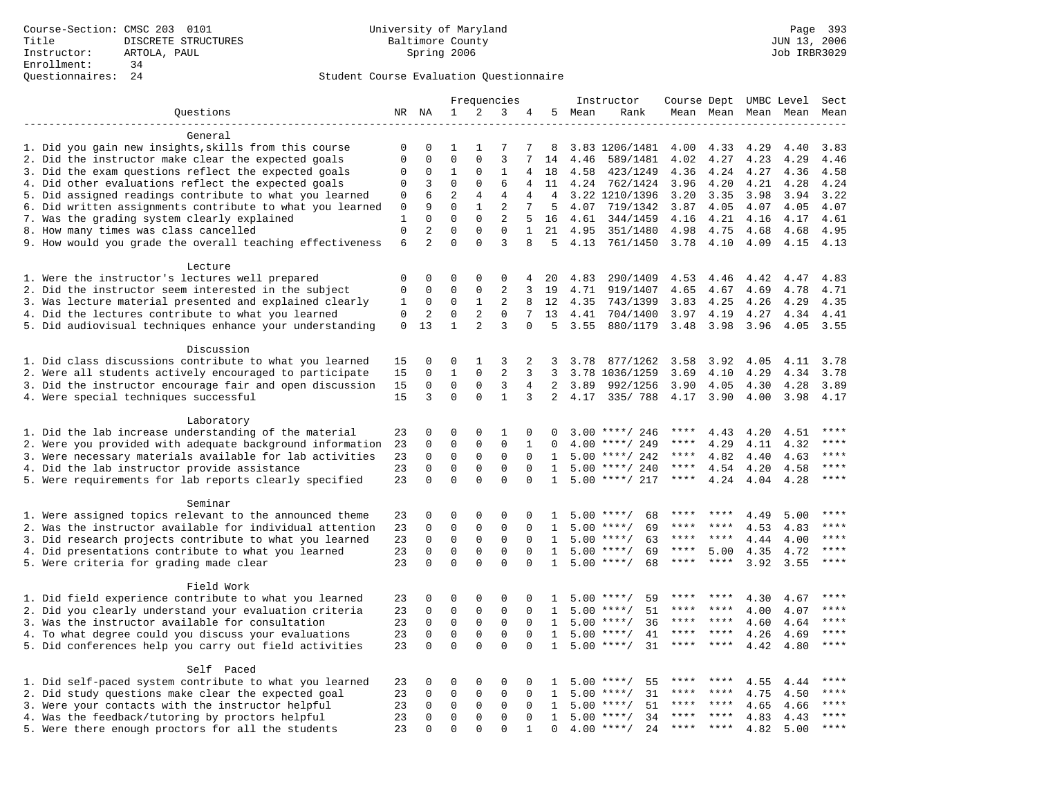# Questionnaires: 24 Student Course Evaluation Questionnaire

|                                                           |              | Frequencies    |                              |                            |                |                | Instructor   | Course Dept |                    |             | UMBC Level | Sect |           |         |
|-----------------------------------------------------------|--------------|----------------|------------------------------|----------------------------|----------------|----------------|--------------|-------------|--------------------|-------------|------------|------|-----------|---------|
| Questions                                                 |              | NR NA          | 1                            | 2                          | 3              | 4              | 5            | Mean        | Rank               |             | Mean Mean  |      | Mean Mean | Mean    |
|                                                           |              |                |                              |                            |                |                |              |             |                    |             |            |      |           |         |
| General                                                   |              |                |                              |                            |                |                |              |             |                    |             |            |      |           |         |
| 1. Did you gain new insights, skills from this course     | 0            | 0              | 1                            | -1                         | 7              | 7              | 8            |             | 3.83 1206/1481     | 4.00        | 4.33       | 4.29 | 4.40      | 3.83    |
| 2. Did the instructor make clear the expected goals       | $\mathbf 0$  | $\mathbf 0$    | $\mathbf{0}$                 | $\mathbf 0$                | 3              | 7              | 14           | 4.46        | 589/1481           | 4.02        | 4.27       | 4.23 | 4.29      | 4.46    |
| 3. Did the exam questions reflect the expected goals      | 0            | 0              | 1                            | 0                          | 1              | 4              | 18           | 4.58        | 423/1249           | 4.36        | 4.24       | 4.27 | 4.36      | 4.58    |
| 4. Did other evaluations reflect the expected goals       | $\mathbf 0$  | 3              | $\mathbf{0}$                 | $\Omega$                   | 6              | 4              | 11           | 4.24        | 762/1424           | 3.96        | 4.20       | 4.21 | 4.28      | 4.24    |
| 5. Did assigned readings contribute to what you learned   | $\mathbf 0$  | 6              | $\overline{2}$               | $\overline{4}$             | 4              | 4              | 4            |             | 3.22 1210/1396     | 3.20        | 3.35       | 3.98 | 3.94      | 3.22    |
| 6. Did written assignments contribute to what you learned | $\mathbf 0$  | 9              | $\mathbf 0$                  | $\mathbf{1}$               | 2              | 7              | 5            | 4.07        | 719/1342           | 3.87        | 4.05       | 4.07 | 4.05      | 4.07    |
| 7. Was the grading system clearly explained               | $\mathbf{1}$ | $\mathbf 0$    | $\mathbf{0}$                 | $\mathbf 0$                | $\mathbf{2}$   | 5              | 16           | 4.61        | 344/1459           | 4.16        | 4.21       | 4.16 | 4.17      | 4.61    |
| 8. How many times was class cancelled                     | $\mathbf 0$  | $\overline{2}$ | $\mathbf{0}$                 | $\mathbf 0$                | $\mathbf 0$    | $\mathbf{1}$   | 21           | 4.95        | 351/1480           | 4.98        | 4.75       | 4.68 | 4.68      | 4.95    |
| 9. How would you grade the overall teaching effectiveness | 6            | $\overline{a}$ | $\Omega$                     | $\Omega$                   | 3              | 8              | 5            | 4.13        | 761/1450           | 3.78        | 4.10       | 4.09 | 4.15      | 4.13    |
|                                                           |              |                |                              |                            |                |                |              |             |                    |             |            |      |           |         |
| Lecture                                                   |              |                |                              |                            |                |                |              |             |                    |             |            |      |           |         |
| 1. Were the instructor's lectures well prepared           | $\mathbf 0$  | $\mathbf 0$    | $\mathbf{0}$<br>$\mathbf{0}$ | $\mathbf 0$<br>$\mathbf 0$ | $\mathbf 0$    | 4              | 20           | 4.83        | 290/1409           | 4.53        | 4.46       | 4.42 | 4.47      | 4.83    |
| 2. Did the instructor seem interested in the subject      | 0            | 0              |                              |                            | $\overline{2}$ | 3              | 19           | 4.71        | 919/1407           | 4.65        | 4.67       | 4.69 | 4.78      | 4.71    |
| 3. Was lecture material presented and explained clearly   | 1            | 0              | 0                            | 1                          | 2              | 8              | 12           | 4.35        | 743/1399           | 3.83        | 4.25       | 4.26 | 4.29      | 4.35    |
| 4. Did the lectures contribute to what you learned        | $\mathbf 0$  | 2              | $\mathbf{0}$                 | 2                          | $\mathbf 0$    | 7              | 13           | 4.41        | 704/1400           | 3.97        | 4.19       | 4.27 | 4.34      | 4.41    |
| 5. Did audiovisual techniques enhance your understanding  | $\mathbf 0$  | 13             | $\mathbf{1}$                 | $\overline{2}$             | 3              | $\Omega$       | 5            | 3.55        | 880/1179           | 3.48        | 3.98       | 3.96 | 4.05      | 3.55    |
| Discussion                                                |              |                |                              |                            |                |                |              |             |                    |             |            |      |           |         |
| 1. Did class discussions contribute to what you learned   | 15           | 0              | $\mathbf 0$                  | 1                          | 3              | 2              | 3            | 3.78        | 877/1262           | 3.58        | 3.92       | 4.05 | 4.11      | 3.78    |
| 2. Were all students actively encouraged to participate   | 15           | $\mathbf 0$    | $\mathbf{1}$                 | $\Omega$                   | $\overline{2}$ | 3              | 3            |             | 3.78 1036/1259     | 3.69        | 4.10       | 4.29 | 4.34      | 3.78    |
| 3. Did the instructor encourage fair and open discussion  | 15           | $\mathbf 0$    | $\mathbf{0}$                 | $\mathbf 0$                | 3              | $\overline{4}$ | 2            | 3.89        | 992/1256           | 3.90        | 4.05       | 4.30 | 4.28      | 3.89    |
| 4. Were special techniques successful                     | 15           | 3              | $\mathbf 0$                  | $\mathbf 0$                | $\mathbf{1}$   | 3              | 2            | 4.17        | 335/788            | 4.17        | 3.90       | 4.00 | 3.98      | 4.17    |
|                                                           |              |                |                              |                            |                |                |              |             |                    |             |            |      |           |         |
| Laboratory                                                |              |                |                              |                            |                |                |              |             |                    |             |            |      |           |         |
| 1. Did the lab increase understanding of the material     | 23           | 0              | $\mathbf{0}$                 | $\mathbf 0$                | 1              | $\mathbf 0$    | $\Omega$     |             | $3.00$ ****/ 246   | ****        | 4.43       | 4.20 | 4.51      |         |
| 2. Were you provided with adequate background information | 23           | 0              | $\mathbf{0}$                 | $\mathbf 0$                | $\mathbf{0}$   | 1              | $\Omega$     | 4.00        | ****/ 249          | ****        | 4.29       | 4.11 | 4.32      | ****    |
| 3. Were necessary materials available for lab activities  | 23           | $\mathbf 0$    | $\mathbf 0$                  | $\mathsf 0$                | $\mathsf 0$    | $\mathbf 0$    | 1            | 5.00        | ****/ 242          | $***$ * * * | 4.82       | 4.40 | 4.63      | $***$   |
| 4. Did the lab instructor provide assistance              | 23           | $\Omega$       | $\mathbf{0}$                 | $\mathbf 0$                | $\mathbf 0$    | $\Omega$       | $\mathbf{1}$ |             | $5.00$ ****/ 240   | ****        | 4.54       | 4.20 | 4.58      | $***$   |
| 5. Were requirements for lab reports clearly specified    | 23           | $\mathbf 0$    | $\mathbf 0$                  | $\Omega$                   | $\mathbf{0}$   | $\Omega$       | $\mathbf{1}$ |             | $5.00$ ****/ 217   | ****        | 4.24       | 4.04 | 4.28      | ****    |
|                                                           |              |                |                              |                            |                |                |              |             |                    |             |            |      |           |         |
| Seminar                                                   |              |                |                              |                            |                |                |              |             |                    |             |            |      |           |         |
| 1. Were assigned topics relevant to the announced theme   | 23           | 0              | $\mathbf 0$                  | $\mathbf 0$                | $\mathbf 0$    | $\mathbf 0$    | 1            | 5.00        | 68<br>**** /       | ****        | ****       | 4.49 | 5.00      | ****    |
| 2. Was the instructor available for individual attention  | 23           | $\mathbf 0$    | $\mathsf 0$                  | $\mathsf 0$                | $\mathsf 0$    | 0              | 1            | 5.00        | $***$ /<br>69      | ****        |            | 4.53 | 4.83      |         |
| 3. Did research projects contribute to what you learned   | 23           | $\mathbf 0$    | $\mathbf 0$                  | $\mathsf 0$                | $\mathbf 0$    | $\Omega$       | 1            | 5.00        | $***$ /<br>63      | ****        | ****       | 4.44 | 4.00      | ****    |
| 4. Did presentations contribute to what you learned       | 23           | $\mathbf 0$    | $\mathbf{0}$                 | $\mathbf 0$                | $\mathbf{0}$   | $\Omega$       | 1            | 5.00        | $***$ /<br>69      | $***$ * * * | 5.00       | 4.35 | 4.72      | $***$   |
| 5. Were criteria for grading made clear                   | 23           | $\Omega$       | $\Omega$                     | $\Omega$                   | $\Omega$       | $\Omega$       | $\mathbf{1}$ |             | $5.00$ ****/<br>68 | $***$ * * * | ****       | 3.92 | 3.55      | ****    |
|                                                           |              |                |                              |                            |                |                |              |             |                    |             |            |      |           |         |
| Field Work                                                |              |                |                              |                            |                |                |              |             |                    |             |            |      |           |         |
| 1. Did field experience contribute to what you learned    | 23           | 0              | $\mathbf 0$                  | $\mathbf 0$                | $\mathbf 0$    | $\Omega$       | 1            |             | $5.00$ ****/<br>59 |             |            | 4.30 | 4.67      |         |
| 2. Did you clearly understand your evaluation criteria    | 23           | $\mathbf 0$    | $\mathbf{0}$                 | $\mathbf 0$                | $\mathbf{0}$   | $\Omega$       | $\mathbf{1}$ | 5.00        | 51<br>$***/$       | ****        | ****       | 4.00 | 4.07      | $***$   |
| 3. Was the instructor available for consultation          | 23           | $\mathbf 0$    | $\mathbf 0$                  | $\mathbf 0$                | $\mathbf 0$    | 0              | $\mathbf{1}$ | 5.00        | $***$ /<br>36      | ****        | ****       | 4.60 | 4.64      | ****    |
| 4. To what degree could you discuss your evaluations      | 23           | $\mathbf 0$    | $\mathbf 0$                  | $\mathsf 0$                | $\mathsf 0$    | $\mathbf 0$    | 1            | 5.00        | $***$ /<br>41      | ****        | $***$ *    | 4.26 | 4.69      | $***$   |
| 5. Did conferences help you carry out field activities    | 23           | $\Omega$       | $\mathbf 0$                  | $\Omega$                   | $\Omega$       | $\Omega$       | 1            | 5.00        | 31<br>$***$ /      | ****        | ****       | 4.42 | 4.80      | ****    |
|                                                           |              |                |                              |                            |                |                |              |             |                    |             |            |      |           |         |
| Self Paced                                                |              |                |                              |                            |                |                |              |             |                    |             |            |      |           |         |
| 1. Did self-paced system contribute to what you learned   | 23           | 0              | $\mathbf 0$                  | $\mathbf 0$                | $\mathbf 0$    | $\Omega$       | 1            | 5.00        | 55<br>****/        | ****        |            | 4.55 | 4.44      | ****    |
| 2. Did study questions make clear the expected goal       | 23           | $\mathbf 0$    | $\mathbf 0$                  | $\mathsf 0$                | $\mathsf 0$    | $\mathbf 0$    | 1            | 5.00        | $***$ /<br>31      | ****        | $* * * *$  | 4.75 | 4.50      |         |
| 3. Were your contacts with the instructor helpful         | 23           | $\mathbf 0$    | $\mathbf 0$                  | $\mathbf 0$                | $\mathbf{0}$   | 0              | 1            | 5.00        | 51<br>$***$ /      | ****        | ****       | 4.65 | 4.66      | ****    |
| 4. Was the feedback/tutoring by proctors helpful          | 23           | 0              | $\mathbf 0$                  | $\mathbf 0$                | $\mathbf{0}$   | $\mathbf 0$    | 1            | 5.00        | $***$ /<br>34      |             |            | 4.83 | 4.43      | * * * * |
| 5. Were there enough proctors for all the students        | 23           | $\mathbf 0$    | $\mathbf{0}$                 | $\Omega$                   | $\Omega$       | 1              | $\mathbf 0$  |             | $4.00$ ****/<br>24 | ****        | $***$      | 4.82 | 5.00      | ****    |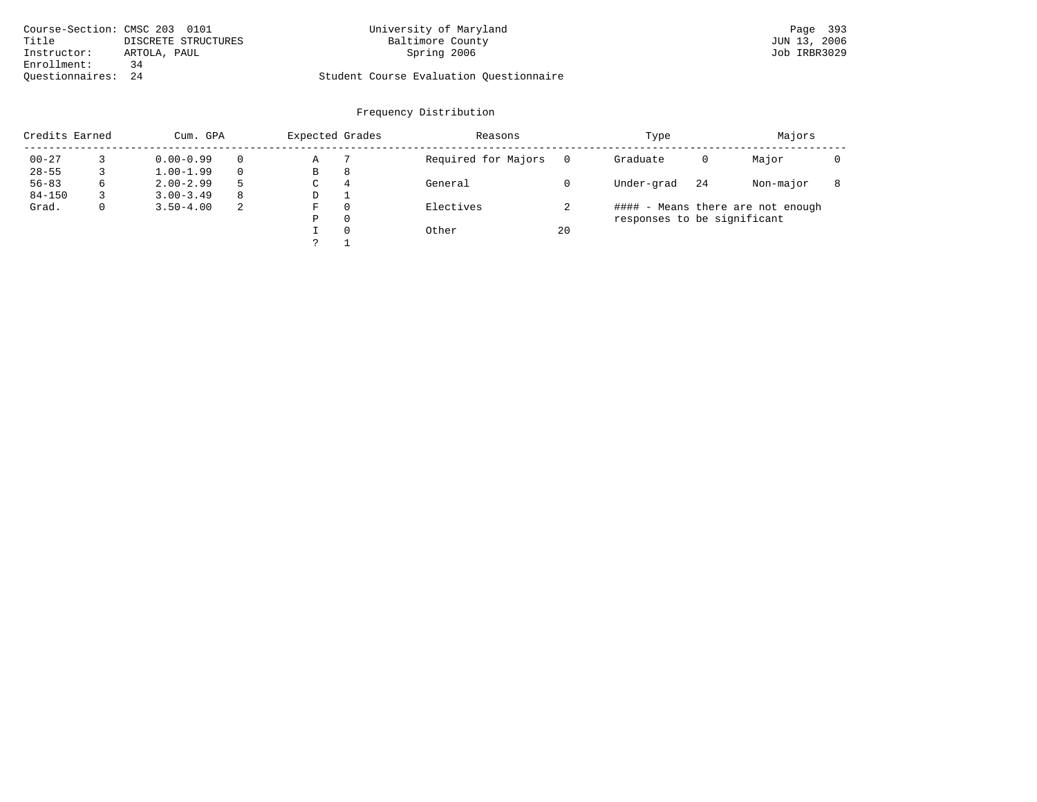| Course-Section: CMSC 203 0101 | University of Maryland                  | Page 393     |
|-------------------------------|-----------------------------------------|--------------|
| Title<br>DISCRETE STRUCTURES  | Baltimore County                        | JUN 13, 2006 |
| Instructor:<br>ARTOLA, PAUL   | Spring 2006                             | Job IRBR3029 |
| Enrollment:<br>34             |                                         |              |
| Ouestionnaires: 24            | Student Course Evaluation Questionnaire |              |

| Credits Earned |   | Cum. GPA      |   | Expected Grades |          | Reasons             |    | Type                        |    | Majors                            |  |
|----------------|---|---------------|---|-----------------|----------|---------------------|----|-----------------------------|----|-----------------------------------|--|
| $00 - 27$      |   | $0.00 - 0.99$ |   | Α               |          | Required for Majors |    | Graduate                    | 0  | Major                             |  |
| $28 - 55$      |   | $1.00 - 1.99$ |   | В               | 8        |                     |    |                             |    |                                   |  |
| $56 - 83$      | 6 | $2.00 - 2.99$ | 5 | $\sim$<br>◡     | 4        | General             |    | Under-grad                  | 24 | Non-major                         |  |
| $84 - 150$     |   | $3.00 - 3.49$ | 8 | D               |          |                     |    |                             |    |                                   |  |
| Grad.          | 0 | $3.50 - 4.00$ | 2 | F               |          | Electives           |    |                             |    | #### - Means there are not enough |  |
|                |   |               |   | Ρ               | 0        |                     |    | responses to be significant |    |                                   |  |
|                |   |               |   |                 | $\Omega$ | Other               | 20 |                             |    |                                   |  |
|                |   |               |   | C               |          |                     |    |                             |    |                                   |  |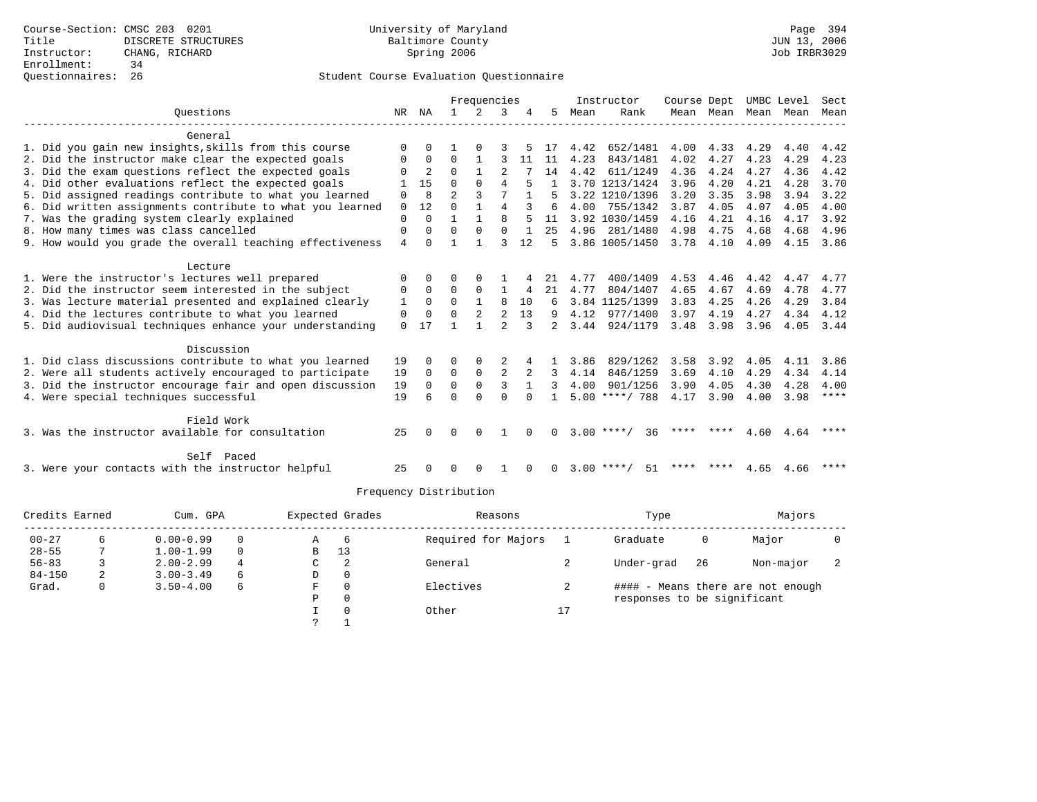|                                                           |                | Frequencies |                |                |                |              | Instructor | Course Dept |                    |      | UMBC Level | Sect |           |      |
|-----------------------------------------------------------|----------------|-------------|----------------|----------------|----------------|--------------|------------|-------------|--------------------|------|------------|------|-----------|------|
| Ouestions                                                 | NR.            | ΝA          | $\mathbf{1}$   | 2              | 3              |              | 5.         | Mean        | Rank               |      | Mean Mean  | Mean | Mean      | Mean |
| General                                                   |                |             |                |                |                |              |            |             |                    |      |            |      |           |      |
| 1. Did you gain new insights, skills from this course     | $\Omega$       |             |                |                |                |              | 17         | 4.42        | 652/1481           | 4.00 | 4.33       | 4.29 | 4.40      | 4.42 |
| 2. Did the instructor make clear the expected goals       | $\mathbf 0$    | $\Omega$    | $\Omega$       | $\mathbf{1}$   |                | 11           | 11         | 4.23        | 843/1481           | 4.02 | 4.27       | 4.23 | 4.29      | 4.23 |
| 3. Did the exam questions reflect the expected goals      | $\Omega$       | 2           | $\Omega$       | $\mathbf{1}$   | $\mathfrak{D}$ |              | 14         | 4.42        | 611/1249           | 4.36 | 4.24       | 4.27 | 4.36      | 4.42 |
| 4. Did other evaluations reflect the expected goals       |                | 15          | $\Omega$       | $\Omega$       | 4              |              |            |             | 3.70 1213/1424     | 3.96 | 4.20       | 4.21 | 4.28      | 3.70 |
| 5. Did assigned readings contribute to what you learned   | $\mathbf 0$    | 8           | $\mathfrak{D}$ |                |                |              |            |             | 3.22 1210/1396     | 3.20 | 3.35       | 3.98 | 3.94      | 3.22 |
| 6. Did written assignments contribute to what you learned | $\mathbf 0$    | 12          | $\Omega$       | $\mathbf{1}$   | $\overline{4}$ |              | 6          | 4.00        | 755/1342           | 3.87 | 4.05       | 4.07 | 4.05      | 4.00 |
| 7. Was the grading system clearly explained               | $\Omega$       | $\Omega$    | $\mathbf{1}$   | $\mathbf{1}$   | $\mathsf{R}$   |              | 11         |             | 3.92 1030/1459     | 4.16 | 4.21       | 4.16 | 4.17      | 3.92 |
| 8. How many times was class cancelled                     | 0              | $\Omega$    | $\Omega$       | $\Omega$       | $\Omega$       | $\mathbf{1}$ | 25         | 4.96        | 281/1480           | 4.98 | 4.75       | 4.68 | 4.68      | 4.96 |
| 9. How would you grade the overall teaching effectiveness | $\overline{4}$ | $\Omega$    |                |                | ς              | 12           | .5         |             | 3.86 1005/1450     |      | 3.78 4.10  | 4.09 | 4.15      | 3.86 |
|                                                           |                |             |                |                |                |              |            |             |                    |      |            |      |           |      |
| Lecture                                                   |                |             |                |                |                |              |            |             |                    |      |            |      |           |      |
| 1. Were the instructor's lectures well prepared           | 0              | $\Omega$    | O              |                |                |              | 21         | 4.77        | 400/1409           | 4.53 | 4.46       | 4.42 | 4.47      | 4.77 |
| 2. Did the instructor seem interested in the subject      | 0              | $\Omega$    | $\Omega$       | $\mathbf 0$    | 1              | 4            | 21         | 4.77        | 804/1407           | 4.65 | 4.67       | 4.69 | 4.78      | 4.77 |
| 3. Was lecture material presented and explained clearly   | 1              | $\Omega$    | $\Omega$       | $\mathbf{1}$   | 8              | 10           | 6          |             | 3.84 1125/1399     | 3.83 | 4.25       | 4.26 | 4.29      | 3.84 |
| 4. Did the lectures contribute to what you learned        | $\mathbf 0$    | $\Omega$    | $\Omega$       | $\overline{a}$ | $\overline{a}$ | 13           | 9          | 4.12        | 977/1400           | 3.97 | 4.19       | 4.27 | 4.34      | 4.12 |
| 5. Did audiovisual techniques enhance your understanding  | $\Omega$       | 17          |                | 1              | $\mathfrak{D}$ | 3            | 2          | 3.44        | 924/1179           | 3.48 | 3.98       | 3.96 | 4.05 3.44 |      |
|                                                           |                |             |                |                |                |              |            |             |                    |      |            |      |           |      |
| Discussion                                                |                |             |                |                |                |              |            |             |                    |      |            |      |           |      |
| 1. Did class discussions contribute to what you learned   | 19             | $\Omega$    | $\Omega$       | $\Omega$       | 2              | 4            | 1.         | 3.86        | 829/1262           | 3.58 | 3.92       | 4.05 | 4.11      | 3.86 |
| 2. Were all students actively encouraged to participate   | 19             | $\Omega$    | $\Omega$       | $\mathbf 0$    |                |              |            | 4.14        | 846/1259           | 3.69 | 4.10       | 4.29 | 4.34      | 4.14 |
| 3. Did the instructor encourage fair and open discussion  | 19             | $\Omega$    | $\Omega$       | $\Omega$       | ζ              | $\mathbf{1}$ | 3          | 4.00        | 901/1256           | 3.90 | 4.05       | 4.30 | 4.28      | 4.00 |
| 4. Were special techniques successful                     | 19             |             | $\Omega$       | $\Omega$       | $\Omega$       | $\Omega$     |            |             | $5.00$ ****/ 788   | 4.17 | 3.90       | 4.00 | 3.98      | **** |
|                                                           |                |             |                |                |                |              |            |             |                    |      |            |      |           |      |
| Field Work                                                |                |             |                |                |                |              |            |             |                    |      |            |      |           |      |
| 3. Was the instructor available for consultation          | 25             |             | $\Omega$       | $\Omega$       |                | $\Omega$     | 0          |             | $3.00$ ****/<br>36 |      | **** ****  | 4.60 | 4.64      | **** |
|                                                           |                |             |                |                |                |              |            |             |                    |      |            |      |           |      |
| Self Paced                                                |                |             |                |                |                |              |            |             |                    |      |            |      |           |      |
| 3. Were your contacts with the instructor helpful         | 25             |             | $\Omega$       |                |                |              | $\Omega$   |             | $3.00$ ****/<br>51 |      | **** ****  |      | 4.65 4.66 | **** |

| Credits Earned |   | Cum. GPA      |   | Expected Grades |          | Reasons             |    | Type                        |    | Majors                            |  |
|----------------|---|---------------|---|-----------------|----------|---------------------|----|-----------------------------|----|-----------------------------------|--|
| $00 - 27$      |   | $0.00 - 0.99$ | 0 | Α               | b        | Required for Majors |    | Graduate                    | 0  | Major                             |  |
| $28 - 55$      |   | $1.00 - 1.99$ | 0 | B               | 13       |                     |    |                             |    |                                   |  |
| $56 - 83$      |   | $2.00 - 2.99$ |   | C.              |          | General             |    | Under-grad                  | 26 | Non-major                         |  |
| $84 - 150$     | 2 | $3.00 - 3.49$ | 6 | D               | 0        |                     |    |                             |    |                                   |  |
| Grad.          |   | $3.50 - 4.00$ | 6 | F               |          | Electives           |    |                             |    | #### - Means there are not enough |  |
|                |   |               |   | Ρ               | $\Omega$ |                     |    | responses to be significant |    |                                   |  |
|                |   |               |   |                 |          | Other               | 17 |                             |    |                                   |  |
|                |   |               |   |                 |          |                     |    |                             |    |                                   |  |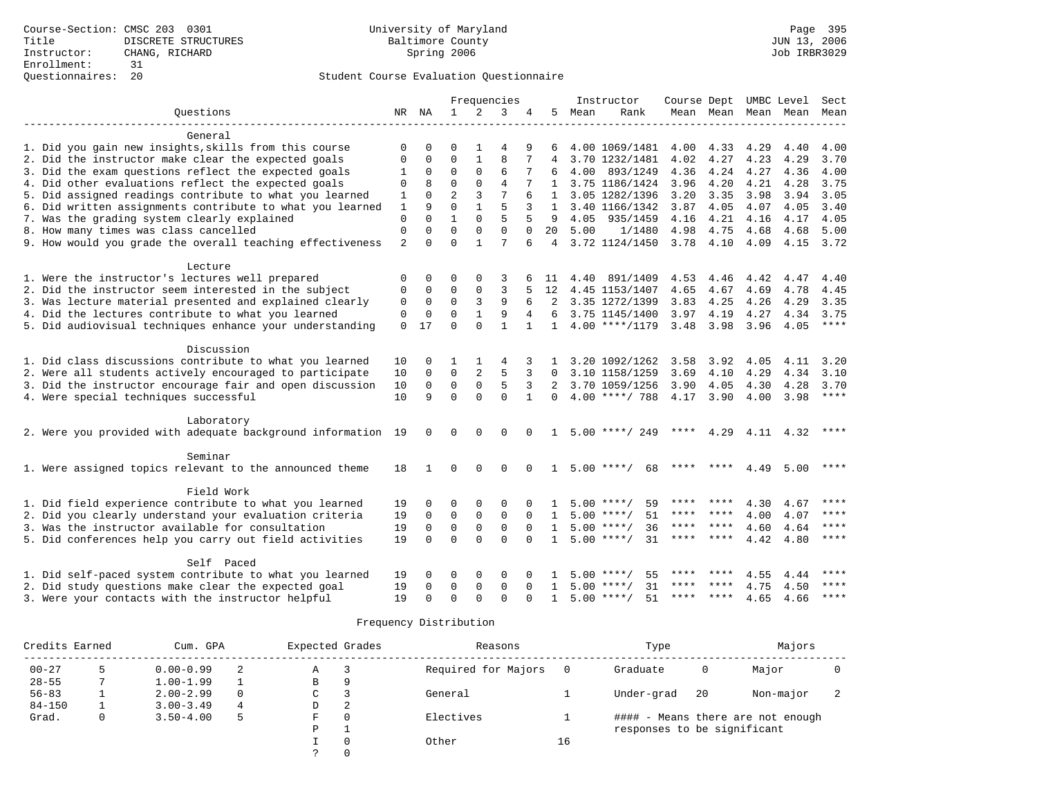|                                                              |                |              | Frequencies             |                         |                | Instructor        |              | Course Dept UMBC Level |                    |           |             | Sect |           |               |
|--------------------------------------------------------------|----------------|--------------|-------------------------|-------------------------|----------------|-------------------|--------------|------------------------|--------------------|-----------|-------------|------|-----------|---------------|
| Ouestions                                                    |                | NR NA        | $\mathbf{1}$            | $\overline{2}$          | 3              |                   | 5            | Mean                   | Rank               |           | Mean Mean   | Mean | Mean      | Mean          |
|                                                              |                |              |                         |                         |                |                   |              |                        |                    |           |             |      |           |               |
| General                                                      |                |              |                         |                         |                |                   |              |                        |                    |           |             |      |           |               |
| 1. Did you gain new insights, skills from this course        | $\Omega$       | $\Omega$     | O                       | 1                       | 4              | 9                 | 6            |                        | 4.00 1069/1481     | 4.00      | 4.33        | 4.29 | 4.40      | 4.00          |
| 2. Did the instructor make clear the expected goals          | $\Omega$       | $\Omega$     | $\Omega$                | $\mathbf{1}$            | $\mathsf{R}$   | 7                 | 4            |                        | 3.70 1232/1481     | 4.02      | 4.27        | 4.23 | 4.29      | 3.70          |
| 3. Did the exam questions reflect the expected goals         | 1              | 0            | $\mathbf 0$             | 0                       | 6              |                   |              | 4.00                   | 893/1249           | 4.36      | 4.24        | 4.27 | 4.36      | 4.00          |
| 4. Did other evaluations reflect the expected goals          | $\Omega$       | 8            | $\Omega$                | $\Omega$                | $\overline{4}$ |                   |              |                        | 1 3.75 1186/1424   | 3.96      | 4.20        | 4.21 | 4.28      | 3.75          |
| 5. Did assigned readings contribute to what you learned      | 1              | $\Omega$     | $\overline{a}$          | 3                       | $\overline{7}$ | 6                 | 1            |                        | 3.05 1282/1396     | 3.20      | 3.35        | 3.98 | 3.94      | 3.05          |
| 6. Did written assignments contribute to what you learned    | $\mathbf{1}$   | 9            | $\Omega$                | $\mathbf{1}$            | 5              | 3                 | $\mathbf{1}$ |                        | 3.40 1166/1342     | 3.87      | 4.05        | 4.07 | 4.05      | 3.40          |
| 7. Was the grading system clearly explained                  | $\mathbf 0$    | $\Omega$     | $\mathbf{1}$            | $\Omega$                | 5              |                   | 9            | 4.05                   | 935/1459           | 4.16      | 4.21        | 4.16 | 4.17      | 4.05          |
| 8. How many times was class cancelled                        | $\mathbf 0$    | $\Omega$     | $\Omega$                | $\Omega$                | $\Omega$       | $\Omega$          | 20           | 5.00                   | 1/1480             | 4.98      | 4.75        | 4.68 | 4.68      | 5.00          |
| 9. How would you grade the overall teaching effectiveness    | $\overline{2}$ | $\Omega$     | $\Omega$                | 1                       | 7              | 6                 | 4            |                        | 3.72 1124/1450     | 3.78 4.10 |             | 4.09 | 4.15 3.72 |               |
|                                                              |                |              |                         |                         |                |                   |              |                        |                    |           |             |      |           |               |
| Lecture                                                      |                |              |                         |                         |                |                   |              |                        |                    |           |             |      |           |               |
| 1. Were the instructor's lectures well prepared              | $\mathbf 0$    | $\Omega$     | 0                       | $\Omega$                | 3              |                   | -11          | 4.40                   | 891/1409           | 4.53      | 4.46        | 4.42 | 4.47      | 4.40          |
| 2. Did the instructor seem interested in the subject         | $\Omega$       | 0            | $\Omega$                | 0                       | 3              | 5                 | 12           |                        | 4.45 1153/1407     | 4.65      | 4.67        | 4.69 | 4.78      | 4.45          |
| 3. Was lecture material presented and explained clearly      | 0              | $\Omega$     | $\mathbf 0$             | 3                       | 9              | 6                 | 2            |                        | 3.35 1272/1399     | 3.83      | 4.25        | 4.26 | 4.29      | 3.35          |
| 4. Did the lectures contribute to what you learned           | 0              | 0            | $\Omega$                | $\mathbf{1}$            | 9              | 4                 | 6            |                        | 3.75 1145/1400     | 3.97      | 4.19        | 4.27 | 4.34      | 3.75          |
| 5. Did audiovisual techniques enhance your understanding     | $\Omega$       | 17           | $\Omega$                | $\Omega$                | $\mathbf{1}$   | $\mathbf{1}$      | $\mathbf{1}$ |                        | $4.00$ ****/1179   | 3.48 3.98 |             | 3.96 | 4.05      | $***$         |
|                                                              |                |              |                         |                         |                |                   |              |                        |                    |           |             |      |           |               |
| Discussion                                                   |                |              |                         |                         |                |                   |              |                        |                    |           |             |      |           |               |
| 1. Did class discussions contribute to what you learned      | 10             | $\Omega$     | 1<br>$\mathbf 0$        | 1<br>$\overline{a}$     | 4<br>5         |                   |              |                        | 3.20 1092/1262     | 3.58      | 3.92        | 4.05 | 4.11      | 3.20          |
| 2. Were all students actively encouraged to participate      | 10             | $\mathbf 0$  |                         |                         |                | 3                 | $\Omega$     |                        | 3.10 1158/1259     | 3.69      | 4.10        | 4.29 | 4.34      | 3.10          |
| 3. Did the instructor encourage fair and open discussion     | 10             | 0<br>9       | $\mathbf 0$<br>$\Omega$ | $\mathsf 0$<br>$\Omega$ | 5<br>$\Omega$  | 3<br>$\mathbf{1}$ | 2            |                        | 3.70 1059/1256     | 3.90      | 4.05        | 4.30 | 4.28      | 3.70<br>$***$ |
| 4. Were special techniques successful                        | 10             |              |                         |                         |                |                   | $\Omega$     |                        | $4.00$ ****/ 788   | 4.17      | 3.90        | 4.00 | 3.98      |               |
| Laboratory                                                   |                |              |                         |                         |                |                   |              |                        |                    |           |             |      |           |               |
| 2. Were you provided with adequate background information 19 |                | $\Omega$     | $\Omega$                | $\Omega$                | $\Omega$       | $\Omega$          |              |                        | $5.00$ ****/ 249   | ****      | 4.29        |      | 4.11 4.32 | ****          |
|                                                              |                |              |                         |                         |                |                   |              |                        |                    |           |             |      |           |               |
| Seminar                                                      |                |              |                         |                         |                |                   |              |                        |                    |           |             |      |           |               |
| 1. Were assigned topics relevant to the announced theme      | 18             | $\mathbf{1}$ | $\Omega$                | $\Omega$                | $\cap$         | $\Omega$          | $\mathbf{1}$ |                        | $5.00$ ****/<br>68 |           |             | 4.49 | 5.00      | $***$ * * *   |
|                                                              |                |              |                         |                         |                |                   |              |                        |                    |           |             |      |           |               |
| Field Work                                                   |                |              |                         |                         |                |                   |              |                        |                    |           |             |      |           |               |
| 1. Did field experience contribute to what you learned       | 19             | 0            | 0                       | 0                       | 0              |                   |              |                        | $5.00$ ****/<br>59 | ****      |             | 4.30 | 4.67      |               |
| 2. Did you clearly understand your evaluation criteria       | 19             | $\mathbf 0$  | $\mathbf 0$             | $\mathbf 0$             | $\mathbf 0$    | $\Omega$          | 1            |                        | 51<br>$5.00$ ****/ | ****      |             | 4.00 | 4.07      | ****          |
| 3. Was the instructor available for consultation             | 19             | $\mathbf 0$  | $\mathbf 0$             | $\mathbf 0$             | $\mathbf 0$    | $\Omega$          | $\mathbf{1}$ | 5.00                   | 36<br>$***$ /      | ****      | ****        | 4.60 | 4.64      | ****          |
| 5. Did conferences help you carry out field activities       | 19             | $\Omega$     | $\Omega$                | $\Omega$                | $\Omega$       | $\cap$            | $\mathbf{1}$ |                        | $5.00$ ****/<br>31 | ****      | $* * * * *$ | 4.42 | 4.80      | ****          |
| Self Paced                                                   |                |              |                         |                         |                |                   |              |                        |                    |           |             |      |           |               |
| 1. Did self-paced system contribute to what you learned      | 19             | 0            | 0                       | 0                       | 0              |                   |              | 5.00                   | ****/<br>55        | ****      | ****        | 4.55 | 4.44      | ****          |
| 2. Did study questions make clear the expected goal          | 19             | 0            | 0                       | $\mathbf 0$             | $\mathbf 0$    | $\Omega$          | $\mathbf{1}$ |                        | $5.00$ ****/<br>31 | ****      | ****        | 4.75 | 4.50      | ****          |
| 3. Were your contacts with the instructor helpful            | 19             | U            | $\Omega$                | $\cap$                  | $\Omega$       | ∩                 | 1            |                        | $5.00$ ****/<br>51 | ****      | ****        | 4.65 | 4.66      | ****          |
|                                                              |                |              |                         |                         |                |                   |              |                        |                    |           |             |      |           |               |

| Credits Earned<br>Cum. GPA |          |               | Expected Grades |   | Reasons  |                     | Type | Majors                      |    |                                   |  |
|----------------------------|----------|---------------|-----------------|---|----------|---------------------|------|-----------------------------|----|-----------------------------------|--|
| $00 - 27$                  |          | $0.00 - 0.99$ |                 | Α |          | Required for Majors |      | Graduate                    | 0  | Major                             |  |
| $28 - 55$                  |          | $1.00 - 1.99$ |                 | B | 9        |                     |      |                             |    |                                   |  |
| $56 - 83$                  |          | $2.00 - 2.99$ | $\Omega$        | C |          | General             |      | Under-grad                  | 20 | Non-major                         |  |
| $84 - 150$                 |          | $3.00 - 3.49$ | 4               | D | 2        |                     |      |                             |    |                                   |  |
| Grad.                      | $\Omega$ | $3.50 - 4.00$ | 5               | F | $\Omega$ | Electives           |      |                             |    | #### - Means there are not enough |  |
|                            |          |               |                 | P |          |                     |      | responses to be significant |    |                                   |  |
|                            |          |               |                 |   | $\Omega$ | Other               | 16   |                             |    |                                   |  |
|                            |          |               |                 |   | $\Omega$ |                     |      |                             |    |                                   |  |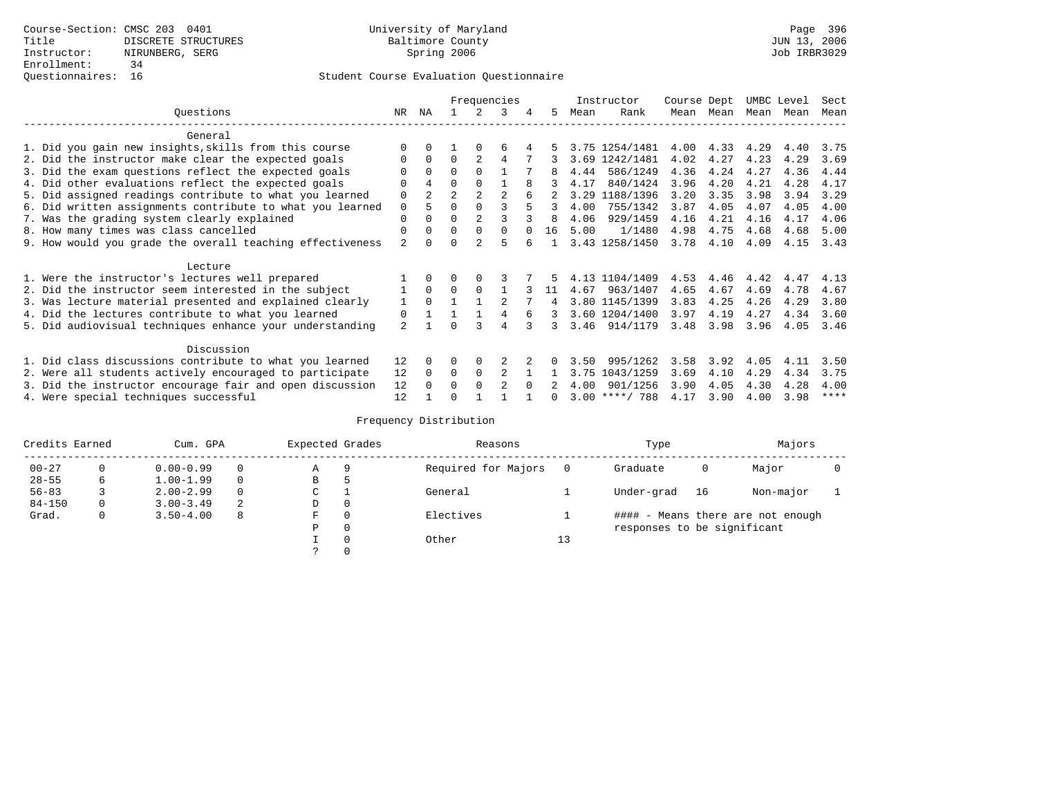# Questionnaires: 16 Student Course Evaluation Questionnaire

|                  |                                                           |                |                |                |                | Frequencies    |   |    |      | Instructor       | Course Dept |      | UMBC Level |      | Sect        |
|------------------|-----------------------------------------------------------|----------------|----------------|----------------|----------------|----------------|---|----|------|------------------|-------------|------|------------|------|-------------|
| Ouestions<br>NR. |                                                           |                |                |                |                | 3              | 4 | 5  | Mean | Rank             | Mean        | Mean | Mean       | Mean | Mean        |
|                  | General                                                   |                |                |                |                |                |   |    |      |                  |             |      |            |      |             |
|                  | 1. Did you gain new insights, skills from this course     |                | 0              |                |                | 6              |   |    |      | 3.75 1254/1481   | 4.00        | 4.33 | 4.29       | 4.40 | 3.75        |
|                  | 2. Did the instructor make clear the expected goals       |                | $\Omega$       | $\Omega$       | $\overline{2}$ | 4              |   |    |      | 3.69 1242/1481   | 4.02        | 4.27 | 4.23       | 4.29 | 3.69        |
|                  | 3. Did the exam questions reflect the expected goals      |                | $\Omega$       | $\Omega$       | $\Omega$       |                |   |    | 4.44 | 586/1249         | 4.36        | 4.24 | 4.27       | 4.36 | 4.44        |
|                  | 4. Did other evaluations reflect the expected goals       |                | 4              | 0              | $\Omega$       |                | 8 |    | 4.17 | 840/1424         | 3.96        | 4.20 | 4.21       | 4.28 | 4.17        |
|                  | 5. Did assigned readings contribute to what you learned   | 0              | $\overline{2}$ | $\overline{a}$ |                | $\mathfrak{D}$ |   |    | 3.29 | 1188/1396        | 3.20        | 3.35 | 3.98       | 3.94 | 3.29        |
|                  | 6. Did written assignments contribute to what you learned | 0              | 5              | 0              |                |                |   | 3  | 4.00 | 755/1342         | 3.87        | 4.05 | 4.07       | 4.05 | 4.00        |
|                  | 7. Was the grading system clearly explained               | 0              |                |                |                |                |   |    | 4.06 | 929/1459         | 4.16        | 4.21 | 4.16       | 4.17 | 4.06        |
|                  | 8. How many times was class cancelled                     | 0              | $\Omega$       | $\Omega$       | $\Omega$       | $\Omega$       |   | 16 | 5.00 | 1/1480           | 4.98        | 4.75 | 4.68       | 4.68 | 5.00        |
|                  | 9. How would you grade the overall teaching effectiveness | $\overline{a}$ |                |                | $\mathcal{D}$  | 5              |   |    |      | 3.43 1258/1450   | 3.78        | 4.10 | 4.09       | 4.15 | 3.43        |
|                  |                                                           |                |                |                |                |                |   |    |      |                  |             |      |            |      |             |
|                  | Lecture                                                   |                |                |                |                |                |   |    |      | 4.13 1104/1409   | 4.53        | 4.46 | 4.42       | 4.47 |             |
|                  | 1. Were the instructor's lectures well prepared           |                | $\Omega$       | $\Omega$       | $\Omega$       |                |   |    | 4.67 |                  |             |      |            | 4.78 | 4.13        |
|                  | 2. Did the instructor seem interested in the subject      |                |                |                |                |                |   | 11 |      | 963/1407         | 4.65        | 4.67 | 4.69       |      | 4.67        |
|                  | 3. Was lecture material presented and explained clearly   | 1              | $\Omega$       |                |                |                |   |    |      | 3.80 1145/1399   | 3.83        | 4.25 | 4.26       | 4.29 | 3.80        |
|                  | 4. Did the lectures contribute to what you learned        | 0              |                |                |                |                |   | 3  |      | 3.60 1204/1400   | 3.97        | 4.19 | 4.27       | 4.34 | 3.60        |
|                  | 5. Did audiovisual techniques enhance your understanding  | $\overline{a}$ |                |                |                | 4              |   | 3  |      | 3.46 914/1179    | 3.48        | 3.98 | 3.96       | 4.05 | 3.46        |
|                  | Discussion                                                |                |                |                |                |                |   |    |      |                  |             |      |            |      |             |
|                  | 1. Did class discussions contribute to what you learned   | 12             | $\Omega$       | U              | $\Omega$       |                |   |    | 3.50 | 995/1262         | 3.58        | 3.92 | 4.05       | 4.11 | 3.50        |
|                  | 2. Were all students actively encouraged to participate   | 12             | $\Omega$       | 0              | 0              | 2              |   |    | 3.75 | 1043/1259        | 3.69        | 4.10 | 4.29       | 4.34 | 3.75        |
|                  | 3. Did the instructor encourage fair and open discussion  | 12             |                | U              | $\Omega$       | $\mathfrak{D}$ |   |    | 4.00 | 901/1256         | 3.90        | 4.05 | 4.30       | 4.28 | 4.00        |
|                  | 4. Were special techniques successful                     | 12             |                |                |                |                |   |    |      | $3.00$ ****/ 788 | 4.17        | 3.90 | 4.00       | 3.98 | $***$ * * * |

| Credits Earned |   | Cum. GPA      | Expected Grades |               | Reasons |                     | Type | Majors                      |    |                                   |  |
|----------------|---|---------------|-----------------|---------------|---------|---------------------|------|-----------------------------|----|-----------------------------------|--|
| $00 - 27$      | 0 | $0.00 - 0.99$ |                 | Α             | 9       | Required for Majors |      | Graduate                    | 0  | Major                             |  |
| $28 - 55$      | 6 | $1.00 - 1.99$ |                 | В             | 5       |                     |      |                             |    |                                   |  |
| $56 - 83$      |   | $2.00 - 2.99$ | 0               | $\sim$<br>◡   |         | General             |      | Under-grad                  | 16 | Non-major                         |  |
| $84 - 150$     | 0 | $3.00 - 3.49$ | 2               | D             | 0       |                     |      |                             |    |                                   |  |
| Grad.          | 0 | $3.50 - 4.00$ | 8               | F             | 0       | Electives           |      |                             |    | #### - Means there are not enough |  |
|                |   |               |                 | Ρ             | 0       |                     |      | responses to be significant |    |                                   |  |
|                |   |               |                 |               | 0       | Other               | 13   |                             |    |                                   |  |
|                |   |               |                 | $\mathcal{L}$ |         |                     |      |                             |    |                                   |  |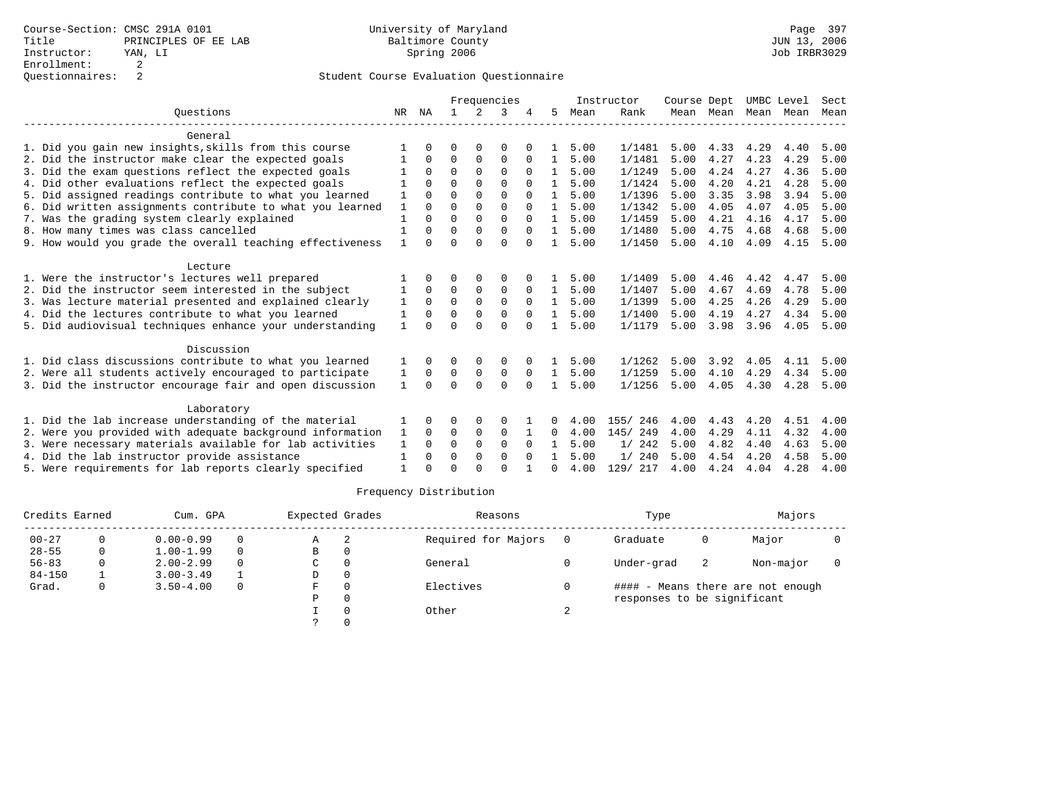|                                                           |              |          |          |               | Frequencies   |                      |              |              | Instructor         | Course Dept  |              | UMBC Level   |      | Sect         |
|-----------------------------------------------------------|--------------|----------|----------|---------------|---------------|----------------------|--------------|--------------|--------------------|--------------|--------------|--------------|------|--------------|
| Ouestions                                                 | NR           | ΝA       |          | $2^{\circ}$   | 3             |                      | 5            | Mean         | Rank               |              | Mean Mean    | Mean         | Mean | Mean         |
| General                                                   |              |          |          |               |               |                      |              |              |                    |              |              |              |      |              |
| 1. Did you gain new insights, skills from this course     |              |          | ∩        |               | O             |                      | 1.           | 5.00         | 1/1481             | 5.00         | 4.33         | 4.29         | 4.40 | 5.00         |
| 2. Did the instructor make clear the expected goals       |              | $\Omega$ | $\Omega$ | $\Omega$      | $\Omega$      | $\Omega$             | $\mathbf{1}$ | 5.00         | 1/1481             | 5.00         | 4.27         | 4.23         | 4.29 | 5.00         |
| 3. Did the exam questions reflect the expected goals      |              | $\Omega$ | $\Omega$ | $\Omega$      | $\Omega$      | $\Omega$             | $\mathbf{1}$ | 5.00         | 1/1249             | 5.00         | 4.24         | 4.27         | 4.36 | 5.00         |
| 4. Did other evaluations reflect the expected goals       |              | $\Omega$ | $\Omega$ | $\Omega$      | $\Omega$      |                      | $\mathbf{1}$ | 5.00         | 1/1424             | 5.00         | 4.20         | 4.21         | 4.28 | 5.00         |
| 5. Did assigned readings contribute to what you learned   |              |          | $\Omega$ |               | $\Omega$      | $\Omega$             | $\mathbf{1}$ | 5.00         | 1/1396             | 5.00         | 3.35         | 3.98         | 3.94 | 5.00         |
| 6. Did written assignments contribute to what you learned | 1            | $\Omega$ | $\Omega$ | $\Omega$      | $\Omega$      | $\Omega$             | $\mathbf{1}$ | 5.00         | 1/1342             | 5.00         | 4.05         | 4.07         | 4.05 | 5.00         |
| 7. Was the grading system clearly explained               |              | $\Omega$ | $\Omega$ | $\Omega$      | $\Omega$      | $\Omega$             | $\mathbf{1}$ | 5.00         | 1/1459             | 5.00         | 4.21         | 4.16         | 4.17 | 5.00         |
| 8. How many times was class cancelled                     |              |          | $\Omega$ | $\Omega$      | $\Omega$      | $\Omega$             |              | 5.00         | 1/1480             | 5.00         | 4.75         | 4.68         | 4.68 | 5.00         |
| 9. How would you grade the overall teaching effectiveness |              | $\Omega$ | $\Omega$ | $\cap$        | $\Omega$      | $\Omega$             |              | 5.00         | 1/1450             | 5.00         | 4.10         | 4.09         | 4.15 | 5.00         |
| Lecture                                                   |              |          |          |               |               |                      |              |              |                    |              |              |              |      |              |
| 1. Were the instructor's lectures well prepared           |              | $\Omega$ | ∩        | $\Omega$      | $\Omega$      |                      |              | 5.00         | 1/1409             | 5.00         | 4.46         | 4.42         | 4.47 | 5.00         |
| 2. Did the instructor seem interested in the subject      |              | $\Omega$ | $\Omega$ | $\Omega$      | $\Omega$      | $\Omega$             | 1            | 5.00         | 1/1407             | 5.00         | 4.67         | 4.69         | 4.78 | 5.00         |
| 3. Was lecture material presented and explained clearly   |              | $\Omega$ | $\Omega$ | $\Omega$      | $\Omega$      | $\Omega$             | 1.           | 5.00         | 1/1399             | 5.00         | 4.25         | 4.26         | 4.29 | 5.00         |
| 4. Did the lectures contribute to what you learned        | 1            | $\Omega$ | $\Omega$ | $\Omega$      | $\Omega$      | $\Omega$             | $\mathbf{1}$ | 5.00         | 1/1400             | 5.00         | 4.19         | 4.27         | 4.34 | 5.00         |
| 5. Did audiovisual techniques enhance your understanding  | 1            | $\cap$   | ∩        | $\cap$        | $\Omega$      | $\cap$               |              | 5.00         | 1/1179             | 5.00         | 3.98         | 3.96         | 4.05 | 5.00         |
| Discussion                                                |              |          |          |               |               |                      |              |              |                    |              |              |              |      |              |
| 1. Did class discussions contribute to what you learned   |              | $\Omega$ | $\Omega$ | 0             | 0             |                      |              | 5.00         | 1/1262             | 5.00         | 3.92         | 4.05         | 4.11 | 5.00         |
| 2. Were all students actively encouraged to participate   | 1            | 0        | 0        | 0             | 0             | 0                    | $\mathbf{1}$ | 5.00         | 1/1259             | 5.00         | 4.10         | 4.29         | 4.34 | 5.00         |
| 3. Did the instructor encourage fair and open discussion  | $\mathbf{1}$ | $\Omega$ | $\Omega$ | $\cap$        | $\Omega$      | $\Omega$             | $\mathbf{1}$ | 5.00         | 1/1256             | 5.00         | 4.05         | 4.30         | 4.28 | 5.00         |
|                                                           |              |          |          |               |               |                      |              |              |                    |              |              |              |      |              |
| Laboratory                                                |              |          |          |               |               |                      |              | 4.00         |                    |              |              |              | 4.51 |              |
| 1. Did the lab increase understanding of the material     |              | $\Omega$ | $\Omega$ | $\Omega$<br>0 | 0<br>$\Omega$ |                      | 0            | 4.00         | 155/246<br>145/249 | 4.00<br>4.00 | 4.43<br>4.29 | 4.20<br>4.11 | 4.32 | 4.00<br>4.00 |
| 2. Were you provided with adequate background information | 1            | $\Omega$ | $\Omega$ | $\Omega$      | $\Omega$      |                      | 0            |              |                    |              |              |              |      |              |
| 3. Were necessary materials available for lab activities  | 1            |          |          | $\Omega$      | $\Omega$      | $\Omega$<br>$\Omega$ |              | 5.00<br>5.00 | 1/242<br>1/240     | 5.00<br>5.00 | 4.82<br>4.54 | 4.40         | 4.63 | 5.00         |
| 4. Did the lab instructor provide assistance              | 1            | $\Omega$ | $\Omega$ |               |               |                      |              |              |                    |              |              | 4.20         | 4.58 | 5.00         |
| 5. Were requirements for lab reports clearly specified    |              |          | $\Omega$ |               | $\cap$        |                      | $\cap$       | 4.00         | 129/ 217           | 4.00         | 4.24         | 4.04         | 4.28 | 4.00         |

| Credits Earned |   | Cum. GPA      |          | Expected Grades |          | Reasons             |     | Type                        |    | Majors                            |  |
|----------------|---|---------------|----------|-----------------|----------|---------------------|-----|-----------------------------|----|-----------------------------------|--|
| $00 - 27$      | 0 | $0.00 - 0.99$ | $\Omega$ | Α               | 2        | Required for Majors | - 0 | Graduate                    | 0  | Major                             |  |
| $28 - 55$      | 0 | $1.00 - 1.99$ | $\Omega$ | в               | 0        |                     |     |                             |    |                                   |  |
| $56 - 83$      | 0 | $2.00 - 2.99$ | $\Omega$ | C               | $\Omega$ | General             |     | Under-grad                  | -2 | Non-major                         |  |
| $84 - 150$     |   | $3.00 - 3.49$ |          | D               | 0        |                     |     |                             |    |                                   |  |
| Grad.          | 0 | $3.50 - 4.00$ | $\Omega$ | F.              | $\Omega$ | Electives           |     |                             |    | #### - Means there are not enough |  |
|                |   |               |          | Ρ               | 0        |                     |     | responses to be significant |    |                                   |  |
|                |   |               |          |                 |          | Other               |     |                             |    |                                   |  |
|                |   |               |          |                 |          |                     |     |                             |    |                                   |  |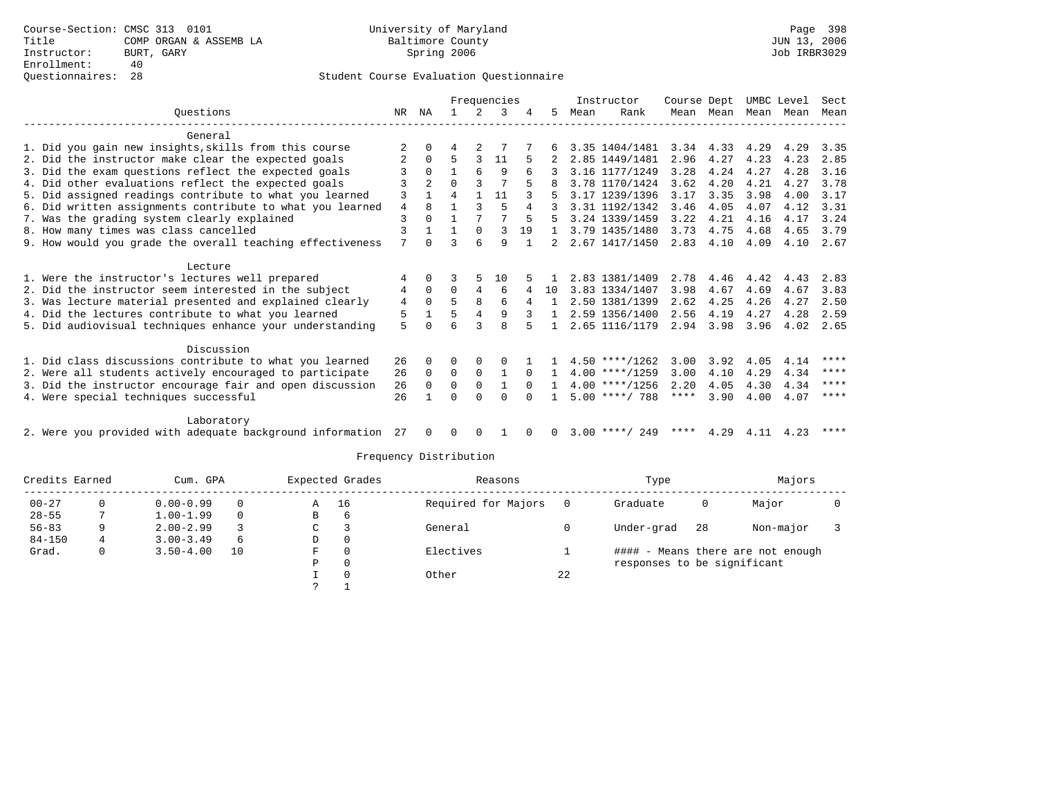|                                                              |    |                |          |              | Frequencies  |          |          |      | Instructor       | Course Dept |           |      | UMBC Level | Sect        |
|--------------------------------------------------------------|----|----------------|----------|--------------|--------------|----------|----------|------|------------------|-------------|-----------|------|------------|-------------|
| Ouestions                                                    | NR | NA             |          | 2            |              |          | 5.       | Mean | Rank             |             | Mean Mean |      | Mean Mean  | Mean        |
| General                                                      |    |                |          |              |              |          |          |      |                  |             |           |      |            |             |
| 1. Did you gain new insights, skills from this course        | 2  |                |          |              |              |          | 6        |      | 3.35 1404/1481   | 3.34        | 4.33      | 4.29 | 4.29       | 3.35        |
| 2. Did the instructor make clear the expected goals          |    | $\Omega$       | 5        | 3            | 11           |          |          |      | 2.85 1449/1481   | 2.96        | 4.27      | 4.23 | 4.23       | 2.85        |
| 3. Did the exam questions reflect the expected goals         | 3  | $\Omega$       |          | 6            | 9            | 6        |          |      | 3.16 1177/1249   | 3.28        | 4.24      | 4.27 | 4.28       | 3.16        |
| 4. Did other evaluations reflect the expected goals          |    | $\overline{a}$ | $\Omega$ |              |              | 5        |          |      | 3.78 1170/1424   | 3.62        | 4.20      | 4.21 | 4.27       | 3.78        |
| 5. Did assigned readings contribute to what you learned      | 3  | $\mathbf{1}$   | 4        | $\mathbf{1}$ | 11           |          |          |      | 3.17 1239/1396   | 3.17        | 3.35      | 3.98 | 4.00       | 3.17        |
| 6. Did written assignments contribute to what you learned    | 4  | 8              |          | ζ            | 5            | 4        |          |      | 3.31 1192/1342   | 3.46        | 4.05      | 4.07 | 4.12       | 3.31        |
| 7. Was the grading system clearly explained                  | 3  | $\Omega$       |          |              | 7            | 5        | 5        |      | 3.24 1339/1459   | 3.22        | 4.21      | 4.16 | 4.17       | 3.24        |
| 8. How many times was class cancelled                        | 3  |                |          | $\Omega$     | 3            | 19       |          |      | 3.79 1435/1480   | 3.73        | 4.75      | 4.68 | 4.65       | 3.79        |
| 9. How would you grade the overall teaching effectiveness    | 7  | $\Omega$       | ς        | 6            | 9            |          |          |      | 2.67 1417/1450   | 2.83        | 4.10      | 4.09 | 4.10       | 2.67        |
| Lecture                                                      |    |                |          |              |              |          |          |      |                  |             |           |      |            |             |
| 1. Were the instructor's lectures well prepared              | 4  | $\Omega$       |          | 5            | 10           |          |          |      | 2.83 1381/1409   | 2.78        | 4.46      | 4.42 | 4.43       | 2.83        |
| 2. Did the instructor seem interested in the subject         | 4  | $\Omega$       | $\Omega$ | 4            | 6            | 4        | 10       |      | 3.83 1334/1407   | 3.98        | 4.67      | 4.69 | 4.67       | 3.83        |
| 3. Was lecture material presented and explained clearly      | 4  | $\Omega$       | 5        | 8            | 6            | 4        |          |      | 2.50 1381/1399   | 2.62        | 4.25      | 4.26 | 4.27       | 2.50        |
| 4. Did the lectures contribute to what you learned           | 5  |                | 5        | 4            | 9            |          |          |      | 2.59 1356/1400   | 2.56        | 4.19      | 4.27 | 4.28       | 2.59        |
| 5. Did audiovisual techniques enhance your understanding     | 5  |                | F        |              | 8            |          |          |      | 2.65 1116/1179   | 2.94        | 3.98      | 3.96 | 4.02       | 2.65        |
| Discussion                                                   |    |                |          |              |              |          |          |      |                  |             |           |      |            |             |
| 1. Did class discussions contribute to what you learned      | 26 | $\Omega$       | 0        | $\Omega$     | O            |          |          |      | $4.50$ ****/1262 | 3.00        | 3.92      | 4.05 | 4.14       | ****        |
| 2. Were all students actively encouraged to participate      | 26 | $\Omega$       | $\Omega$ | $\Omega$     |              | $\Omega$ |          |      | $4.00$ ****/1259 | 3.00        | 4.10      | 4.29 | 4.34       | $***$ * * * |
| 3. Did the instructor encourage fair and open discussion     | 26 | $\Omega$       | $\Omega$ | $\Omega$     |              | $\Omega$ |          |      | $4.00$ ****/1256 | 2.20        | 4.05      | 4.30 | 4.34       | $***$ *     |
| 4. Were special techniques successful                        | 26 |                | U        | $\Omega$     | <sup>0</sup> |          |          |      | $5.00$ ****/ 788 | ****        | 3.90      | 4.00 | 4.07       | ****        |
| Laboratory                                                   |    |                |          |              |              |          |          |      |                  |             |           |      |            |             |
| 2. Were you provided with adequate background information 27 |    | $\Omega$       | $\Omega$ | $\Omega$     |              | $\Omega$ | $\Omega$ |      | $3.00$ ****/ 249 | ****        | 4.29      | 4.11 | 4.23       | ****        |

| Credits Earned |   | Cum. GPA      |          |   | Expected Grades | Reasons             |    | Type                        |    | Majors                            |  |
|----------------|---|---------------|----------|---|-----------------|---------------------|----|-----------------------------|----|-----------------------------------|--|
| $00 - 27$      |   | $0.00 - 0.99$ | 0        | Α | 16              | Required for Majors |    | Graduate                    | 0  | Major                             |  |
| $28 - 55$      |   | $1.00 - 1.99$ | $\Omega$ | B | 6               |                     |    |                             |    |                                   |  |
| $56 - 83$      | a | $2.00 - 2.99$ |          | C |                 | General             |    | Under-grad                  | 28 | Non-major                         |  |
| $84 - 150$     | 4 | $3.00 - 3.49$ | 6        | D | $\mathbf{0}$    |                     |    |                             |    |                                   |  |
| Grad.          | 0 | $3.50 - 4.00$ | 10       | F | 0               | Electives           |    |                             |    | #### - Means there are not enough |  |
|                |   |               |          | Р | 0               |                     |    | responses to be significant |    |                                   |  |
|                |   |               |          |   | $\Omega$        | Other               | 22 |                             |    |                                   |  |
|                |   |               |          |   |                 |                     |    |                             |    |                                   |  |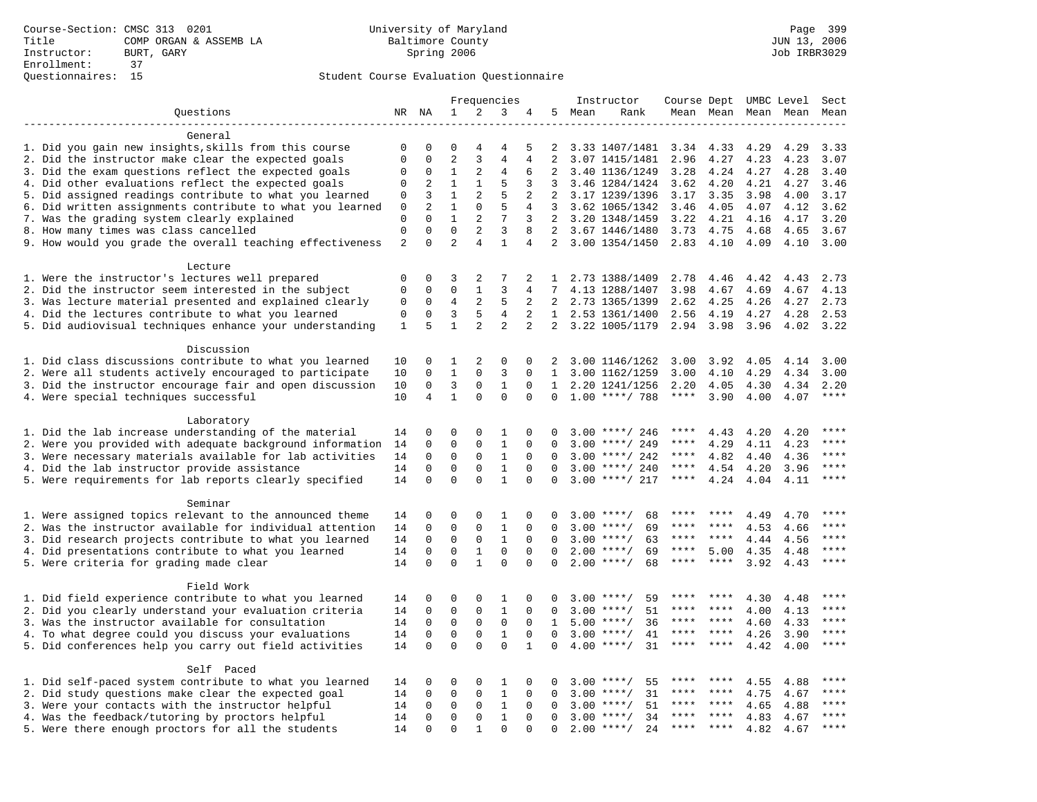|                                                           |                  |                      |                             |                | Frequencies    |                |                |        | Instructor         | Course Dept UMBC Level |         |                     |      | Sect         |
|-----------------------------------------------------------|------------------|----------------------|-----------------------------|----------------|----------------|----------------|----------------|--------|--------------------|------------------------|---------|---------------------|------|--------------|
| Questions                                                 |                  | NR NA                | $\mathbf{1}$                | 2              | 3              | 4              |                | 5 Mean | Rank               |                        |         | Mean Mean Mean Mean |      | Mean         |
|                                                           |                  |                      |                             |                |                |                |                |        |                    |                        |         |                     |      |              |
| General                                                   |                  |                      |                             |                |                |                |                |        |                    |                        |         |                     |      |              |
| 1. Did you gain new insights, skills from this course     | 0                | 0                    | $\Omega$                    | 4              | 4              | 5              | 2              |        | 3.33 1407/1481     | 3.34                   | 4.33    | 4.29                | 4.29 | 3.33         |
| 2. Did the instructor make clear the expected goals       | $\mathbf 0$      | $\Omega$             | $\overline{2}$              | $\overline{3}$ | $\overline{4}$ | 4              | $\overline{2}$ |        | 3.07 1415/1481     | 2.96                   | 4.27    | 4.23                | 4.23 | 3.07         |
| 3. Did the exam questions reflect the expected goals      | 0                | $\Omega$             | $\mathbf{1}$                | 2              | 4              | 6              | $\overline{2}$ |        | 3.40 1136/1249     | 3.28                   | 4.24    | 4.27                | 4.28 | 3.40         |
| 4. Did other evaluations reflect the expected goals       | $\Omega$         | 2                    | $\mathbf{1}$                | $\mathbf{1}$   | 5              | 3              | 3              |        | 3.46 1284/1424     | 3.62                   | 4.20    | 4.21                | 4.27 | 3.46         |
| 5. Did assigned readings contribute to what you learned   | $\mathsf 0$      | 3                    | $\mathbf{1}$                | 2              | 5              | 2              | 2              |        | 3.17 1239/1396     | 3.17                   | 3.35    | 3.98                | 4.00 | 3.17         |
| 6. Did written assignments contribute to what you learned | $\mathbf 0$      | $\overline{2}$       | $\mathbf{1}$                | $\mathbf 0$    | 5              | $\overline{4}$ | 3              |        | 3.62 1065/1342     | 3.46                   | 4.05    | 4.07                | 4.12 | 3.62         |
| 7. Was the grading system clearly explained               | 0<br>$\mathbf 0$ | $\Omega$<br>$\Omega$ | $\mathbf{1}$<br>$\mathbf 0$ | 2<br>2         | 7<br>3         | 3              | 2              |        | 2 3.20 1348/1459   | 3.22                   | 4.21    | 4.16                | 4.17 | 3.20         |
| 8. How many times was class cancelled                     | $\overline{2}$   | $\Omega$             | $\overline{a}$              | $\overline{4}$ | $\mathbf{1}$   | 8<br>4         | $2^{\circ}$    |        | 3.67 1446/1480     | 3.73                   | 4.75    | 4.68                | 4.65 | 3.67<br>3.00 |
| 9. How would you grade the overall teaching effectiveness |                  |                      |                             |                |                |                |                |        | 3.00 1354/1450     | 2.83 4.10              |         | 4.09                | 4.10 |              |
| Lecture                                                   |                  |                      |                             |                |                |                |                |        |                    |                        |         |                     |      |              |
| 1. Were the instructor's lectures well prepared           | 0                | $\mathbf 0$          | 3                           | 2              | 7              | 2              | $\mathbf{1}$   |        | 2.73 1388/1409     | 2.78                   | 4.46    | 4.42                | 4.43 | 2.73         |
| 2. Did the instructor seem interested in the subject      | 0                | 0                    | 0                           | 1              | 3              | 4              | 7              |        | 4.13 1288/1407     | 3.98                   | 4.67    | 4.69                | 4.67 | 4.13         |
| 3. Was lecture material presented and explained clearly   | 0                | 0                    | 4                           | 2              | 5              | 2              | 2              |        | 2.73 1365/1399     | 2.62                   | 4.25    | 4.26                | 4.27 | 2.73         |
| 4. Did the lectures contribute to what you learned        | 0                | $\mathbf 0$          | 3                           | 5              | $\overline{4}$ | 2              |                |        | 1 2.53 1361/1400   | 2.56                   | 4.19    | 4.27                | 4.28 | 2.53         |
| 5. Did audiovisual techniques enhance your understanding  | 1                | 5                    | $\mathbf{1}$                | $\overline{2}$ | $\overline{2}$ | $\overline{2}$ | $\overline{2}$ |        | 3.22 1005/1179     | 2.94                   | 3.98    | 3.96                | 4.02 | 3.22         |
|                                                           |                  |                      |                             |                |                |                |                |        |                    |                        |         |                     |      |              |
| Discussion                                                |                  |                      |                             |                |                |                |                |        |                    |                        |         |                     |      |              |
| 1. Did class discussions contribute to what you learned   | 10               | 0                    | 1                           | $\overline{2}$ | 0              | 0              | 2              |        | 3.00 1146/1262     | 3.00                   | 3.92    | 4.05                | 4.14 | 3.00         |
| 2. Were all students actively encouraged to participate   | 10               | 0                    | $\mathbf{1}$                | 0              | $\overline{3}$ | $\Omega$       | $\mathbf{1}$   |        | 3.00 1162/1259     | 3.00                   | 4.10    | 4.29                | 4.34 | 3.00         |
| 3. Did the instructor encourage fair and open discussion  | 10               | 0                    | 3                           | 0              | $\mathbf{1}$   | $\mathbf 0$    | 1              |        | 2.20 1241/1256     | 2.20                   | 4.05    | 4.30                | 4.34 | 2.20         |
| 4. Were special techniques successful                     | 10               | 4                    | $\mathbf{1}$                | $\Omega$       | $\Omega$       | $\Omega$       | $\Omega$       |        | $1.00$ ****/ 788   | $***$ * * *            | 3.90    | 4.00                | 4.07 | $***$        |
|                                                           |                  |                      |                             |                |                |                |                |        |                    |                        |         |                     |      |              |
| Laboratory                                                |                  |                      |                             |                |                |                |                |        |                    |                        |         |                     |      |              |
| 1. Did the lab increase understanding of the material     | 14               | 0                    | $\Omega$                    | 0              | 1              | 0              | 0              |        | $3.00$ ****/ 246   | ****                   | 4.43    | 4.20                | 4.20 |              |
| 2. Were you provided with adequate background information | 14               | 0                    | $\mathbf 0$                 | $\mathbf{0}$   | $\mathbf{1}$   | 0              | 0              | 3.00   | ****/ 249          | ****                   | 4.29    | 4.11                | 4.23 | ****         |
| 3. Were necessary materials available for lab activities  | 14               | 0                    | 0                           | 0              | 1              | $\Omega$       | $\Omega$       |        | $3.00$ ****/ 242   | ****                   | 4.82    | 4.40                | 4.36 | ****         |
| 4. Did the lab instructor provide assistance              | 14               | $\Omega$             | $\Omega$                    | 0              | $\mathbf{1}$   | $\Omega$       | $\Omega$       |        | $3.00$ ****/ 240   | ****                   | 4.54    | 4.20                | 3.96 | $***$ * * *  |
| 5. Were requirements for lab reports clearly specified    | 14               | $\Omega$             | $\Omega$                    | $\Omega$       | $\mathbf{1}$   | $\Omega$       | $\Omega$       |        | $3.00$ ****/ 217   | ****                   | 4.24    | 4.04                | 4.11 | $* * * *$    |
| Seminar                                                   |                  |                      |                             |                |                |                |                |        |                    |                        |         |                     |      |              |
| 1. Were assigned topics relevant to the announced theme   | 14               | 0                    | 0                           | 0              | 1              | $\mathbf 0$    | 0              |        | $3.00$ ****/<br>68 | ****                   | ****    | 4.49                | 4.70 | ****         |
| 2. Was the instructor available for individual attention  | 14               | $\mathsf 0$          | $\mathbf 0$                 | $\mathsf 0$    | $1\,$          | $\mathbf 0$    | 0              |        | $3.00$ ****/<br>69 | ****                   |         | 4.53                | 4.66 |              |
| 3. Did research projects contribute to what you learned   | 14               | 0                    | $\mathbf 0$                 | $\mathbf 0$    | $\mathbf{1}$   | $\mathbf 0$    | 0              |        | $3.00$ ****/<br>63 | ****                   | ****    | 4.44                | 4.56 | ****         |
| 4. Did presentations contribute to what you learned       | 14               | $\mathbf 0$          | $\mathbf 0$                 | 1              | $\mathbf 0$    | $\mathbf 0$    | $\Omega$       |        | $2.00$ ****/<br>69 | ****                   | 5.00    | 4.35                | 4.48 | $***$        |
| 5. Were criteria for grading made clear                   | 14               | $\Omega$             | $\Omega$                    | $\mathbf{1}$   | $\Omega$       | $\Omega$       | $\Omega$       |        | $2.00$ ****/<br>68 | ****                   | ****    | 3.92                | 4.43 | ****         |
|                                                           |                  |                      |                             |                |                |                |                |        |                    |                        |         |                     |      |              |
| Field Work                                                |                  |                      |                             |                |                |                |                |        |                    |                        |         |                     |      |              |
| 1. Did field experience contribute to what you learned    | 14               | 0                    | 0                           | 0              | 1              | 0              | 0              |        | $3.00$ ****/<br>59 |                        |         | 4.30                | 4.48 | ****         |
| 2. Did you clearly understand your evaluation criteria    | 14               | 0                    | 0                           | 0              | 1              | $\Omega$       | $\Omega$       |        | $3.00$ ****/<br>51 | ****                   | ****    | 4.00                | 4.13 | ****         |
| 3. Was the instructor available for consultation          | 14               | 0                    | $\mathbf 0$                 | $\mathbf{0}$   | $\mathbf 0$    | $\mathbf 0$    | $\mathbf{1}$   |        | $5.00$ ****/<br>36 | ****                   | ****    | 4.60                | 4.33 | ****         |
| 4. To what degree could you discuss your evaluations      | 14               | $\mathbf 0$          | $\mathbf 0$                 | $\mathbf 0$    | $\mathbf{1}$   | $\Omega$       | $\Omega$       |        | $3.00$ ****/<br>41 | ****                   | $***$ * | 4.26                | 3.90 | $***$        |
| 5. Did conferences help you carry out field activities    | 14               | $\Omega$             | $\Omega$                    | $\Omega$       | $\Omega$       | $\mathbf{1}$   | $\Omega$       | 4.00   | $***$ /<br>31      | ****                   | ****    | 4.42                | 4.00 | $***$        |
|                                                           |                  |                      |                             |                |                |                |                |        |                    |                        |         |                     |      |              |
| Self Paced                                                |                  |                      |                             |                |                |                |                |        |                    |                        |         |                     |      |              |
| 1. Did self-paced system contribute to what you learned   | 14               | 0                    | 0                           | $\mathbf 0$    | 1              | 0              | 0              |        | $3.00$ ****/<br>55 | ****                   |         | 4.55                | 4.88 | $***$ * * *  |
| 2. Did study questions make clear the expected goal       | 14               | $\mathbf 0$          | $\mathbf 0$                 | 0              | $1\,$          | $\mathbf 0$    | 0              | 3.00   | $***/$<br>31       | ****                   | ****    | 4.75                | 4.67 | ****         |
| 3. Were your contacts with the instructor helpful         | 14               | $\Omega$             | 0                           | 0              | 1              | $\Omega$       | $\Omega$       | 3.00   | $***$ /<br>51      | ****                   | ****    | 4.65                | 4.88 | ****         |
| 4. Was the feedback/tutoring by proctors helpful          | 14               | 0                    | $\mathbf 0$                 | $\mathbf{0}$   | $\mathbf{1}$   | $\mathbf 0$    | $\Omega$       |        | 34<br>$3.00$ ****/ | ***                    | ****    | 4.83                | 4.67 | ****         |
| 5. Were there enough proctors for all the students        | 14               | $\Omega$             | $\Omega$                    | $\mathbf{1}$   | $\Omega$       | $\Omega$       | $\Omega$       |        | $2.00$ ****/<br>24 | $***$ * *              | $***$   | 4.82                | 4.67 | $***$ * * *  |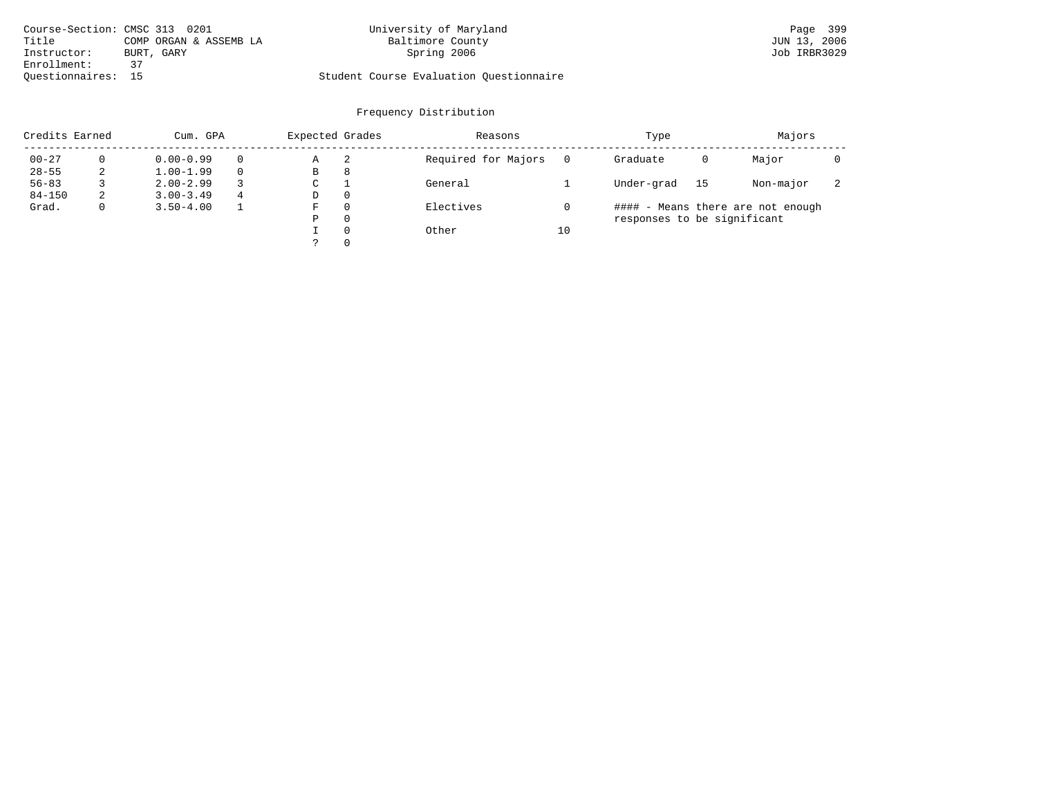| Course-Section: CMSC 313 0201 |                        | University of Maryland                  | Page 399     |
|-------------------------------|------------------------|-----------------------------------------|--------------|
| Title                         | COMP ORGAN & ASSEMB LA | Baltimore County                        | JUN 13, 2006 |
| Instructor:                   | BURT, GARY             | Spring 2006                             | Job IRBR3029 |
| Enrollment:                   |                        |                                         |              |
| Ouestionnaires: 15            |                        | Student Course Evaluation Questionnaire |              |

| Credits Earned |   | Cum. GPA      |          | Expected Grades |          | Reasons             |    | Type                        |    | Majors                            |                          |
|----------------|---|---------------|----------|-----------------|----------|---------------------|----|-----------------------------|----|-----------------------------------|--------------------------|
| $00 - 27$      |   | $0.00 - 0.99$ | $\Omega$ | Α               | 2        | Required for Majors |    | Graduate                    | 0  | Major                             |                          |
| $28 - 55$      |   | $1.00 - 1.99$ | $\Omega$ | B               | 8        |                     |    |                             |    |                                   |                          |
| $56 - 83$      |   | $2.00 - 2.99$ |          | C               |          | General             |    | Under-grad                  | 15 | Non-major                         | $\overline{\phantom{a}}$ |
| $84 - 150$     | z | $3.00 - 3.49$ | 4        | D               | $\Omega$ |                     |    |                             |    |                                   |                          |
| Grad.          |   | $3.50 - 4.00$ |          | F               | $\Omega$ | Electives           |    |                             |    | #### - Means there are not enough |                          |
|                |   |               |          | Ρ               | 0        |                     |    | responses to be significant |    |                                   |                          |
|                |   |               |          |                 | $\Omega$ | Other               | 10 |                             |    |                                   |                          |
|                |   |               |          |                 | $\Omega$ |                     |    |                             |    |                                   |                          |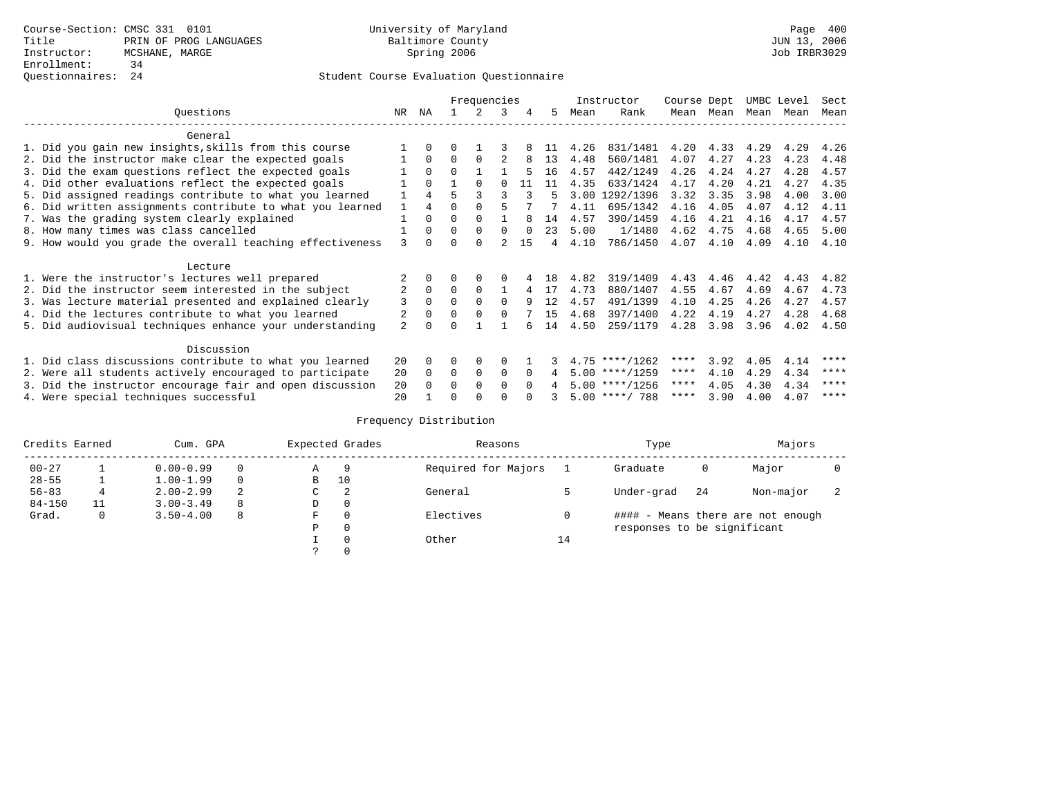## Questionnaires: 24 Student Course Evaluation Questionnaire

|                                                           |                |              |          | Frequencies  |          |          |     |      | Instructor       | Course Dept |           | UMBC Level |      | Sect |
|-----------------------------------------------------------|----------------|--------------|----------|--------------|----------|----------|-----|------|------------------|-------------|-----------|------------|------|------|
| Ouestions                                                 | NR             | ΝA           |          | 2            | 3        | 4        | 5   | Mean | Rank             |             | Mean Mean | Mean Mean  |      | Mean |
| General                                                   |                |              |          |              |          |          |     |      |                  |             |           |            |      |      |
| 1. Did you gain new insights, skills from this course     |                | $\Omega$     | 0        |              |          |          | -11 | 4.26 | 831/1481         | 4.20        | 4.33      | 4.29       | 4.29 | 4.26 |
| 2. Did the instructor make clear the expected goals       |                | $\Omega$     | $\Omega$ | $\Omega$     | 2        |          | 13  | 4.48 | 560/1481         | 4.07        | 4.27      | 4.23       | 4.23 | 4.48 |
| 3. Did the exam questions reflect the expected goals      |                | $\Omega$     | $\Omega$ |              |          |          | 16  | 4.57 | 442/1249         | 4.26        | 4.24      | 4.27       | 4.28 | 4.57 |
| 4. Did other evaluations reflect the expected goals       |                | $\Omega$     |          |              |          | 11       | 11  | 4.35 | 633/1424         | 4.17        | 4.20      | 4.21       | 4.27 | 4.35 |
| 5. Did assigned readings contribute to what you learned   |                | 4            | 5        |              |          | 3        | 5   | 3.00 | 1292/1396        | 3.32        | 3.35      | 3.98       | 4.00 | 3.00 |
| 6. Did written assignments contribute to what you learned | $\mathbf{1}$   | 4            | 0        |              |          |          |     | 4.11 | 695/1342         | 4.16        | 4.05      | 4.07       | 4.12 | 4.11 |
| 7. Was the grading system clearly explained               |                | $\Omega$     | 0        | $\Omega$     |          |          | 14  | 4.57 | 390/1459         | 4.16        | 4.21      | 4.16       | 4.17 | 4.57 |
| 8. How many times was class cancelled                     |                | $\Omega$     | $\Omega$ | $\Omega$     | $\Omega$ |          | 23  | 5.00 | 1/1480           | 4.62        | 4.75      | 4.68       | 4.65 | 5.00 |
| 9. How would you grade the overall teaching effectiveness | 3              | <sup>n</sup> |          | <sup>n</sup> |          | 15       | 4   | 4.10 | 786/1450         | 4.07        | 4.10      | 4.09       | 4.10 | 4.10 |
| Lecture                                                   |                |              |          |              |          |          |     |      |                  |             |           |            |      |      |
| 1. Were the instructor's lectures well prepared           |                | $\Omega$     |          | 0            |          |          | 18  | 4.82 | 319/1409         | 4.43        | 4.46      | 4.42       | 4.43 | 4.82 |
| 2. Did the instructor seem interested in the subject      | 2              | $\Omega$     | $\Omega$ | $\Omega$     |          |          | 17  | 4.73 | 880/1407         | 4.55        | 4.67      | 4.69       | 4.67 | 4.73 |
| 3. Was lecture material presented and explained clearly   | 3              | $\Omega$     | 0        | $\Omega$     | $\Omega$ | 9        | 12  | 4.57 | 491/1399         | 4.10        | 4.25      | 4.26       | 4.27 | 4.57 |
| 4. Did the lectures contribute to what you learned        | 2              | $\Omega$     | 0        | $\Omega$     |          |          | 15  | 4.68 | 397/1400         | 4.22        | 4.19      | 4.27       | 4.28 | 4.68 |
| 5. Did audiovisual techniques enhance your understanding  | $\overline{a}$ |              |          |              |          |          | 14  | 4.50 | 259/1179         | 4.28        | 3.98      | 3.96       | 4.02 | 4.50 |
| Discussion                                                |                |              |          |              |          |          |     |      |                  |             |           |            |      |      |
| 1. Did class discussions contribute to what you learned   | 20             | $\Omega$     | 0        | 0            | $\Omega$ |          |     |      | $4.75$ ****/1262 | ****        | 3.92      | 4.05       | 4.14 | **** |
| 2. Were all students actively encouraged to participate   | 20             | $\Omega$     | 0        | 0            | $\Omega$ | $\Omega$ | 4   |      | $5.00$ ****/1259 | $***$ * *   | 4.10      | 4.29       | 4.34 | **** |
| 3. Did the instructor encourage fair and open discussion  | 20             |              | U        | $\Omega$     | 0        |          |     |      | $5.00$ ****/1256 | ****        | 4.05      | 4.30       | 4.34 | **** |
| 4. Were special techniques successful                     | $20^{\circ}$   |              |          |              |          |          |     |      | $5.00$ ****/ 788 | ****        | 3.90      | 4.00       | 4.07 | **** |

| Credits Earned |    | Cum. GPA      |   |               | Expected Grades | Reasons             |    | Type                        |    | Majors                            |                          |
|----------------|----|---------------|---|---------------|-----------------|---------------------|----|-----------------------------|----|-----------------------------------|--------------------------|
| $00 - 27$      |    | $0.00 - 0.99$ |   | Α             | 9               | Required for Majors |    | Graduate                    | 0  | Major                             |                          |
| $28 - 55$      |    | $1.00 - 1.99$ |   | B             | 10              |                     |    |                             |    |                                   |                          |
| $56 - 83$      | 4  | $2.00 - 2.99$ | 2 | $\sim$<br>◡   | 2               | General             |    | Under-grad                  | 24 | Non-major                         | $\overline{\phantom{a}}$ |
| $84 - 150$     | 11 | $3.00 - 3.49$ | 8 | D             | 0               |                     |    |                             |    |                                   |                          |
| Grad.          | 0  | $3.50 - 4.00$ | 8 | F             | 0               | Electives           |    |                             |    | #### - Means there are not enough |                          |
|                |    |               |   | Ρ             | 0               |                     |    | responses to be significant |    |                                   |                          |
|                |    |               |   |               | 0               | Other               | 14 |                             |    |                                   |                          |
|                |    |               |   | $\mathcal{L}$ |                 |                     |    |                             |    |                                   |                          |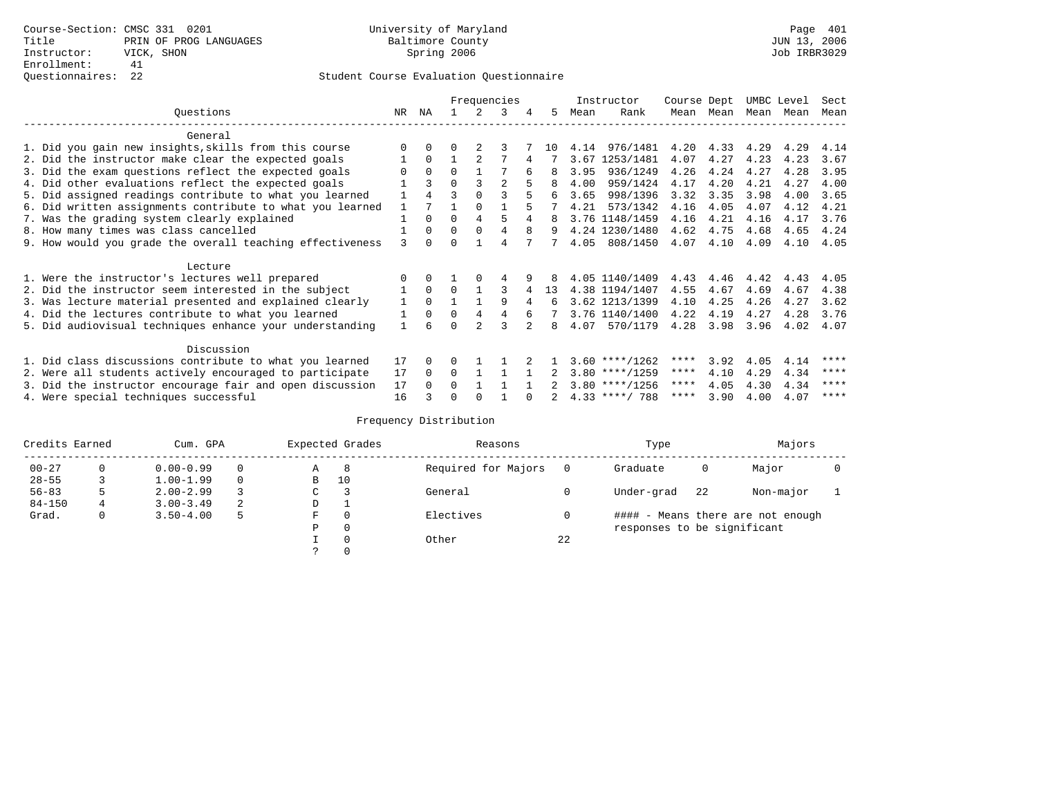|                                                           |    |          |          |          | Frequencies    |   |    |      | Instructor       | Course Dept |           | UMBC Level |           | Sect |
|-----------------------------------------------------------|----|----------|----------|----------|----------------|---|----|------|------------------|-------------|-----------|------------|-----------|------|
| Ouestions                                                 | NR | ΝA       |          | 2.       | 3              | 4 | 5. | Mean | Rank             |             | Mean Mean |            | Mean Mean | Mean |
| General                                                   |    |          |          |          |                |   |    |      |                  |             |           |            |           |      |
| 1. Did you gain new insights, skills from this course     |    | $\Omega$ | U        |          |                |   | 10 | 4.14 | 976/1481         | 4.20        | 4.33      | 4.29       | 4.29      | 4.14 |
| 2. Did the instructor make clear the expected goals       |    | $\Omega$ |          |          |                |   |    | 3.67 | 1253/1481        | 4.07        | 4.27      | 4.23       | 4.23      | 3.67 |
| 3. Did the exam questions reflect the expected goals      |    | $\Omega$ | $\Omega$ |          |                |   | 8  | 3.95 | 936/1249         | 4.26        | 4.24      | 4.27       | 4.28      | 3.95 |
| 4. Did other evaluations reflect the expected goals       |    | ς        | $\Omega$ |          | $\overline{a}$ |   |    | 4.00 | 959/1424         | 4.17        | 4.20      | 4.21       | 4.27      | 4.00 |
| 5. Did assigned readings contribute to what you learned   |    | 4        | ς        |          | ζ              |   | б. | 3.65 | 998/1396         | 3.32        | 3.35      | 3.98       | 4.00      | 3.65 |
| 6. Did written assignments contribute to what you learned |    |          |          | $\Omega$ |                |   |    | 4.21 | 573/1342         | 4.16        | 4.05      | 4.07       | 4.12      | 4.21 |
| 7. Was the grading system clearly explained               |    | $\Omega$ | O        | 4        |                | 4 |    |      | 3.76 1148/1459   | 4.16        | 4.21      | 4.16       | 4.17      | 3.76 |
| 8. How many times was class cancelled                     |    | $\Omega$ | $\Omega$ | $\Omega$ | 4              | 8 | 9  |      | 4.24 1230/1480   | 4.62        | 4.75      | 4.68       | 4.65      | 4.24 |
| 9. How would you grade the overall teaching effectiveness | ζ  | $\cap$   | ∩        |          | 4              |   |    | 4.05 | 808/1450         | 4.07        | 4.10      | 4.09       | 4.10      | 4.05 |
| Lecture                                                   |    |          |          |          |                |   |    |      |                  |             |           |            |           |      |
| 1. Were the instructor's lectures well prepared           |    | $\Omega$ |          |          | 4              |   |    |      | 4.05 1140/1409   | 4.43        | 4.46      | 4.42       | 4.43      | 4.05 |
| 2. Did the instructor seem interested in the subject      |    | $\Omega$ | $\Omega$ |          |                |   | 13 |      | 4.38 1194/1407   | 4.55        | 4.67      | 4.69       | 4.67      | 4.38 |
| 3. Was lecture material presented and explained clearly   | 1  | $\Omega$ |          |          | 9              |   | 6  |      | 3.62 1213/1399   | 4.10        | 4.25      | 4.26       | 4.27      | 3.62 |
| 4. Did the lectures contribute to what you learned        |    | 0        | $\Omega$ | 4        | 4              | 6 |    |      | 3.76 1140/1400   | 4.22        | 4.19      | 4.27       | 4.28      | 3.76 |
| 5. Did audiovisual techniques enhance your understanding  |    |          |          |          | ς              |   | 8  | 4.07 | 570/1179         | 4.28        | 3.98      | 3.96       | 4.02      | 4.07 |
| Discussion                                                |    |          |          |          |                |   |    |      |                  |             |           |            |           |      |
| 1. Did class discussions contribute to what you learned   | 17 | $\Omega$ | 0        |          |                |   |    |      | $3.60$ ****/1262 | ****        | 3.92      | 4.05       | 4.14      | **** |
| 2. Were all students actively encouraged to participate   | 17 | $\Omega$ | $\Omega$ |          |                |   |    |      | $3.80$ ****/1259 | $***$ * *   | 4.10      | 4.29       | 4.34      | **** |
| 3. Did the instructor encourage fair and open discussion  | 17 |          | 0        |          |                |   |    |      | $3.80$ ****/1256 | ****        | 4.05      | 4.30       | 4.34      | **** |
| 4. Were special techniques successful                     | 16 |          |          |          |                |   |    |      | $4.33$ ****/ 788 | ****        | 3.90      | 4.00       | 4.07      | **** |

| Credits Earned |   | Cum. GPA      |   |               | Expected Grades | Reasons             |    | Type                        |    | Majors                            |  |
|----------------|---|---------------|---|---------------|-----------------|---------------------|----|-----------------------------|----|-----------------------------------|--|
| $00 - 27$      | 0 | $0.00 - 0.99$ |   | Α             | -8              | Required for Majors |    | Graduate                    | 0  | Major                             |  |
| $28 - 55$      |   | $1.00 - 1.99$ |   | B             | 10              |                     |    |                             |    |                                   |  |
| $56 - 83$      | 5 | $2.00 - 2.99$ |   | $\sim$<br>◡   |                 | General             |    | Under-grad                  | 22 | Non-major                         |  |
| $84 - 150$     | 4 | $3.00 - 3.49$ | 2 | D             |                 |                     |    |                             |    |                                   |  |
| Grad.          | 0 | $3.50 - 4.00$ | 5 | F             | 0               | Electives           |    |                             |    | #### - Means there are not enough |  |
|                |   |               |   | Ρ             | 0               |                     |    | responses to be significant |    |                                   |  |
|                |   |               |   |               | 0               | Other               | 22 |                             |    |                                   |  |
|                |   |               |   | $\mathcal{L}$ |                 |                     |    |                             |    |                                   |  |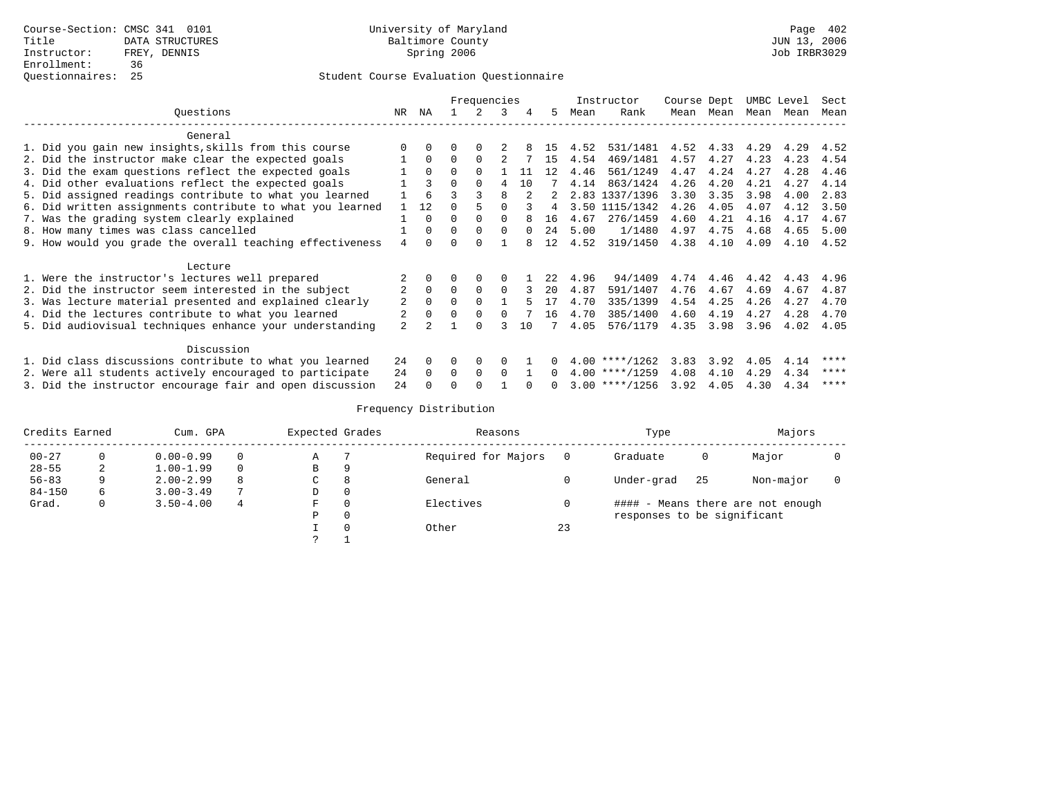|                                                           | Frequencies |          |          |          |              |     |              |      | Instructor              | Course Dept |           | UMBC Level |      | Sect |
|-----------------------------------------------------------|-------------|----------|----------|----------|--------------|-----|--------------|------|-------------------------|-------------|-----------|------------|------|------|
| Ouestions                                                 | NR          | NA       |          | 2        | 3            |     | .5.          | Mean | Rank                    |             | Mean Mean | Mean       | Mean | Mean |
| General                                                   |             |          |          |          |              |     |              |      |                         |             |           |            |      |      |
| 1. Did you gain new insights, skills from this course     |             |          |          |          |              |     | 15           | 4.52 | 531/1481 4.52 4.33 4.29 |             |           |            | 4.29 | 4.52 |
| 2. Did the instructor make clear the expected goals       |             | $\Omega$ | $\Omega$ |          |              |     | 15           | 4.54 | 469/1481                | 4.57        | 4.27      | 4.23       | 4.23 | 4.54 |
| 3. Did the exam questions reflect the expected goals      |             | $\Omega$ | $\Omega$ |          |              | -11 | 12           | 4.46 | 561/1249                | 4.47        | 4.24      | 4.27       | 4.28 | 4.46 |
| 4. Did other evaluations reflect the expected goals       |             | २        | $\Omega$ |          |              | 1 O |              | 4.14 | 863/1424                | 4.26        | 4.20      | 4.21       | 4.27 | 4.14 |
| 5. Did assigned readings contribute to what you learned   |             | 6        |          |          |              |     | 2            |      | 2.83 1337/1396          | 3.30        | 3.35      | 3.98       | 4.00 | 2.83 |
| 6. Did written assignments contribute to what you learned |             | 12.      | $\Omega$ |          |              |     | 4            |      | 3.50 1115/1342          | 4.26        | 4.05      | 4.07       | 4.12 | 3.50 |
| 7. Was the grading system clearly explained               |             | $\Omega$ | $\Omega$ |          |              |     | 16           | 4.67 | 276/1459                | 4.60        | 4.21      | 4.16       | 4.17 | 4.67 |
| 8. How many times was class cancelled                     |             | $\Omega$ | $\Omega$ | $\Omega$ | $\cap$       |     | 2.4          | 5.00 | 1/1480                  | 4.97        | 4.75      | 4.68       | 4.65 | 5.00 |
| 9. How would you grade the overall teaching effectiveness | 4           | $\cap$   | $\cap$   | $\cap$   |              |     | 12           | 4.52 | 319/1450                | 4.38        | 4.10      | 4.09       | 4.10 | 4.52 |
| Lecture                                                   |             |          |          |          |              |     |              |      |                         |             |           |            |      |      |
| 1. Were the instructor's lectures well prepared           |             |          |          | $\Omega$ | $\Omega$     |     | 2.2          | 4.96 | 94/1409                 | 4.74        | 4.46      | 4.42       | 4.43 | 4.96 |
| 2. Did the instructor seem interested in the subject      |             | $\Omega$ | $\Omega$ | $\Omega$ | $\Omega$     | 3   | $20^{\circ}$ | 4.87 | 591/1407                | 4.76        | 4.67      | 4.69       | 4.67 | 4.87 |
| 3. Was lecture material presented and explained clearly   | 2           | $\Omega$ | $\Omega$ | $\cap$   |              |     | 17           | 4.70 | 335/1399                | 4.54        | 4.25      | 4.26       | 4.27 | 4.70 |
| 4. Did the lectures contribute to what you learned        | 2           | $\Omega$ | $\Omega$ | $\Omega$ | 0            |     | 16           | 4.70 | 385/1400                | 4.60        | 4.19      | 4.27       | 4.28 | 4.70 |
| 5. Did audiovisual techniques enhance your understanding  | 2           |          |          |          |              | 1 O |              | 4.05 | 576/1179                | 4.35        | 3.98      | 3.96       | 4.02 | 4.05 |
| Discussion                                                |             |          |          |          |              |     |              |      |                         |             |           |            |      |      |
| 1. Did class discussions contribute to what you learned   | 24          | $\Omega$ | $\Omega$ | $\Omega$ | <sup>0</sup> |     | 0            |      | $4.00$ ****/1262        | 3.83        | 3.92      | 4.05       | 4.14 | **** |
| 2. Were all students actively encouraged to participate   | 24          | $\Omega$ | $\Omega$ | $\Omega$ | $\Omega$     |     | $\Omega$     |      | $4.00$ ****/1259        | 4.08        | 4.10      | 4.29       | 4.34 | **** |
| 3. Did the instructor encourage fair and open discussion  | 24          |          |          |          |              |     | $\Omega$     |      | $3.00$ ****/1256        | 3.92        | 4.05      | 4.30       | 4.34 | **** |

| Credits Earned |    | Cum. GPA      |          | Expected Grades |   | Reasons             |    | Type                        |     | Majors                            |  |
|----------------|----|---------------|----------|-----------------|---|---------------------|----|-----------------------------|-----|-----------------------------------|--|
| $00 - 27$      |    | $0.00 - 0.99$ | $\Omega$ | Α               |   | Required for Majors |    | Graduate                    | 0   | Major                             |  |
| $28 - 55$      | 2  | $1.00 - 1.99$ | $\Omega$ | B               | 9 |                     |    |                             |     |                                   |  |
| $56 - 83$      | 9. | $2.00 - 2.99$ | 8        | C               | 8 | General             |    | Under-grad                  | -25 | Non-major                         |  |
| $84 - 150$     | 6. | $3.00 - 3.49$ |          | D               |   |                     |    |                             |     |                                   |  |
| Grad.          | 0  | $3.50 - 4.00$ | 4        | F               |   | Electives           |    |                             |     | #### - Means there are not enough |  |
|                |    |               |          | P               |   |                     |    | responses to be significant |     |                                   |  |
|                |    |               |          |                 |   | Other               | 23 |                             |     |                                   |  |
|                |    |               |          |                 |   |                     |    |                             |     |                                   |  |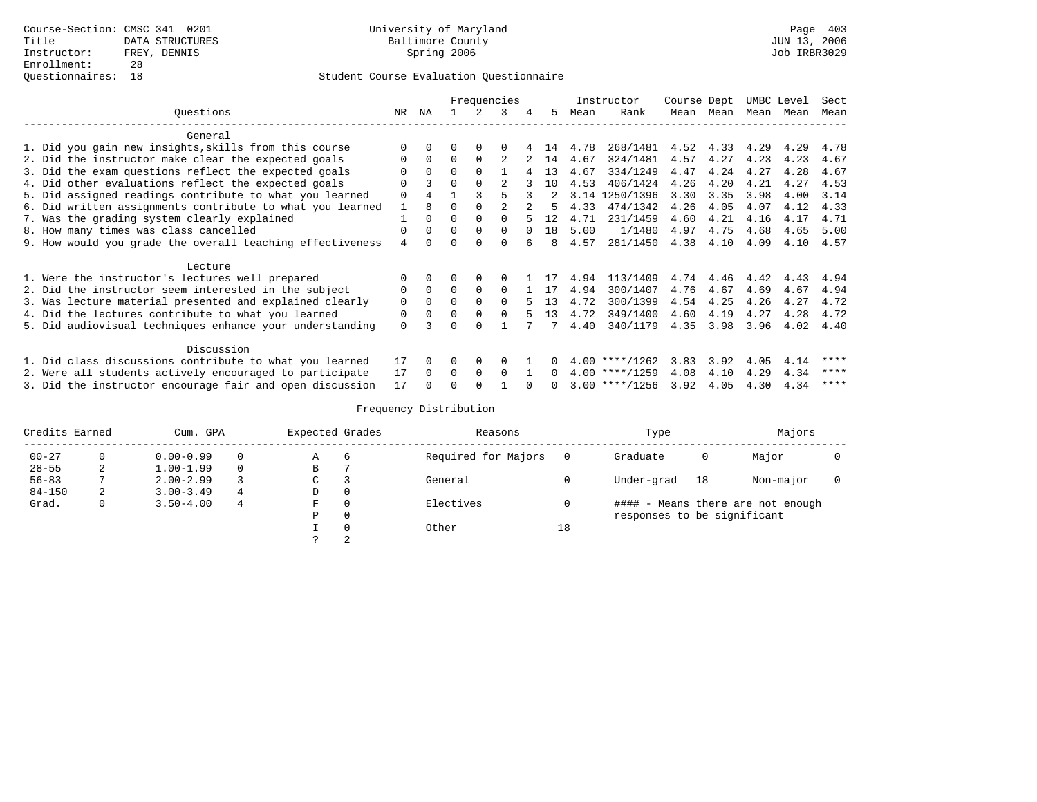|                                                           |          |          |          | Frequencies  |              |   |          |      | Instructor              | Course Dept |           | UMBC Level |      | Sect      |
|-----------------------------------------------------------|----------|----------|----------|--------------|--------------|---|----------|------|-------------------------|-------------|-----------|------------|------|-----------|
| Ouestions                                                 | NR       | NA       |          | 2            | 3            |   | .5.      | Mean | Rank                    |             | Mean Mean | Mean       | Mean | Mean      |
| General                                                   |          |          |          |              |              |   |          |      |                         |             |           |            |      |           |
| 1. Did you gain new insights, skills from this course     |          |          |          |              |              |   | 14       | 4.78 | 268/1481 4.52 4.33 4.29 |             |           |            | 4.29 | 4.78      |
| 2. Did the instructor make clear the expected goals       | O        | $\Omega$ | $\Omega$ |              |              |   | 14       | 4.67 | 324/1481                | 4.57        | 4.27      | 4.23       | 4.23 | 4.67      |
| 3. Did the exam questions reflect the expected goals      |          | $\Omega$ | $\Omega$ |              |              |   | 13       | 4.67 | 334/1249                | 4.47        | 4.24      | 4.27       | 4.28 | 4.67      |
| 4. Did other evaluations reflect the expected goals       |          | २        | $\Omega$ |              |              |   | 10       | 4.53 | 406/1424                | 4.26        | 4.20      | 4.21       | 4.27 | 4.53      |
| 5. Did assigned readings contribute to what you learned   | $\Omega$ | 4        |          |              |              |   |          |      | 3.14 1250/1396          | 3.30        | 3.35      | 3.98       | 4.00 | 3.14      |
| 6. Did written assignments contribute to what you learned |          | 8        | $\Omega$ |              |              |   |          | 4.33 | 474/1342                | 4.26        | 4.05      | 4.07       | 4.12 | 4.33      |
| 7. Was the grading system clearly explained               |          | $\Omega$ | $\Omega$ |              |              |   | 12       | 4.71 | 231/1459                | 4.60        | 4.21      | 4.16       | 4.17 | 4.71      |
| 8. How many times was class cancelled                     | $\Omega$ | $\cap$   | $\Omega$ | $\Omega$     | $\cap$       |   | 1 R      | 5.00 | 1/1480                  | 4.97        | 4.75      | 4.68       | 4.65 | 5.00      |
| 9. How would you grade the overall teaching effectiveness | 4        | $\cap$   | $\cap$   | $\cap$       | <sup>n</sup> | 6 | 8        | 4.57 | 281/1450                | 4.38        | 4.10      | 4.09       |      | 4.10 4.57 |
| Lecture                                                   |          |          |          |              |              |   |          |      |                         |             |           |            |      |           |
| 1. Were the instructor's lectures well prepared           |          |          |          | <sup>0</sup> | 0            |   | -17      | 4.94 | 113/1409                | 4.74        | 4.46      | 4.42       | 4.43 | 4.94      |
| 2. Did the instructor seem interested in the subject      | $\Omega$ | $\Omega$ | $\Omega$ | $\Omega$     | $\Omega$     |   | 1 17     | 4.94 | 300/1407                | 4.76        | 4.67      | 4.69       | 4.67 | 4.94      |
| 3. Was lecture material presented and explained clearly   | $\Omega$ | $\Omega$ | $\Omega$ | $\Omega$     | $\Omega$     |   | 13       | 4.72 | 300/1399                | 4.54        | 4.25      | 4.26       | 4.27 | 4.72      |
| 4. Did the lectures contribute to what you learned        | $\Omega$ | $\Omega$ | $\Omega$ | $\Omega$     | $\cap$       |   | 13       | 4.72 | 349/1400                | 4.60        | 4.19      | 4.27       | 4.28 | 4.72      |
| 5. Did audiovisual techniques enhance your understanding  | $\Omega$ |          | $\cap$   | $\cap$       |              |   |          | 4.40 | 340/1179                | 4.35        | 3.98      | 3.96       | 4.02 | 4.40      |
| Discussion                                                |          |          |          |              |              |   |          |      |                         |             |           |            |      |           |
| 1. Did class discussions contribute to what you learned   | 17       | $\Omega$ | $\Omega$ | $\Omega$     | <sup>0</sup> |   |          |      | $4.00$ ****/1262        | 3.83        | 3.92      | 4.05       | 4.14 | ****      |
| 2. Were all students actively encouraged to participate   | 17       | $\Omega$ | $\Omega$ | $\Omega$     | $\Omega$     |   | $\Omega$ |      | $4.00$ ****/1259        | 4.08        | 4.10      | 4.29       | 4.34 | ****      |
| 3. Did the instructor encourage fair and open discussion  | 17       |          |          |              |              |   | $\Omega$ |      | $3.00$ ****/1256        | 3.92        | 4.05      | 4.30       | 4.34 | ****      |

| Credits Earned |   | Cum. GPA      |          | Expected Grades |   | Reasons             |    | Type                        |    | Majors                            |  |
|----------------|---|---------------|----------|-----------------|---|---------------------|----|-----------------------------|----|-----------------------------------|--|
| $00 - 27$      |   | $0.00 - 0.99$ | 0        | Α               | b | Required for Majors |    | Graduate                    | 0  | Major                             |  |
| $28 - 55$      | ∠ | $1.00 - 1.99$ | $\Omega$ | В               |   |                     |    |                             |    |                                   |  |
| $56 - 83$      |   | $2.00 - 2.99$ |          | C               |   | General             |    | Under-grad                  | 18 | Non-major                         |  |
| $84 - 150$     | 2 | $3.00 - 3.49$ | 4        | D               |   |                     |    |                             |    |                                   |  |
| Grad.          | 0 | $3.50 - 4.00$ | 4        | F               |   | Electives           |    |                             |    | #### - Means there are not enough |  |
|                |   |               |          | D               |   |                     |    | responses to be significant |    |                                   |  |
|                |   |               |          |                 |   | Other               | 18 |                             |    |                                   |  |
|                |   |               |          |                 |   |                     |    |                             |    |                                   |  |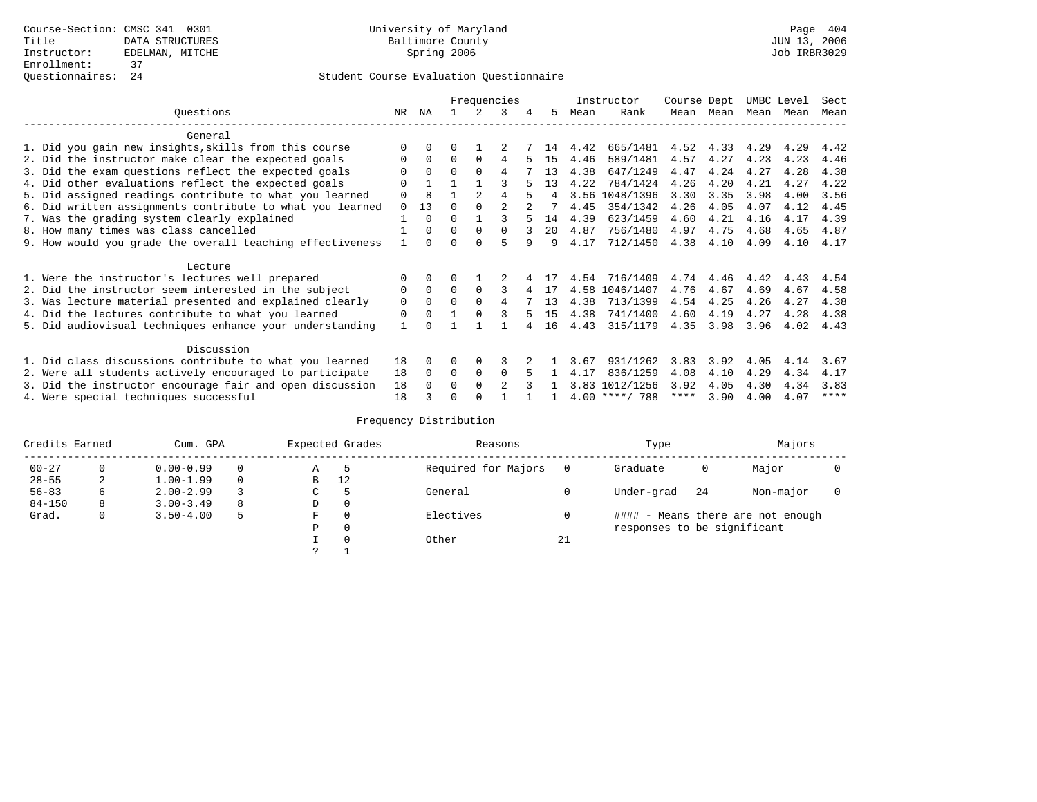|                                                           |              |          |          |                | Frequencies    |   |              |      | Instructor       | Course Dept |      | UMBC Level |      | Sect        |
|-----------------------------------------------------------|--------------|----------|----------|----------------|----------------|---|--------------|------|------------------|-------------|------|------------|------|-------------|
| Ouestions                                                 | NR.          | ΝA       |          |                | 3              | 4 | 5.           | Mean | Rank             | Mean        | Mean | Mean       | Mean | Mean        |
| General                                                   |              |          |          |                |                |   |              |      |                  |             |      |            |      |             |
| 1. Did you gain new insights, skills from this course     | $\Omega$     | $\Omega$ | 0        |                |                |   | 14           | 4.42 | 665/1481         | 4.52        | 4.33 | 4.29       | 4.29 | 4.42        |
| 2. Did the instructor make clear the expected goals       | 0            | $\Omega$ | $\Omega$ | $\Omega$       | 4              |   | 15           | 4.46 | 589/1481         | 4.57        | 4.27 | 4.23       | 4.23 | 4.46        |
| 3. Did the exam questions reflect the expected goals      |              | $\Omega$ | $\Omega$ | $\Omega$       | 4              |   | 13           | 4.38 | 647/1249         | 4.47        | 4.24 | 4.27       | 4.28 | 4.38        |
| 4. Did other evaluations reflect the expected goals       | $\Omega$     |          |          |                |                |   | 13           | 4.22 | 784/1424         | 4.26        | 4.20 | 4.21       | 4.27 | 4.22        |
| 5. Did assigned readings contribute to what you learned   | $\mathbf 0$  | 8        |          | $\mathfrak{D}$ | 4              |   |              | 3.56 | 1048/1396        | 3.30        | 3.35 | 3.98       | 4.00 | 3.56        |
| 6. Did written assignments contribute to what you learned | $\Omega$     | 13       | $\Omega$ |                | $\mathcal{D}$  |   |              | 4.45 | 354/1342         | 4.26        | 4.05 | 4.07       | 4.12 | 4.45        |
| 7. Was the grading system clearly explained               |              | $\Omega$ | O        |                |                |   | 14           | 4.39 | 623/1459         | 4.60        | 4.21 | 4.16       | 4.17 | 4.39        |
| 8. How many times was class cancelled                     |              | $\Omega$ | $\Omega$ | $\Omega$       | $\cap$         | २ | $20^{\circ}$ | 4.87 | 756/1480         | 4.97        | 4.75 | 4.68       | 4.65 | 4.87        |
| 9. How would you grade the overall teaching effectiveness |              | $\cap$   | ∩        | ∩              | 5              | q | 9            | 4.17 | 712/1450         | 4.38        | 4.10 | 4.09       | 4.10 | 4.17        |
|                                                           |              |          |          |                |                |   |              |      |                  |             |      |            |      |             |
| Lecture                                                   |              |          |          |                |                |   |              |      |                  |             |      |            |      |             |
| 1. Were the instructor's lectures well prepared           | 0            |          |          |                |                |   |              | 4.54 | 716/1409         | 4.74        | 4.46 | 4.42       | 4.43 | 4.54        |
| 2. Did the instructor seem interested in the subject      | 0            | $\Omega$ | $\Omega$ | $\Omega$       |                |   | 17           |      | 4.58 1046/1407   | 4.76        | 4.67 | 4.69       | 4.67 | 4.58        |
| 3. Was lecture material presented and explained clearly   | $\mathbf 0$  | $\Omega$ | $\Omega$ |                | 4              |   | 13           | 4.38 | 713/1399         | 4.54        | 4.25 | 4.26       | 4.27 | 4.38        |
| 4. Did the lectures contribute to what you learned        | 0            | $\Omega$ |          |                |                |   | 15           | 4.38 | 741/1400         | 4.60        | 4.19 | 4.27       | 4.28 | 4.38        |
| 5. Did audiovisual techniques enhance your understanding  | $\mathbf{1}$ |          |          |                |                |   | 16           | 4.43 | 315/1179         | 4.35        | 3.98 | 3.96       | 4.02 | 4.43        |
|                                                           |              |          |          |                |                |   |              |      |                  |             |      |            |      |             |
| Discussion                                                |              |          |          |                |                |   |              |      |                  |             |      |            |      |             |
| 1. Did class discussions contribute to what you learned   | 18           | $\Omega$ | O        | $\Omega$       | κ              |   |              | 3.67 | 931/1262         | 3.83        | 3.92 | 4.05       | 4.14 | 3.67        |
| 2. Were all students actively encouraged to participate   | 18           | $\Omega$ | $\Omega$ | $\mathbf 0$    | $\Omega$       |   |              | 4.17 | 836/1259         | 4.08        | 4.10 | 4.29       | 4.34 | 4.17        |
| 3. Did the instructor encourage fair and open discussion  | 18           | $\Omega$ | 0        | $\Omega$       | $\mathfrak{D}$ |   |              |      | 3.83 1012/1256   | 3.92        | 4.05 | 4.30       | 4.34 | 3.83        |
| 4. Were special techniques successful                     | 18           |          |          |                |                |   |              |      | $4.00$ ****/ 788 | ****        | 3.90 | 4.00       | 4.07 | $***$ * * * |

| Credits Earned |   | Cum. GPA      |          |    | Expected Grades | Reasons             |    | Type                        |     | Majors                            |  |
|----------------|---|---------------|----------|----|-----------------|---------------------|----|-----------------------------|-----|-----------------------------------|--|
| $00 - 27$      | 0 | $0.00 - 0.99$ |          | Α  |                 | Required for Majors |    | Graduate                    | 0   | Major                             |  |
| $28 - 55$      | 2 | $1.00 - 1.99$ | $\Omega$ | В  | 12              |                     |    |                             |     |                                   |  |
| $56 - 83$      | 6 | $2.00 - 2.99$ |          | C. |                 | General             |    | Under-grad                  | -24 | Non-major                         |  |
| $84 - 150$     | 8 | $3.00 - 3.49$ | 8        | D  | 0               |                     |    |                             |     |                                   |  |
| Grad.          | 0 | $3.50 - 4.00$ |          | F  | $\Omega$        | Electives           |    |                             |     | #### - Means there are not enough |  |
|                |   |               |          | Ρ  | 0               |                     |    | responses to be significant |     |                                   |  |
|                |   |               |          |    | $\Omega$        | Other               | 21 |                             |     |                                   |  |
|                |   |               |          |    |                 |                     |    |                             |     |                                   |  |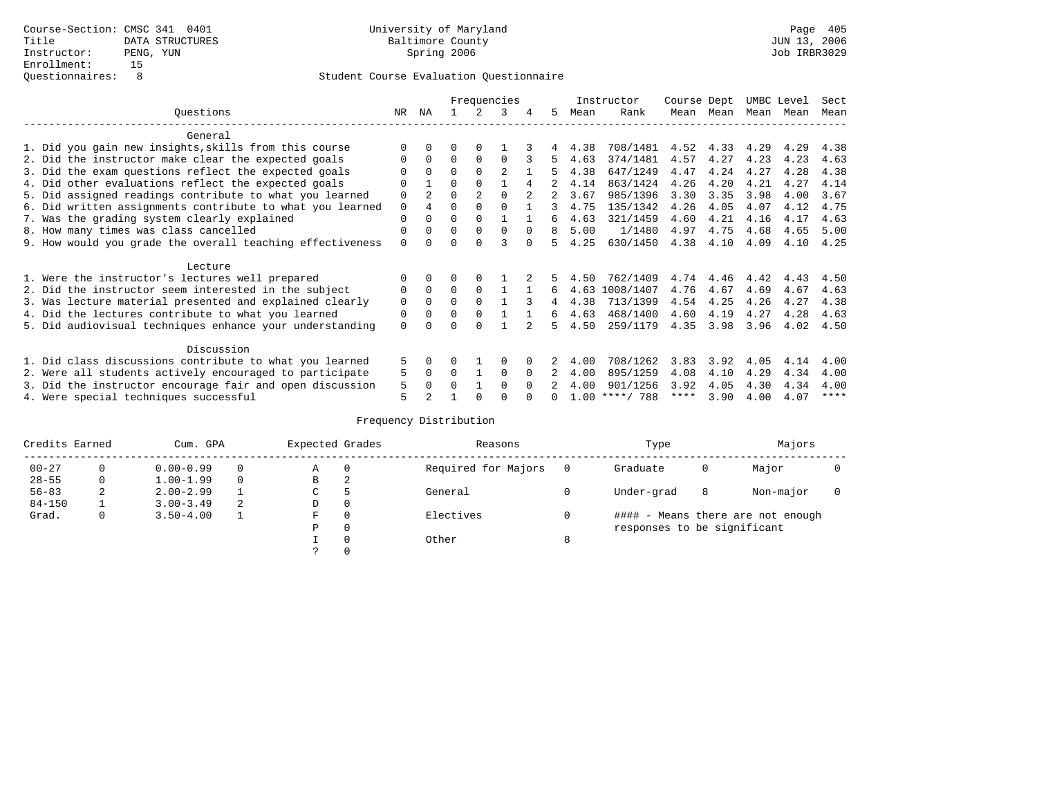|                                                           |             |              |          |          | Frequencies    |          |    |      | Instructor | Course Dept |      | UMBC Level |      | Sect |
|-----------------------------------------------------------|-------------|--------------|----------|----------|----------------|----------|----|------|------------|-------------|------|------------|------|------|
| Ouestions                                                 | NR.         | ΝA           |          |          | 3              |          | 5. | Mean | Rank       | Mean        | Mean | Mean       | Mean | Mean |
| General                                                   |             |              |          |          |                |          |    |      |            |             |      |            |      |      |
| 1. Did you gain new insights, skills from this course     | ∩           |              | O        | $\Omega$ |                |          |    | 4.38 | 708/1481   | 4.52        | 4.33 | 4.29       | 4.29 | 4.38 |
| 2. Did the instructor make clear the expected goals       | $\Omega$    | $\Omega$     | $\Omega$ | $\Omega$ | $\cap$         |          | 5. | 4.63 | 374/1481   | 4.57        | 4.27 | 4.23       | 4.23 | 4.63 |
| 3. Did the exam questions reflect the expected goals      |             |              | $\Omega$ | $\Omega$ | $\mathfrak{D}$ |          | 5  | 4.38 | 647/1249   | 4.47        | 4.24 | 4.27       | 4.28 | 4.38 |
| 4. Did other evaluations reflect the expected goals       | $\Omega$    |              | $\Omega$ |          |                |          |    | 4.14 | 863/1424   | 4.26        | 4.20 | 4.21       | 4.27 | 4.14 |
| 5. Did assigned readings contribute to what you learned   | 0           |              | $\Omega$ |          | $\Omega$       |          |    | 3.67 | 985/1396   | 3.30        | 3.35 | 3.98       | 4.00 | 3.67 |
| 6. Did written assignments contribute to what you learned | $\mathbf 0$ |              | $\Omega$ |          |                |          | 3  | 4.75 | 135/1342   | 4.26        | 4.05 | 4.07       | 4.12 | 4.75 |
| 7. Was the grading system clearly explained               | $\Omega$    |              | $\Omega$ | $\Omega$ |                |          | 6  | 4.63 | 321/1459   | 4.60        | 4.21 | 4.16       | 4.17 | 4.63 |
| 8. How many times was class cancelled                     | $\Omega$    | <sup>0</sup> | $\Omega$ | $\Omega$ | $\Omega$       | $\Omega$ | 8  | 5.00 | 1/1480     | 4.97        | 4.75 | 4.68       | 4.65 | 5.00 |
| 9. How would you grade the overall teaching effectiveness | $\Omega$    |              | U        | ∩        | २              | $\cap$   | 5. | 4.25 | 630/1450   | 4.38        | 4.10 | 4.09       | 4.10 | 4.25 |
| Lecture                                                   |             |              |          |          |                |          |    |      |            |             |      |            |      |      |
| 1. Were the instructor's lectures well prepared           |             |              |          |          |                |          |    | 4.50 | 762/1409   | 4.74        | 4.46 | 4.42       | 4.43 | 4.50 |
| 2. Did the instructor seem interested in the subject      | 0           | $\Omega$     | $\Omega$ | $\Omega$ |                |          | 6  | 4.63 | 1008/1407  | 4.76        | 4.67 | 4.69       | 4.67 | 4.63 |
| 3. Was lecture material presented and explained clearly   | $\mathbf 0$ | $\Omega$     | $\Omega$ |          |                |          | 4  | 4.38 | 713/1399   | 4.54        | 4.25 | 4.26       | 4.27 | 4.38 |
| 4. Did the lectures contribute to what you learned        | 0           |              | $\Omega$ |          |                |          | б. | 4.63 | 468/1400   | 4.60        | 4.19 | 4.27       | 4.28 | 4.63 |
| 5. Did audiovisual techniques enhance your understanding  | $\Omega$    |              | ∩        |          |                |          | 5  | 4.50 | 259/1179   | 4.35        | 3.98 | 3.96       | 4.02 | 4.50 |
|                                                           |             |              |          |          |                |          |    |      |            |             |      |            |      |      |
| Discussion                                                |             |              |          |          |                |          |    |      |            |             |      |            |      |      |
| 1. Did class discussions contribute to what you learned   |             |              | U        |          | $\Omega$       |          |    | 4.00 | 708/1262   | 3.83        | 3.92 | 4.05       | 4.14 | 4.00 |
| 2. Were all students actively encouraged to participate   | 5           | 0            | $\Omega$ |          | $\Omega$       |          |    | 4.00 | 895/1259   | 4.08        | 4.10 | 4.29       | 4.34 | 4.00 |
| 3. Did the instructor encourage fair and open discussion  | 5           |              | O        |          | $\Omega$       | $\Omega$ |    | 4.00 | 901/1256   | 3.92        | 4.05 | 4.30       | 4.34 | 4.00 |
| 4. Were special techniques successful                     | 5           |              |          |          |                |          |    | 1.00 | ****/ 788  | ****        | 3.90 | 4.00       | 4.07 | **** |

| Credits Earned |   | Cum. GPA      |   | Expected Grades |               | Reasons             |   | Type                        |   | Majors                            |  |
|----------------|---|---------------|---|-----------------|---------------|---------------------|---|-----------------------------|---|-----------------------------------|--|
| $00 - 27$      | 0 | $0.00 - 0.99$ |   | Α               | $\Omega$      | Required for Majors |   | Graduate                    | 0 | Major                             |  |
| $28 - 55$      | 0 | $1.00 - 1.99$ |   | В               | 2             |                     |   |                             |   |                                   |  |
| $56 - 83$      | 2 | $2.00 - 2.99$ |   | $\sim$<br>◡     | $\mathcal{P}$ | General             |   | Under-grad                  | 8 | Non-major                         |  |
| $84 - 150$     |   | $3.00 - 3.49$ | 2 | D               | 0             |                     |   |                             |   |                                   |  |
| Grad.          | 0 | $3.50 - 4.00$ |   | F               | $\Omega$      | Electives           |   |                             |   | #### - Means there are not enough |  |
|                |   |               |   | Ρ               | 0             |                     |   | responses to be significant |   |                                   |  |
|                |   |               |   |                 | 0             | Other               | 8 |                             |   |                                   |  |
|                |   |               |   | C.              |               |                     |   |                             |   |                                   |  |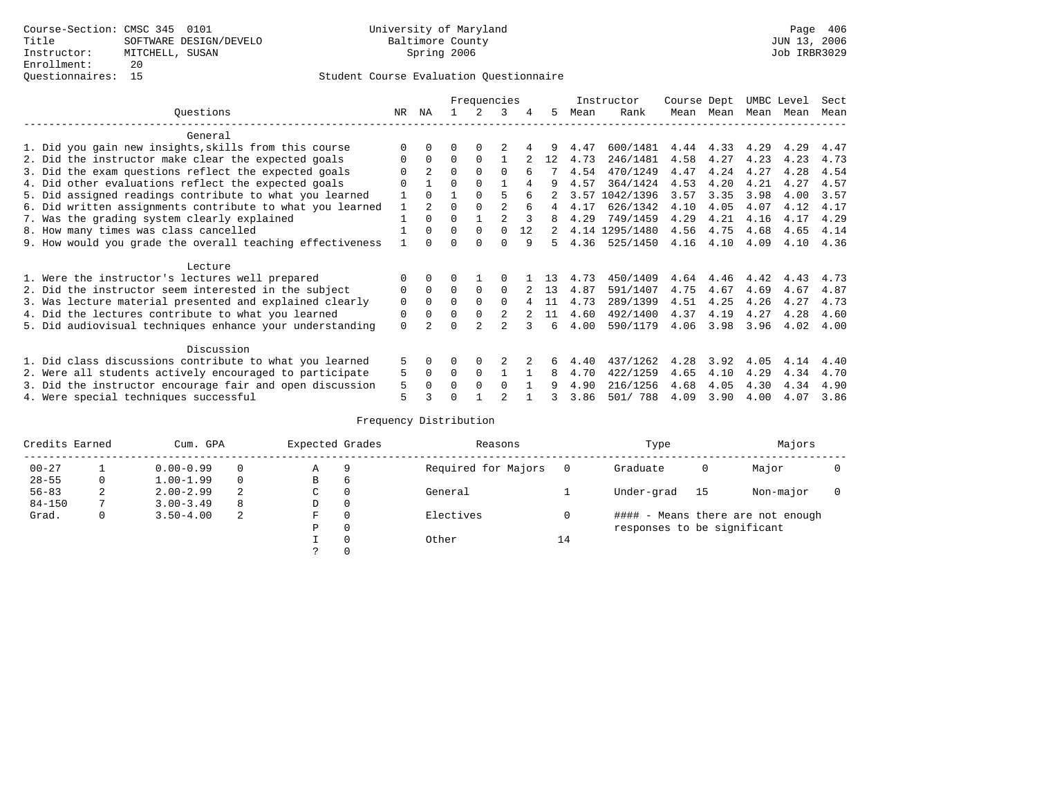|                                                           |          |                |          | Frequencies    |                |    |    |      | Instructor     | Course Dept |           | UMBC Level |      | Sect |
|-----------------------------------------------------------|----------|----------------|----------|----------------|----------------|----|----|------|----------------|-------------|-----------|------------|------|------|
| Ouestions                                                 | NR       | ΝA             |          | 2              | 3              | 4  | 5  | Mean | Rank           |             | Mean Mean | Mean       | Mean | Mean |
| General                                                   |          |                |          |                |                |    |    |      |                |             |           |            |      |      |
| 1. Did you gain new insights, skills from this course     |          | $\Omega$       | 0        | $\Omega$       |                |    |    | 4.47 | 600/1481       | 4.44        | 4.33      | 4.29       | 4.29 | 4.47 |
| 2. Did the instructor make clear the expected goals       | 0        | $\Omega$       | $\Omega$ | $\Omega$       |                |    | 12 | 4.73 | 246/1481       | 4.58        | 4.27      | 4.23       | 4.23 | 4.73 |
| 3. Did the exam questions reflect the expected goals      |          | $\overline{2}$ | $\Omega$ | $\Omega$       | $\Omega$       |    |    | 4.54 | 470/1249       | 4.47        | 4.24      | 4.27       | 4.28 | 4.54 |
| 4. Did other evaluations reflect the expected goals       |          |                | 0        | $\Omega$       |                |    | 9  | 4.57 | 364/1424       | 4.53        | 4.20      | 4.21       | 4.27 | 4.57 |
| 5. Did assigned readings contribute to what you learned   |          | $\Omega$       |          | $\Omega$       | 5              |    |    | 3.57 | 1042/1396      | 3.57        | 3.35      | 3.98       | 4.00 | 3.57 |
| 6. Did written assignments contribute to what you learned | 1        | $\overline{2}$ | 0        | $\Omega$       | 2              | 6  | 4  | 4.17 | 626/1342       | 4.10        | 4.05      | 4.07       | 4.12 | 4.17 |
| 7. Was the grading system clearly explained               |          | $\Omega$       | 0        |                | $\mathfrak{D}$ |    | 8  | 4.29 | 749/1459       | 4.29        | 4.21      | 4.16       | 4.17 | 4.29 |
| 8. How many times was class cancelled                     |          | $\Omega$       | $\Omega$ | $\Omega$       | $\Omega$       | 12 | 2  |      | 4.14 1295/1480 | 4.56        | 4.75      | 4.68       | 4.65 | 4.14 |
| 9. How would you grade the overall teaching effectiveness |          | <sup>n</sup>   |          | <sup>n</sup>   | <sup>n</sup>   | 9  | 5. | 4.36 | 525/1450       | 4.16        | 4.10      | 4.09       | 4.10 | 4.36 |
| Lecture                                                   |          |                |          |                |                |    |    |      |                |             |           |            |      |      |
| 1. Were the instructor's lectures well prepared           |          | $\Omega$       |          |                |                |    |    | 4.73 | 450/1409       | 4.64        | 4.46      | 4.42       | 4.43 | 4.73 |
| 2. Did the instructor seem interested in the subject      | 0        | $\Omega$       | $\Omega$ | $\Omega$       | $\Omega$       |    | 13 | 4.87 | 591/1407       | 4.75        | 4.67      | 4.69       | 4.67 | 4.87 |
| 3. Was lecture material presented and explained clearly   | 0        | $\Omega$       | 0        | $\Omega$       | $\Omega$       |    | 11 | 4.73 | 289/1399       | 4.51        | 4.25      | 4.26       | 4.27 | 4.73 |
| 4. Did the lectures contribute to what you learned        | 0        | $\Omega$       | U        | $\Omega$       | 2              |    | 11 | 4.60 | 492/1400       | 4.37        | 4.19      | 4.27       | 4.28 | 4.60 |
| 5. Did audiovisual techniques enhance your understanding  | $\Omega$ |                |          | $\mathfrak{D}$ | $\mathfrak{D}$ |    | 6  | 4.00 | 590/1179       | 4.06        | 3.98      | 3.96       | 4.02 | 4.00 |
| Discussion                                                |          |                |          |                |                |    |    |      |                |             |           |            |      |      |
| 1. Did class discussions contribute to what you learned   | 5.       | $\Omega$       | 0        | $\Omega$       |                |    |    | 4.40 | 437/1262       | 4.28        | 3.92      | 4.05       | 4.14 | 4.40 |
| 2. Were all students actively encouraged to participate   | 5        | 0              | $\Omega$ | 0              |                |    | 8  | 4.70 | 422/1259       | 4.65        | 4.10      | 4.29       | 4.34 | 4.70 |
| 3. Did the instructor encourage fair and open discussion  | 5        | 0              | U        | $\Omega$       | 0              |    | 9  | 4.90 | 216/1256       | 4.68        | 4.05      | 4.30       | 4.34 | 4.90 |
| 4. Were special techniques successful                     | 5        |                |          |                | $\mathfrak{D}$ |    |    | 3.86 | 501/ 788       | 4.09        | 3.90      | 4.00       | 4.07 | 3.86 |

| Credits Earned |   | Cum. GPA      |   | Expected Grades |          | Reasons             |    | Type                        |    | Majors                            |  |
|----------------|---|---------------|---|-----------------|----------|---------------------|----|-----------------------------|----|-----------------------------------|--|
| $00 - 27$      |   | $0.00 - 0.99$ |   | Α               | 9        | Required for Majors |    | Graduate                    | 0  | Major                             |  |
| $28 - 55$      | 0 | $1.00 - 1.99$ |   | B               | 6        |                     |    |                             |    |                                   |  |
| $56 - 83$      | 2 | $2.00 - 2.99$ | 2 | C               | 0        | General             |    | Under-grad                  | 15 | Non-major                         |  |
| $84 - 150$     |   | $3.00 - 3.49$ | 8 | D               | 0        |                     |    |                             |    |                                   |  |
| Grad.          | 0 | $3.50 - 4.00$ | 2 | F               | 0        | Electives           |    |                             |    | #### - Means there are not enough |  |
|                |   |               |   | Ρ               | 0        |                     |    | responses to be significant |    |                                   |  |
|                |   |               |   |                 | $\Omega$ | Other               | 14 |                             |    |                                   |  |
|                |   |               |   |                 |          |                     |    |                             |    |                                   |  |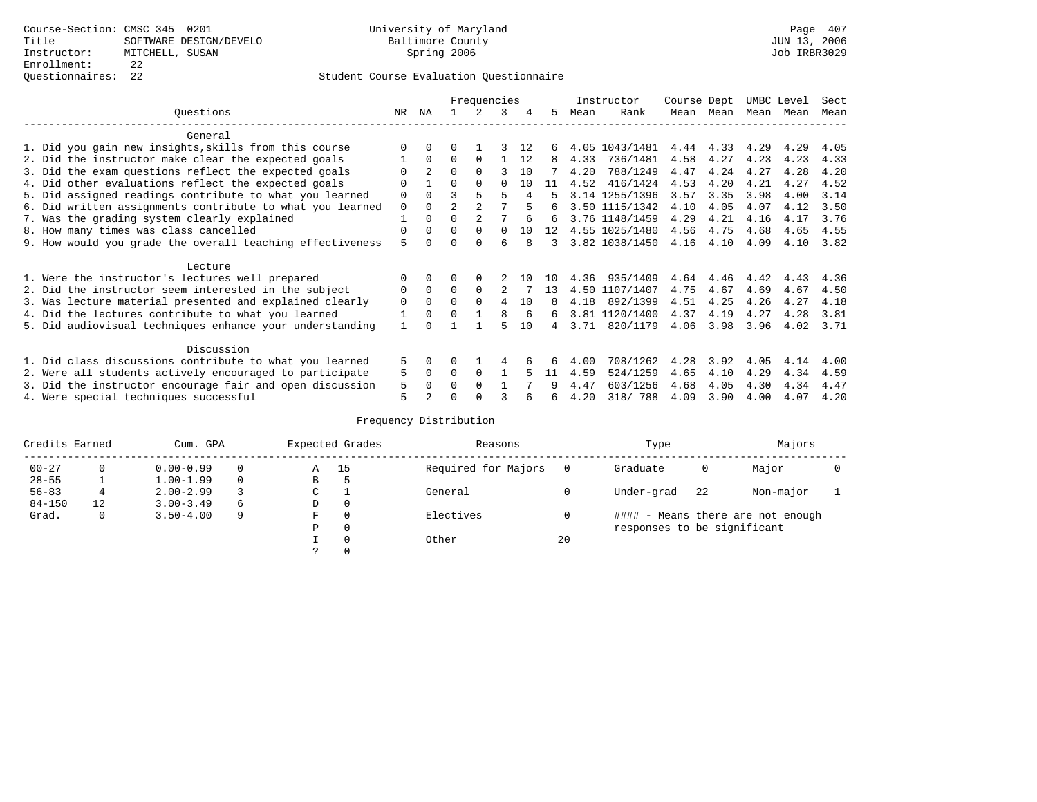## Questionnaires: 22 Student Course Evaluation Questionnaire

|                                                           |             |                |                | Frequencies |              |     |     |      | Instructor     | Course Dept |           | UMBC Level |      | Sect |
|-----------------------------------------------------------|-------------|----------------|----------------|-------------|--------------|-----|-----|------|----------------|-------------|-----------|------------|------|------|
| Ouestions                                                 | NR          | ΝA             |                |             | 3            | 4   | 5.  | Mean | Rank           |             | Mean Mean | Mean       | Mean | Mean |
| General                                                   |             |                |                |             |              |     |     |      |                |             |           |            |      |      |
| 1. Did you gain new insights, skills from this course     |             | $\Omega$       | 0              |             |              | 12  | 6   |      | 4.05 1043/1481 | 4.44        | 4.33      | 4.29       | 4.29 | 4.05 |
| 2. Did the instructor make clear the expected goals       |             | $\Omega$       | $\Omega$       | $\Omega$    |              | 12  | 8   | 4.33 | 736/1481       | 4.58        | 4.27      | 4.23       | 4.23 | 4.33 |
| 3. Did the exam questions reflect the expected goals      |             |                | 0              | $\Omega$    | ς            | 10  |     | 4.20 | 788/1249       | 4.47        | 4.24      | 4.27       | 4.28 | 4.20 |
| 4. Did other evaluations reflect the expected goals       | O           |                |                | $\Omega$    |              | 10  | 11  | 4.52 | 416/1424       | 4.53        | 4.20      | 4.21       | 4.27 | 4.52 |
| 5. Did assigned readings contribute to what you learned   | 0           | $\Omega$       |                |             | 5            | 4   |     |      | 3.14 1255/1396 | 3.57        | 3.35      | 3.98       | 4.00 | 3.14 |
| 6. Did written assignments contribute to what you learned | $\mathbf 0$ | $\Omega$       | $\overline{a}$ |             |              |     | 6   |      | 3.50 1115/1342 | 4.10        | 4.05      | 4.07       | 4.12 | 3.50 |
| 7. Was the grading system clearly explained               |             | $\Omega$       | O              |             |              |     | 6   |      | 3.76 1148/1459 | 4.29        | 4.21      | 4.16       | 4.17 | 3.76 |
| 8. How many times was class cancelled                     | 0           | $\Omega$       | $\Omega$       | $\Omega$    | <sup>0</sup> | 1 O | 12  |      | 4.55 1025/1480 | 4.56        | 4.75      | 4.68       | 4.65 | 4.55 |
| 9. How would you grade the overall teaching effectiveness | 5           |                |                | $\cap$      | 6            |     | 3   |      | 3.82 1038/1450 | 4.16        | 4.10      | 4.09       | 4.10 | 3.82 |
| Lecture                                                   |             |                |                |             |              |     |     |      |                |             |           |            |      |      |
| 1. Were the instructor's lectures well prepared           | O           |                |                |             |              | 1 N | 1 O | 4.36 | 935/1409       | 4.64        | 4.46      | 4.42       | 4.43 | 4.36 |
| 2. Did the instructor seem interested in the subject      | 0           | $\Omega$       | $\Omega$       | $\Omega$    | 2            |     | 13  |      | 4.50 1107/1407 | 4.75        | 4.67      | 4.69       | 4.67 | 4.50 |
| 3. Was lecture material presented and explained clearly   | 0           | $\Omega$       | 0              | $\Omega$    | 4            | 10  | 8   | 4.18 | 892/1399       | 4.51        | 4.25      | 4.26       | 4.27 | 4.18 |
| 4. Did the lectures contribute to what you learned        |             | $\Omega$       | U              |             | 8            | 6   | 6   |      | 3.81 1120/1400 | 4.37        | 4.19      | 4.27       | 4.28 | 3.81 |
| 5. Did audiovisual techniques enhance your understanding  |             |                |                |             |              | 10  | 4   | 3.71 | 820/1179       | 4.06        | 3.98      | 3.96       | 4.02 | 3.71 |
| Discussion                                                |             |                |                |             |              |     |     |      |                |             |           |            |      |      |
| 1. Did class discussions contribute to what you learned   | 5           | $\Omega$       | U              |             |              |     |     | 4.00 | 708/1262       | 4.28        | 3.92      | 4.05       | 4.14 | 4.00 |
| 2. Were all students actively encouraged to participate   | 5           | $\Omega$       | 0              | $\Omega$    |              |     | 11  | 4.59 | 524/1259       | 4.65        | 4.10      | 4.29       | 4.34 | 4.59 |
| 3. Did the instructor encourage fair and open discussion  | 5           | $\Omega$       | U              | $\Omega$    |              |     | 9   | 4.47 | 603/1256       | 4.68        | 4.05      | 4.30       | 4.34 | 4.47 |
| 4. Were special techniques successful                     | 5           | $\mathfrak{D}$ |                |             |              |     | ีค  | 4.20 | 318/ 788       | 4.09        | 3.90      | 4.00       | 4.07 | 4.20 |

| Credits Earned |          | Cum. GPA      |   |               | Expected Grades | Reasons             |    | Type                        |    | Majors                            |  |
|----------------|----------|---------------|---|---------------|-----------------|---------------------|----|-----------------------------|----|-----------------------------------|--|
| $00 - 27$      | $\Omega$ | $0.00 - 0.99$ |   | Α             | 15              | Required for Majors |    | Graduate                    | 0  | Major                             |  |
| $28 - 55$      |          | $1.00 - 1.99$ |   | В             | 5               |                     |    |                             |    |                                   |  |
| $56 - 83$      | 4        | $2.00 - 2.99$ |   | $\sim$<br>◡   |                 | General             |    | Under-grad                  | 22 | Non-major                         |  |
| $84 - 150$     | 12       | $3.00 - 3.49$ | 6 | D             | 0               |                     |    |                             |    |                                   |  |
| Grad.          | 0        | $3.50 - 4.00$ | q | F             | 0               | Electives           |    |                             |    | #### - Means there are not enough |  |
|                |          |               |   | Ρ             | 0               |                     |    | responses to be significant |    |                                   |  |
|                |          |               |   |               | 0               | Other               | 20 |                             |    |                                   |  |
|                |          |               |   | $\mathcal{L}$ |                 |                     |    |                             |    |                                   |  |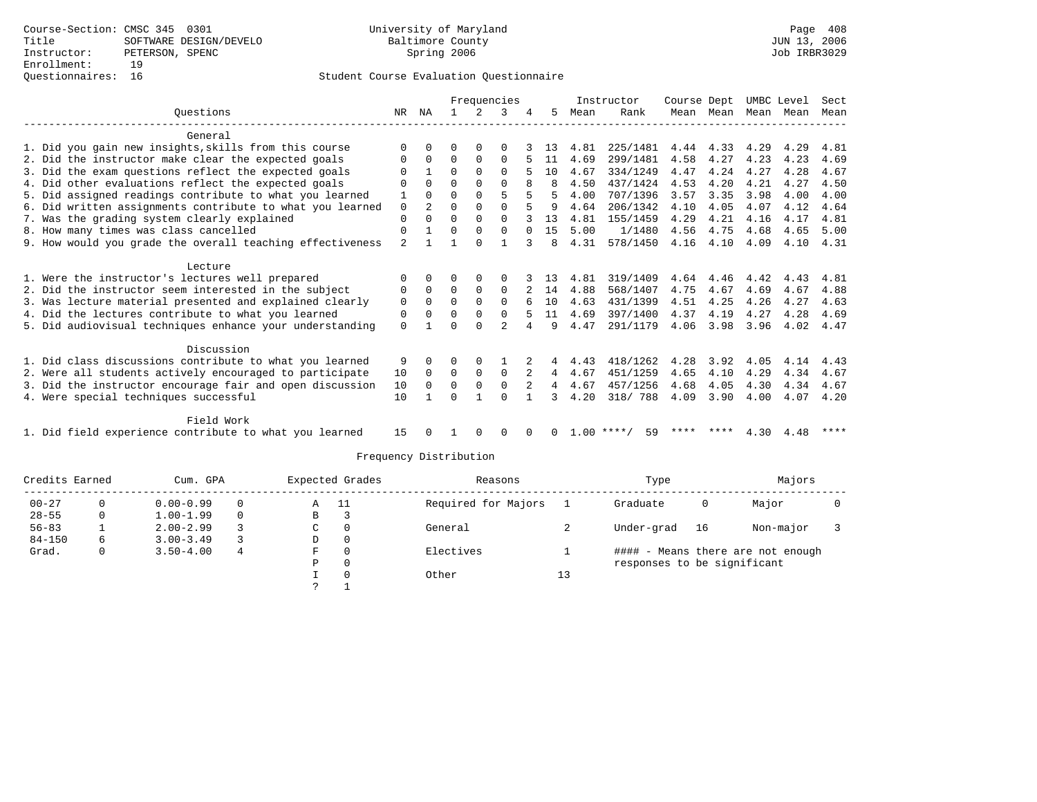## Questionnaires: 16 Student Course Evaluation Questionnaire

|                                                           |             |                |          |              | Frequencies    |          |    |      | Instructor         | Course Dept |           |      | UMBC Level | Sect |
|-----------------------------------------------------------|-------------|----------------|----------|--------------|----------------|----------|----|------|--------------------|-------------|-----------|------|------------|------|
| Ouestions                                                 | NR          | ΝA             |          |              | κ              |          | 5  | Mean | Rank               | Mean        | Mean      | Mean | Mean       | Mean |
| General                                                   |             |                |          |              |                |          |    |      |                    |             |           |      |            |      |
| 1. Did you gain new insights, skills from this course     | $\Omega$    | $\Omega$       | O        | $\Omega$     | O              |          | 13 | 4.81 | 225/1481           | 4.44        | 4.33      | 4.29 | 4.29       | 4.81 |
| 2. Did the instructor make clear the expected goals       |             | $\Omega$       | $\Omega$ | $\Omega$     | $\Omega$       |          | 11 | 4.69 | 299/1481           | 4.58        | 4.27      | 4.23 | 4.23       | 4.69 |
| 3. Did the exam questions reflect the expected goals      |             |                | 0        | $\Omega$     | $\Omega$       |          | 10 | 4.67 | 334/1249           | 4.47        | 4.24      | 4.27 | 4.28       | 4.67 |
| 4. Did other evaluations reflect the expected goals       | $\Omega$    | $\Omega$       | $\Omega$ | $\Omega$     | $\Omega$       |          | 8  | 4.50 | 437/1424           | 4.53        | 4.20      | 4.21 | 4.27       | 4.50 |
| 5. Did assigned readings contribute to what you learned   |             | $\Omega$       | $\Omega$ | $\Omega$     | 5              |          | 5  | 4.00 | 707/1396           | 3.57        | 3.35      | 3.98 | 4.00       | 4.00 |
| 6. Did written assignments contribute to what you learned | 0           | $\mathfrak{D}$ | $\Omega$ | $\Omega$     | $\Omega$       |          |    | 4.64 | 206/1342           | 4.10        | 4.05      | 4.07 | 4.12       | 4.64 |
| 7. Was the grading system clearly explained               | $\mathbf 0$ | $\cap$         | $\Omega$ | $\Omega$     | $\Omega$       |          | 13 | 4.81 | 155/1459           | 4.29        | 4.21      | 4.16 | 4.17       | 4.81 |
| 8. How many times was class cancelled                     | 0           |                | 0        | 0            | 0              | $\Omega$ | 15 | 5.00 | 1/1480             | 4.56        | 4.75      | 4.68 | 4.65       | 5.00 |
| 9. How would you grade the overall teaching effectiveness | 2           |                |          | $\Omega$     |                |          | 8  | 4.31 | 578/1450           | 4.16        | 4.10      | 4.09 | 4.10       | 4.31 |
| Lecture                                                   |             |                |          |              |                |          |    |      |                    |             |           |      |            |      |
| 1. Were the instructor's lectures well prepared           |             | $\Omega$       | O        | $\Omega$     | $\Omega$       |          | 13 | 4.81 | 319/1409           | 4.64        | 4.46      | 4.42 | 4.43       | 4.81 |
| 2. Did the instructor seem interested in the subject      | 0           | $\Omega$       | $\Omega$ | $\Omega$     | $\Omega$       |          | 14 | 4.88 | 568/1407           | 4.75        | 4.67      | 4.69 | 4.67       | 4.88 |
| 3. Was lecture material presented and explained clearly   | 0           | $\Omega$       | $\Omega$ | $\Omega$     | $\Omega$       |          | 10 | 4.63 | 431/1399           | 4.51        | 4.25      | 4.26 | 4.27       | 4.63 |
| 4. Did the lectures contribute to what you learned        | 0           | $\Omega$       | O        | $\Omega$     | 0              |          | 11 | 4.69 | 397/1400           | 4.37        | 4.19      | 4.27 | 4.28       | 4.69 |
| 5. Did audiovisual techniques enhance your understanding  | $\Omega$    |                | ∩        | $\cap$       | $\mathfrak{D}$ | 4        | q  | 4.47 | 291/1179           | 4.06        | 3.98      | 3.96 | 4.02       | 4.47 |
| Discussion                                                |             |                |          |              |                |          |    |      |                    |             |           |      |            |      |
| 1. Did class discussions contribute to what you learned   | 9           | $\Omega$       | O        | $\Omega$     |                |          | 4  | 4.43 | 418/1262           | 4.28        | 3.92      | 4.05 | 4.14       | 4.43 |
| 2. Were all students actively encouraged to participate   | 10          | $\Omega$       | $\Omega$ | $\mathbf 0$  | $\mathbf 0$    |          | 4  | 4.67 | 451/1259           | 4.65        | 4.10      | 4.29 | 4.34       | 4.67 |
| 3. Did the instructor encourage fair and open discussion  | 10          | $\Omega$       | $\Omega$ | $\mathbf 0$  | 0              |          | 4  | 4.67 | 457/1256           | 4.68        | 4.05      | 4.30 | 4.34       | 4.67 |
| 4. Were special techniques successful                     | 10          |                | U        |              | $\Omega$       |          |    | 4.20 | 318/ 788           | 4.09        | 3.90      | 4.00 | 4.07       | 4.20 |
| Field Work                                                |             |                |          |              |                |          |    |      |                    |             |           |      |            |      |
| 1. Did field experience contribute to what you learned    | 15          |                |          | <sup>0</sup> | 0              | $\Omega$ | 0  |      | $1.00$ ****/<br>59 |             | **** **** |      | 4.30 4.48  | **** |

| Credits Earned |   | Cum. GPA      |   | Expected Grades |   | Reasons             |    | Type                        |    | Majors                            |  |
|----------------|---|---------------|---|-----------------|---|---------------------|----|-----------------------------|----|-----------------------------------|--|
| $00 - 27$      |   | $0.00 - 0.99$ |   | - 11<br>A       |   | Required for Majors |    | Graduate                    | 0  | Major                             |  |
| $28 - 55$      |   | $1.00 - 1.99$ |   | B               |   |                     |    |                             |    |                                   |  |
| $56 - 83$      |   | $2.00 - 2.99$ |   | C               | 0 | General             |    | Under-grad                  | 16 | Non-major                         |  |
| $84 - 150$     | b | $3.00 - 3.49$ |   | D               | 0 |                     |    |                             |    |                                   |  |
| Grad.          |   | $3.50 - 4.00$ | 4 | F               | 0 | Electives           |    |                             |    | #### - Means there are not enough |  |
|                |   |               |   | Р               | 0 |                     |    | responses to be significant |    |                                   |  |
|                |   |               |   |                 | 0 | Other               | 13 |                             |    |                                   |  |
|                |   |               |   |                 |   |                     |    |                             |    |                                   |  |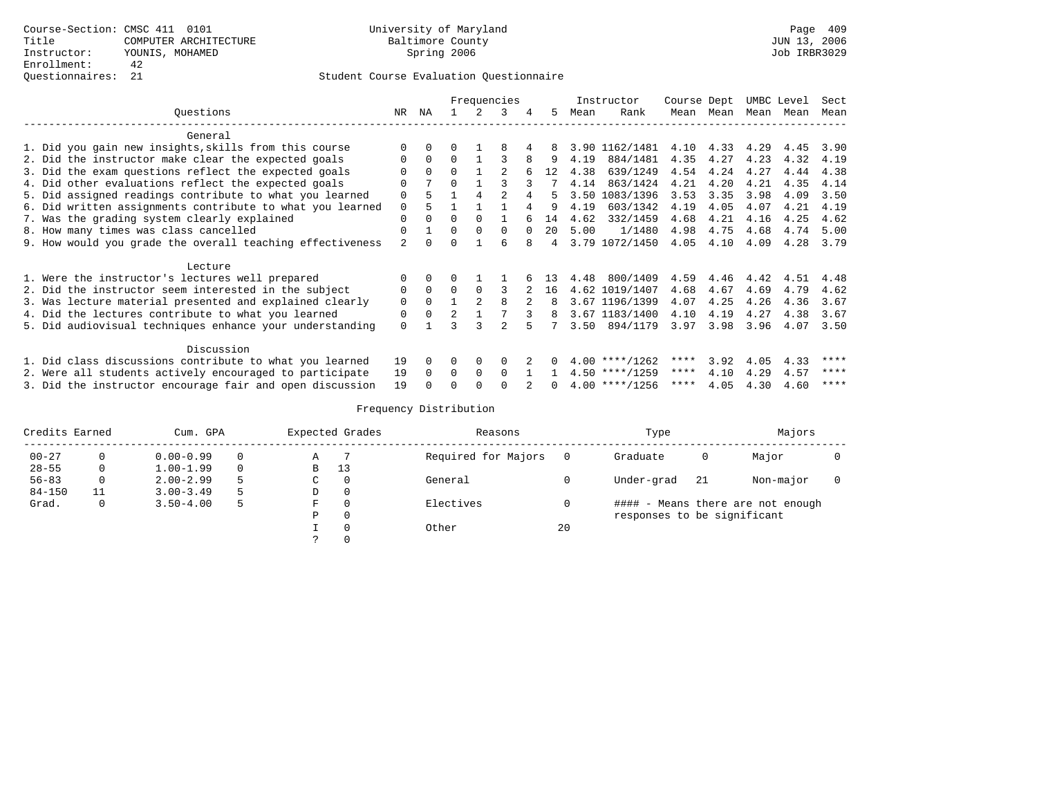|                                                           |                |          |                | Frequencies |              |             |              |      | Instructor       | Course Dept |           |      | UMBC Level | Sect |
|-----------------------------------------------------------|----------------|----------|----------------|-------------|--------------|-------------|--------------|------|------------------|-------------|-----------|------|------------|------|
| Ouestions                                                 | NR.            | NA       |                |             | 3            |             | .5.          | Mean | Rank             |             | Mean Mean | Mean | Mean       | Mean |
| General                                                   |                |          |                |             |              |             |              |      |                  |             |           |      |            |      |
| 1. Did you gain new insights, skills from this course     | $\Omega$       |          |                |             |              |             | 8            |      | 3.90 1162/1481   | 4.10        | 4.33      | 4.29 | 4.45       | 3.90 |
| 2. Did the instructor make clear the expected goals       | $\Omega$       | $\Omega$ | $\Omega$       |             |              | 8           | 9            | 4.19 | 884/1481         | 4.35        | 4.27      | 4.23 | 4.32       | 4.19 |
| 3. Did the exam questions reflect the expected goals      | $\Omega$       | $\Omega$ | $\Omega$       |             |              |             | 12           | 4.38 | 639/1249         | 4.54        | 4.24      | 4.27 | 4.44       | 4.38 |
| 4. Did other evaluations reflect the expected goals       | $\Omega$       |          | $\Omega$       |             |              |             |              | 4.14 | 863/1424         | 4.21        | 4.20      | 4.21 | 4.35       | 4.14 |
| 5. Did assigned readings contribute to what you learned   | $\Omega$       |          |                |             |              |             | 5.           | 3.50 | 1083/1396        | 3.53        | 3.35      | 3.98 | 4.09       | 3.50 |
| 6. Did written assignments contribute to what you learned | $\Omega$       |          |                |             |              |             |              | 4.19 | 603/1342         | 4.19        | 4.05      | 4.07 | 4.21       | 4.19 |
| 7. Was the grading system clearly explained               | $\Omega$       | $\Omega$ | $\Omega$       | 0           |              |             | 14           | 4.62 | 332/1459         | 4.68        | 4.21      | 4.16 | 4.25       | 4.62 |
| 8. How many times was class cancelled                     | $\Omega$       |          | $\Omega$       | $\Omega$    | $\Omega$     | $\cap$      | 20           | 5.00 | 1/1480           | 4.98        | 4.75      | 4.68 | 4.74       | 5.00 |
| 9. How would you grade the overall teaching effectiveness | $\mathfrak{D}$ |          | $\Omega$       |             |              |             | 4            |      | 3.79 1072/1450   | 4.05        | 4.10      | 4.09 | 4.28       | 3.79 |
| Lecture                                                   |                |          |                |             |              |             |              |      |                  |             |           |      |            |      |
| 1. Were the instructor's lectures well prepared           |                |          |                |             |              |             | 13           | 4.48 | 800/1409         | 4.59        | 4.46      | 4.42 | 4.51       | 4.48 |
| 2. Did the instructor seem interested in the subject      | 0              | $\Omega$ | $\Omega$       |             |              | $2^{\circ}$ | 16           |      | 4.62 1019/1407   | 4.68        | 4.67      | 4.69 | 4.79       | 4.62 |
| 3. Was lecture material presented and explained clearly   | $\mathbf 0$    | $\Omega$ |                |             | <sub>R</sub> |             | 8            |      | 3.67 1196/1399   | 4.07        | 4.25      | 4.26 | 4.36       | 3.67 |
| 4. Did the lectures contribute to what you learned        | 0              | $\Omega$ | $\overline{2}$ |             |              |             | 8            |      | 3.67 1183/1400   | 4.10        | 4.19      | 4.27 | 4.38       | 3.67 |
| 5. Did audiovisual techniques enhance your understanding  | $\Omega$       |          |                |             |              |             |              | 3.50 | 894/1179         | 3.97        | 3.98      | 3.96 | 4.07       | 3.50 |
| Discussion                                                |                |          |                |             |              |             |              |      |                  |             |           |      |            |      |
| 1. Did class discussions contribute to what you learned   | 19             | $\Omega$ | 0              | 0           | $\Omega$     |             |              |      | $4.00$ ****/1262 | ****        | 3.92      | 4.05 | 4.33       | **** |
| 2. Were all students actively encouraged to participate   | 19             | $\Omega$ | $\Omega$       | $\Omega$    | $\cap$       |             |              |      | $4.50$ ****/1259 | ****        | 4.10      | 4.29 | 4.57       | **** |
| 3. Did the instructor encourage fair and open discussion  | 19             |          |                |             |              |             | <sup>n</sup> |      | $4.00$ ****/1256 | ****        | 4.05      | 4.30 | 4.60       | **** |

| Credits Earned |    | Cum. GPA      |   |   | Expected Grades | Reasons             |    | Type                        |     | Majors                            |  |
|----------------|----|---------------|---|---|-----------------|---------------------|----|-----------------------------|-----|-----------------------------------|--|
| $00 - 27$      |    | $0.00 - 0.99$ | 0 | Α |                 | Required for Majors |    | Graduate                    | 0   | Major                             |  |
| $28 - 55$      | 0  | $1.00 - 1.99$ | 0 | В | -13             |                     |    |                             |     |                                   |  |
| $56 - 83$      | 0  | $2.00 - 2.99$ |   | C |                 | General             |    | Under-grad                  | -21 | Non-major                         |  |
| $84 - 150$     | 11 | $3.00 - 3.49$ |   | D |                 |                     |    |                             |     |                                   |  |
| Grad.          | 0  | $3.50 - 4.00$ | ל | F |                 | Electives           |    |                             |     | #### - Means there are not enough |  |
|                |    |               |   | D |                 |                     |    | responses to be significant |     |                                   |  |
|                |    |               |   |   |                 | Other               | 20 |                             |     |                                   |  |
|                |    |               |   |   |                 |                     |    |                             |     |                                   |  |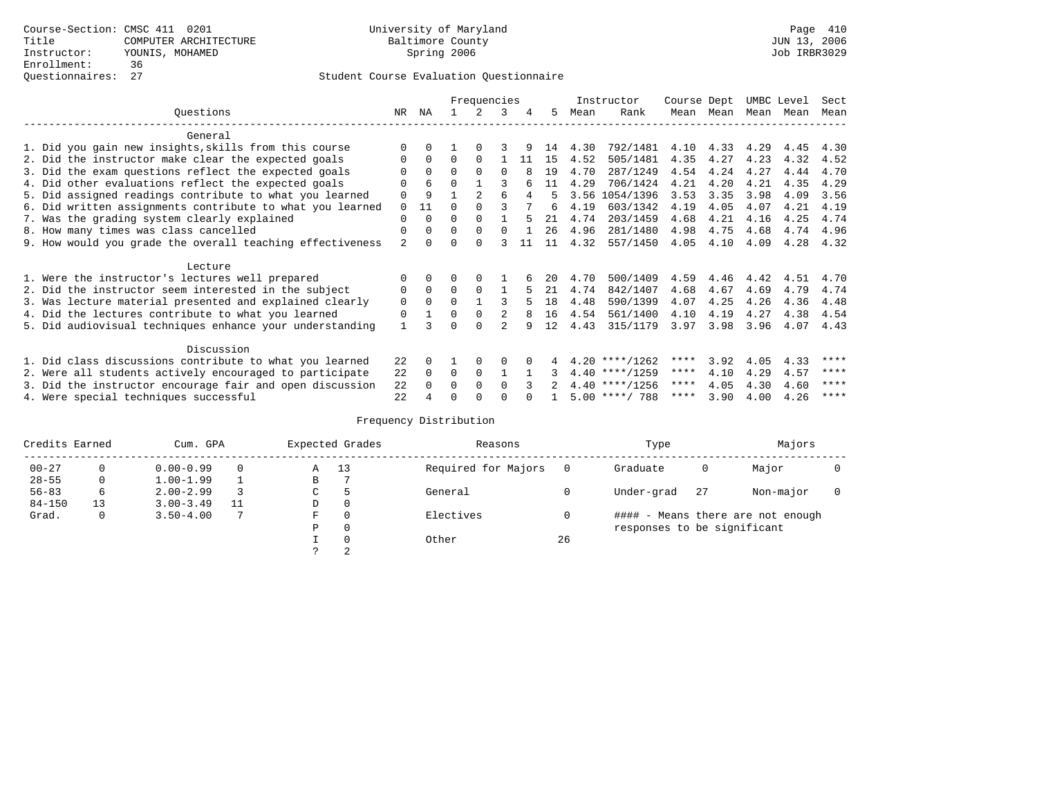|                                                           |             |          |          | Frequencies    |          |    |    |      | Instructor       | Course Dept |            | UMBC Level |      | Sect |
|-----------------------------------------------------------|-------------|----------|----------|----------------|----------|----|----|------|------------------|-------------|------------|------------|------|------|
| Ouestions                                                 | NR          | ΝA       |          |                | 3        | 4  | 5. | Mean | Rank             | Mean        | Mean       | Mean       | Mean | Mean |
| General                                                   |             |          |          |                |          |    |    |      |                  |             |            |            |      |      |
|                                                           | $\Omega$    | $\Omega$ |          | $\Omega$       |          |    | 14 | 4.30 | 792/1481         | 4.10        | 4.33       | 4.29       | 4.45 | 4.30 |
| 1. Did you gain new insights, skills from this course     |             |          |          |                |          |    |    |      |                  |             |            |            |      |      |
| 2. Did the instructor make clear the expected goals       | 0           | $\Omega$ | $\Omega$ | $\Omega$       |          | 11 | 15 | 4.52 | 505/1481         | 4.35        | 4.27       | 4.23       | 4.32 | 4.52 |
| 3. Did the exam questions reflect the expected goals      |             | $\Omega$ | $\Omega$ | $\Omega$       | $\Omega$ |    | 19 | 4.70 | 287/1249         | 4.54        | 4.24       | 4.27       | 4.44 | 4.70 |
| 4. Did other evaluations reflect the expected goals       | O           | 6        | $\Omega$ |                |          |    | 11 | 4.29 | 706/1424         | 4.21        | 4.20       | 4.21       | 4.35 | 4.29 |
| 5. Did assigned readings contribute to what you learned   | $\mathbf 0$ | 9        |          | $\mathfrak{D}$ | 6        |    |    | 3.56 | 1054/1396        | 3.53        | 3.35       | 3.98       | 4.09 | 3.56 |
| 6. Did written assignments contribute to what you learned | $\Omega$    | 11       | $\cap$   |                |          |    | 6  | 4.19 | 603/1342         | 4.19        | 4.05       | 4.07       | 4.21 | 4.19 |
| 7. Was the grading system clearly explained               | $\Omega$    | $\Omega$ | $\Omega$ | $\Omega$       |          |    | 21 | 4.74 | 203/1459         | 4.68        | 4.21       | 4.16       | 4.25 | 4.74 |
| 8. How many times was class cancelled                     | $\Omega$    | $\Omega$ | $\Omega$ | $\Omega$       | $\Omega$ |    | 26 | 4.96 | 281/1480         | 4.98        | 4.75       | 4.68       | 4.74 | 4.96 |
| 9. How would you grade the overall teaching effectiveness | 2           | $\cap$   | U        | $\cap$         |          |    | 11 | 4.32 | 557/1450         | 4.05        | 4.10       | 4.09       | 4.28 | 4.32 |
|                                                           |             |          |          |                |          |    |    |      |                  |             |            |            |      |      |
| Lecture                                                   |             |          |          |                |          |    |    |      |                  |             |            |            |      |      |
| 1. Were the instructor's lectures well prepared           | $\Omega$    |          |          |                |          |    | 20 | 4.70 | 500/1409         | 4.59        | 4.46       | 4.42       | 4.51 | 4.70 |
| 2. Did the instructor seem interested in the subject      | 0           | $\Omega$ | $\Omega$ | $\Omega$       |          |    | 21 | 4.74 | 842/1407         | 4.68        | 4.67       | 4.69       | 4.79 | 4.74 |
| 3. Was lecture material presented and explained clearly   | $\mathbf 0$ | $\Omega$ | $\Omega$ |                |          |    | 18 | 4.48 | 590/1399         | 4.07        | 4.25       | 4.26       | 4.36 | 4.48 |
| 4. Did the lectures contribute to what you learned        | 0           |          | $\Omega$ | $\Omega$       |          |    | 16 | 4.54 | 561/1400         | 4.10        | 4.19       | 4.27       | 4.38 | 4.54 |
| 5. Did audiovisual techniques enhance your understanding  | 1           |          | U        | ∩              |          |    | 12 | 4.43 | 315/1179         | 3.97        | 3.98       | 3.96       | 4.07 | 4.43 |
| Discussion                                                |             |          |          |                |          |    |    |      |                  |             |            |            |      |      |
| 1. Did class discussions contribute to what you learned   | 22          | $\Omega$ |          | $\Omega$       | O        |    |    |      | $4.20$ ****/1262 | ****        | 3.92       | 4.05       | 4.33 | **** |
| 2. Were all students actively encouraged to participate   | 22          | $\Omega$ | $\Omega$ | $\Omega$       |          |    |    |      | $4.40$ ****/1259 | $***$ * *   | 4.10       | 4.29       | 4.57 | **** |
|                                                           | 22          |          | 0        | $\Omega$       | $\Omega$ |    |    |      | $4.40$ ****/1256 | ****        | 4.05       | 4.30       | 4.60 | **** |
| 3. Did the instructor encourage fair and open discussion  |             |          |          |                |          |    |    |      |                  |             |            |            |      | **** |
| 4. Were special techniques successful                     | 22          |          |          |                |          |    |    |      | $5.00$ ****/ 788 |             | $***$ 3.90 | 4.00       | 4.26 |      |

| Credits Earned |          | Cum. GPA      |    |   | Expected Grades | Reasons             |    | Type                        |    | Majors                            |  |
|----------------|----------|---------------|----|---|-----------------|---------------------|----|-----------------------------|----|-----------------------------------|--|
| $00 - 27$      | $\Omega$ | $0.00 - 0.99$ |    | Α | 13              | Required for Majors |    | Graduate                    | 0  | Major                             |  |
| $28 - 55$      | 0        | $1.00 - 1.99$ |    | B |                 |                     |    |                             |    |                                   |  |
| $56 - 83$      | 6        | $2.00 - 2.99$ |    | ◡ | 5               | General             |    | Under-grad                  | 27 | Non-major                         |  |
| $84 - 150$     | 13       | $3.00 - 3.49$ | 11 | D | 0               |                     |    |                             |    |                                   |  |
| Grad.          | 0        | $3.50 - 4.00$ |    | F | 0               | Electives           |    |                             |    | #### - Means there are not enough |  |
|                |          |               |    | Ρ | 0               |                     |    | responses to be significant |    |                                   |  |
|                |          |               |    |   | $\Omega$        | Other               | 26 |                             |    |                                   |  |
|                |          |               |    |   | 2               |                     |    |                             |    |                                   |  |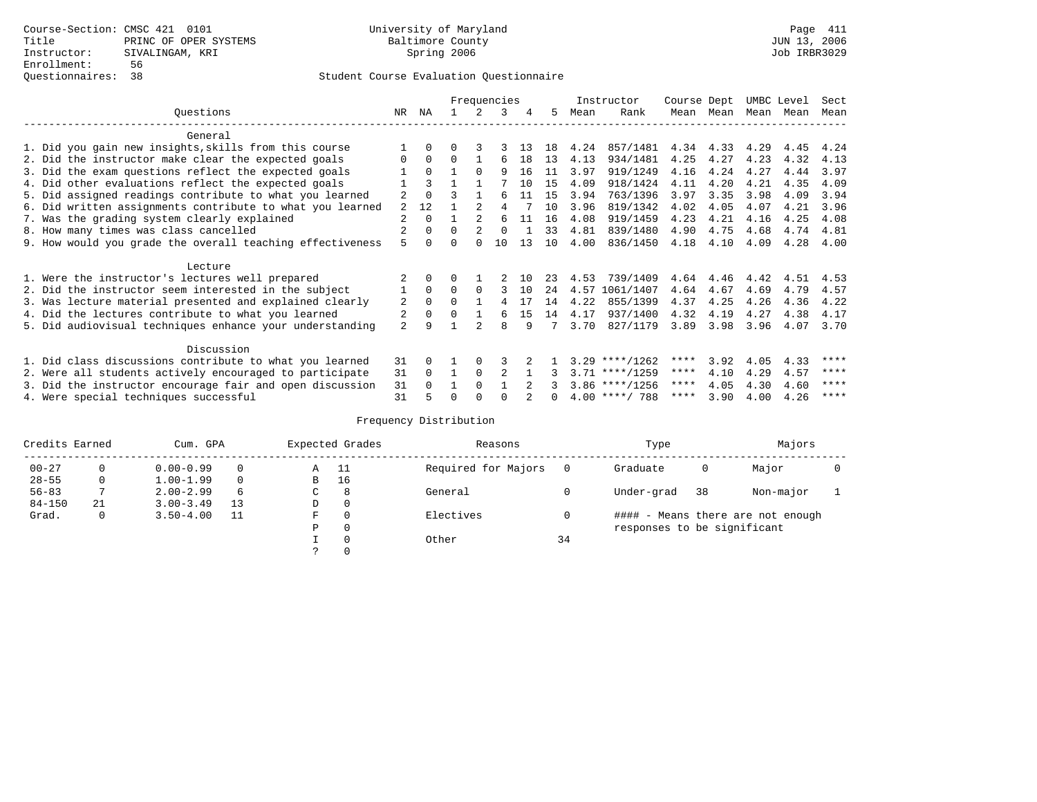## Questionnaires: 38 Student Course Evaluation Questionnaire

|                                                           |                |          |   |                | Frequencies |      |     |      | Instructor       | Course Dept |      | UMBC Level |      | Sect |
|-----------------------------------------------------------|----------------|----------|---|----------------|-------------|------|-----|------|------------------|-------------|------|------------|------|------|
| Ouestions                                                 | NR             | ΝA       |   |                | 3           | 4    | 5   | Mean | Rank             | Mean        | Mean | Mean       | Mean | Mean |
| General                                                   |                |          |   |                |             |      |     |      |                  |             |      |            |      |      |
| 1. Did you gain new insights, skills from this course     |                | 0        | U | 3              |             | -1 3 | 1 R | 4.24 | 857/1481         | 4.34        | 4.33 | 4.29       | 4.45 | 4.24 |
| 2. Did the instructor make clear the expected goals       |                | $\Omega$ | 0 |                |             | 18   | 13  | 4.13 | 934/1481         | 4.25        | 4.27 | 4.23       | 4.32 | 4.13 |
| 3. Did the exam questions reflect the expected goals      |                | $\Omega$ |   | $\Omega$       | 9           | 16   | 11  | 3.97 | 919/1249         | 4.16        | 4.24 | 4.27       | 4.44 | 3.97 |
| 4. Did other evaluations reflect the expected goals       |                | ζ        |   |                |             | 1 O  | 15  | 4.09 | 918/1424         | 4.11        | 4.20 | 4.21       | 4.35 | 4.09 |
| 5. Did assigned readings contribute to what you learned   | 2              | $\Omega$ |   |                | F           | 11   | 15  | 3.94 | 763/1396         | 3.97        | 3.35 | 3.98       | 4.09 | 3.94 |
| 6. Did written assignments contribute to what you learned | 2              | 12       |   |                |             |      | 10  | 3.96 | 819/1342         | 4.02        | 4.05 | 4.07       | 4.21 | 3.96 |
| 7. Was the grading system clearly explained               | 2              | $\Omega$ |   |                | 6           | 11   | 16  | 4.08 | 919/1459         | 4.23        | 4.21 | 4.16       | 4.25 | 4.08 |
|                                                           |                | $\Omega$ | 0 | $\mathcal{L}$  | $\cap$      |      | 33  | 4.81 | 839/1480         | 4.90        | 4.75 | 4.68       | 4.74 | 4.81 |
| 8. How many times was class cancelled                     | 5              |          |   |                | 10          | 13   | 10  |      |                  |             |      |            |      |      |
| 9. How would you grade the overall teaching effectiveness |                |          |   |                |             |      |     | 4.00 | 836/1450         | 4.18        | 4.10 | 4.09       | 4.28 | 4.00 |
| Lecture                                                   |                |          |   |                |             |      |     |      |                  |             |      |            |      |      |
| 1. Were the instructor's lectures well prepared           |                |          |   |                |             | 1 N  | 23  | 4.53 | 739/1409         | 4.64        | 4.46 | 4.42       | 4.51 | 4.53 |
| 2. Did the instructor seem interested in the subject      |                | $\Omega$ | 0 | $\Omega$       |             | 10   | 24  | 4.57 | 1061/1407        | 4.64        | 4.67 | 4.69       | 4.79 | 4.57 |
| 3. Was lecture material presented and explained clearly   | 2              | $\Omega$ | 0 |                |             | -17  | 14  | 4.22 | 855/1399         | 4.37        | 4.25 | 4.26       | 4.36 | 4.22 |
| 4. Did the lectures contribute to what you learned        |                | 0        |   |                | F           | 15   | 14  | 4.17 | 937/1400         | 4.32        | 4.19 | 4.27       | 4.38 | 4.17 |
| 5. Did audiovisual techniques enhance your understanding  | $\overline{a}$ | 9        |   | $\mathfrak{D}$ | 8           | q    |     | 3.70 | 827/1179         | 3.89        | 3.98 | 3.96       | 4.07 | 3.70 |
|                                                           |                |          |   |                |             |      |     |      |                  |             |      |            |      |      |
| Discussion                                                |                |          |   |                |             |      |     |      |                  |             |      |            |      |      |
| 1. Did class discussions contribute to what you learned   | 31             | 0        |   |                |             |      |     |      | $3.29$ ****/1262 | ****        | 3.92 | 4.05       | 4.33 | **** |
| 2. Were all students actively encouraged to participate   | 31             | $\Omega$ |   | 0              | 2           |      |     |      | $3.71$ ****/1259 | $***$ * *   | 4.10 | 4.29       | 4.57 | **** |
| 3. Did the instructor encourage fair and open discussion  | 31             |          |   | $\Omega$       |             |      |     |      | $3.86$ ****/1256 | ****        | 4.05 | 4.30       | 4.60 | **** |
| 4. Were special techniques successful                     | 31             | 5        |   |                |             |      |     |      | $4.00$ ****/ 788 | ****        | 3.90 | 4.00       | 4.26 | **** |

| Credits Earned |    | Cum. GPA      |          |    | Expected Grades | Reasons             |    | Type                        |    | Majors                            |  |
|----------------|----|---------------|----------|----|-----------------|---------------------|----|-----------------------------|----|-----------------------------------|--|
| $00 - 27$      |    | $0.00 - 0.99$ |          | Α  | - 11            | Required for Majors |    | Graduate                    | 0  | Major                             |  |
| $28 - 55$      | 0  | $1.00 - 1.99$ | $\Omega$ | B  | 16              |                     |    |                             |    |                                   |  |
| $56 - 83$      |    | $2.00 - 2.99$ | 6        | C. | 8               | General             |    | Under-grad                  | 38 | Non-major                         |  |
| $84 - 150$     | 21 | $3.00 - 3.49$ | 13       | D  | 0               |                     |    |                             |    |                                   |  |
| Grad.          | 0  | $3.50 - 4.00$ |          | F  | $\Omega$        | Electives           |    |                             |    | #### - Means there are not enough |  |
|                |    |               |          | Ρ  | 0               |                     |    | responses to be significant |    |                                   |  |
|                |    |               |          |    | $\Omega$        | Other               | 34 |                             |    |                                   |  |
|                |    |               |          |    |                 |                     |    |                             |    |                                   |  |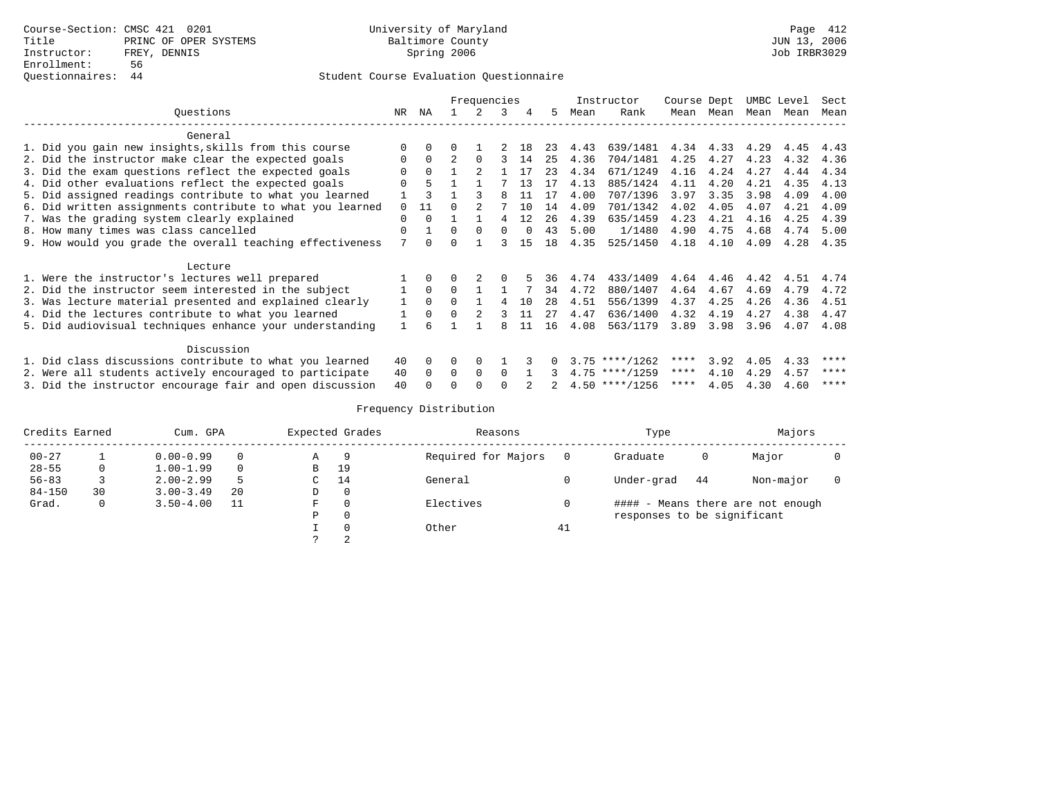|                                                           |          |              |              | Frequencies |          |        |    |      | Instructor       | Course Dept |           |      | UMBC Level | Sect |
|-----------------------------------------------------------|----------|--------------|--------------|-------------|----------|--------|----|------|------------------|-------------|-----------|------|------------|------|
| Questions                                                 | NR       | ΝA           |              |             | 3        | 4      | .5 | Mean | Rank             |             | Mean Mean | Mean | Mean       | Mean |
| General                                                   |          |              |              |             |          |        |    |      |                  |             |           |      |            |      |
| 1. Did you gain new insights, skills from this course     | ∩        |              |              |             |          | 1 R    | 23 | 4.43 | 639/1481         | 4.34        | 4.33      | 4.29 | 4.45       | 4.43 |
| 2. Did the instructor make clear the expected goals       | $\Omega$ | $\Omega$     |              |             |          | 14     | 25 | 4.36 | 704/1481         | 4.25        | 4.27      | 4.23 | 4.32       | 4.36 |
| 3. Did the exam questions reflect the expected goals      |          | <sup>0</sup> |              |             |          | 17     | 23 | 4.34 | 671/1249         | 4.16        | 4.24      | 4.27 | 4.44       | 4.34 |
| 4. Did other evaluations reflect the expected goals       | $\Omega$ | 5            |              |             |          | 13     | 17 | 4.13 | 885/1424         | 4.11        | 4.20      | 4.21 | 4.35       | 4.13 |
| 5. Did assigned readings contribute to what you learned   |          |              |              |             |          | 11     | 17 | 4.00 | 707/1396         | 3.97        | 3.35      | 3.98 | 4.09       | 4.00 |
| 6. Did written assignments contribute to what you learned | $\Omega$ | 11           |              |             |          | 10     | 14 | 4.09 | 701/1342         | 4.02        | 4.05      | 4.07 | 4.21       | 4.09 |
| 7. Was the grading system clearly explained               | $\Omega$ |              |              |             | 4        | 12     | 26 | 4.39 | 635/1459         | 4.23        | 4.21      | 4.16 | 4.25       | 4.39 |
| 8. How many times was class cancelled                     | $\Omega$ |              | $\Omega$     | $\Omega$    | $\Omega$ | $\cap$ | 43 | 5.00 | 1/1480           | 4.90        | 4.75      | 4.68 | 4.74       | 5.00 |
| 9. How would you grade the overall teaching effectiveness | 7        |              | $\Omega$     |             |          | 15     | 18 | 4.35 | 525/1450         | 4.18        | 4.10      | 4.09 | 4.28       | 4.35 |
| Lecture                                                   |          |              |              |             |          |        |    |      |                  |             |           |      |            |      |
| 1. Were the instructor's lectures well prepared           |          |              |              |             |          |        | 36 | 4.74 | 433/1409         | 4.64        | 4.46      | 4.42 | 4.51       | 4.74 |
| 2. Did the instructor seem interested in the subject      |          | $\Omega$     |              |             |          |        | 34 | 4.72 | 880/1407         | 4.64        | 4.67      | 4.69 | 4.79       | 4.72 |
| 3. Was lecture material presented and explained clearly   |          |              | $\Omega$     |             |          | 10     | 28 | 4.51 | 556/1399         | 4.37        | 4.25      | 4.26 | 4.36       | 4.51 |
| 4. Did the lectures contribute to what you learned        |          |              | 0            |             |          | 11     | 27 | 4.47 | 636/1400         | 4.32        | 4.19      | 4.27 | 4.38       | 4.47 |
| 5. Did audiovisual techniques enhance your understanding  |          |              |              |             |          | 11     | 16 | 4.08 | 563/1179         | 3.89        | 3.98      | 3.96 | 4.07       | 4.08 |
| Discussion                                                |          |              |              |             |          |        |    |      |                  |             |           |      |            |      |
| 1. Did class discussions contribute to what you learned   | 40       | $\Omega$     | O            |             |          |        |    |      | $3.75$ ****/1262 | ****        | 3.92      | 4.05 | 4.33       | **** |
| 2. Were all students actively encouraged to participate   | 40       | $\Omega$     | <sup>0</sup> | 0           | $\Omega$ |        |    |      | $4.75$ ****/1259 | ****        | 4.10      | 4.29 | 4.57       | **** |
| 3. Did the instructor encourage fair and open discussion  | 40       |              |              |             |          |        |    |      | $4.50$ ****/1256 | ****        | 4.05      | 4.30 | 4.60       | **** |

| Credits Earned |    | Cum. GPA      |          |   | Expected Grades | Reasons             |    | Type                        |    | Majors                            |  |
|----------------|----|---------------|----------|---|-----------------|---------------------|----|-----------------------------|----|-----------------------------------|--|
| $00 - 27$      |    | $0.00 - 0.99$ | $\Omega$ | Α | 9               | Required for Majors |    | Graduate                    | 0  | Major                             |  |
| $28 - 55$      | 0  | $1.00 - 1.99$ | $\Omega$ | в | 19              |                     |    |                             |    |                                   |  |
| $56 - 83$      |    | $2.00 - 2.99$ |          | C | 14              | General             |    | Under-grad                  | 44 | Non-major                         |  |
| $84 - 150$     | 30 | $3.00 - 3.49$ | 20       | D |                 |                     |    |                             |    |                                   |  |
| Grad.          | 0  | $3.50 - 4.00$ |          | F |                 | Electives           |    |                             |    | #### - Means there are not enough |  |
|                |    |               |          | P |                 |                     |    | responses to be significant |    |                                   |  |
|                |    |               |          |   |                 | Other               | 41 |                             |    |                                   |  |
|                |    |               |          |   |                 |                     |    |                             |    |                                   |  |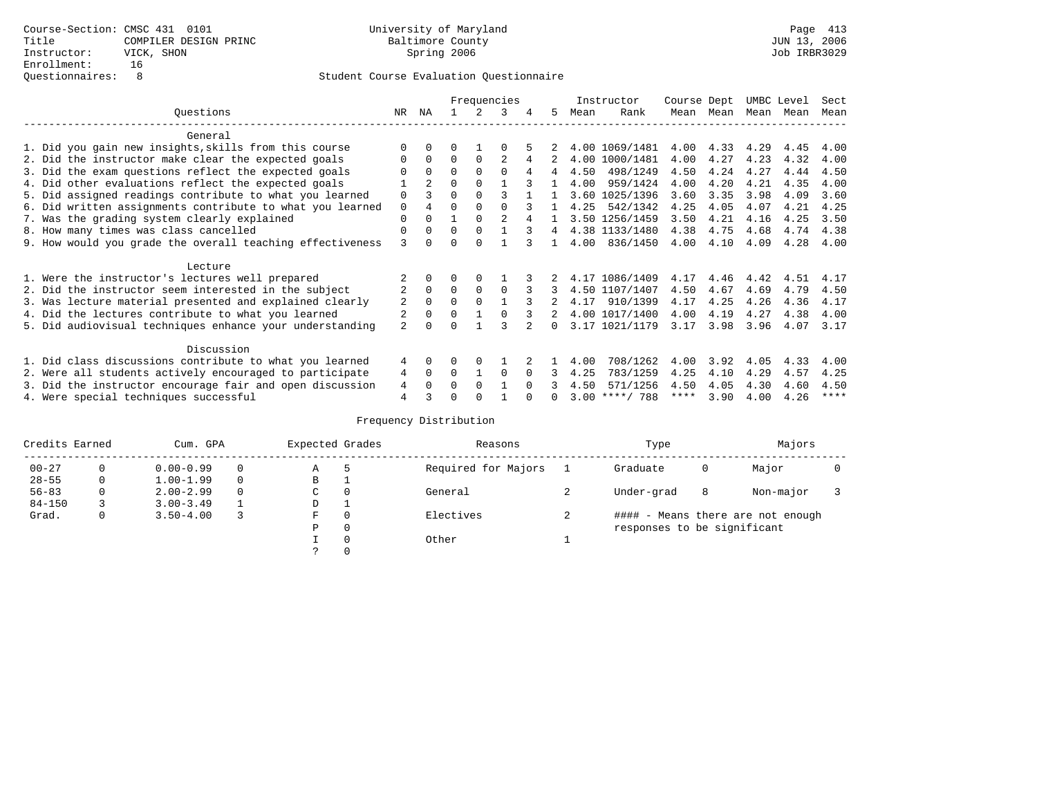|                                                           |                |                |          |          | Frequencies |          |                |      | Instructor       | Course Dept |      | UMBC Level |      | Sect        |
|-----------------------------------------------------------|----------------|----------------|----------|----------|-------------|----------|----------------|------|------------------|-------------|------|------------|------|-------------|
| Ouestions                                                 | NR.            | ΝA             |          |          | 3           | 4        | 5.             | Mean | Rank             | Mean        | Mean | Mean       | Mean | Mean        |
| General                                                   |                |                |          |          |             |          |                |      |                  |             |      |            |      |             |
| 1. Did you gain new insights, skills from this course     |                | $\Omega$       | O        |          |             |          |                |      | 4.00 1069/1481   | 4.00        | 4.33 | 4.29       | 4.45 | 4.00        |
| 2. Did the instructor make clear the expected goals       | O              | $\Omega$       | $\Omega$ | $\Omega$ |             | 4        |                |      | 4.00 1000/1481   | 4.00        | 4.27 | 4.23       | 4.32 | 4.00        |
| 3. Did the exam questions reflect the expected goals      |                | $\Omega$       | $\Omega$ | $\Omega$ | $\Omega$    |          | 4              | 4.50 | 498/1249         | 4.50        | 4.24 | 4.27       | 4.44 | 4.50        |
| 4. Did other evaluations reflect the expected goals       |                | $\mathfrak{D}$ | $\Omega$ | $\Omega$ |             |          |                | 4.00 | 959/1424         | 4.00        | 4.20 | 4.21       | 4.35 | 4.00        |
| 5. Did assigned readings contribute to what you learned   | $\mathbf 0$    |                | $\Omega$ |          |             |          |                |      | 3.60 1025/1396   | 3.60        | 3.35 | 3.98       | 4.09 | 3.60        |
| 6. Did written assignments contribute to what you learned | $\mathbf 0$    |                | $\Omega$ | $\Omega$ |             |          |                | 4.25 | 542/1342         | 4.25        | 4.05 | 4.07       | 4.21 | 4.25        |
| 7. Was the grading system clearly explained               | $\Omega$       | $\Omega$       |          | $\Omega$ |             |          |                |      | 3.50 1256/1459   | 3.50        | 4.21 | 4.16       | 4.25 | 3.50        |
| 8. How many times was class cancelled                     | $\Omega$       | $\Omega$       | $\Omega$ | $\Omega$ |             | २        | $\overline{4}$ |      | 4.38 1133/1480   | 4.38        | 4.75 | 4.68       | 4.74 | 4.38        |
|                                                           | 3              | <sup>n</sup>   | U        | ∩        |             |          |                | 4.00 | 836/1450         | 4.00        | 4.10 | 4.09       | 4.28 | 4.00        |
| 9. How would you grade the overall teaching effectiveness |                |                |          |          |             |          |                |      |                  |             |      |            |      |             |
| Lecture                                                   |                |                |          |          |             |          |                |      |                  |             |      |            |      |             |
| 1. Were the instructor's lectures well prepared           |                |                |          |          |             |          |                |      | 4.17 1086/1409   | 4.17        | 4.46 | 4.42       | 4.51 | 4.17        |
| 2. Did the instructor seem interested in the subject      | $\overline{2}$ | $\Omega$       | $\Omega$ | $\Omega$ | $\Omega$    |          | 3              |      | 4.50 1107/1407   | 4.50        | 4.67 | 4.69       | 4.79 | 4.50        |
| 3. Was lecture material presented and explained clearly   | 2              | $\Omega$       | $\Omega$ | $\Omega$ |             |          |                | 4.17 | 910/1399         | 4.17        | 4.25 | 4.26       | 4.36 | 4.17        |
| 4. Did the lectures contribute to what you learned        |                | $\Omega$       | $\Omega$ |          |             |          |                |      | 4.00 1017/1400   | 4.00        | 4.19 | 4.27       | 4.38 | 4.00        |
| 5. Did audiovisual techniques enhance your understanding  | $\overline{a}$ | ∩              |          |          |             |          | <sup>n</sup>   |      | 3.17 1021/1179   | 3.17        | 3.98 | 3.96       | 4.07 | 3.17        |
|                                                           |                |                |          |          |             |          |                |      |                  |             |      |            |      |             |
| Discussion                                                |                |                |          |          |             |          |                |      |                  |             |      |            |      |             |
| 1. Did class discussions contribute to what you learned   | 4              | $\Omega$       | U        | $\Omega$ |             |          |                | 4.00 | 708/1262         | 4.00        | 3.92 | 4.05       | 4.33 | 4.00        |
| 2. Were all students actively encouraged to participate   | 4              | $\Omega$       | $\Omega$ |          | $\Omega$    | $\Omega$ | 3              | 4.25 | 783/1259         | 4.25        | 4.10 | 4.29       | 4.57 | 4.25        |
| 3. Did the instructor encourage fair and open discussion  | 4              | $\Omega$       | 0        | $\Omega$ |             | $\cap$   |                | 4.50 | 571/1256         | 4.50        | 4.05 | 4.30       | 4.60 | 4.50        |
| 4. Were special techniques successful                     | 4              |                |          |          |             |          |                |      | $3.00$ ****/ 788 | ****        | 3.90 | 4.00       | 4.26 | $***$ * * * |

| Credits Earned |   | Cum. GPA      |   | Expected Grades |    | Reasons             | Type                        |   | Majors                            |  |
|----------------|---|---------------|---|-----------------|----|---------------------|-----------------------------|---|-----------------------------------|--|
| $00 - 27$      | 0 | $0.00 - 0.99$ |   | Α               | .5 | Required for Majors | Graduate                    | 0 | Major                             |  |
| $28 - 55$      | 0 | $1.00 - 1.99$ |   | B               |    |                     |                             |   |                                   |  |
| $56 - 83$      | 0 | $2.00 - 2.99$ | 0 | $\sim$<br>◡     | 0  | General             | Under-grad                  | 8 | Non-major                         |  |
| $84 - 150$     |   | $3.00 - 3.49$ |   | D               |    |                     |                             |   |                                   |  |
| Grad.          | 0 | $3.50 - 4.00$ |   | F               | 0  | Electives           |                             |   | #### - Means there are not enough |  |
|                |   |               |   | Ρ               | 0  |                     | responses to be significant |   |                                   |  |
|                |   |               |   |                 | 0  | Other               |                             |   |                                   |  |
|                |   |               |   | C.              |    |                     |                             |   |                                   |  |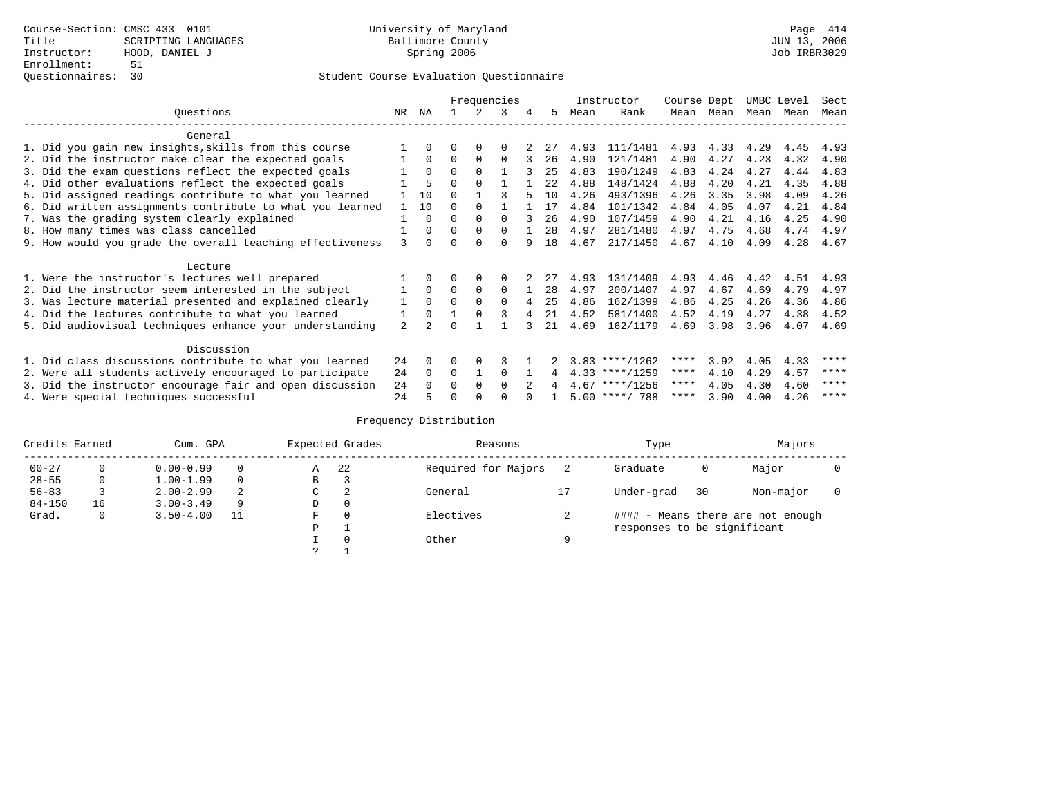|                                                           |    |                |          |          | Frequencies |   |      |      | Instructor       | Course Dept |      | UMBC Level |      | Sect |
|-----------------------------------------------------------|----|----------------|----------|----------|-------------|---|------|------|------------------|-------------|------|------------|------|------|
| Ouestions                                                 | NR | ΝA             |          |          | ર           | 4 | 5.   | Mean | Rank             | Mean        | Mean | Mean       | Mean | Mean |
| General                                                   |    |                |          |          |             |   |      |      |                  |             |      |            |      |      |
| 1. Did you gain new insights, skills from this course     |    |                | 0        | O        | $\Omega$    |   |      | 4.93 | 111/1481         | 4.93        | 4.33 | 4.29       | 4.45 | 4.93 |
| 2. Did the instructor make clear the expected goals       |    | $\Omega$       | $\Omega$ | $\Omega$ | $\Omega$    |   | 26   | 4.90 | 121/1481         | 4.90        | 4.27 | 4.23       | 4.32 | 4.90 |
| 3. Did the exam questions reflect the expected goals      |    | $\Omega$       | $\Omega$ | $\Omega$ |             |   | 25   | 4.83 | 190/1249         | 4.83        | 4.24 | 4.27       | 4.44 | 4.83 |
| 4. Did other evaluations reflect the expected goals       |    |                | $\Omega$ |          |             |   | 2.2. | 4.88 | 148/1424         | 4.88        | 4.20 | 4.21       | 4.35 | 4.88 |
| 5. Did assigned readings contribute to what you learned   |    | 10             | $\Omega$ |          |             |   | 10   | 4.26 | 493/1396         | 4.26        | 3.35 | 3.98       | 4.09 | 4.26 |
| 6. Did written assignments contribute to what you learned |    | 10             | O        |          |             |   | 17   | 4.84 | 101/1342         | 4.84        | 4.05 | 4.07       | 4.21 | 4.84 |
| 7. Was the grading system clearly explained               |    | O              | O        | $\Omega$ | $\cap$      |   | 26   | 4.90 | 107/1459         | 4.90        | 4.21 | 4.16       | 4.25 | 4.90 |
| 8. How many times was class cancelled                     |    | <sup>0</sup>   | $\Omega$ | $\Omega$ | $\Omega$    |   | 2.8  | 4.97 | 281/1480         | 4.97        | 4.75 | 4.68       | 4.74 | 4.97 |
| 9. How would you grade the overall teaching effectiveness | 3  | <sup>n</sup>   | U        | $\cap$   | $\cap$      |   | 18   | 4.67 | 217/1450         | 4.67        | 4.10 | 4.09       | 4.28 | 4.67 |
| Lecture                                                   |    |                |          |          |             |   |      |      |                  |             |      |            |      |      |
| 1. Were the instructor's lectures well prepared           |    |                |          |          | $\Omega$    |   | 27   | 4.93 | 131/1409         | 4.93        | 4.46 | 4.42       | 4.51 | 4.93 |
| 2. Did the instructor seem interested in the subject      |    | $\Omega$       | $\Omega$ | $\Omega$ | $\Omega$    |   | 28   | 4.97 | 200/1407         | 4.97        | 4.67 | 4.69       | 4.79 | 4.97 |
| 3. Was lecture material presented and explained clearly   | 1  | $\Omega$       | $\Omega$ |          | $\Omega$    |   | 25   | 4.86 | 162/1399         | 4.86        | 4.25 | 4.26       | 4.36 | 4.86 |
| 4. Did the lectures contribute to what you learned        |    | $\Omega$       |          |          |             |   | 21   | 4.52 | 581/1400         | 4.52        | 4.19 | 4.27       | 4.38 | 4.52 |
| 5. Did audiovisual techniques enhance your understanding  | 2  | $\mathfrak{D}$ |          |          |             |   | 21   | 4.69 | 162/1179         | 4.69        | 3.98 | 3.96       | 4.07 | 4.69 |
| Discussion                                                |    |                |          |          |             |   |      |      |                  |             |      |            |      |      |
| 1. Did class discussions contribute to what you learned   | 24 | 0              | O        | $\Omega$ |             |   |      |      | $3.83$ ****/1262 | ****        | 3.92 | 4.05       | 4.33 | **** |
| 2. Were all students actively encouraged to participate   | 24 | $\Omega$       | $\Omega$ |          | $\Omega$    |   |      |      | $4.33$ ****/1259 | ****        | 4.10 | 4.29       | 4.57 | **** |
| 3. Did the instructor encourage fair and open discussion  | 24 |                | $\Omega$ |          | $\Omega$    |   |      |      | $4.67$ ****/1256 | ****        | 4.05 | 4.30       | 4.60 | **** |
| 4. Were special techniques successful                     | 24 |                | U        |          |             |   |      |      | $5.00$ ****/ 788 | ****        | 3.90 | 4.00       | 4.26 | **** |

| Credits Earned |    | Cum. GPA      |    |   | Expected Grades | Reasons             |   | Type                        |    | Majors                            |  |
|----------------|----|---------------|----|---|-----------------|---------------------|---|-----------------------------|----|-----------------------------------|--|
| $00 - 27$      | 0  | $0.00 - 0.99$ |    | Α | 22              | Required for Majors |   | Graduate                    | 0  | Major                             |  |
| $28 - 55$      | 0  | $1.00 - 1.99$ |    | B | 3               |                     |   |                             |    |                                   |  |
| $56 - 83$      |    | $2.00 - 2.99$ | 2  | C | 2               | General             |   | Under-grad                  | 30 | Non-major                         |  |
| $84 - 150$     | 16 | $3.00 - 3.49$ | 9  | D | 0               |                     |   |                             |    |                                   |  |
| Grad.          | 0  | $3.50 - 4.00$ | 11 | F | 0               | Electives           |   |                             |    | #### - Means there are not enough |  |
|                |    |               |    | Ρ |                 |                     |   | responses to be significant |    |                                   |  |
|                |    |               |    |   | $\Omega$        | Other               | Q |                             |    |                                   |  |
|                |    |               |    | っ |                 |                     |   |                             |    |                                   |  |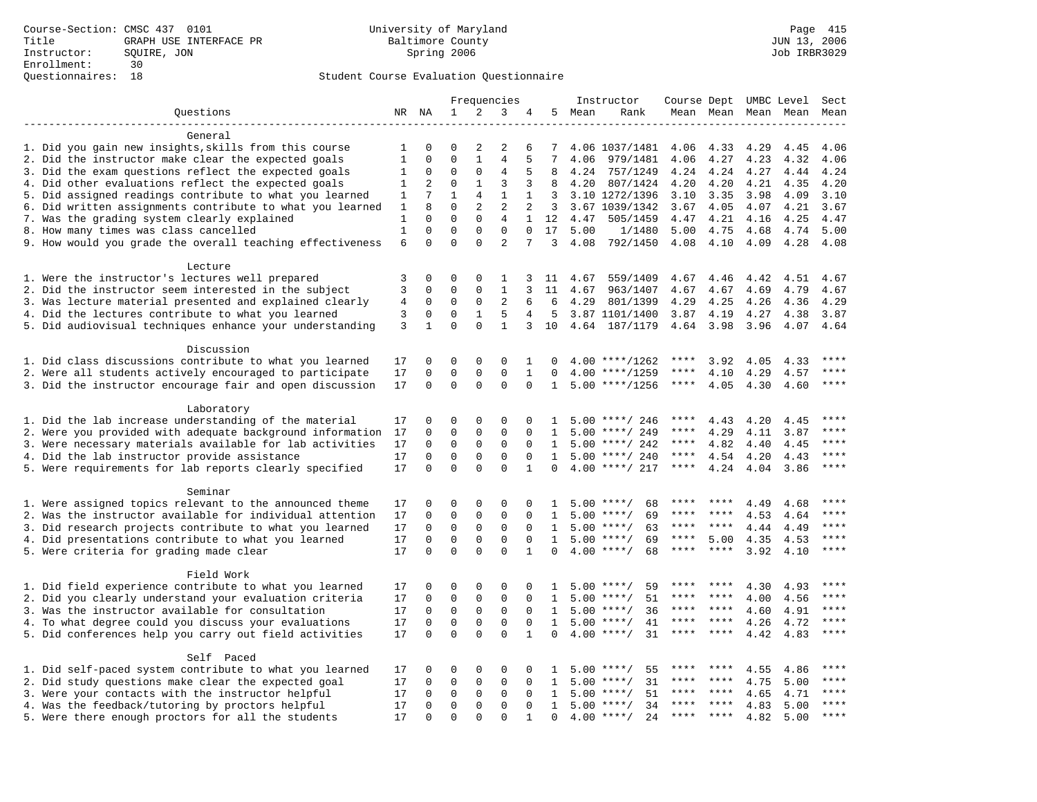|                                                                    |                |                 |              |              | Frequencies    |              |                |        | Instructor         |             |           |      | Course Dept UMBC Level | Sect        |
|--------------------------------------------------------------------|----------------|-----------------|--------------|--------------|----------------|--------------|----------------|--------|--------------------|-------------|-----------|------|------------------------|-------------|
| Ouestions                                                          |                | NR NA           | 1            | 2            | 3              | 4            |                | 5 Mean | Rank               |             | Mean Mean |      | Mean Mean              | Mean        |
|                                                                    |                |                 |              |              |                |              |                |        |                    |             |           |      |                        |             |
| General                                                            |                |                 |              |              |                |              |                |        |                    |             |           |      |                        |             |
| 1. Did you gain new insights, skills from this course              | 1              | $\mathbf 0$     | 0            | 2            | 2              | 6            | 7              |        | 4.06 1037/1481     | 4.06        | 4.33      | 4.29 | 4.45                   | 4.06        |
| 2. Did the instructor make clear the expected goals                | $\mathbf{1}$   | $\Omega$        | $\Omega$     | $\mathbf{1}$ | $\overline{4}$ | 5            | 7              | 4.06   | 979/1481           | 4.06        | 4.27      | 4.23 | 4.32                   | 4.06        |
| 3. Did the exam questions reflect the expected goals               | 1              | $\mathbf 0$     | 0            | $\mathbf 0$  | $\overline{4}$ | 5            | 8              | 4.24   | 757/1249           | 4.24        | 4.24      | 4.27 | 4.44                   | 4.24        |
| 4. Did other evaluations reflect the expected goals                | 1              | 2               | $\mathbf 0$  | $\mathbf{1}$ | 3              | 3            | 8              | 4.20   | 807/1424           | 4.20        | 4.20      | 4.21 | 4.35                   | 4.20        |
| 5. Did assigned readings contribute to what you learned            | 1              | $7\phantom{.0}$ | $\mathbf{1}$ | 4            | $\mathbf{1}$   | 1            | 3              |        | 3.10 1272/1396     | 3.10        | 3.35      | 3.98 | 4.09                   | 3.10        |
| 6. Did written assignments contribute to what you learned          | 1              | 8               | $\Omega$     | 2            | 2              | 2            | $\overline{3}$ |        | 3.67 1039/1342     | 3.67        | 4.05      | 4.07 | 4.21                   | 3.67        |
| 7. Was the grading system clearly explained                        | 1              | $\Omega$        | $\Omega$     | $\Omega$     | 4              | $\mathbf{1}$ | 12             | 4.47   | 505/1459           | 4.47        | 4.21      | 4.16 | 4.25                   | 4.47        |
| 8. How many times was class cancelled                              | $\mathbf{1}$   | $\Omega$        | $\Omega$     | $\Omega$     | $\Omega$       | $\Omega$     | 17             | 5.00   | 1/1480             | 5.00        | 4.75      | 4.68 | 4.74                   | 5.00        |
| 9. How would you grade the overall teaching effectiveness          | 6              | $\Omega$        | $\Omega$     | $\Omega$     | $\overline{2}$ | 7            | 3              | 4.08   | 792/1450           | 4.08        | 4.10      | 4.09 | 4.28                   | 4.08        |
| Lecture                                                            |                |                 |              |              |                |              |                |        |                    |             |           |      |                        |             |
| 1. Were the instructor's lectures well prepared                    | 3              | $\mathbf 0$     | 0            | $\Omega$     | 1              | 3            | 11             | 4.67   | 559/1409           | 4.67        | 4.46      | 4.42 | 4.51                   | 4.67        |
| 2. Did the instructor seem interested in the subject               | 3              | $\mathbf 0$     | $\mathbf 0$  | $\mathbf 0$  | 1              | 3            | 11             | 4.67   | 963/1407           | 4.67        | 4.67      | 4.69 | 4.79                   | 4.67        |
| 3. Was lecture material presented and explained clearly            | $\overline{4}$ | $\mathbf 0$     | $\mathbf 0$  | $\mathbf 0$  | 2              | 6            | 6              | 4.29   | 801/1399           | 4.29        | 4.25      | 4.26 | 4.36                   | 4.29        |
| 4. Did the lectures contribute to what you learned                 | 3              | 0               | 0            | $\mathbf{1}$ | 5              | 4            | 5              |        | 3.87 1101/1400     | 3.87        | 4.19      | 4.27 | 4.38                   | 3.87        |
| 5. Did audiovisual techniques enhance your understanding           | 3              | $\mathbf{1}$    | $\Omega$     | $\Omega$     | $\mathbf{1}$   | 3            | 10             |        | 4.64 187/1179      |             | 4.64 3.98 | 3.96 | 4.07                   | 4.64        |
|                                                                    |                |                 |              |              |                |              |                |        |                    |             |           |      |                        |             |
| Discussion                                                         |                |                 |              |              |                |              |                |        |                    |             |           |      |                        |             |
| 1. Did class discussions contribute to what you learned            | 17             | 0               | $\mathbf 0$  | $\mathbf{0}$ | $\Omega$       | $\mathbf{1}$ | 0              |        | $4.00$ ****/1262   | ****        | 3.92      | 4.05 | 4.33                   | ****        |
| 2. Were all students actively encouraged to participate            | 17             | $\mathbf 0$     | $\mathbf 0$  | $\mathbf{0}$ | $\mathbf 0$    | $\mathbf{1}$ | 0              | 4.00   | $***/1259$         | ****        | 4.10      | 4.29 | 4.57                   | ****        |
| 3. Did the instructor encourage fair and open discussion           | 17             | $\mathbf 0$     | $\mathbf 0$  | $\Omega$     | $\Omega$       | $\Omega$     | 1              |        | $5.00$ ****/1256   | $***$ * * * | 4.05      | 4.30 | 4.60                   | $***$ * * * |
| Laboratory                                                         |                |                 |              |              |                |              |                |        |                    |             |           |      |                        |             |
| 1. Did the lab increase understanding of the material              | 17             | 0               | 0            | 0            | $\Omega$       | $\Omega$     | 1              |        | $5.00$ ****/ 246   | ****        | 4.43      | 4.20 | 4.45                   | $***$       |
| 2. Were you provided with adequate background information          | 17             | $\mathbf 0$     | $\mathbf 0$  | $\mathbf 0$  | $\Omega$       | $\Omega$     | $\mathbf{1}$   |        | $5.00$ ****/ 249   | ****        | 4.29      | 4.11 | 3.87                   |             |
| 3. Were necessary materials available for lab activities           | 17             | $\mathbf 0$     | $\mathbf 0$  | $\mathbf{0}$ | $\mathbf 0$    | $\Omega$     | $\mathbf{1}$   |        | $5.00$ ****/ 242   | ****        | 4.82      | 4.40 | 4.45                   | ****        |
| 4. Did the lab instructor provide assistance                       | 17             | $\mathbf 0$     | $\mathbf 0$  | $\mathbf 0$  | $\mathbf 0$    | $\mathbf 0$  | 1              |        | $5.00$ ****/ 240   | $***$ * * * | 4.54      | 4.20 | 4.43                   | $***$ * * * |
| 5. Were requirements for lab reports clearly specified             | 17             | $\Omega$        | $\Omega$     | $\Omega$     | $\Omega$       | $\mathbf{1}$ | $\Omega$       |        | $4.00$ ****/ 217   | $***$ * * * | 4.24      | 4.04 | 3.86                   | ****        |
|                                                                    |                |                 |              |              |                |              |                |        |                    |             |           |      |                        |             |
| Seminar<br>1. Were assigned topics relevant to the announced theme | 17             | $\mathbf 0$     | 0            | 0            | 0              | $\Omega$     | 1              |        | $5.00$ ****/<br>68 |             |           | 4.49 | 4.68                   | ****        |
| 2. Was the instructor available for individual attention           | 17             | $\mathbf 0$     | $\mathbf 0$  | $\mathbf 0$  | $\mathbf{0}$   | 0            | 1              |        | 69<br>$5.00$ ****/ | ****        | ****      | 4.53 | 4.64                   | ****        |
| 3. Did research projects contribute to what you learned            | 17             | $\mathbf 0$     | $\mathbf 0$  | 0            | 0              | $\mathbf 0$  | 1              |        | $5.00$ ****/<br>63 | $***$ * * * | ****      | 4.44 | 4.49                   | ****        |
| 4. Did presentations contribute to what you learned                | 17             | $\Omega$        | $\mathbf 0$  | $\Omega$     | $\Omega$       | $\Omega$     | 1              | 5.00   | $***$ /<br>69      | $***$ * * * | 5.00      | 4.35 | 4.53                   | $***$       |
| 5. Were criteria for grading made clear                            | 17             | $\mathbf 0$     | $\Omega$     | $\Omega$     | $\Omega$       | $\mathbf{1}$ | $\Omega$       |        | $4.00$ ****/<br>68 | ****        | $***$     | 3.92 | 4.10                   | ****        |
|                                                                    |                |                 |              |              |                |              |                |        |                    |             |           |      |                        |             |
| Field Work                                                         |                |                 |              |              |                |              |                |        |                    |             |           |      |                        |             |
| 1. Did field experience contribute to what you learned             | 17             | $\Omega$        | 0            | 0            | 0              | 0            | 1              |        | $5.00$ ****/<br>59 |             |           | 4.30 | 4.93                   | ****        |
| 2. Did you clearly understand your evaluation criteria             | 17             | $\Omega$        | $\Omega$     | $\mathbf 0$  | $\mathbf 0$    | $\Omega$     | 1              |        | $5.00$ ****/<br>51 | ****        | ****      | 4.00 | 4.56                   | ****        |
| 3. Was the instructor available for consultation                   | 17             | $\Omega$        | $\Omega$     | $\mathbf 0$  | $\mathbf 0$    | $\Omega$     | $\mathbf{1}$   |        | $5.00$ ****/<br>36 | $***$ * *   | ****      | 4.60 | 4.91                   | ****        |
| 4. To what degree could you discuss your evaluations               | 17             | $\mathbf 0$     | $\mathbf 0$  | $\mathbf 0$  | $\mathbf 0$    | $\mathbf 0$  | $\mathbf{1}$   | 5.00   | 41<br>$***/$       | ***         | $***$ *   | 4.26 | 4.72                   | $***$ * * * |
| 5. Did conferences help you carry out field activities             | 17             | $\Omega$        | $\Omega$     | $\Omega$     | $\Omega$       | $\mathbf{1}$ | $\Omega$       | 4.00   | $***$ /<br>31      |             |           | 4.42 | 4.83                   | ****        |
| Self Paced                                                         |                |                 |              |              |                |              |                |        |                    |             |           |      |                        |             |
| 1. Did self-paced system contribute to what you learned            | 17             | $\Omega$        | $\Omega$     | $\Omega$     | $\Omega$       | 0            |                | 5.00   | $***/$<br>55       |             |           | 4.55 | 4.86                   | ****        |
| 2. Did study questions make clear the expected goal                | 17             | $\mathbf 0$     | $\mathbf 0$  | $\mathbf 0$  | $\mathbf{0}$   | 0            | 1              | 5.00   | 31<br>$***/$       | ****        | ****      | 4.75 | 5.00                   | $***$       |
| 3. Were your contacts with the instructor helpful                  | 17             | $\mathbf 0$     | 0            | 0            | 0              | 0            | 1              | 5.00   | $***/$<br>51       |             |           | 4.65 | 4.71                   | ****        |
| 4. Was the feedback/tutoring by proctors helpful                   | 17             | $\Omega$        | $\mathbf 0$  | $\Omega$     | $\Omega$       | $\Omega$     | $\mathbf{1}$   | 5.00   | $***$ /<br>34      | ****        | ****      | 4.83 | 5.00                   | $***$       |
| 5. Were there enough proctors for all the students                 | 17             | $\Omega$        | $\Omega$     | $\Omega$     | $\Omega$       | $\mathbf{1}$ | $\Omega$       |        | $4.00$ ****/<br>24 | $***$ * * * | $***$ *   | 4.82 | 5.00                   | $***$       |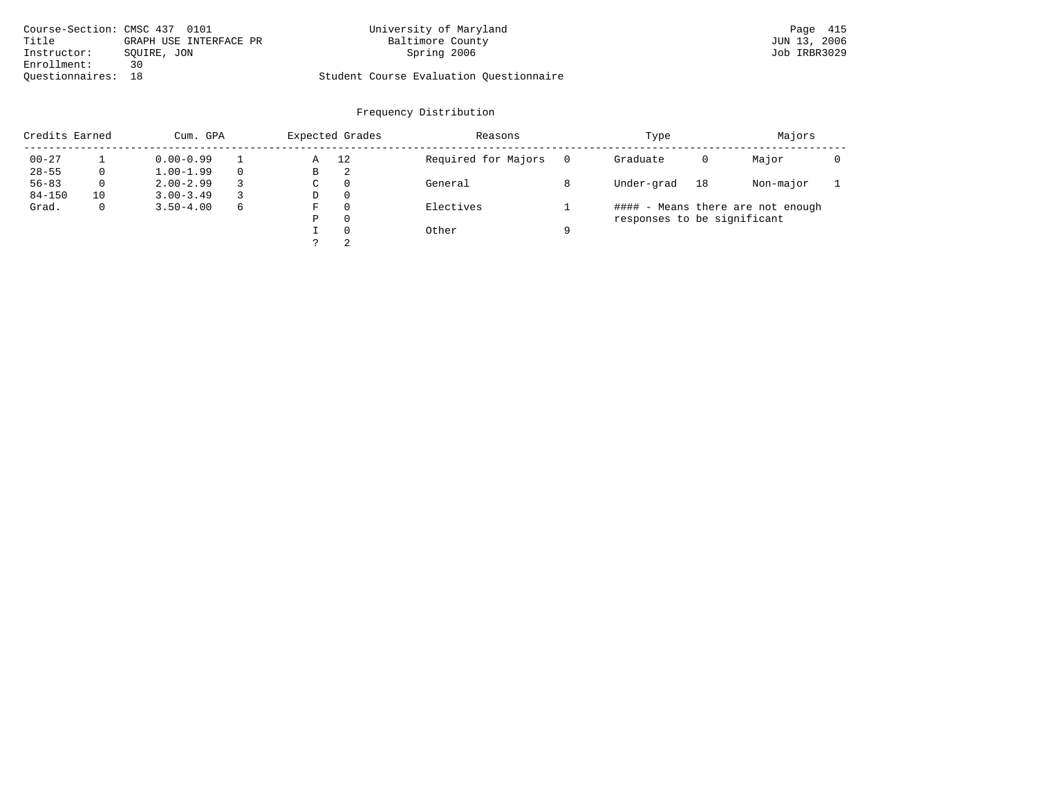| Course-Section: CMSC 437 0101 |                        | University of Maryland                  | Page 415     |
|-------------------------------|------------------------|-----------------------------------------|--------------|
| Title                         | GRAPH USE INTERFACE PR | Baltimore County                        | JUN 13, 2006 |
| Instructor:                   | SOUIRE, JON            | Spring 2006                             | Job IRBR3029 |
| Enrollment:                   | 30                     |                                         |              |
| Ouestionnaires: 18            |                        | Student Course Evaluation Ouestionnaire |              |

| Credits Earned |              | Cum. GPA      |   |   | Expected Grades | Reasons             |   | Type                        |    | Majors                            |  |
|----------------|--------------|---------------|---|---|-----------------|---------------------|---|-----------------------------|----|-----------------------------------|--|
| $00 - 27$      |              | $0.00 - 0.99$ |   | Α | 12              | Required for Majors |   | Graduate                    | 0  | Major                             |  |
| $28 - 55$      | 0            | $1.00 - 1.99$ |   | В | 2               |                     |   |                             |    |                                   |  |
| $56 - 83$      | $\Omega$     | $2.00 - 2.99$ |   | C | $\Omega$        | General             |   | Under-grad                  | 18 | Non-major                         |  |
| $84 - 150$     | 10           | $3.00 - 3.49$ |   | D | $\Omega$        |                     |   |                             |    |                                   |  |
| Grad.          | $\mathbf{0}$ | $3.50 - 4.00$ | 6 | F | $\Omega$        | Electives           |   |                             |    | #### - Means there are not enough |  |
|                |              |               |   | Ρ | $\Omega$        |                     |   | responses to be significant |    |                                   |  |
|                |              |               |   |   | $\Omega$        | Other               | a |                             |    |                                   |  |
|                |              |               |   |   | 2               |                     |   |                             |    |                                   |  |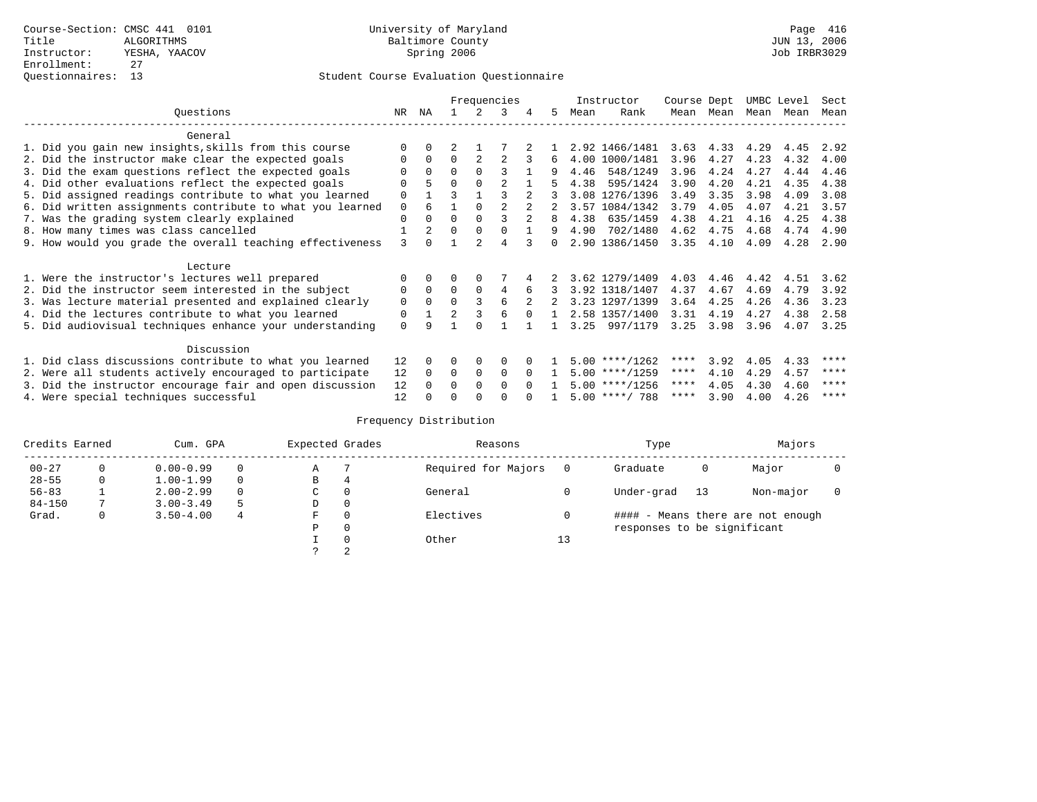|                                                           |             |              |                |             | Frequencies |          |              |      | Instructor       | Course Dept |           | UMBC Level |      | Sect |
|-----------------------------------------------------------|-------------|--------------|----------------|-------------|-------------|----------|--------------|------|------------------|-------------|-----------|------------|------|------|
| Ouestions                                                 | NR.         | ΝA           |                |             | 3           | 4        | 5.           | Mean | Rank             |             | Mean Mean | Mean       | Mean | Mean |
| General                                                   |             |              |                |             |             |          |              |      |                  |             |           |            |      |      |
| 1. Did you gain new insights, skills from this course     |             | $\Omega$     |                |             |             |          |              |      | 2.92 1466/1481   | 3.63        | 4.33      | 4.29       | 4.45 | 2.92 |
| 2. Did the instructor make clear the expected goals       | O           | $\Omega$     | $\Omega$       |             |             | 3        | 6            |      | 4.00 1000/1481   | 3.96        | 4.27      | 4.23       | 4.32 | 4.00 |
| 3. Did the exam questions reflect the expected goals      |             | $\Omega$     | $\Omega$       | $\Omega$    | ς           |          | 9            | 4.46 | 548/1249         | 3.96        | 4.24      | 4.27       | 4.44 | 4.46 |
| 4. Did other evaluations reflect the expected goals       | O           |              | $\Omega$       | $\Omega$    |             |          |              | 4.38 | 595/1424         | 3.90        | 4.20      | 4.21       | 4.35 | 4.38 |
| 5. Did assigned readings contribute to what you learned   | $\mathbf 0$ |              | ζ              |             |             |          |              |      | 3.08 1276/1396   | 3.49        | 3.35      | 3.98       | 4.09 | 3.08 |
| 6. Did written assignments contribute to what you learned | $\Omega$    | 6            |                | $\Omega$    |             |          |              |      | 3.57 1084/1342   | 3.79        | 4.05      | 4.07       | 4.21 | 3.57 |
| 7. Was the grading system clearly explained               | $\Omega$    | $\Omega$     | $\Omega$       | $\Omega$    |             |          | 8            | 4.38 | 635/1459         | 4.38        | 4.21      | 4.16       | 4.25 | 4.38 |
| 8. How many times was class cancelled                     |             |              | $\Omega$       | $\Omega$    |             |          | 9            | 4.90 | 702/1480         | 4.62        | 4.75      | 4.68       | 4.74 | 4.90 |
| 9. How would you grade the overall teaching effectiveness | 3           | <sup>n</sup> |                |             | 4           |          | <sup>n</sup> |      | 2.90 1386/1450   | 3.35        | 4.10      | 4.09       | 4.28 | 2.90 |
| Lecture                                                   |             |              |                |             |             |          |              |      |                  |             |           |            |      |      |
| 1. Were the instructor's lectures well prepared           |             |              |                |             |             |          |              |      | 3.62 1279/1409   | 4.03        | 4.46      | 4.42       | 4.51 | 3.62 |
| 2. Did the instructor seem interested in the subject      | 0           | $\Omega$     | $\Omega$       | $\Omega$    | 4           | 6        |              |      | 3.92 1318/1407   | 4.37        | 4.67      | 4.69       | 4.79 | 3.92 |
| 3. Was lecture material presented and explained clearly   | 0           | $\Omega$     | $\Omega$       | 3           | 6           |          |              |      | 3.23 1297/1399   | 3.64        | 4.25      | 4.26       | 4.36 | 3.23 |
| 4. Did the lectures contribute to what you learned        | 0           |              | $\mathfrak{D}$ |             | 6           |          |              |      | 2.58 1357/1400   | 3.31        | 4.19      | 4.27       | 4.38 | 2.58 |
| 5. Did audiovisual techniques enhance your understanding  | $\Omega$    | a            |                | $\cap$      |             |          |              | 3.25 | 997/1179         | 3.25        | 3.98      | 3.96       | 4.07 | 3.25 |
| Discussion                                                |             |              |                |             |             |          |              |      |                  |             |           |            |      |      |
| 1. Did class discussions contribute to what you learned   | 12          | 0            | 0              | $\Omega$    | $\Omega$    |          |              |      | $5.00$ ****/1262 | ****        | 3.92      | 4.05       | 4.33 | **** |
| 2. Were all students actively encouraged to participate   | 12          | $\Omega$     | $\Omega$       | $\mathbf 0$ | $\Omega$    | $\Omega$ |              |      | $5.00$ ****/1259 | $***$ * *   | 4.10      | 4.29       | 4.57 | **** |
| 3. Did the instructor encourage fair and open discussion  | 12          |              | 0              | $\Omega$    | $\Omega$    | $\Omega$ |              |      | $5.00$ ****/1256 | ****        | 4.05      | 4.30       | 4.60 | **** |
| 4. Were special techniques successful                     | 12          |              |                |             |             |          |              |      | $5.00$ ****/ 788 | ****        | 3.90      | 4.00       | 4.26 | **** |

| Credits Earned |   | Cum. GPA      |          | Expected Grades |              | Reasons             |    | Type                        |    | Majors                            |  |
|----------------|---|---------------|----------|-----------------|--------------|---------------------|----|-----------------------------|----|-----------------------------------|--|
| $00 - 27$      |   | $0.00 - 0.99$ | $\Omega$ | Α               |              | Required for Majors |    | Graduate                    | Ü  | Major                             |  |
| $28 - 55$      | 0 | $1.00 - 1.99$ | $\Omega$ | В               | 4            |                     |    |                             |    |                                   |  |
| $56 - 83$      |   | $2.00 - 2.99$ | $\Omega$ | С               | 0            | General             |    | Under-grad                  | 13 | Non-major                         |  |
| $84 - 150$     |   | $3.00 - 3.49$ | 5        | D               | 0            |                     |    |                             |    |                                   |  |
| Grad.          | 0 | $3.50 - 4.00$ | 4        | F               | 0            | Electives           |    |                             |    | #### - Means there are not enough |  |
|                |   |               |          | Ρ               | $\mathbf{0}$ |                     |    | responses to be significant |    |                                   |  |
|                |   |               |          |                 | $\Omega$     | Other               | 13 |                             |    |                                   |  |
|                |   |               |          |                 | 2            |                     |    |                             |    |                                   |  |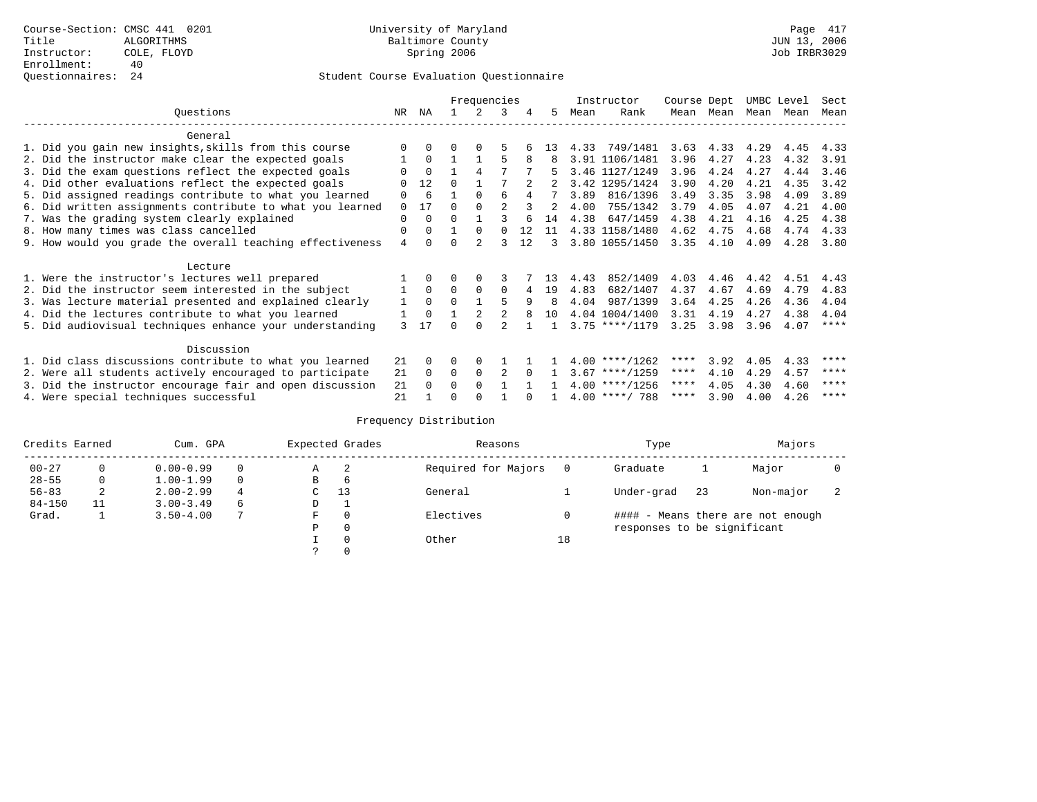|                                                           |                |          |          | Frequencies |                |          |                |      | Instructor       | Course Dept |            | UMBC Level |      | Sect |
|-----------------------------------------------------------|----------------|----------|----------|-------------|----------------|----------|----------------|------|------------------|-------------|------------|------------|------|------|
| Ouestions                                                 | NR.            | ΝA       |          |             | 3              | 4        | 5.             | Mean | Rank             | Mean        | Mean       | Mean       | Mean | Mean |
| General                                                   |                |          |          |             |                |          |                |      |                  |             |            |            |      |      |
| 1. Did you gain new insights, skills from this course     |                | $\Omega$ | O        | $\Omega$    |                |          | 13             | 4.33 | 749/1481         | 3.63        | 4.33       | 4.29       | 4.45 | 4.33 |
| 2. Did the instructor make clear the expected goals       |                | $\Omega$ |          |             | 5              |          | 8              |      | 3.91 1106/1481   | 3.96        | 4.27       | 4.23       | 4.32 | 3.91 |
|                                                           |                | $\Omega$ |          | 4           |                |          |                |      | 3.46 1127/1249   | 3.96        | 4.24       | 4.27       | 4.44 | 3.46 |
| 3. Did the exam questions reflect the expected goals      |                |          |          |             |                |          |                |      |                  |             |            |            |      |      |
| 4. Did other evaluations reflect the expected goals       | $\Omega$       | 12       | $\Omega$ |             |                |          |                |      | 3.42 1295/1424   | 3.90        | 4.20       | 4.21       | 4.35 | 3.42 |
| 5. Did assigned readings contribute to what you learned   | 0              | 6        |          | $\Omega$    | 6              |          | 7              | 3.89 | 816/1396         | 3.49        | 3.35       | 3.98       | 4.09 | 3.89 |
| 6. Did written assignments contribute to what you learned | $\Omega$       | 17       | $\Omega$ |             | $\mathfrak{D}$ |          | $\mathfrak{D}$ | 4.00 | 755/1342         | 3.79        | 4.05       | 4.07       | 4.21 | 4.00 |
| 7. Was the grading system clearly explained               | $\Omega$       | $\Omega$ | U        |             |                |          | 14             | 4.38 | 647/1459         | 4.38        | 4.21       | 4.16       | 4.25 | 4.38 |
| 8. How many times was class cancelled                     | 0              | $\Omega$ |          | $\Omega$    | $\cap$         | 12       | 11             |      | 4.33 1158/1480   | 4.62        | 4.75       | 4.68       | 4.74 | 4.33 |
| 9. How would you grade the overall teaching effectiveness | $\overline{4}$ | $\cap$   | U        |             | ς              | 12       | 3              |      | 3.80 1055/1450   | 3.35        | 4.10       | 4.09       | 4.28 | 3.80 |
| Lecture                                                   |                |          |          |             |                |          |                |      |                  |             |            |            |      |      |
| 1. Were the instructor's lectures well prepared           |                |          |          |             |                |          | 13             | 4.43 | 852/1409         | 4.03        | 4.46       | 4.42       | 4.51 | 4.43 |
| 2. Did the instructor seem interested in the subject      |                | $\Omega$ | $\Omega$ | $\Omega$    | $\Omega$       |          | 19             | 4.83 | 682/1407         | 4.37        | 4.67       | 4.69       | 4.79 | 4.83 |
|                                                           |                | $\Omega$ | $\Omega$ |             |                | 9        | 8              | 4.04 | 987/1399         | 3.64        | 4.25       | 4.26       | 4.36 |      |
| 3. Was lecture material presented and explained clearly   | 1              |          |          |             |                |          |                |      |                  |             |            |            |      | 4.04 |
| 4. Did the lectures contribute to what you learned        |                | $\Omega$ |          |             |                |          | 10             |      | 4.04 1004/1400   | 3.31        | 4.19       | 4.27       | 4.38 | 4.04 |
| 5. Did audiovisual techniques enhance your understanding  | 3              | 17       |          |             |                |          |                |      | $3.75$ ****/1179 | 3.25        | 3.98       | 3.96       | 4.07 | **** |
| Discussion                                                |                |          |          |             |                |          |                |      |                  |             |            |            |      |      |
| 1. Did class discussions contribute to what you learned   | 21             | $\Omega$ | 0        | $\Omega$    |                |          |                |      | $4.00$ ****/1262 | ****        | 3.92       | 4.05       | 4.33 | **** |
| 2. Were all students actively encouraged to participate   | 21             | $\Omega$ | $\Omega$ | $\Omega$    |                | $\Omega$ |                |      | $3.67$ ****/1259 | $***$ * *   | 4.10       | 4.29       | 4.57 | **** |
| 3. Did the instructor encourage fair and open discussion  | 21             | $\Omega$ | 0        | $\Omega$    |                |          |                |      | $4.00$ ****/1256 | ****        | 4.05       | 4.30       | 4.60 | **** |
| 4. Were special techniques successful                     | 21             |          |          |             |                |          |                |      | $4.00$ ****/ 788 |             | $***$ 3.90 | 4.00       | 4.26 | **** |

| Credits Earned |    | Cum. GPA      |          |   | Expected Grades | Reasons             |    | Type                        |    | Majors                            |  |
|----------------|----|---------------|----------|---|-----------------|---------------------|----|-----------------------------|----|-----------------------------------|--|
| $00 - 27$      |    | $0.00 - 0.99$ |          | Α | -2              | Required for Majors |    | Graduate                    |    | Major                             |  |
| $28 - 55$      | 0  | $1.00 - 1.99$ | $\Omega$ | В | 6               |                     |    |                             |    |                                   |  |
| $56 - 83$      | 2  | $2.00 - 2.99$ | 4        | C | 13              | General             |    | Under-grad                  | 23 | Non-major                         |  |
| $84 - 150$     | 11 | $3.00 - 3.49$ | 6        | D |                 |                     |    |                             |    |                                   |  |
| Grad.          |    | $3.50 - 4.00$ |          | F | $\Omega$        | Electives           |    |                             |    | #### - Means there are not enough |  |
|                |    |               |          | Ρ | 0               |                     |    | responses to be significant |    |                                   |  |
|                |    |               |          |   | $\Omega$        | Other               | 18 |                             |    |                                   |  |
|                |    |               |          |   |                 |                     |    |                             |    |                                   |  |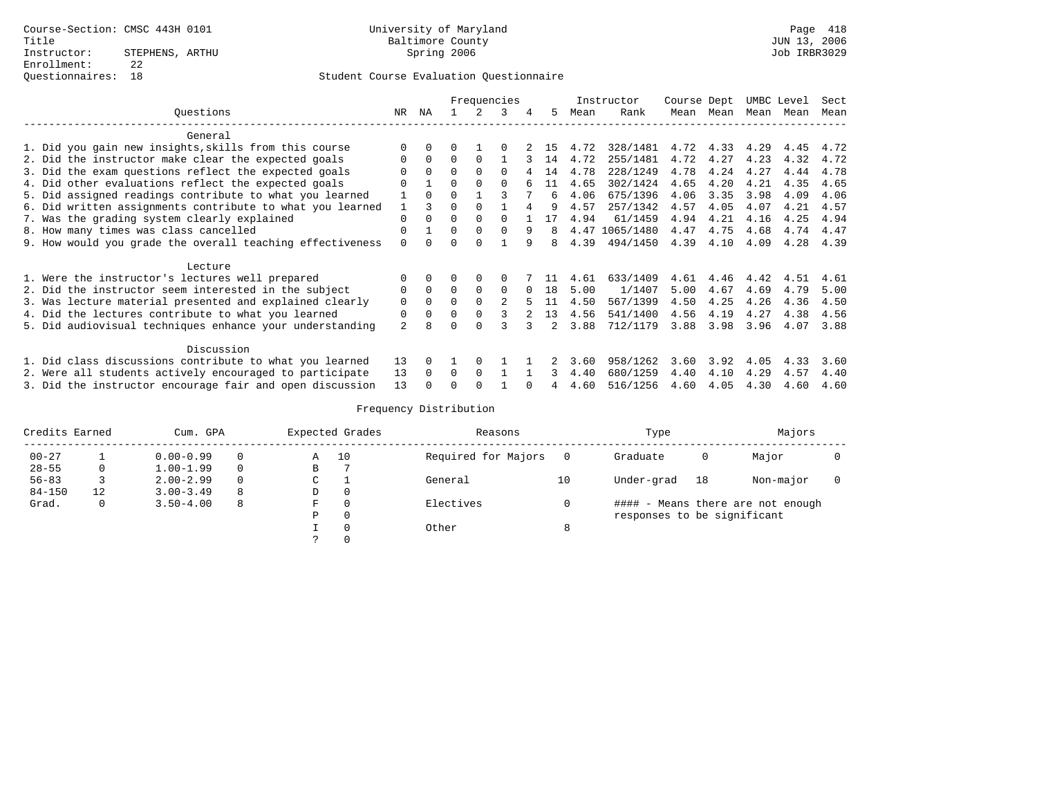|                                                           |                |          |          |          | Frequencies    |          |               |      | Instructor | Course Dept |           | UMBC Level |      | Sect      |
|-----------------------------------------------------------|----------------|----------|----------|----------|----------------|----------|---------------|------|------------|-------------|-----------|------------|------|-----------|
| Ouestions                                                 | NR             | ΝA       |          |          | 3              | 4        | 5.            | Mean | Rank       | Mean        | Mean      | Mean       | Mean | Mean      |
| General                                                   |                |          |          |          |                |          |               |      |            |             |           |            |      |           |
| 1. Did you gain new insights, skills from this course     |                |          |          |          |                |          | 15            | 4.72 | 328/1481   |             | 4.72 4.33 | 4.29       | 4.45 | 4.72      |
| 2. Did the instructor make clear the expected goals       | $\Omega$       | $\Omega$ | $\Omega$ | $\Omega$ |                |          | 14            | 4.72 | 255/1481   | 4.72        | 4.27      | 4.23       | 4.32 | 4.72      |
| 3. Did the exam questions reflect the expected goals      |                | $\Omega$ | $\Omega$ | $\Omega$ | $\Omega$       |          | 14            | 4.78 | 228/1249   | 4.78        | 4.24      | 4.27       | 4.44 | 4.78      |
| 4. Did other evaluations reflect the expected goals       | U              |          | 0        | $\Omega$ |                |          |               | 4.65 | 302/1424   | 4.65        | 4.20      | 4.21       | 4.35 | 4.65      |
| 5. Did assigned readings contribute to what you learned   |                | $\Omega$ | $\cap$   |          |                |          | б.            | 4.06 | 675/1396   | 4.06        | 3.35      | 3.98       | 4.09 | 4.06      |
| 6. Did written assignments contribute to what you learned |                | ζ        | U        |          |                |          |               | 4.57 | 257/1342   | 4.57        | 4.05      | 4.07       | 4.21 | 4.57      |
| 7. Was the grading system clearly explained               | $\Omega$       | $\Omega$ | $\Omega$ | $\Omega$ | $\cap$         |          | 17            | 4.94 | 61/1459    | 4.94        | 4.21      | 4.16       | 4.25 | 4.94      |
| 8. How many times was class cancelled                     | $\Omega$       |          | 0        | $\Omega$ | $\Omega$       | 9        |               | 4.47 | 1065/1480  | 4.47        | 4.75      | 4.68       | 4.74 | 4.47      |
| 9. How would you grade the overall teaching effectiveness | $\Omega$       | $\Omega$ | 0        | $\cap$   |                | 9        | 8             | 4.39 | 494/1450   | 4.39        | 4.10      | 4.09       |      | 4.28 4.39 |
| Lecture                                                   |                |          |          |          |                |          |               |      |            |             |           |            |      |           |
| 1. Were the instructor's lectures well prepared           |                |          | 0        | $\Omega$ | $\Omega$       |          |               | 4.61 | 633/1409   | 4.61        | 4.46      | 4.42       | 4.51 | 4.61      |
| 2. Did the instructor seem interested in the subject      | 0              | $\Omega$ | $\Omega$ | $\Omega$ | $\Omega$       | $\Omega$ | 18            | 5.00 | 1/1407     | 5.00        | 4.67      | 4.69       | 4.79 | 5.00      |
| 3. Was lecture material presented and explained clearly   | $\Omega$       | $\Omega$ | $\Omega$ | $\Omega$ | $\mathfrak{D}$ |          | 11            | 4.50 | 567/1399   | 4.50        | 4.25      | 4.26       | 4.36 | 4.50      |
| 4. Did the lectures contribute to what you learned        | 0              | $\Omega$ | $\Omega$ | $\Omega$ | 3              |          | 13            | 4.56 | 541/1400   | 4.56        | 4.19      | 4.27       | 4.38 | 4.56      |
| 5. Did audiovisual techniques enhance your understanding  | $\overline{a}$ | 8        | U        | $\cap$   |                |          | $\mathcal{L}$ | 3.88 | 712/1179   | 3.88        | 3.98      | 3.96       | 4.07 | 3.88      |
| Discussion                                                |                |          |          |          |                |          |               |      |            |             |           |            |      |           |
| 1. Did class discussions contribute to what you learned   | 13             | $\Omega$ |          | $\Omega$ |                |          |               | 3.60 | 958/1262   | 3.60        | 3.92      | 4.05       | 4.33 | 3.60      |
| 2. Were all students actively encouraged to participate   | 13             | $\Omega$ | $\Omega$ | $\Omega$ |                |          | 3             | 4.40 | 680/1259   | 4.40        | 4.10      | 4.29       | 4.57 | 4.40      |
| 3. Did the instructor encourage fair and open discussion  | 13             |          |          |          |                |          | 4             | 4.60 | 516/1256   | 4.60        | 4.05      | 4.30       | 4.60 | 4.60      |

| Credits Earned |    | Cum. GPA      |          | Expected Grades |    | Reasons             |    | Type                        |    | Majors                            |  |
|----------------|----|---------------|----------|-----------------|----|---------------------|----|-----------------------------|----|-----------------------------------|--|
| $00 - 27$      |    | $0.00 - 0.99$ | $\Omega$ | Α               | 10 | Required for Majors |    | Graduate                    | 0  | Major                             |  |
| $28 - 55$      | 0  | $1.00 - 1.99$ | $\Omega$ | В               |    |                     |    |                             |    |                                   |  |
| $56 - 83$      |    | $2.00 - 2.99$ | $\Omega$ | C               |    | General             | 10 | Under-grad                  | 18 | Non-major                         |  |
| $84 - 150$     | 12 | $3.00 - 3.49$ | 8        | D               |    |                     |    |                             |    |                                   |  |
| Grad.          | 0  | $3.50 - 4.00$ | 8        | F               |    | Electives           |    |                             |    | #### - Means there are not enough |  |
|                |    |               |          | P               |    |                     |    | responses to be significant |    |                                   |  |
|                |    |               |          |                 |    | Other               | 8  |                             |    |                                   |  |
|                |    |               |          |                 |    |                     |    |                             |    |                                   |  |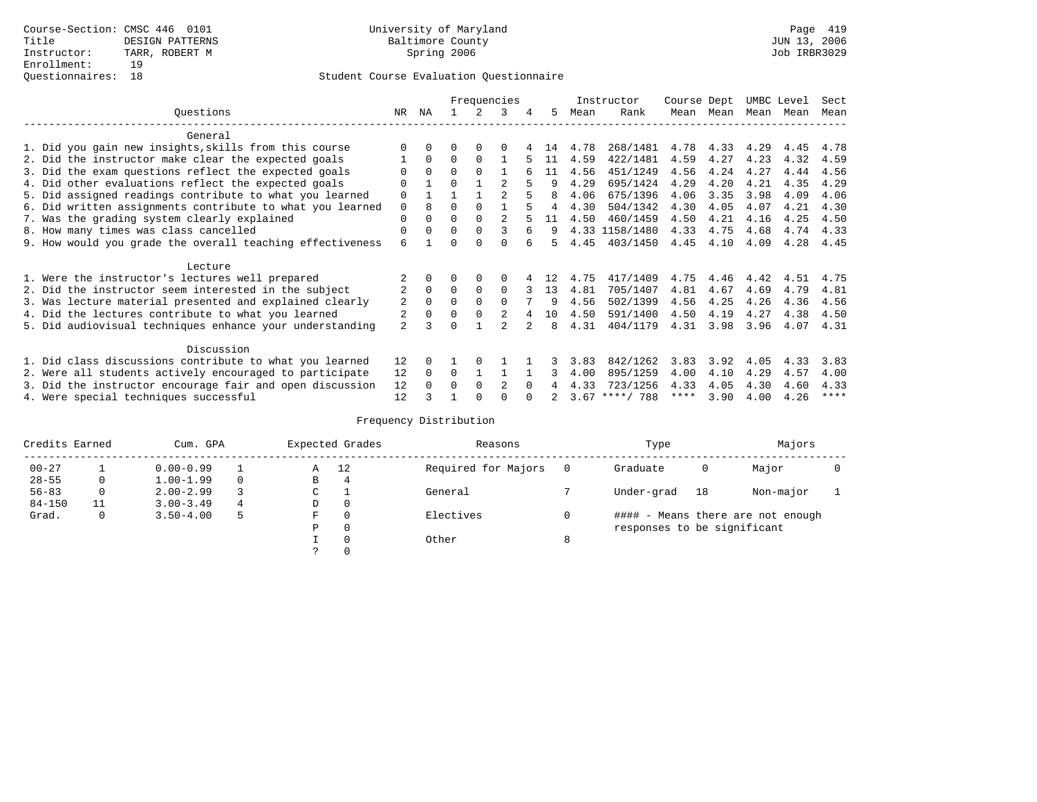|                                                           |                |              |          |          | Frequencies   |          |    |      | Instructor       | Course Dept |      | UMBC Level |      | Sect |
|-----------------------------------------------------------|----------------|--------------|----------|----------|---------------|----------|----|------|------------------|-------------|------|------------|------|------|
| Ouestions                                                 | NR.            | ΝA           |          |          | 3             |          | 5. | Mean | Rank             | Mean        | Mean | Mean       | Mean | Mean |
| General                                                   |                |              |          |          |               |          |    |      |                  |             |      |            |      |      |
| 1. Did you gain new insights, skills from this course     | ∩              |              | O        | 0        | $\Omega$      |          | 14 | 4.78 | 268/1481         | 4.78        | 4.33 | 4.29       | 4.45 | 4.78 |
| 2. Did the instructor make clear the expected goals       |                | $\Omega$     | $\Omega$ | $\Omega$ |               |          | 11 | 4.59 | 422/1481         | 4.59        | 4.27 | 4.23       | 4.32 | 4.59 |
| 3. Did the exam questions reflect the expected goals      |                | $\Omega$     | $\Omega$ | $\Omega$ |               |          | 11 | 4.56 | 451/1249         | 4.56        | 4.24 | 4.27       | 4.44 | 4.56 |
| 4. Did other evaluations reflect the expected goals       | $\Omega$       |              | $\Omega$ |          |               |          | q  | 4.29 | 695/1424         | 4.29        | 4.20 | 4.21       | 4.35 | 4.29 |
| 5. Did assigned readings contribute to what you learned   | $\Omega$       |              |          |          | $\mathcal{D}$ |          | 8  | 4.06 | 675/1396         | 4.06        | 3.35 | 3.98       | 4.09 | 4.06 |
| 6. Did written assignments contribute to what you learned | $\mathbf 0$    | 8            | $\Omega$ |          |               |          | 4  | 4.30 | 504/1342         | 4.30        | 4.05 | 4.07       | 4.21 | 4.30 |
| 7. Was the grading system clearly explained               | $\Omega$       |              | $\Omega$ | $\Omega$ |               |          | 11 | 4.50 | 460/1459         | 4.50        | 4.21 | 4.16       | 4.25 | 4.50 |
| 8. How many times was class cancelled                     | $\Omega$       | <sup>0</sup> | $\Omega$ | $\Omega$ | 3             |          | 9  |      | 4.33 1158/1480   | 4.33        | 4.75 | 4.68       | 4.74 | 4.33 |
|                                                           | 6              |              | U        | ∩        | ∩             |          | 5  | 4.45 | 403/1450         | 4.45        | 4.10 | 4.09       | 4.28 | 4.45 |
| 9. How would you grade the overall teaching effectiveness |                |              |          |          |               |          |    |      |                  |             |      |            |      |      |
| Lecture                                                   |                |              |          |          |               |          |    |      |                  |             |      |            |      |      |
| 1. Were the instructor's lectures well prepared           |                |              |          |          | $\Omega$      |          | 12 | 4.75 | 417/1409         | 4.75        | 4.46 | 4.42       | 4.51 | 4.75 |
| 2. Did the instructor seem interested in the subject      | 2              | $\Omega$     | $\Omega$ | $\Omega$ | $\Omega$      | 3        | 13 | 4.81 | 705/1407         | 4.81        | 4.67 | 4.69       | 4.79 | 4.81 |
| 3. Was lecture material presented and explained clearly   | 2              | $\Omega$     | $\Omega$ |          | $\cap$        |          | 9  | 4.56 | 502/1399         | 4.56        | 4.25 | 4.26       | 4.36 | 4.56 |
| 4. Did the lectures contribute to what you learned        |                |              | $\Omega$ |          |               |          | 10 | 4.50 | 591/1400         | 4.50        | 4.19 | 4.27       | 4.38 | 4.50 |
| 5. Did audiovisual techniques enhance your understanding  | $\overline{a}$ |              | U        |          |               |          | 8  | 4.31 | 404/1179         | 4.31        | 3.98 | 3.96       | 4.07 | 4.31 |
|                                                           |                |              |          |          |               |          |    |      |                  |             |      |            |      |      |
| Discussion                                                |                |              |          |          |               |          |    |      |                  |             |      |            |      |      |
| 1. Did class discussions contribute to what you learned   | 12             |              |          |          |               |          |    | 3.83 | 842/1262         | 3.83        | 3.92 | 4.05       | 4.33 | 3.83 |
| 2. Were all students actively encouraged to participate   | 12             | $\Omega$     | $\Omega$ |          |               |          | 3  | 4.00 | 895/1259         | 4.00        | 4.10 | 4.29       | 4.57 | 4.00 |
| 3. Did the instructor encourage fair and open discussion  | 12             |              | O        | $\Omega$ |               | $\Omega$ |    | 4.33 | 723/1256         | 4.33        | 4.05 | 4.30       | 4.60 | 4.33 |
| 4. Were special techniques successful                     | 12             |              |          |          |               |          |    |      | $3.67$ ****/ 788 | ****        | 3.90 | 4.00       | 4.26 | **** |

| Credits Earned |    | Cum. GPA      |          |   | Expected Grades | Reasons             |   | Type                        |    | Majors                            |  |
|----------------|----|---------------|----------|---|-----------------|---------------------|---|-----------------------------|----|-----------------------------------|--|
| $00 - 27$      |    | $0.00 - 0.99$ |          | Α | 12              | Required for Majors |   | Graduate                    | 0  | Major                             |  |
| $28 - 55$      | 0  | $1.00 - 1.99$ | $\Omega$ | В | 4               |                     |   |                             |    |                                   |  |
| $56 - 83$      | 0  | $2.00 - 2.99$ |          | С |                 | General             |   | Under-grad                  | 18 | Non-major                         |  |
| $84 - 150$     | 11 | $3.00 - 3.49$ | 4        | D | 0               |                     |   |                             |    |                                   |  |
| Grad.          | 0  | $3.50 - 4.00$ |          | F | $\Omega$        | Electives           |   |                             |    | #### - Means there are not enough |  |
|                |    |               |          | Ρ | 0               |                     |   | responses to be significant |    |                                   |  |
|                |    |               |          |   | $\Omega$        | Other               | 8 |                             |    |                                   |  |
|                |    |               |          |   |                 |                     |   |                             |    |                                   |  |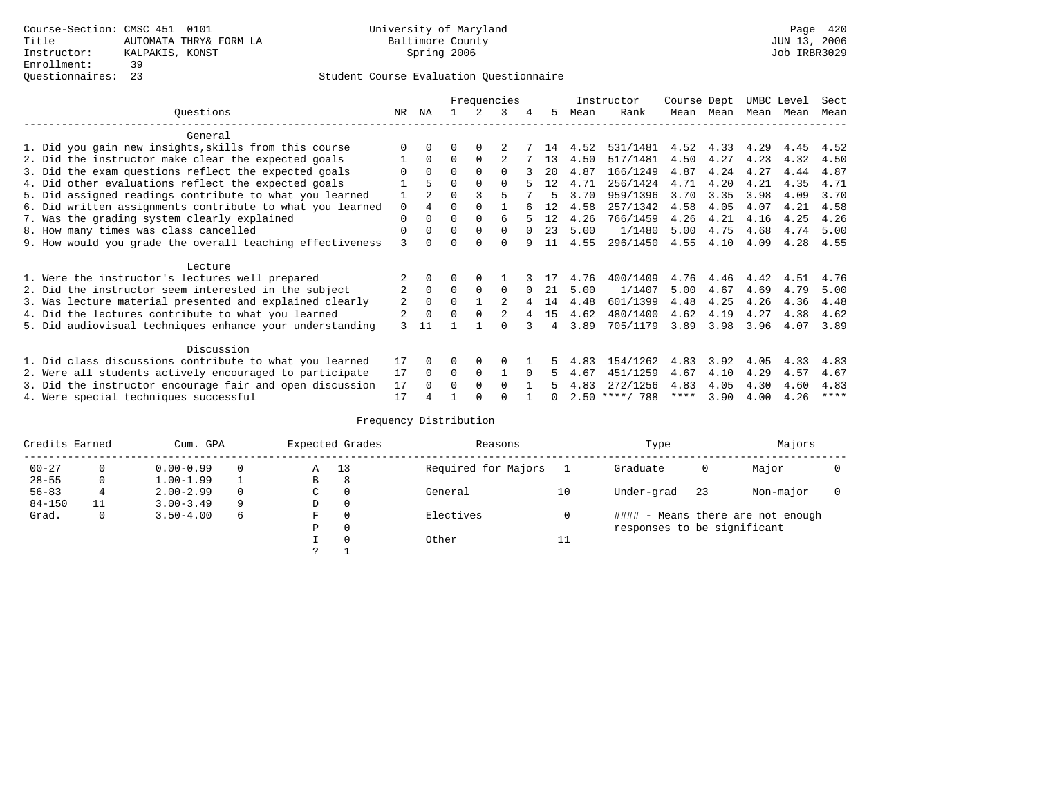## Questionnaires: 23 Student Course Evaluation Questionnaire

|                                                           |    |                |              |              | Frequencies    |   |    |      | Instructor       | Course Dept |      | UMBC Level |      | Sect        |
|-----------------------------------------------------------|----|----------------|--------------|--------------|----------------|---|----|------|------------------|-------------|------|------------|------|-------------|
| Ouestions                                                 | NR | ΝA             |              |              | 3              | 4 | 5  | Mean | Rank             | Mean        | Mean | Mean       | Mean | Mean        |
| General                                                   |    |                |              |              |                |   |    |      |                  |             |      |            |      |             |
| 1. Did you gain new insights, skills from this course     |    | 0              | U            | $\Omega$     |                |   | 14 | 4.52 | 531/1481         | 4.52        | 4.33 | 4.29       | 4.45 | 4.52        |
| 2. Did the instructor make clear the expected goals       |    | $\Omega$       | $\Omega$     | $\Omega$     |                |   | 13 | 4.50 | 517/1481         | 4.50        | 4.27 | 4.23       | 4.32 | 4.50        |
| 3. Did the exam questions reflect the expected goals      |    | $\Omega$       | $\Omega$     | $\Omega$     | $\Omega$       |   | 20 | 4.87 | 166/1249         | 4.87        | 4.24 | 4.27       | 4.44 | 4.87        |
| 4. Did other evaluations reflect the expected goals       |    | 5              | 0            | $\Omega$     | $\Omega$       |   | 12 | 4.71 | 256/1424         | 4.71        | 4.20 | 4.21       | 4.35 | 4.71        |
| 5. Did assigned readings contribute to what you learned   |    | $\mathfrak{D}$ |              |              | 5              |   |    | 3.70 | 959/1396         | 3.70        | 3.35 | 3.98       | 4.09 | 3.70        |
| 6. Did written assignments contribute to what you learned | 0  | 4              | 0            |              |                |   | 12 | 4.58 | 257/1342         | 4.58        | 4.05 | 4.07       | 4.21 | 4.58        |
| 7. Was the grading system clearly explained               | 0  | 0              | U            | $\Omega$     | 6              |   | 12 | 4.26 | 766/1459         | 4.26        | 4.21 | 4.16       | 4.25 | 4.26        |
| 8. How many times was class cancelled                     | 0  | $\Omega$       | <sup>0</sup> | $\Omega$     | $\Omega$       |   | 23 | 5.00 | 1/1480           | 5.00        | 4.75 | 4.68       | 4.74 | 5.00        |
| 9. How would you grade the overall teaching effectiveness | 3  |                |              | <sup>n</sup> | U              | q | 11 | 4.55 | 296/1450         | 4.55        | 4.10 | 4.09       | 4.28 | 4.55        |
|                                                           |    |                |              |              |                |   |    |      |                  |             |      |            |      |             |
| Lecture                                                   |    |                |              |              |                |   |    |      |                  |             |      |            |      |             |
| 1. Were the instructor's lectures well prepared           |    |                |              |              |                |   |    | 4.76 | 400/1409         | 4.76        | 4.46 | 4.42       | 4.51 | 4.76        |
| 2. Did the instructor seem interested in the subject      | 2  | $\mathbf 0$    | $\Omega$     | 0            | 0              |   | 21 | 5.00 | 1/1407           | 5.00        | 4.67 | 4.69       | 4.79 | 5.00        |
| 3. Was lecture material presented and explained clearly   | 2  | $\Omega$       | 0            |              | $\mathfrak{D}$ |   | 14 | 4.48 | 601/1399         | 4.48        | 4.25 | 4.26       | 4.36 | 4.48        |
| 4. Did the lectures contribute to what you learned        | 2  | $\mathbf 0$    | 0            | $\Omega$     |                | 4 | 15 | 4.62 | 480/1400         | 4.62        | 4.19 | 4.27       | 4.38 | 4.62        |
| 5. Did audiovisual techniques enhance your understanding  | 3  | 11             |              |              |                |   | 4  | 3.89 | 705/1179         | 3.89        | 3.98 | 3.96       | 4.07 | 3.89        |
|                                                           |    |                |              |              |                |   |    |      |                  |             |      |            |      |             |
| Discussion                                                |    |                |              |              |                |   |    |      |                  |             |      |            |      |             |
| 1. Did class discussions contribute to what you learned   | 17 | 0              | U            | $\Omega$     |                |   |    | 4.83 | 154/1262         | 4.83        | 3.92 | 4.05       | 4.33 | 4.83        |
| 2. Were all students actively encouraged to participate   |    |                | 0            | 0            |                |   | 5  | 4.67 | 451/1259         | 4.67        | 4.10 | 4.29       | 4.57 | 4.67        |
| 3. Did the instructor encourage fair and open discussion  |    |                | U            | $\Omega$     | $\Omega$       |   |    | 4.83 | 272/1256         | 4.83        | 4.05 | 4.30       | 4.60 | 4.83        |
| 4. Were special techniques successful                     | 17 |                |              |              |                |   |    |      | $2.50$ ****/ 788 | ****        | 3.90 | 4.00       | 4.26 | $***$ * * * |

| Credits Earned |    | Cum. GPA      |   |    | Expected Grades | Reasons             |    | Type                        |    | Majors                            |  |
|----------------|----|---------------|---|----|-----------------|---------------------|----|-----------------------------|----|-----------------------------------|--|
| $00 - 27$      |    | $0.00 - 0.99$ |   | Α  | 13              | Required for Majors |    | Graduate                    | 0  | Major                             |  |
| $28 - 55$      | 0  | $1.00 - 1.99$ |   | В  | 8               |                     |    |                             |    |                                   |  |
| $56 - 83$      |    | $2.00 - 2.99$ |   | C. | $\Omega$        | General             | 10 | Under-grad                  | 23 | Non-major                         |  |
| $84 - 150$     | 11 | $3.00 - 3.49$ | 9 | D  | 0               |                     |    |                             |    |                                   |  |
| Grad.          | 0  | $3.50 - 4.00$ | 6 | F  | $\Omega$        | Electives           |    |                             |    | #### - Means there are not enough |  |
|                |    |               |   | Ρ  | 0               |                     |    | responses to be significant |    |                                   |  |
|                |    |               |   |    | $\Omega$        | Other               | 11 |                             |    |                                   |  |
|                |    |               |   |    |                 |                     |    |                             |    |                                   |  |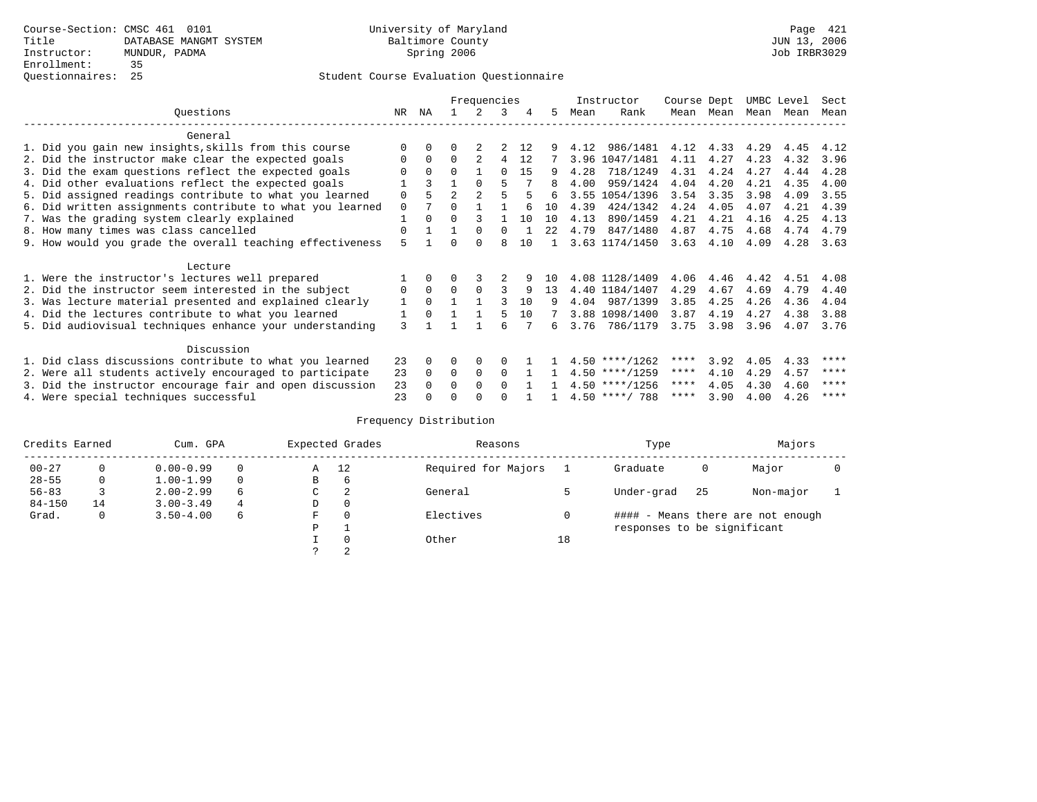|                                                           |             |          |                | Frequencies    |          |    |      |      | Instructor       | Course Dept |           | UMBC Level |      | Sect |
|-----------------------------------------------------------|-------------|----------|----------------|----------------|----------|----|------|------|------------------|-------------|-----------|------------|------|------|
| Ouestions                                                 | NR.         | ΝA       |                |                | 3        | 4  | 5.   | Mean | Rank             |             | Mean Mean | Mean       | Mean | Mean |
| General                                                   |             |          |                |                |          |    |      |      |                  |             |           |            |      |      |
| 1. Did you gain new insights, skills from this course     |             | $\Omega$ |                |                |          | 12 |      | 4.12 | 986/1481         | 4.12        | 4.33      | 4.29       | 4.45 | 4.12 |
| 2. Did the instructor make clear the expected goals       | O           | $\Omega$ | $\Omega$       |                | 4        | 12 |      |      | 3.96 1047/1481   | 4.11        | 4.27      | 4.23       | 4.32 | 3.96 |
| 3. Did the exam questions reflect the expected goals      |             | $\Omega$ | $\Omega$       |                | $\cap$   | 15 | 9    | 4.28 | 718/1249         | 4.31        | 4.24      | 4.27       | 4.44 | 4.28 |
| 4. Did other evaluations reflect the expected goals       |             |          |                | $\Omega$       |          |    | 8    | 4.00 | 959/1424         | 4.04        | 4.20      | 4.21       | 4.35 | 4.00 |
| 5. Did assigned readings contribute to what you learned   | $\mathbf 0$ |          | $\mathfrak{D}$ | $\mathfrak{D}$ |          |    |      |      | 3.55 1054/1396   | 3.54        | 3.35      | 3.98       | 4.09 | 3.55 |
| 6. Did written assignments contribute to what you learned | $\Omega$    |          | $\Omega$       |                |          |    | 10   | 4.39 | 424/1342         | 4.24        | 4.05      | 4.07       | 4.21 | 4.39 |
| 7. Was the grading system clearly explained               |             | $\Omega$ | $\Omega$       |                |          | 10 | 10   | 4.13 | 890/1459         | 4.21        | 4.21      | 4.16       | 4.25 | 4.13 |
| 8. How many times was class cancelled                     | $\Omega$    |          |                | $\Omega$       | $\Omega$ |    | 22.2 | 4.79 | 847/1480         | 4.87        | 4.75      | 4.68       | 4.74 | 4.79 |
| 9. How would you grade the overall teaching effectiveness | 5           |          | ∩              | $\cap$         | R        | 10 |      |      | 3.63 1174/1450   | 3.63        | 4.10      | 4.09       | 4.28 | 3.63 |
| Lecture                                                   |             |          |                |                |          |    |      |      |                  |             |           |            |      |      |
| 1. Were the instructor's lectures well prepared           |             |          |                |                |          |    | 1 N  |      | 4.08 1128/1409   | 4.06        | 4.46      | 4.42       | 4.51 | 4.08 |
| 2. Did the instructor seem interested in the subject      | 0           | $\Omega$ | $\Omega$       | $\Omega$       | ς        | 9  | 13   |      | 4.40 1184/1407   | 4.29        | 4.67      | 4.69       | 4.79 | 4.40 |
| 3. Was lecture material presented and explained clearly   | 1           | $\Omega$ |                |                |          | 10 | 9    | 4.04 | 987/1399         | 3.85        | 4.25      | 4.26       | 4.36 | 4.04 |
| 4. Did the lectures contribute to what you learned        |             | $\Omega$ |                |                |          | 10 |      |      | 3.88 1098/1400   | 3.87        | 4.19      | 4.27       | 4.38 | 3.88 |
| 5. Did audiovisual techniques enhance your understanding  | 3           |          |                |                | ศ        |    | 6    | 3.76 | 786/1179         | 3.75        | 3.98      | 3.96       | 4.07 | 3.76 |
| Discussion                                                |             |          |                |                |          |    |      |      |                  |             |           |            |      |      |
| 1. Did class discussions contribute to what you learned   | 23          | $\Omega$ | 0              | $\Omega$       |          |    |      |      | $4.50$ ****/1262 | ****        | 3.92      | 4.05       | 4.33 | **** |
| 2. Were all students actively encouraged to participate   | 23          | $\Omega$ | $\Omega$       | $\Omega$       | $\Omega$ |    |      |      | $4.50$ ****/1259 | $***$ * *   | 4.10      | 4.29       | 4.57 | **** |
| 3. Did the instructor encourage fair and open discussion  |             |          | 0              | $\Omega$       | $\Omega$ |    |      |      | $4.50$ ****/1256 | ****        | 4.05      | 4.30       | 4.60 | **** |
| 4. Were special techniques successful                     | 23          |          |                |                |          |    |      |      | $4.50$ ****/ 788 | ****        | 3.90      | 4.00       | 4.26 | **** |

| Credits Earned |    | Cum. GPA      |          |    | Expected Grades | Reasons             |    | Type                        |     | Majors                            |  |
|----------------|----|---------------|----------|----|-----------------|---------------------|----|-----------------------------|-----|-----------------------------------|--|
| $00 - 27$      |    | $0.00 - 0.99$ |          | Α  | 12              | Required for Majors |    | Graduate                    | 0   | Major                             |  |
| $28 - 55$      | 0  | $1.00 - 1.99$ | $\Omega$ | В  | 6               |                     |    |                             |     |                                   |  |
| $56 - 83$      |    | $2.00 - 2.99$ | 6        | C. | 2               | General             |    | Under-grad                  | -25 | Non-major                         |  |
| $84 - 150$     | 14 | $3.00 - 3.49$ | 4        | D  | 0               |                     |    |                             |     |                                   |  |
| Grad.          | 0  | $3.50 - 4.00$ | 6        | F  | $\Omega$        | Electives           |    |                             |     | #### - Means there are not enough |  |
|                |    |               |          | Ρ  |                 |                     |    | responses to be significant |     |                                   |  |
|                |    |               |          |    | $\Omega$        | Other               | 18 |                             |     |                                   |  |
|                |    |               |          |    |                 |                     |    |                             |     |                                   |  |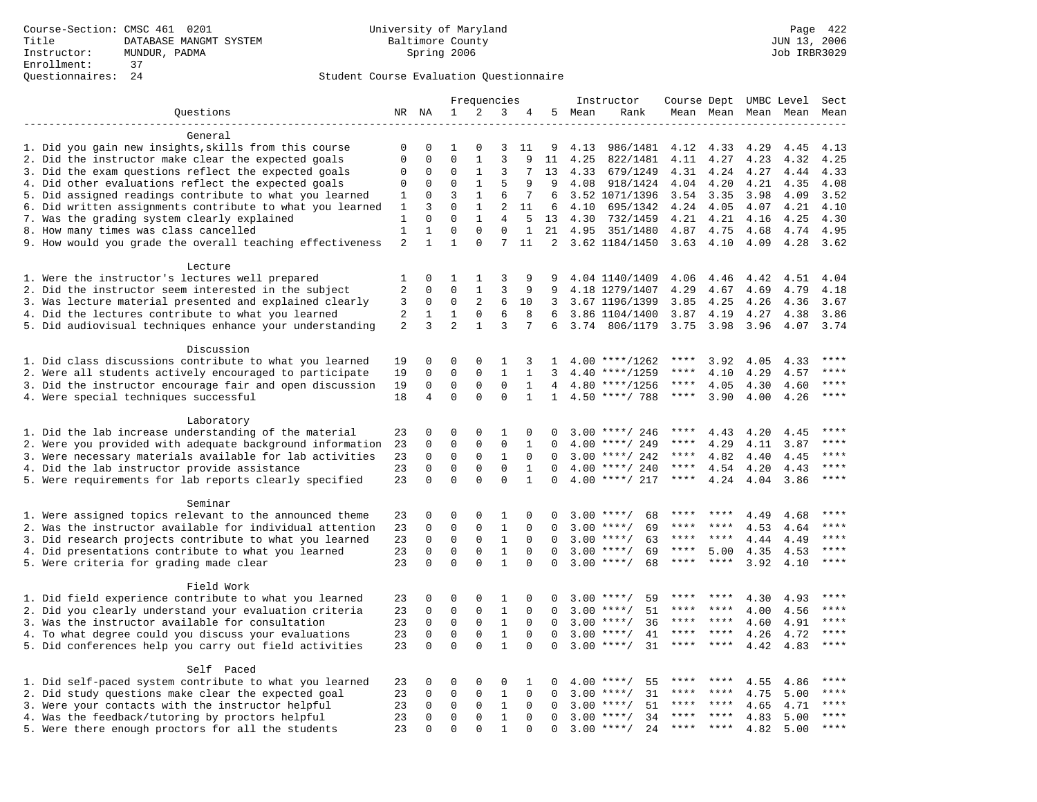|                                                           |                |                     |                | Frequencies         |                |              |              |      | Instructor         | Course Dept |           |      | UMBC Level | Sect         |
|-----------------------------------------------------------|----------------|---------------------|----------------|---------------------|----------------|--------------|--------------|------|--------------------|-------------|-----------|------|------------|--------------|
| Ouestions                                                 |                | NR NA               | $\mathbf{1}$   | 2                   | 3              |              | 5            | Mean | Rank               | Mean Mean   |           | Mean | Mean       | Mean         |
|                                                           |                |                     |                |                     |                |              |              |      |                    |             |           |      |            |              |
| General                                                   |                |                     |                |                     |                |              |              |      |                    |             |           |      |            |              |
| 1. Did you gain new insights, skills from this course     | 0              | 0                   | 1              | $\Omega$            | 3              | 11           | 9            | 4.13 | 986/1481           | 4.12        | 4.33      | 4.29 | 4.45       | 4.13         |
| 2. Did the instructor make clear the expected goals       | $\mathbf 0$    | $\mathbf 0$         | $\Omega$       | $\mathbf{1}$        | $\mathbf{3}$   | 9            | 11           | 4.25 | 822/1481           | 4.11        | 4.27      | 4.23 | 4.32       | 4.25         |
| 3. Did the exam questions reflect the expected goals      | 0              | 0                   | $\mathbf 0$    | 1                   | 3              | 7            | 13           | 4.33 | 679/1249           | 4.31        | 4.24      | 4.27 | 4.44       | 4.33         |
| 4. Did other evaluations reflect the expected goals       | 0              | 0                   | $\mathbf{0}$   | $\mathbf{1}$        | 5              | 9            | 9            | 4.08 | 918/1424           | 4.04        | 4.20      | 4.21 | 4.35       | 4.08         |
| 5. Did assigned readings contribute to what you learned   | 1              | 0                   | 3              | $\mathbf{1}$        | 6              | 7            | 6            |      | 3.52 1071/1396     | 3.54        | 3.35      | 3.98 | 4.09       | 3.52         |
| 6. Did written assignments contribute to what you learned | 1              | 3                   | $\Omega$       | $\mathbf{1}$        | 2              | 11           | 6            | 4.10 | 695/1342           | 4.24        | 4.05      | 4.07 | 4.21       | 4.10         |
| 7. Was the grading system clearly explained               | 1              | $\Omega$            | $\Omega$       | $\mathbf{1}$        | $\overline{4}$ | .5           | 13           | 4.30 | 732/1459           | 4.21        | 4.21      | 4.16 | 4.25       | 4.30         |
| 8. How many times was class cancelled                     | $\mathbf{1}$   | $\mathbf{1}$        | $\mathbf{0}$   | $\mathbf 0$         | $\mathbf 0$    | $\mathbf{1}$ | 21           | 4.95 | 351/1480           | 4.87        | 4.75      | 4.68 | 4.74       | 4.95         |
| 9. How would you grade the overall teaching effectiveness | 2              | $\mathbf{1}$        | $\mathbf{1}$   | $\Omega$            | 7              | 11           |              |      | 2 3.62 1184/1450   | 3.63        | 4.10      | 4.09 | 4.28       | 3.62         |
| Lecture                                                   |                |                     |                |                     |                |              |              |      |                    |             |           |      |            |              |
| 1. Were the instructor's lectures well prepared           | 1              | $\mathbf 0$         | 1              | 1                   | 3              | 9            |              |      | 4.04 1140/1409     | 4.06        | 4.46      | 4.42 | 4.51       | 4.04         |
| 2. Did the instructor seem interested in the subject      | $\overline{2}$ | 0                   | $\mathbf{0}$   | 1                   | 3              | 9            | 9            |      | 4.18 1279/1407     | 4.29        | 4.67      | 4.69 | 4.79       | 4.18         |
| 3. Was lecture material presented and explained clearly   | 3              | 0                   | $\mathbf 0$    | 2                   | 6              | 10           | 3            |      | 3.67 1196/1399     | 3.85        | 4.25      | 4.26 | 4.36       | 3.67         |
| 4. Did the lectures contribute to what you learned        | 2              | 1                   | 1              | $\mathbf 0$         | 6              | 8            | 6            |      | 3.86 1104/1400     | 3.87        | 4.19      | 4.27 | 4.38       | 3.86         |
| 5. Did audiovisual techniques enhance your understanding  | 2              | 3                   | $\overline{2}$ | $\mathbf{1}$        | 3              | 7            | 6            | 3.74 | 806/1179           | 3.75        | 3.98      | 3.96 | 4.07       | 3.74         |
|                                                           |                |                     |                |                     |                |              |              |      |                    |             |           |      |            |              |
| Discussion                                                |                |                     |                |                     |                |              |              |      |                    |             |           |      |            |              |
| 1. Did class discussions contribute to what you learned   | 19             | 0                   | $\Omega$       | $\Omega$            | 1              | 3            | -1           |      | $4.00$ ****/1262   | ****        | 3.92      | 4.05 | 4.33       | ****         |
| 2. Were all students actively encouraged to participate   | 19             | $\mathbf 0$         | $\mathbf 0$    | $\mathbf 0$         | $\mathbf{1}$   | $\mathbf{1}$ | 3            |      | $4.40$ ****/1259   | ****        | 4.10      | 4.29 | 4.57       | ****         |
| 3. Did the instructor encourage fair and open discussion  | 19             | $\mathbf 0$         | $\mathbf 0$    | $\Omega$            | $\Omega$       | $\mathbf{1}$ | 4            |      | $4.80$ ****/1256   | ****        | 4.05      | 4.30 | 4.60       | ****         |
| 4. Were special techniques successful                     | 18             | $\overline{4}$      | $\mathbf 0$    | $\Omega$            | $\mathbf 0$    | $\mathbf{1}$ | $\mathbf{1}$ |      | 4.50 ****/ 788     | $***$ * * * | 3.90      | 4.00 | 4.26       | $***$        |
|                                                           |                |                     |                |                     |                |              |              |      |                    |             |           |      |            |              |
| Laboratory                                                |                |                     |                |                     |                |              |              |      |                    |             |           |      |            |              |
| 1. Did the lab increase understanding of the material     | 23             | 0                   | $\mathbf 0$    | $\mathbf 0$         | 1              | 0            | $\Omega$     |      | $3.00$ ****/ 246   |             | 4.43      | 4.20 | 4.45       |              |
| 2. Were you provided with adequate background information | 23             | 0                   | $\mathbf{0}$   | $\mathbf 0$         | $\mathbf{0}$   | 1            | $\Omega$     |      | $4.00$ ****/ 249   | ****        | 4.29      | 4.11 | 3.87       | ****         |
| 3. Were necessary materials available for lab activities  | 23             | $\mathbf 0$         | $\mathbf{0}$   | $\mathbf 0$         | $\mathbf{1}$   | $\Omega$     | $\Omega$     |      | $3.00$ ****/ 242   | ****        | 4.82      | 4.40 | 4.45       | $***$ * * *  |
| 4. Did the lab instructor provide assistance              | 23             | $\Omega$            | $\mathbf{0}$   | $\Omega$            | $\mathbf 0$    | $\mathbf{1}$ | $\Omega$     |      | $4.00$ ****/ 240   | $***$ * * * | 4.54      | 4.20 | 4.43       | ****         |
| 5. Were requirements for lab reports clearly specified    | 23             | $\Omega$            | $\Omega$       | $\Omega$            | $\Omega$       | $\mathbf{1}$ | $\Omega$     |      | $4.00$ ****/ 217   | $***$ * *   | 4.24      | 4.04 | 3.86       | $* * * *$    |
|                                                           |                |                     |                |                     |                |              |              |      |                    |             |           |      |            |              |
| Seminar                                                   |                |                     |                |                     |                |              |              |      |                    |             |           |      |            |              |
| 1. Were assigned topics relevant to the announced theme   | 23             | 0                   | $\mathbf{0}$   | $\mathbf 0$         | 1              | $\mathbf 0$  | 0            |      | $3.00$ ****/<br>68 | ****        | ****      | 4.49 | 4.68       | ****         |
| 2. Was the instructor available for individual attention  | 23             | $\mathbf 0$         | $\mathsf 0$    | $\mathsf 0$         | $\mathbf{1}$   | $\mathbf 0$  | 0            | 3.00 | $***$ /<br>69      | ****        |           | 4.53 | 4.64       |              |
| 3. Did research projects contribute to what you learned   | 23             | $\mathsf{O}\xspace$ | $\mathbf 0$    | $\mathsf 0$         | $\,1\,$        | $\mathbf 0$  | $\Omega$     |      | $3.00$ ****/<br>63 | ****        | ****      | 4.44 | 4.49       | ****         |
| 4. Did presentations contribute to what you learned       | 23             | $\mathbf 0$         | $\mathbf 0$    | 0                   | $\mathbf{1}$   | $\mathbf 0$  | $\Omega$     | 3.00 | $***$ /<br>69      | $***$ * *   | 5.00      | 4.35 | 4.53       | $***$ *      |
| 5. Were criteria for grading made clear                   | 23             | $\Omega$            | $\Omega$       | $\Omega$            | $\mathbf{1}$   | $\Omega$     | $\Omega$     |      | $3.00$ ****/<br>68 | ****        | ****      | 3.92 | 4.10       | ****         |
|                                                           |                |                     |                |                     |                |              |              |      |                    |             |           |      |            |              |
| Field Work                                                |                |                     |                |                     |                |              |              |      |                    |             |           |      |            |              |
| 1. Did field experience contribute to what you learned    | 23             | 0                   | $\mathbf 0$    | $\mathbf 0$         | 1              | $\Omega$     | $\Omega$     |      | $3.00$ ****/<br>59 |             |           | 4.30 | 4.93       | ****         |
| 2. Did you clearly understand your evaluation criteria    | 23             | $\Omega$            | $\mathbf{0}$   | $\Omega$            | $\mathbf{1}$   | $\Omega$     | $\Omega$     | 3.00 | 51<br>$***$ /      | ****        | ****      | 4.00 | 4.56       | ****         |
| 3. Was the instructor available for consultation          | 23             | $\Omega$            | $\mathsf 0$    | $\mathsf{O}\xspace$ | $\mathbf{1}$   | $\Omega$     | $\Omega$     |      | $3.00$ ****/<br>36 | ****        | ****      | 4.60 | 4.91       | ****         |
| 4. To what degree could you discuss your evaluations      | 23             | $\mathsf{O}\xspace$ | $\mathbf 0$    | $\mathsf 0$         | $\,1\,$        | $\mathbf 0$  | $\mathbf 0$  | 3.00 | $***$ /<br>41      | $***$ * * * | $***$ *   | 4.26 | 4.72       | ****         |
| 5. Did conferences help you carry out field activities    | 23             | $\mathbf 0$         | $\mathbf 0$    | $\mathbf 0$         | $\mathbf{1}$   | $\mathbf 0$  | $\Omega$     | 3.00 | 31<br>$***/$       | ****        | ****      | 4.42 | 4.83       | ****         |
|                                                           |                |                     |                |                     |                |              |              |      |                    |             |           |      |            |              |
| Self Paced                                                |                |                     |                |                     |                |              |              |      |                    |             |           |      |            | ****         |
| 1. Did self-paced system contribute to what you learned   | 23             | 0                   | 0              | $\mathbf 0$         | 0              | 1            | $\Omega$     | 4.00 | $***/$<br>55       |             |           | 4.55 | 4.86       |              |
| 2. Did study questions make clear the expected goal       | 23             | $\mathbf 0$         | $\mathbf{0}$   | $\mathbf 0$         | $\mathbf{1}$   | $\mathbf 0$  | $\Omega$     | 3.00 | 31<br>$***$ /      | ****        | ****      | 4.75 | 5.00       | ****         |
| 3. Were your contacts with the instructor helpful         | 23             | $\Omega$            | $\mathbf{0}$   | $\Omega$            | 1              | $\Omega$     | $\cap$       | 3.00 | 51<br>$***$ /      | ****        | $* * * *$ | 4.65 | 4.71       | ****<br>**** |
| 4. Was the feedback/tutoring by proctors helpful          | 23             | $\mathbf 0$         | $\mathbf 0$    | $\mathbf 0$         | $\mathbf{1}$   | $\Omega$     | $\Omega$     | 3.00 | $***/$<br>34       | ****        | ****      | 4.83 | 5.00       |              |
| 5. Were there enough proctors for all the students        | 23             | $\Omega$            | $\Omega$       | $\Omega$            | $\mathbf{1}$   | $\Omega$     | $\Omega$     |      | $3.00$ ****/<br>24 | ****        | ****      | 4.82 | 5.00       | $***$        |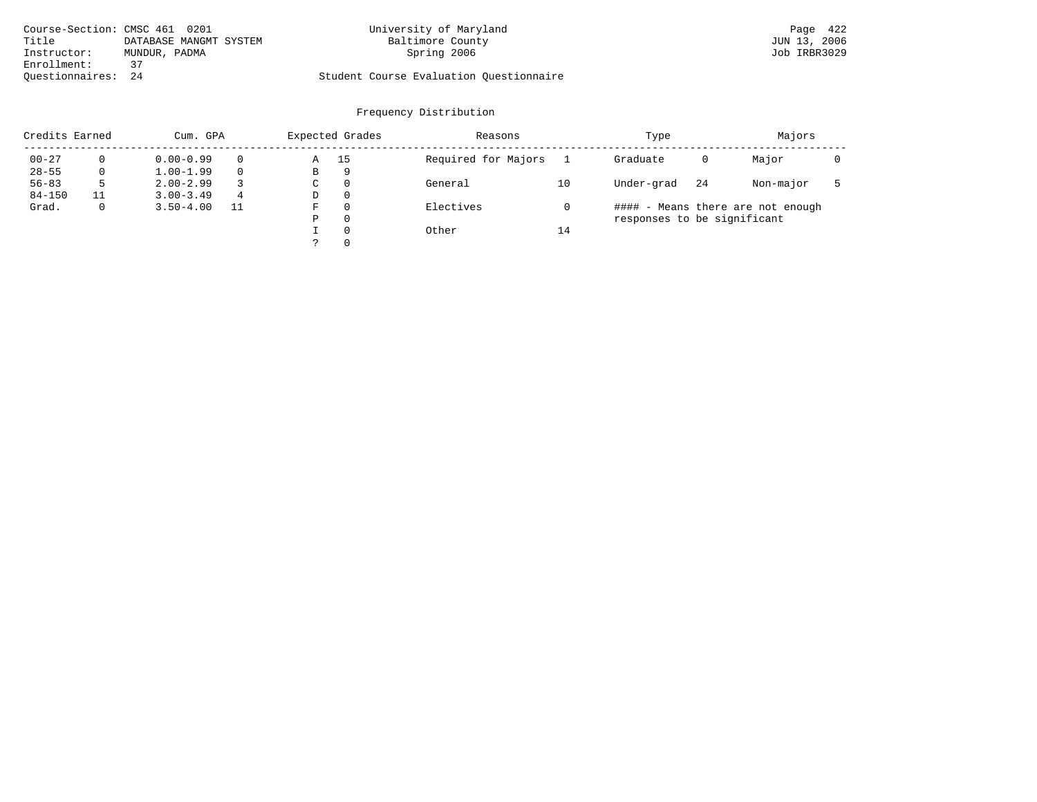|                    | Course-Section: CMSC 461 0201 | University of Maryland                  | Page 422     |
|--------------------|-------------------------------|-----------------------------------------|--------------|
| Title              | DATABASE MANGMT SYSTEM        | Baltimore County                        | JUN 13, 2006 |
| Instructor:        | MUNDUR, PADMA                 | Spring 2006                             | Job IRBR3029 |
| Enrollment:        | 37                            |                                         |              |
| Ouestionnaires: 24 |                               | Student Course Evaluation Ouestionnaire |              |

| Credits Earned |          | Cum. GPA      |          |   | Expected Grades | Reasons             |    | Type                        |    | Majors                            |  |
|----------------|----------|---------------|----------|---|-----------------|---------------------|----|-----------------------------|----|-----------------------------------|--|
| $00 - 27$      | 0        | $0.00 - 0.99$ | $\Omega$ | Α | 15              | Required for Majors |    | Graduate                    | 0  | Major                             |  |
| $28 - 55$      | 0        | $1.00 - 1.99$ | $\Omega$ | B | 9               |                     |    |                             |    |                                   |  |
| $56 - 83$      | 5        | $2.00 - 2.99$ |          | C | 0               | General             | 10 | Under-grad                  | 24 | Non-major                         |  |
| $84 - 150$     | 11       | $3.00 - 3.49$ | 4        | D | $\mathbf{0}$    |                     |    |                             |    |                                   |  |
| Grad.          | $\Omega$ | $3.50 - 4.00$ | 11       | F | $\Omega$        | Electives           |    |                             |    | #### - Means there are not enough |  |
|                |          |               |          | Ρ | $\Omega$        |                     |    | responses to be significant |    |                                   |  |
|                |          |               |          |   | $\Omega$        | Other               | 14 |                             |    |                                   |  |
|                |          |               |          |   | $\mathbf{0}$    |                     |    |                             |    |                                   |  |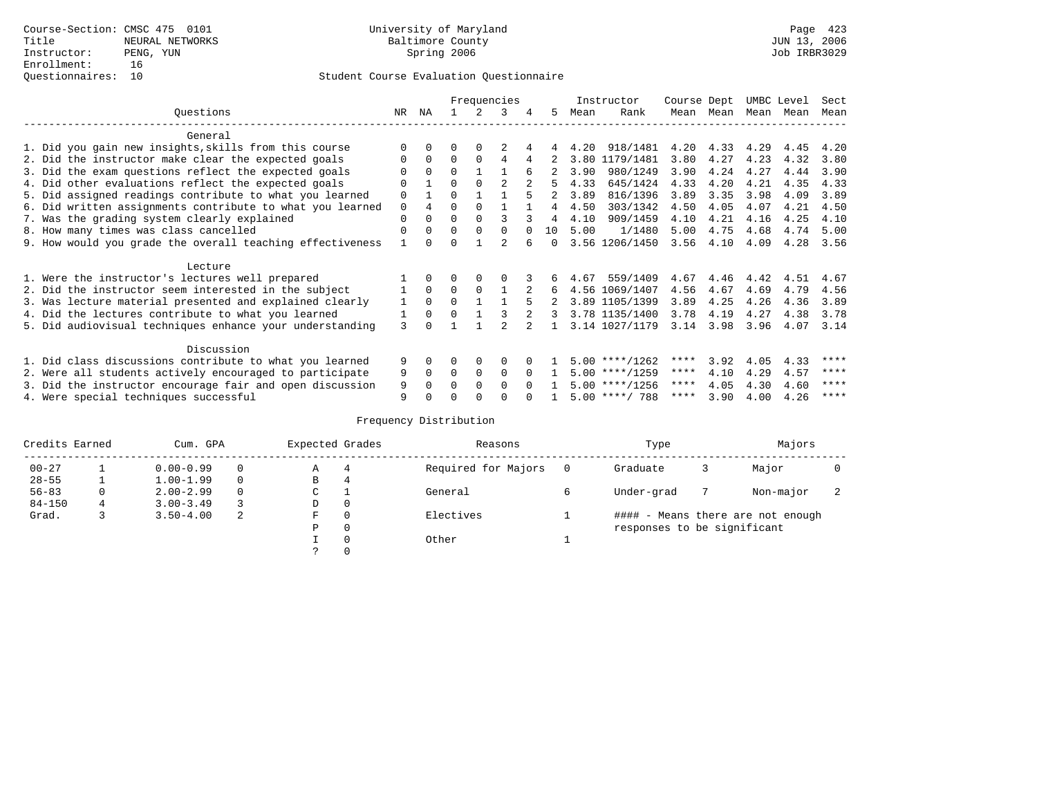|                                                           |             |                |          |          | Frequencies |          |        |      | Instructor       | Course Dept |           | UMBC Level |      | Sect |
|-----------------------------------------------------------|-------------|----------------|----------|----------|-------------|----------|--------|------|------------------|-------------|-----------|------------|------|------|
| Ouestions                                                 | NR.         | ΝA             |          |          | 3           | 4        | 5.     | Mean | Rank             |             | Mean Mean | Mean       | Mean | Mean |
| General                                                   |             |                |          |          |             |          |        |      |                  |             |           |            |      |      |
| 1. Did you gain new insights, skills from this course     |             | $\Omega$       | 0        | $\Omega$ |             |          |        | 4.20 | 918/1481         | 4.20        | 4.33      | 4.29       | 4.45 | 4.20 |
| 2. Did the instructor make clear the expected goals       | O           | $\Omega$       | $\Omega$ | $\Omega$ | 4           |          |        | 3.80 | 1179/1481        | 3.80        | 4.27      | 4.23       | 4.32 | 3.80 |
| 3. Did the exam questions reflect the expected goals      |             | $\Omega$       | $\Omega$ |          |             | 6        |        | 3.90 | 980/1249         | 3.90        | 4.24      | 4.27       | 4.44 | 3.90 |
| 4. Did other evaluations reflect the expected goals       | $\Omega$    |                | $\Omega$ | $\Omega$ |             |          |        | 4.33 | 645/1424         | 4.33        | 4.20      | 4.21       | 4.35 | 4.33 |
| 5. Did assigned readings contribute to what you learned   | $\mathbf 0$ |                | $\Omega$ |          |             |          |        | 3.89 | 816/1396         | 3.89        | 3.35      | 3.98       | 4.09 | 3.89 |
| 6. Did written assignments contribute to what you learned | $\Omega$    | $\overline{4}$ | $\Omega$ | $\Omega$ |             |          | 4      | 4.50 | 303/1342         | 4.50        | 4.05      | 4.07       | 4.21 | 4.50 |
| 7. Was the grading system clearly explained               | $\Omega$    | $\Omega$       | 0        | $\Omega$ |             |          | 4      | 4.10 | 909/1459         | 4.10        | 4.21      | 4.16       | 4.25 | 4.10 |
| 8. How many times was class cancelled                     | $\Omega$    | $\Omega$       | $\Omega$ | $\Omega$ | $\Omega$    |          | 10     | 5.00 | 1/1480           | 5.00        | 4.75      | 4.68       | 4.74 | 5.00 |
| 9. How would you grade the overall teaching effectiveness |             | <sup>n</sup>   | ∩        |          |             |          | $\cap$ |      | 3.56 1206/1450   | 3.56        | 4.10      | 4.09       | 4.28 | 3.56 |
| Lecture                                                   |             |                |          |          |             |          |        |      |                  |             |           |            |      |      |
| 1. Were the instructor's lectures well prepared           |             |                |          |          |             |          | б.     | 4.67 | 559/1409         | 4.67        | 4.46      | 4.42       | 4.51 | 4.67 |
| 2. Did the instructor seem interested in the subject      |             | $\Omega$       | $\Omega$ | $\Omega$ |             |          | 6      |      | 4.56 1069/1407   | 4.56        | 4.67      | 4.69       | 4.79 | 4.56 |
| 3. Was lecture material presented and explained clearly   | 1           | $\Omega$       | $\Omega$ |          |             |          |        |      | 3.89 1105/1399   | 3.89        | 4.25      | 4.26       | 4.36 | 3.89 |
| 4. Did the lectures contribute to what you learned        |             | $\Omega$       | $\Omega$ |          |             |          | 3      |      | 3.78 1135/1400   | 3.78        | 4.19      | 4.27       | 4.38 | 3.78 |
| 5. Did audiovisual techniques enhance your understanding  | 3           |                |          |          |             |          |        |      | 3.14 1027/1179   | 3.14        | 3.98      | 3.96       | 4.07 | 3.14 |
| Discussion                                                |             |                |          |          |             |          |        |      |                  |             |           |            |      |      |
| 1. Did class discussions contribute to what you learned   | 9           | 0              | U        | $\Omega$ | $\Omega$    |          |        |      | $5.00$ ****/1262 | ****        | 3.92      | 4.05       | 4.33 | **** |
| 2. Were all students actively encouraged to participate   | 9           | $\Omega$       | $\Omega$ | $\Omega$ | $\Omega$    | $\Omega$ |        |      | $5.00$ ****/1259 | $***$ * * * | 4.10      | 4.29       | 4.57 | **** |
| 3. Did the instructor encourage fair and open discussion  |             |                | 0        | $\Omega$ | $\Omega$    | $\Omega$ |        |      | $5.00$ ****/1256 | ****        | 4.05      | 4.30       | 4.60 | **** |
| 4. Were special techniques successful                     | 9           |                |          |          |             |          |        |      | $5.00$ ****/ 788 | ****        | 3.90      | 4.00       | 4.26 | **** |

| Credits Earned |   | Cum. GPA      |   | Expected Grades |          | Reasons             |   | Type                        |   | Majors                            |  |
|----------------|---|---------------|---|-----------------|----------|---------------------|---|-----------------------------|---|-----------------------------------|--|
| $00 - 27$      |   | $0.00 - 0.99$ |   | А               | 4        | Required for Majors | 0 | Graduate                    | 3 | Major                             |  |
| $28 - 55$      | ᅩ | $1.00 - 1.99$ |   | В               | 4        |                     |   |                             |   |                                   |  |
| $56 - 83$      | 0 | $2.00 - 2.99$ |   | $\sim$<br>◡     |          | General             |   | Under-grad                  |   | Non-major                         |  |
| $84 - 150$     | 4 | $3.00 - 3.49$ |   | D               | 0        |                     |   |                             |   |                                   |  |
| Grad.          |   | $3.50 - 4.00$ | 2 | F               | 0        | Electives           |   |                             |   | #### - Means there are not enough |  |
|                |   |               |   | Ρ               | 0        |                     |   | responses to be significant |   |                                   |  |
|                |   |               |   |                 | $\Omega$ | Other               |   |                             |   |                                   |  |
|                |   |               |   |                 |          |                     |   |                             |   |                                   |  |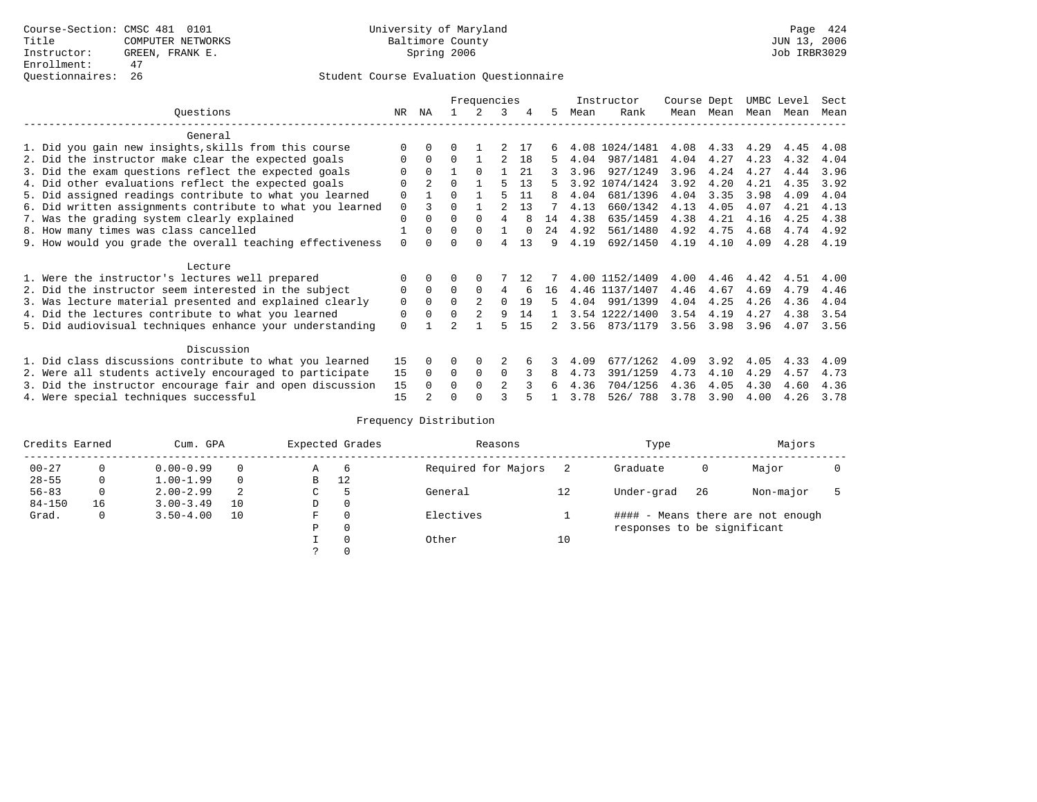|                                                           |             |                |          | Frequencies |                |          |    |      | Instructor     | Course Dept |           | UMBC Level |      | Sect |
|-----------------------------------------------------------|-------------|----------------|----------|-------------|----------------|----------|----|------|----------------|-------------|-----------|------------|------|------|
| Ouestions                                                 | NR.         | ΝA             |          |             | 3              | 4        | 5. | Mean | Rank           |             | Mean Mean | Mean       | Mean | Mean |
| General                                                   |             |                |          |             |                |          |    |      |                |             |           |            |      |      |
| 1. Did you gain new insights, skills from this course     |             | $\Omega$       |          |             |                | 17       |    |      | 4.08 1024/1481 | 4.08        | 4.33      | 4.29       | 4.45 | 4.08 |
| 2. Did the instructor make clear the expected goals       | O           | $\Omega$       | $\Omega$ |             |                | 18       | 5. | 4.04 | 987/1481       | 4.04        | 4.27      | 4.23       | 4.32 | 4.04 |
| 3. Did the exam questions reflect the expected goals      | O           | $\Omega$       |          | $\Omega$    |                | 21       |    | 3.96 | 927/1249       | 3.96        | 4.24      | 4.27       | 4.44 | 3.96 |
| 4. Did other evaluations reflect the expected goals       | $\Omega$    | $\overline{a}$ | $\Omega$ |             |                | 13       |    |      | 3.92 1074/1424 | 3.92        | 4.20      | 4.21       | 4.35 | 3.92 |
| 5. Did assigned readings contribute to what you learned   | $\mathbf 0$ |                | $\Omega$ |             |                | 11       | 8  | 4.04 | 681/1396       | 4.04        | 3.35      | 3.98       | 4.09 | 4.04 |
| 6. Did written assignments contribute to what you learned | $\Omega$    | ζ              | $\Omega$ |             |                | 13       |    | 4.13 | 660/1342       | 4.13        | 4.05      | 4.07       | 4.21 | 4.13 |
| 7. Was the grading system clearly explained               | $\Omega$    | $\Omega$       | $\Omega$ | $\Omega$    | 4              |          | 14 | 4.38 | 635/1459       | 4.38        | 4.21      | 4.16       | 4.25 | 4.38 |
| 8. How many times was class cancelled                     |             | $\Omega$       | $\Omega$ | $\Omega$    |                | $\Omega$ | 24 | 4.92 | 561/1480       | 4.92        | 4.75      | 4.68       | 4.74 | 4.92 |
| 9. How would you grade the overall teaching effectiveness | $\Omega$    | <sup>n</sup>   | ∩        | ∩           | 4              | 13       | 9  | 4.19 | 692/1450       | 4.19        | 4.10      | 4.09       | 4.28 | 4.19 |
| Lecture                                                   |             |                |          |             |                |          |    |      |                |             |           |            |      |      |
| 1. Were the instructor's lectures well prepared           | $\Omega$    |                |          |             |                | 12       |    |      | 4.00 1152/1409 | 4.00        | 4.46      | 4.42       | 4.51 | 4.00 |
| 2. Did the instructor seem interested in the subject      | 0           | $\Omega$       | $\Omega$ | $\Omega$    | 4              | 6        | 16 |      | 4.46 1137/1407 | 4.46        | 4.67      | 4.69       | 4.79 | 4.46 |
| 3. Was lecture material presented and explained clearly   | 0           | $\Omega$       | $\Omega$ |             | $\Omega$       | 19       | 5. | 4.04 | 991/1399       | 4.04        | 4.25      | 4.26       | 4.36 | 4.04 |
| 4. Did the lectures contribute to what you learned        | 0           | $\Omega$       | $\Omega$ |             | 9              | 14       |    |      | 3.54 1222/1400 | 3.54        | 4.19      | 4.27       | 4.38 | 3.54 |
| 5. Did audiovisual techniques enhance your understanding  | $\Omega$    |                |          |             |                | 15       |    | 3.56 | 873/1179       | 3.56        | 3.98      | 3.96       | 4.07 | 3.56 |
| Discussion                                                |             |                |          |             |                |          |    |      |                |             |           |            |      |      |
| 1. Did class discussions contribute to what you learned   | 15          | 0              | 0        | $\Omega$    |                |          |    | 4.09 | 677/1262       | 4.09        | 3.92      | 4.05       | 4.33 | 4.09 |
| 2. Were all students actively encouraged to participate   | 15          | $\Omega$       | $\Omega$ | $\mathbf 0$ | $\Omega$       |          | 8  | 4.73 | 391/1259       | 4.73        | 4.10      | 4.29       | 4.57 | 4.73 |
| 3. Did the instructor encourage fair and open discussion  | 15          | $\Omega$       | 0        | $\Omega$    | $\mathfrak{D}$ |          |    | 4.36 | 704/1256       | 4.36        | 4.05      | 4.30       | 4.60 | 4.36 |
| 4. Were special techniques successful                     | 15          |                |          |             |                |          |    | 3.78 | 526/788        | 3.78        | 3.90      | 4.00       | 4.26 | 3.78 |

| Credits Earned |    | Cum. GPA      |          |    | Expected Grades | Reasons             |    | Type                        |     | Majors                            |  |
|----------------|----|---------------|----------|----|-----------------|---------------------|----|-----------------------------|-----|-----------------------------------|--|
| $00 - 27$      |    | $0.00 - 0.99$ |          | Α  | -6              | Required for Majors |    | Graduate                    | 0   | Major                             |  |
| $28 - 55$      | 0  | $1.00 - 1.99$ | $\Omega$ | В  | 12              |                     |    |                             |     |                                   |  |
| $56 - 83$      | 0  | $2.00 - 2.99$ |          | C. |                 | General             | 12 | Under-grad                  | -26 | Non-major                         |  |
| $84 - 150$     | 16 | $3.00 - 3.49$ | 10       | D  | 0               |                     |    |                             |     |                                   |  |
| Grad.          | 0  | $3.50 - 4.00$ | 10       | F  | $\Omega$        | Electives           |    |                             |     | #### - Means there are not enough |  |
|                |    |               |          | Ρ  | 0               |                     |    | responses to be significant |     |                                   |  |
|                |    |               |          |    | $\Omega$        | Other               | 10 |                             |     |                                   |  |
|                |    |               |          |    |                 |                     |    |                             |     |                                   |  |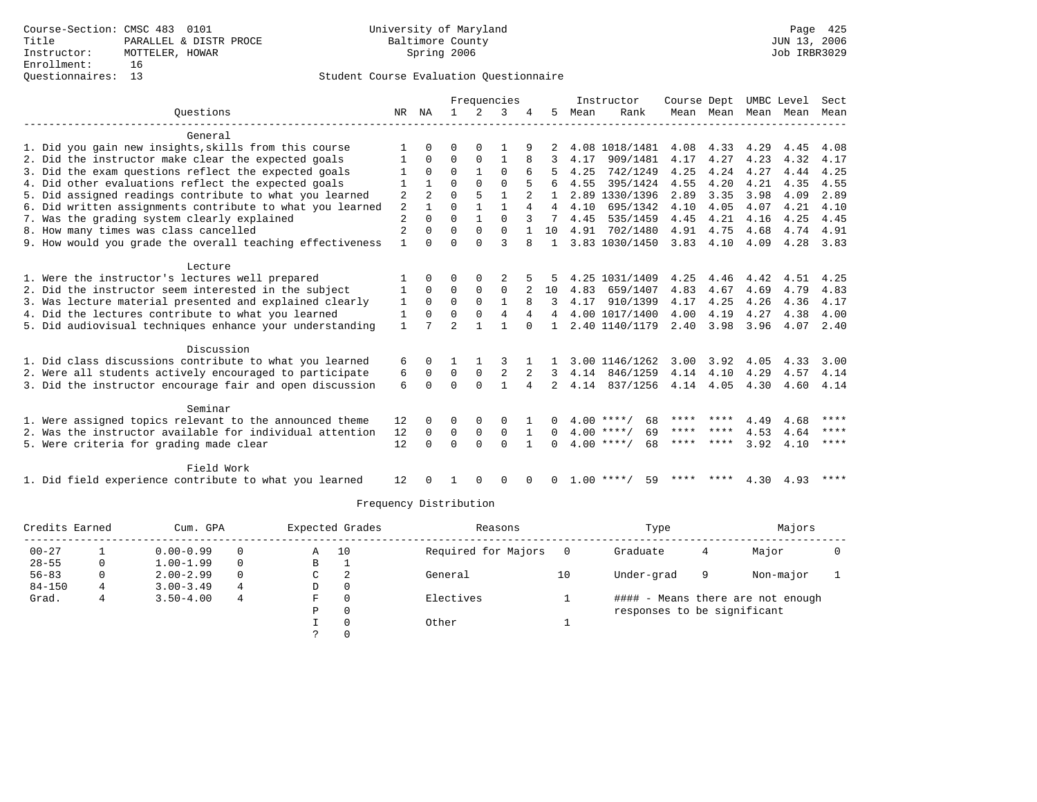## Questionnaires: 13 Student Course Evaluation Questionnaire

|                                                           |                |              |                |              | Frequencies    |              |                |      | Instructor         | Course Dept |           | UMBC Level |      | Sect        |
|-----------------------------------------------------------|----------------|--------------|----------------|--------------|----------------|--------------|----------------|------|--------------------|-------------|-----------|------------|------|-------------|
| Ouestions                                                 |                | NR NA        | $\mathbf{1}$   | $2^{\circ}$  | 3              |              | 5.             | Mean | Rank               |             | Mean Mean | Mean       | Mean | Mean        |
| General                                                   |                |              |                |              |                |              |                |      |                    |             |           |            |      |             |
| 1. Did you gain new insights, skills from this course     |                | <sup>0</sup> | U              | $\Omega$     |                |              |                |      | 4.08 1018/1481     | 4.08        | 4.33      | 4.29       | 4.45 | 4.08        |
| 2. Did the instructor make clear the expected goals       |                | $\Omega$     | 0              | 0            |                |              |                | 4.17 | 909/1481           | 4.17        | 4.27      | 4.23       | 4.32 | 4.17        |
| 3. Did the exam questions reflect the expected goals      |                | 0            | $\Omega$       |              | $\Omega$       |              |                | 4.25 | 742/1249           | 4.25        | 4.24      | 4.27       | 4.44 | 4.25        |
| 4. Did other evaluations reflect the expected goals       |                |              | $\Omega$       | $\Omega$     | $\Omega$       |              |                | 4.55 | 395/1424           | 4.55        | 4.20      | 4.21       | 4.35 | 4.55        |
| 5. Did assigned readings contribute to what you learned   | 2              |              | $\Omega$       | 5            | $\mathbf{1}$   |              |                |      | 2.89 1330/1396     | 2.89        | 3.35      | 3.98       | 4.09 | 2.89        |
| 6. Did written assignments contribute to what you learned | $\overline{2}$ |              | $\Omega$       |              |                | 4            | 4              | 4.10 | 695/1342           | 4.10        | 4.05      | 4.07       | 4.21 | 4.10        |
| 7. Was the grading system clearly explained               | $\overline{c}$ | $\Omega$     | $\Omega$       |              | $\Omega$       |              | 7              | 4.45 | 535/1459           | 4.45        | 4.21      | 4.16       | 4.25 | 4.45        |
| 8. How many times was class cancelled                     | $\overline{2}$ | 0            | $\Omega$       | 0            | $\mathbf 0$    |              | 10             | 4.91 | 702/1480           | 4.91        | 4.75      | 4.68       | 4.74 | 4.91        |
| 9. How would you grade the overall teaching effectiveness | $\mathbf{1}$   | <sup>n</sup> | $\Omega$       | $\Omega$     | 3              |              | $\mathbf{1}$   |      | 3.83 1030/1450     | 3.83        | 4.10      | 4.09       | 4.28 | 3.83        |
| Lecture                                                   |                |              |                |              |                |              |                |      |                    |             |           |            |      |             |
| 1. Were the instructor's lectures well prepared           |                |              | O              | $\Omega$     |                |              |                |      | 4.25 1031/1409     | 4.25        | 4.46      | 4.42       | 4.51 | 4.25        |
| 2. Did the instructor seem interested in the subject      |                | $\Omega$     | $\Omega$       | $\Omega$     | $\Omega$       |              | 10             | 4.83 | 659/1407           | 4.83        | 4.67      | 4.69       | 4.79 | 4.83        |
| 3. Was lecture material presented and explained clearly   | 1              | $\Omega$     | $\Omega$       | $\Omega$     | $\mathbf{1}$   |              | 3              | 4.17 | 910/1399           | 4.17        | 4.25      | 4.26       | 4.36 | 4.17        |
| 4. Did the lectures contribute to what you learned        | 1              | $\Omega$     | $\Omega$       | $\Omega$     | $\overline{4}$ | 4            | $\overline{4}$ |      | 4.00 1017/1400     | 4.00        | 4.19      | 4.27       | 4.38 | 4.00        |
| 5. Did audiovisual techniques enhance your understanding  | $\mathbf{1}$   |              | $\overline{2}$ |              |                | $\Omega$     |                |      | 2.40 1140/1179     | 2.40        | 3.98      | 3.96       | 4.07 | 2.40        |
| Discussion                                                |                |              |                |              |                |              |                |      |                    |             |           |            |      |             |
| 1. Did class discussions contribute to what you learned   | 6              |              |                |              |                |              |                |      | 3.00 1146/1262     | 3.00        | 3.92      | 4.05       | 4.33 | 3.00        |
| 2. Were all students actively encouraged to participate   | 6              | 0            | $\mathbf 0$    | $\mathsf 0$  | 2              |              | 3              | 4.14 | 846/1259           | 4.14        | 4.10      | 4.29       | 4.57 | 4.14        |
| 3. Did the instructor encourage fair and open discussion  | 6              | $\cap$       | $\Omega$       | $\Omega$     | $\mathbf{1}$   | 4            | $\overline{a}$ | 4.14 | 837/1256           | 4.14 4.05   |           | 4.30       | 4.60 | 4.14        |
| Seminar                                                   |                |              |                |              |                |              |                |      |                    |             |           |            |      |             |
| 1. Were assigned topics relevant to the announced theme   | 12             | 0            | 0              | 0            | 0              |              |                |      | $4.00$ ****/<br>68 | **** ****   |           | 4.49       | 4.68 | ****        |
| 2. Was the instructor available for individual attention  | 12             | 0            | 0              | 0            | $\mathbf 0$    | 1            | 0              |      | $4.00$ ****/<br>69 | **** ****   |           | 4.53       | 4.64 | ****        |
| 5. Were criteria for grading made clear                   |                | $\Omega$     | $\Omega$       | $\Omega$     | $\Omega$       |              |                |      | $4.00$ ****/<br>68 | **** ****   |           | 3.92       | 4.10 | $***$ * * * |
| Field Work                                                |                |              |                |              |                |              |                |      |                    |             |           |            |      |             |
| 1. Did field experience contribute to what you learned    | 12             |              |                | <sup>0</sup> | <sup>0</sup>   | <sup>0</sup> | 0              |      | $1.00$ ****/<br>59 | ****        | ****      | 4.30       | 4.93 | ****        |

| Credits Earned<br>Cum. GPA |          |               |          |   | Expected Grades | Reasons             |    | Type                        | Majors |                                   |  |
|----------------------------|----------|---------------|----------|---|-----------------|---------------------|----|-----------------------------|--------|-----------------------------------|--|
| $00 - 27$                  |          | $0.00 - 0.99$ | $\Omega$ | Α | 10              | Required for Majors |    | Graduate                    | 4      | Major                             |  |
| $28 - 55$                  | 0        | $1.00 - 1.99$ | $\Omega$ | B | л.              |                     |    |                             |        |                                   |  |
| $56 - 83$                  | $\Omega$ | $2.00 - 2.99$ | $\Omega$ | C | 2               | General             | 10 | Under-grad                  | 9      | Non-major                         |  |
| $84 - 150$                 | 4        | $3.00 - 3.49$ | 4        | D | $\mathbf 0$     |                     |    |                             |        |                                   |  |
| Grad.                      |          | $3.50 - 4.00$ | 4        | F | 0               | Electives           |    |                             |        | #### - Means there are not enough |  |
|                            |          |               |          | P | $\Omega$        |                     |    | responses to be significant |        |                                   |  |
|                            |          |               |          |   | $\Omega$        | Other               |    |                             |        |                                   |  |
|                            |          |               |          |   | $\Omega$        |                     |    |                             |        |                                   |  |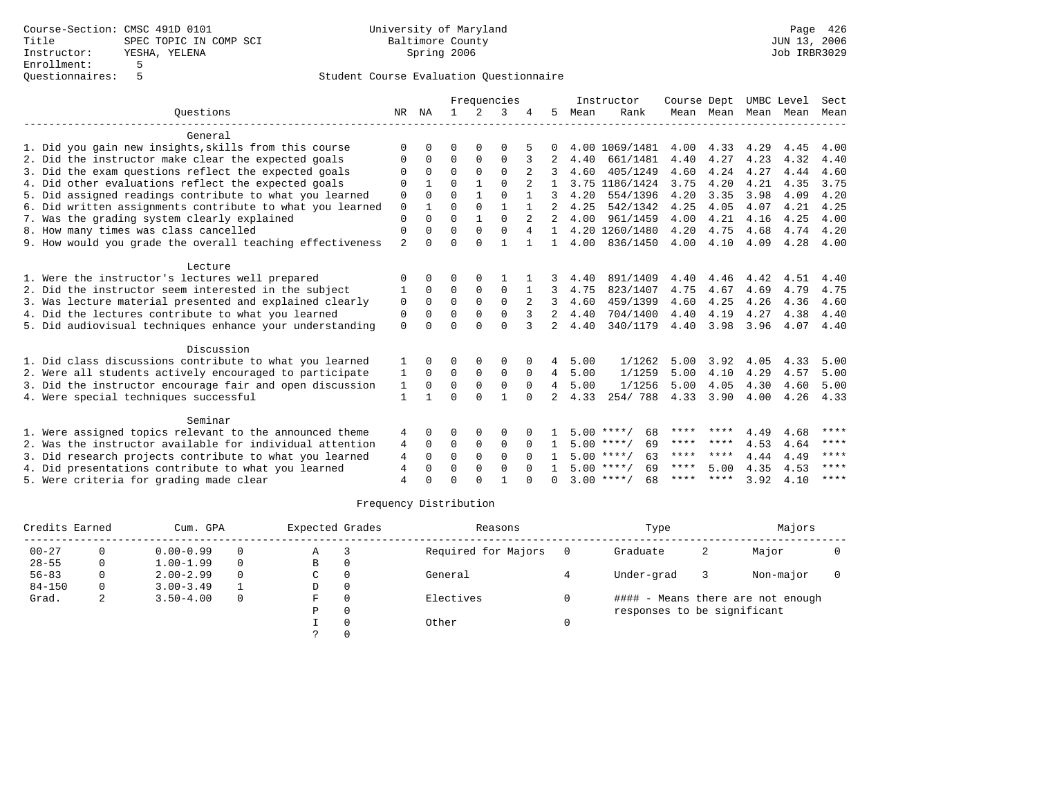|                                                           |                |              | Frequencies<br>NA |               |              |          |                |      | Instructor         | Course Dept |           | UMBC Level |      | Sect        |
|-----------------------------------------------------------|----------------|--------------|-------------------|---------------|--------------|----------|----------------|------|--------------------|-------------|-----------|------------|------|-------------|
| Ouestions                                                 |                |              | $\mathbf{1}$      | $\mathcal{L}$ | 3            |          | 5.             | Mean | Rank               |             | Mean Mean | Mean       | Mean | Mean        |
| General                                                   |                |              |                   |               |              |          |                |      |                    |             |           |            |      |             |
| 1. Did you gain new insights, skills from this course     | $\Omega$       |              | O                 | $\Omega$      | $\Omega$     |          |                |      | 4.00 1069/1481     | 4.00        | 4.33      | 4.29       | 4.45 | 4.00        |
| 2. Did the instructor make clear the expected goals       | $\Omega$       | 0            | $\Omega$          | $\Omega$      | $\Omega$     | 3        | 2              | 4.40 | 661/1481           | 4.40        | 4.27      | 4.23       | 4.32 | 4.40        |
| 3. Did the exam questions reflect the expected goals      | $\Omega$       | $\Omega$     | $\Omega$          | $\Omega$      | $\Omega$     |          |                | 4.60 | 405/1249           | 4.60        | 4.24      | 4.27       | 4.44 | 4.60        |
| 4. Did other evaluations reflect the expected goals       | $\Omega$       |              | $\Omega$          |               | $\Omega$     |          |                |      | 3.75 1186/1424     | 3.75        | 4.20      | 4.21       | 4.35 | 3.75        |
| 5. Did assigned readings contribute to what you learned   | 0              | $\Omega$     | $\Omega$          | $\mathbf{1}$  | $\Omega$     |          | 3              | 4.20 | 554/1396           | 4.20        | 3.35      | 3.98       | 4.09 | 4.20        |
| 6. Did written assignments contribute to what you learned | $\mathbf 0$    | $\mathbf{1}$ | $\Omega$          | $\Omega$      | $\mathbf{1}$ |          | $\mathfrak{D}$ | 4.25 | 542/1342           | 4.25        | 4.05      | 4.07       | 4.21 | 4.25        |
| 7. Was the grading system clearly explained               | $\mathbf{0}$   | $\Omega$     | $\Omega$          | $\mathbf{1}$  | $\Omega$     |          | $\mathfrak{D}$ | 4.00 | 961/1459           | 4.00        | 4.21      | 4.16       | 4.25 | 4.00        |
| 8. How many times was class cancelled                     | $\mathbf 0$    | 0            | $\Omega$          | $\Omega$      | $\Omega$     | 4        | $\mathbf{1}$   |      | 4.20 1260/1480     | 4.20        | 4.75      | 4.68       | 4.74 | 4.20        |
| 9. How would you grade the overall teaching effectiveness | $\mathfrak{D}$ | $\Omega$     | $\Omega$          | $\Omega$      | $\mathbf{1}$ |          | $\mathbf{1}$   | 4.00 | 836/1450           | 4.00        | 4.10      | 4.09       | 4.28 | 4.00        |
| Lecture                                                   |                |              |                   |               |              |          |                |      |                    |             |           |            |      |             |
| 1. Were the instructor's lectures well prepared           | ∩              | 0            | O                 | 0             |              |          |                | 4.40 | 891/1409           | 4.40        | 4.46      | 4.42       | 4.51 | 4.40        |
| 2. Did the instructor seem interested in the subject      |                | $\Omega$     | 0                 | 0             | $\mathbf 0$  |          | 3              | 4.75 | 823/1407           | 4.75        | 4.67      | 4.69       | 4.79 | 4.75        |
| 3. Was lecture material presented and explained clearly   | $\mathbf 0$    | $\Omega$     | $\Omega$          | $\Omega$      | $\Omega$     | 2        | 3              | 4.60 | 459/1399           | 4.60        | 4.25      | 4.26       | 4.36 | 4.60        |
| 4. Did the lectures contribute to what you learned        | 0              | $\Omega$     | $\Omega$          | $\Omega$      | $\Omega$     | 3        | $\overline{2}$ | 4.40 | 704/1400           | 4.40        | 4.19      | 4.27       | 4.38 | 4.40        |
| 5. Did audiovisual techniques enhance your understanding  | $\Omega$       | <sup>n</sup> | $\cap$            | $\cap$        | $\Omega$     |          | $\overline{2}$ | 4.40 | 340/1179           | 4.40        | 3.98      | 3.96       | 4.07 | 4.40        |
| Discussion                                                |                |              |                   |               |              |          |                |      |                    |             |           |            |      |             |
| 1. Did class discussions contribute to what you learned   |                | <sup>n</sup> | O                 | $\Omega$      | $\Omega$     | $\Omega$ | 4              | 5.00 | 1/1262             | 5.00        | 3.92      | 4.05       | 4.33 | 5.00        |
| 2. Were all students actively encouraged to participate   | 1              | $\Omega$     | $\Omega$          | $\Omega$      | $\mathbf 0$  | $\Omega$ | $\overline{4}$ | 5.00 | 1/1259             | 5.00        | 4.10      | 4.29       | 4.57 | 5.00        |
| 3. Did the instructor encourage fair and open discussion  | 1              | $\Omega$     | $\Omega$          | $\Omega$      | $\Omega$     | $\Omega$ | $\overline{4}$ | 5.00 | 1/1256             | 5.00        | 4.05      | 4.30       | 4.60 | 5.00        |
| 4. Were special techniques successful                     | 1              |              | $\Omega$          | $\Omega$      | 1            | $\Omega$ |                | 4.33 | 254/788            | 4.33        | 3.90      | 4.00       | 4.26 | 4.33        |
| Seminar                                                   |                |              |                   |               |              |          |                |      |                    |             |           |            |      |             |
| 1. Were assigned topics relevant to the announced theme   | 4              | <sup>0</sup> | O                 | 0             | $\Omega$     |          |                |      | $5.00$ ****/<br>68 | ****        | ****      | 4.49       | 4.68 | ****        |
| 2. Was the instructor available for individual attention  | 4              | $\Omega$     | 0                 | $\mathsf 0$   | $\mathbf 0$  | $\Omega$ |                |      | $5.00$ ****/<br>69 | ****        | ****      | 4.53       | 4.64 | ****        |
| 3. Did research projects contribute to what you learned   | 4              | $\Omega$     | $\Omega$          | $\Omega$      | $\Omega$     | $\Omega$ |                |      | $5.00$ ****/<br>63 | ****        | ****      | 4.44       | 4.49 | $***$ * * * |
| 4. Did presentations contribute to what you learned       | 4              | 0            | $\Omega$          | $\Omega$      | $\Omega$     |          |                |      | $5.00$ ****/<br>69 | ****        | 5.00      | 4.35       | 4.53 | ****        |
| 5. Were criteria for grading made clear                   | 4              | U            | $\Omega$          | $\cap$        |              |          | <sup>n</sup>   |      | $3.00$ ****/<br>68 | ****        | ****      | 3.92       | 4.10 | $***$ * * * |

| Credits Earned<br>Cum. GPA |    |               | Expected Grades | Reasons |                     | Type     | Majors                      |   |                                   |  |
|----------------------------|----|---------------|-----------------|---------|---------------------|----------|-----------------------------|---|-----------------------------------|--|
| $00 - 27$                  |    | $0.00 - 0.99$ | $\Omega$        | Α       | Required for Majors | $\Omega$ | Graduate                    | 2 | Major                             |  |
| $28 - 55$                  | 0  | $1.00 - 1.99$ | $\Omega$        | В       |                     |          |                             |   |                                   |  |
| $56 - 83$                  | 0  | $2.00 - 2.99$ | 0               | С       | General             |          | Under-grad                  |   | Non-major                         |  |
| $84 - 150$                 | 0. | $3.00 - 3.49$ |                 | D       |                     |          |                             |   |                                   |  |
| Grad.                      | ∠  | $3.50 - 4.00$ | $\Omega$        | F       | Electives           |          |                             |   | #### - Means there are not enough |  |
|                            |    |               |                 | D       |                     |          | responses to be significant |   |                                   |  |
|                            |    |               |                 |         | Other               |          |                             |   |                                   |  |
|                            |    |               |                 |         |                     |          |                             |   |                                   |  |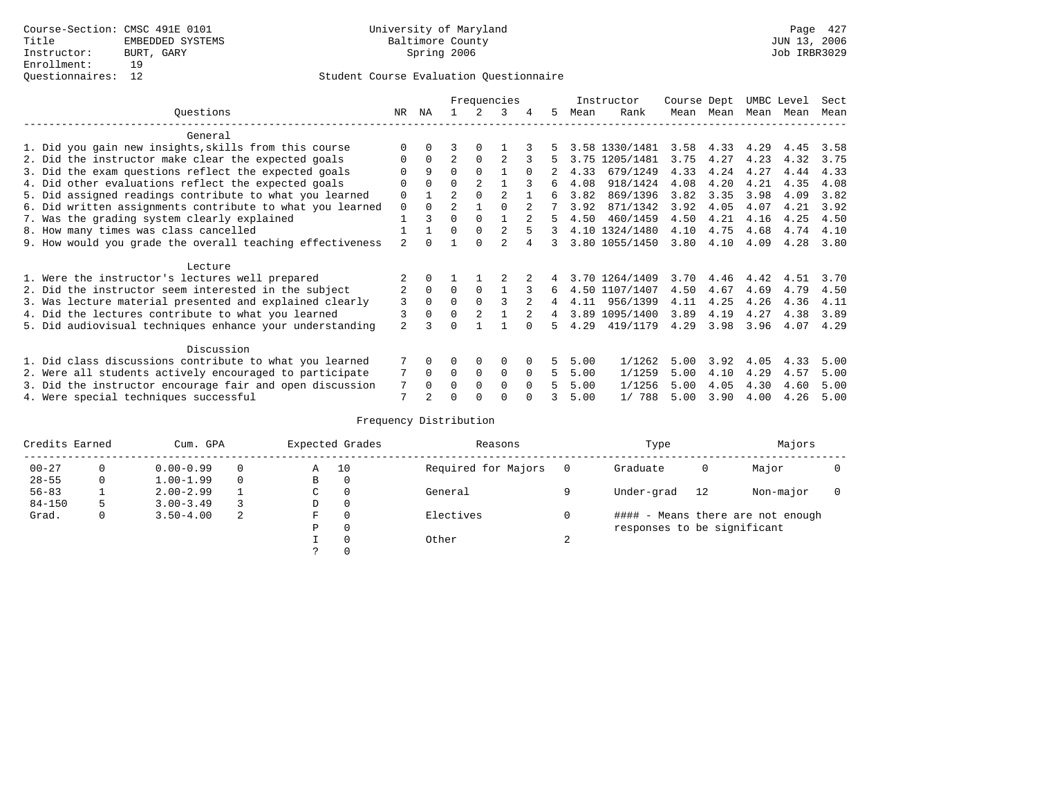|                                                           |                |          | Frequencies    |                |                |          |    | Instructor | Course Dept    |      | UMBC Level |           | Sect |      |
|-----------------------------------------------------------|----------------|----------|----------------|----------------|----------------|----------|----|------------|----------------|------|------------|-----------|------|------|
| Ouestions                                                 | NR             | ΝA       |                |                |                | 4        | 5  | Mean       | Rank           | Mean | Mean       | Mean Mean |      | Mean |
| General                                                   |                |          |                |                |                |          |    |            |                |      |            |           |      |      |
| 1. Did you gain new insights, skills from this course     |                |          | 3              |                |                |          |    |            | 3.58 1330/1481 | 3.58 | 4.33       | 4.29      | 4.45 | 3.58 |
| 2. Did the instructor make clear the expected goals       |                | $\Omega$ | $\overline{2}$ | $\Omega$       |                |          |    | 3.75       | 1205/1481      | 3.75 | 4.27       | 4.23      | 4.32 | 3.75 |
| 3. Did the exam questions reflect the expected goals      |                | 9        | 0              | $\Omega$       |                |          |    | 4.33       | 679/1249       | 4.33 | 4.24       | 4.27      | 4.44 | 4.33 |
| 4. Did other evaluations reflect the expected goals       | 0              | $\Omega$ | 0              | $\mathfrak{D}$ |                |          | б. | 4.08       | 918/1424       | 4.08 | 4.20       | 4.21      | 4.35 | 4.08 |
| 5. Did assigned readings contribute to what you learned   | $\mathbf 0$    |          | $\mathfrak{D}$ |                |                |          | 6  | 3.82       | 869/1396       | 3.82 | 3.35       | 3.98      | 4.09 | 3.82 |
| 6. Did written assignments contribute to what you learned | 0              | $\Omega$ | $\mathfrak{D}$ |                |                |          |    | 3.92       | 871/1342       | 3.92 | 4.05       | 4.07      | 4.21 | 3.92 |
| 7. Was the grading system clearly explained               |                | ζ        | $\Omega$       | $\Omega$       |                |          |    | 4.50       | 460/1459       | 4.50 | 4.21       | 4.16      | 4.25 | 4.50 |
| 8. How many times was class cancelled                     |                |          | $\Omega$       | $\Omega$       |                |          | 3  |            | 4.10 1324/1480 | 4.10 | 4.75       | 4.68      | 4.74 | 4.10 |
| 9. How would you grade the overall teaching effectiveness | $\mathfrak{D}$ |          |                |                | $\mathfrak{D}$ |          |    |            | 3.80 1055/1450 | 3.80 | 4.10       | 4.09      | 4.28 | 3.80 |
| Lecture                                                   |                |          |                |                |                |          |    |            |                |      |            |           |      |      |
| 1. Were the instructor's lectures well prepared           |                |          |                |                |                |          |    |            | 3.70 1264/1409 | 3.70 | 4.46       | 4.42      | 4.51 | 3.70 |
| 2. Did the instructor seem interested in the subject      | 2              | $\Omega$ | $\Omega$       | $\Omega$       |                |          | 6  |            | 4.50 1107/1407 | 4.50 | 4.67       | 4.69      | 4.79 | 4.50 |
| 3. Was lecture material presented and explained clearly   | 3              | $\Omega$ |                |                |                |          | 4  | 4.11       | 956/1399       | 4.11 | 4.25       | 4.26      | 4.36 | 4.11 |
| 4. Did the lectures contribute to what you learned        |                | $\Omega$ | $\Omega$       |                |                |          | 4  |            | 3.89 1095/1400 | 3.89 | 4.19       | 4.27      | 4.38 | 3.89 |
| 5. Did audiovisual techniques enhance your understanding  | $\overline{a}$ |          |                |                |                |          | Б. | 4.29       | 419/1179       | 4.29 | 3.98       | 3.96      | 4.07 | 4.29 |
| Discussion                                                |                |          |                |                |                |          |    |            |                |      |            |           |      |      |
| 1. Did class discussions contribute to what you learned   |                | 0        | 0              | $\Omega$       | $\Omega$       |          |    | 5.00       | 1/1262         | 5.00 | 3.92       | 4.05      | 4.33 | 5.00 |
| 2. Were all students actively encouraged to participate   |                |          | $\Omega$       | $\Omega$       | $\Omega$       | $\Omega$ | 5. | 5.00       | 1/1259         | 5.00 | 4.10       | 4.29      | 4.57 | 5.00 |
| 3. Did the instructor encourage fair and open discussion  |                |          | O              | $\Omega$       | $\Omega$       | $\Omega$ |    | 5.00       | 1/1256         | 5.00 | 4.05       | 4.30      | 4.60 | 5.00 |
| 4. Were special techniques successful                     | 7              |          |                |                |                |          |    | 5.00       | 1/788          | 5.00 | 3.90       | 4.00      | 4.26 | 5.00 |

| Credits Earned |   | Cum. GPA      |   | Expected Grades | Reasons  |                     | Type   | Majors                      |    |                                   |  |
|----------------|---|---------------|---|-----------------|----------|---------------------|--------|-----------------------------|----|-----------------------------------|--|
| $00 - 27$      | 0 | $0.00 - 0.99$ |   | Α               | 10       | Required for Majors |        | Graduate                    | 0  | Major                             |  |
| $28 - 55$      | 0 | $1.00 - 1.99$ |   | В               | 0        |                     |        |                             |    |                                   |  |
| $56 - 83$      |   | $2.00 - 2.99$ |   | $\sim$<br>◡     | 0        | General             |        | Under-grad                  | 12 | Non-major                         |  |
| $84 - 150$     | 5 | $3.00 - 3.49$ |   | D               | 0        |                     |        |                             |    |                                   |  |
| Grad.          | 0 | $3.50 - 4.00$ | 2 | F               | 0        | Electives           |        |                             |    | #### - Means there are not enough |  |
|                |   |               |   | Ρ               | 0        |                     |        | responses to be significant |    |                                   |  |
|                |   |               |   |                 | $\Omega$ | Other               | $\sim$ |                             |    |                                   |  |
|                |   |               |   | C.              |          |                     |        |                             |    |                                   |  |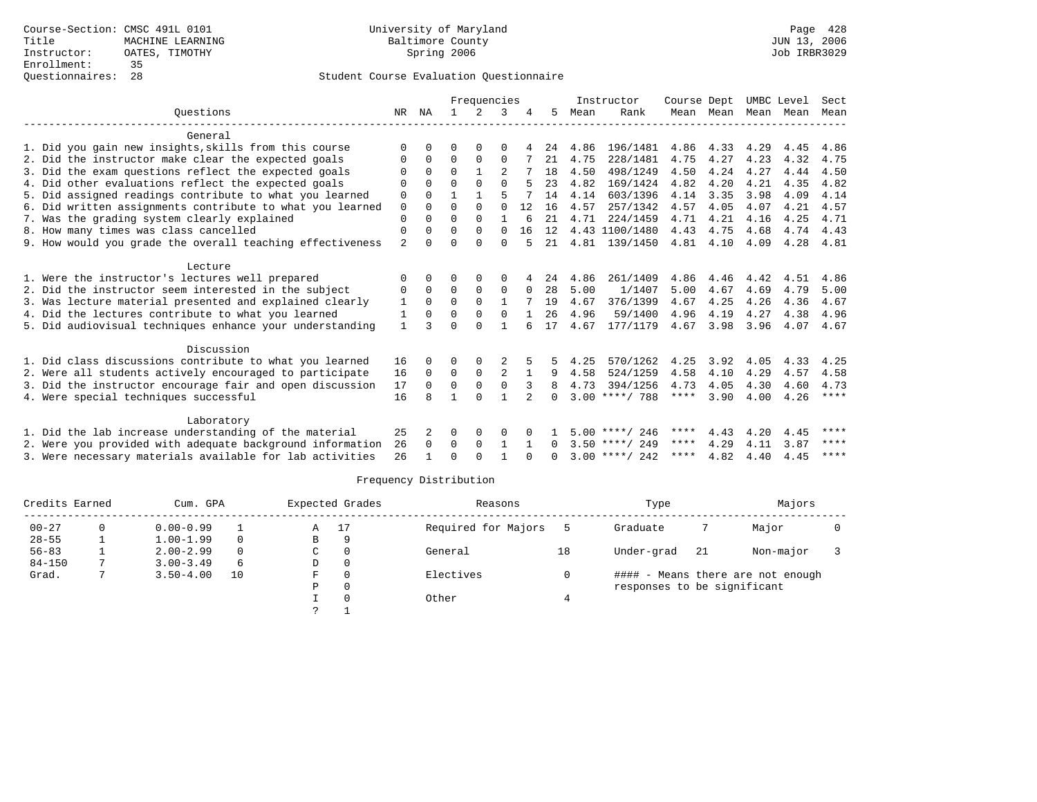|                                                           |                |             | Frequencies |               |          |                |          | Instructor |                  | Course Dept | UMBC Level |           | Sect |             |
|-----------------------------------------------------------|----------------|-------------|-------------|---------------|----------|----------------|----------|------------|------------------|-------------|------------|-----------|------|-------------|
| Ouestions                                                 | NR             | ΝA          |             | $\mathcal{L}$ |          |                | 5.       | Mean       | Rank             |             | Mean Mean  | Mean Mean |      | Mean        |
| General                                                   |                |             |             |               |          |                |          |            |                  |             |            |           |      |             |
| 1. Did you gain new insights, skills from this course     | $\Omega$       | U           | U           | ∩             | O        |                | 24       | 4.86       | 196/1481         | 4.86        | 4.33       | 4.29      | 4.45 | 4.86        |
| 2. Did the instructor make clear the expected goals       | $\Omega$       | $\Omega$    | $\Omega$    | $\Omega$      | $\Omega$ |                | 21       | 4.75       | 228/1481         | 4.75        | 4.27       | 4.23      | 4.32 | 4.75        |
| 3. Did the exam questions reflect the expected goals      | $\Omega$       | $\Omega$    | $\Omega$    |               |          |                | 18       | 4.50       | 498/1249         | 4.50        | 4.24       | 4.27      | 4.44 | 4.50        |
| 4. Did other evaluations reflect the expected goals       | 0              | $\Omega$    | $\Omega$    | $\Omega$      | $\Omega$ |                | 23       | 4.82       | 169/1424         | 4.82        | 4.20       | 4.21      | 4.35 | 4.82        |
| 5. Did assigned readings contribute to what you learned   | $\mathbf 0$    | $\Omega$    | 1           | 1             | 5        |                | 14       | 4.14       | 603/1396         | 4.14        | 3.35       | 3.98      | 4.09 | 4.14        |
| 6. Did written assignments contribute to what you learned | $\mathbf 0$    | $\Omega$    | $\Omega$    | $\Omega$      | $\Omega$ | 12             | 16       | 4.57       | 257/1342         | 4.57        | 4.05       | 4.07      | 4.21 | 4.57        |
| 7. Was the grading system clearly explained               | $\mathbf 0$    | $\Omega$    | $\Omega$    | $\Omega$      |          | 6              | 21       | 4.71       | 224/1459         | 4.71        | 4.21       | 4.16      | 4.25 | 4.71        |
| 8. How many times was class cancelled                     | $\mathbf 0$    | $\Omega$    | $\Omega$    | $\Omega$      | $\Omega$ | 16             | 12       |            | 4.43 1100/1480   | 4.43        | 4.75       | 4.68      | 4.74 | 4.43        |
| 9. How would you grade the overall teaching effectiveness | $\overline{2}$ | $\cap$      | U           | $\cap$        | $\Omega$ |                | 21       | 4.81       | 139/1450         | 4.81        | 4.10       | 4.09      | 4.28 | 4.81        |
|                                                           |                |             |             |               |          |                |          |            |                  |             |            |           |      |             |
| Lecture                                                   |                |             |             |               |          |                |          |            |                  |             |            |           |      |             |
| 1. Were the instructor's lectures well prepared           | 0              | 0           | 0           | $\Omega$      | 0        |                | 24       | 4.86       | 261/1409         | 4.86        | 4.46       | 4.42      | 4.51 | 4.86        |
| 2. Did the instructor seem interested in the subject      | 0              | $\Omega$    | $\Omega$    | $\Omega$      | 0        | $\Omega$       | 28       | 5.00       | 1/1407           | 5.00        | 4.67       | 4.69      | 4.79 | 5.00        |
| 3. Was lecture material presented and explained clearly   | 1              | $\mathbf 0$ | 0           | $\Omega$      | 1        |                | 19       | 4.67       | 376/1399         | 4.67        | 4.25       | 4.26      | 4.36 | 4.67        |
| 4. Did the lectures contribute to what you learned        | 1              | $\Omega$    | $\Omega$    | $\Omega$      | $\Omega$ |                | 26       | 4.96       | 59/1400          | 4.96        | 4.19       | 4.27      | 4.38 | 4.96        |
| 5. Did audiovisual techniques enhance your understanding  | $\mathbf{1}$   |             | U           | ∩             |          |                | 17       | 4.67       | 177/1179         | 4.67        | 3.98       | 3.96      | 4.07 | 4.67        |
| Discussion                                                |                |             |             |               |          |                |          |            |                  |             |            |           |      |             |
| 1. Did class discussions contribute to what you learned   | 16             | $\Omega$    | O           | 0             |          |                |          | 4.25       | 570/1262         | 4.25        | 3.92       | 4.05      | 4.33 | 4.25        |
| 2. Were all students actively encouraged to participate   | 16             | $\Omega$    | $\Omega$    | $\mathbf 0$   | 2        |                | 9        | 4.58       | 524/1259         | 4.58        | 4.10       | 4.29      | 4.57 | 4.58        |
| 3. Did the instructor encourage fair and open discussion  | 17             | $\Omega$    | $\Omega$    | $\Omega$      | $\Omega$ |                |          | 4.73       | 394/1256         | 4.73        | 4.05       | 4.30      | 4.60 | 4.73        |
| 4. Were special techniques successful                     | 16             | я           | 1           | $\cap$        | 1        | $\mathfrak{D}$ | $\Omega$ |            | $3.00$ ****/ 788 | ****        | 3.90       | 4.00      | 4.26 | $***$ * * * |
|                                                           |                |             |             |               |          |                |          |            |                  |             |            |           |      |             |
| Laboratory                                                |                |             |             |               |          |                |          |            |                  |             |            |           |      |             |
| 1. Did the lab increase understanding of the material     | 25             | 2           | $\Omega$    | 0             | $\Omega$ |                |          |            | $5.00$ ****/ 246 | ****        | 4.43       | 4.20      | 4.45 | ****        |
| 2. Were you provided with adequate background information | 26             | $\Omega$    | 0           | $\mathbf 0$   |          |                | $\Omega$ |            | $3.50$ ****/ 249 | $***$ * *   | 4.29       | 4.11      | 3.87 | ****        |
| 3. Were necessary materials available for lab activities  | 26             |             | $\Omega$    | $\cap$        |          |                | $\cap$   |            | $3.00$ ****/ 242 | ****        | 4.82       | 4.40      | 4.45 | $***$ * * * |
|                                                           |                |             |             |               |          |                |          |            |                  |             |            |           |      |             |

| Credits Earned |   | Cum. GPA      |          |    | Expected Grades | Reasons             |    | Type                        | Majors |                                   |  |
|----------------|---|---------------|----------|----|-----------------|---------------------|----|-----------------------------|--------|-----------------------------------|--|
| $00 - 27$      | 0 | $0.00 - 0.99$ |          | A  | 17              | Required for Majors |    | Graduate                    |        | Major                             |  |
| $28 - 55$      |   | $1.00 - 1.99$ | $\Omega$ | В  | 9               |                     |    |                             |        |                                   |  |
| $56 - 83$      |   | $2.00 - 2.99$ | $\Omega$ | C  | $\Omega$        | General             | 18 | Under-grad                  | 21     | Non-major                         |  |
| $84 - 150$     |   | $3.00 - 3.49$ | 6        | D  | 0               |                     |    |                             |        |                                   |  |
| Grad.          |   | $3.50 - 4.00$ | 10       | F. | $\Omega$        | Electives           |    |                             |        | #### - Means there are not enough |  |
|                |   |               |          | Ρ  | $\Omega$        |                     |    | responses to be significant |        |                                   |  |
|                |   |               |          |    |                 | Other               |    |                             |        |                                   |  |
|                |   |               |          |    |                 |                     |    |                             |        |                                   |  |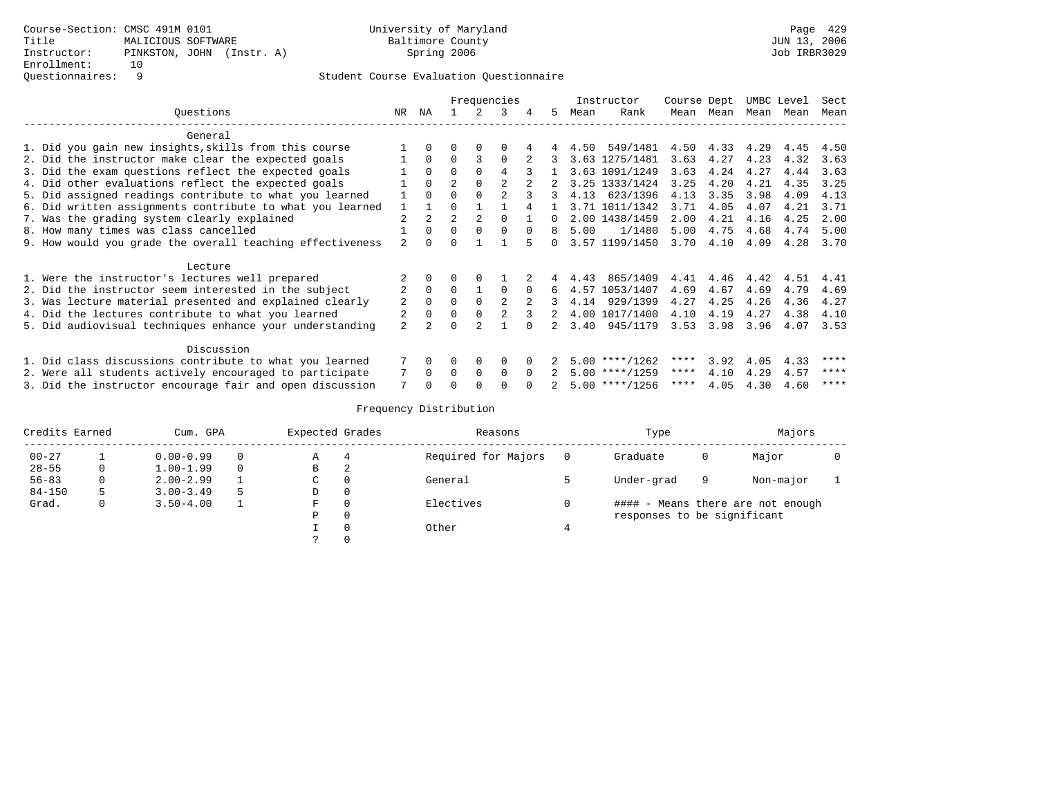|                                                           |                |                | Frequencies    |          |                |              |     |      | Instructor       | Course Dept |           | UMBC Level |      | Sect |
|-----------------------------------------------------------|----------------|----------------|----------------|----------|----------------|--------------|-----|------|------------------|-------------|-----------|------------|------|------|
| Ouestions                                                 | NR.            | NA             |                |          | 3              |              | .5. | Mean | Rank             |             | Mean Mean | Mean       | Mean | Mean |
| General                                                   |                |                |                |          |                |              |     |      |                  |             |           |            |      |      |
| 1. Did you gain new insights, skills from this course     |                |                |                |          | $\Omega$       |              |     |      | 4.50 549/1481    | 4.50        | 4.33      | 4.29       | 4.45 | 4.50 |
| 2. Did the instructor make clear the expected goals       |                | $\Omega$       | $\Omega$       | 3        | $\Omega$       |              |     |      | 3.63 1275/1481   | 3.63        | 4.27      | 4.23       | 4.32 | 3.63 |
| 3. Did the exam questions reflect the expected goals      |                | $\Omega$       | $\Omega$       |          |                |              |     |      | 3.63 1091/1249   | 3.63        | 4.24      | 4.27       | 4.44 | 3.63 |
| 4. Did other evaluations reflect the expected goals       |                | $\Omega$       | $\overline{a}$ |          |                |              |     |      | 3.25 1333/1424   | 3.25        | 4.20      | 4.21       | 4.35 | 3.25 |
| 5. Did assigned readings contribute to what you learned   |                |                |                |          |                |              | 3   | 4.13 | 623/1396         | 4.13        | 3.35      | 3.98       | 4.09 | 4.13 |
| 6. Did written assignments contribute to what you learned | $\mathbf{1}$   |                | $\Omega$       |          |                |              |     |      | 3.71 1011/1342   | 3.71        | 4.05      | 4.07       | 4.21 | 3.71 |
| 7. Was the grading system clearly explained               |                | $\overline{a}$ | $\overline{2}$ |          | $\Omega$       |              | 0   |      | 2.00 1438/1459   | 2.00        | 4.21      | 4.16       | 4.25 | 2.00 |
| 8. How many times was class cancelled                     |                | $\Omega$       | $\Omega$       | $\Omega$ | $\Omega$       | $\Omega$     | 8   | 5.00 | 1/1480           | 5.00        | 4.75      | 4.68       | 4.74 | 5.00 |
| 9. How would you grade the overall teaching effectiveness |                |                | $\Omega$       |          |                |              | 0   |      | 3.57 1199/1450   | 3.70        | 4.10      | 4.09       | 4.28 | 3.70 |
| Lecture                                                   |                |                |                |          |                |              |     |      |                  |             |           |            |      |      |
| 1. Were the instructor's lectures well prepared           |                |                |                |          |                |              |     | 4.43 | 865/1409         | 4.41        | 4.46      | 4.42       | 4.51 | 4.41 |
| 2. Did the instructor seem interested in the subject      |                | $\Omega$       | $\Omega$       |          | $\Omega$       | $\Omega$     | 6   | 4.57 | 1053/1407        | 4.69        | 4.67      | 4.69       | 4.79 | 4.69 |
| 3. Was lecture material presented and explained clearly   | 2              | $\Omega$       | $\Omega$       |          | $\mathfrak{D}$ |              |     | 4.14 | 929/1399         | 4.27        | 4.25      | 4.26       | 4.36 | 4.27 |
| 4. Did the lectures contribute to what you learned        |                | $\Omega$       | 0              |          |                |              | 2   |      | 4.00 1017/1400   | 4.10        | 4.19      | 4.27       | 4.38 | 4.10 |
| 5. Did audiovisual techniques enhance your understanding  | $\mathfrak{D}$ |                | $\Omega$       |          |                |              |     | 3.40 | 945/1179         | 3.53        | 3.98      | 3.96       | 4.07 | 3.53 |
| Discussion                                                |                |                |                |          |                |              |     |      |                  |             |           |            |      |      |
| 1. Did class discussions contribute to what you learned   |                | 0              | 0              | $\Omega$ | $\Omega$       |              |     |      | $5.00$ ****/1262 | ****        | 3.92      | 4.05       | 4.33 | **** |
| 2. Were all students actively encouraged to participate   |                | $\cap$         | <sup>0</sup>   | $\Omega$ | $\Omega$       | <sup>n</sup> |     |      | $5.00$ ****/1259 | ****        | 4.10      | 4.29       | 4.57 | **** |
| 3. Did the instructor encourage fair and open discussion  |                |                |                |          |                |              |     |      | $5.00$ ****/1256 | ****        | 4.05      | 4.30       | 4.60 | **** |

| Credits Earned<br>Cum. GPA |    |               |          | Expected Grades |   | Reasons             | Type                        | Majors |                                   |  |
|----------------------------|----|---------------|----------|-----------------|---|---------------------|-----------------------------|--------|-----------------------------------|--|
| $00 - 27$                  |    | $0.00 - 0.99$ | $\Omega$ | Α               |   | Required for Majors | Graduate                    | 0      | Major                             |  |
| $28 - 55$                  | 0  | $1.00 - 1.99$ | $\Omega$ | B               | 2 |                     |                             |        |                                   |  |
| $56 - 83$                  |    | $2.00 - 2.99$ |          | C               |   | General             | Under-grad                  | 9      | Non-major                         |  |
| $84 - 150$                 | 5. | $3.00 - 3.49$ | 5        | D               |   |                     |                             |        |                                   |  |
| Grad.                      | 0  | $3.50 - 4.00$ |          | F               |   | Electives           |                             |        | #### - Means there are not enough |  |
|                            |    |               |          | P               |   |                     | responses to be significant |        |                                   |  |
|                            |    |               |          |                 |   | Other               |                             |        |                                   |  |
|                            |    |               |          |                 |   |                     |                             |        |                                   |  |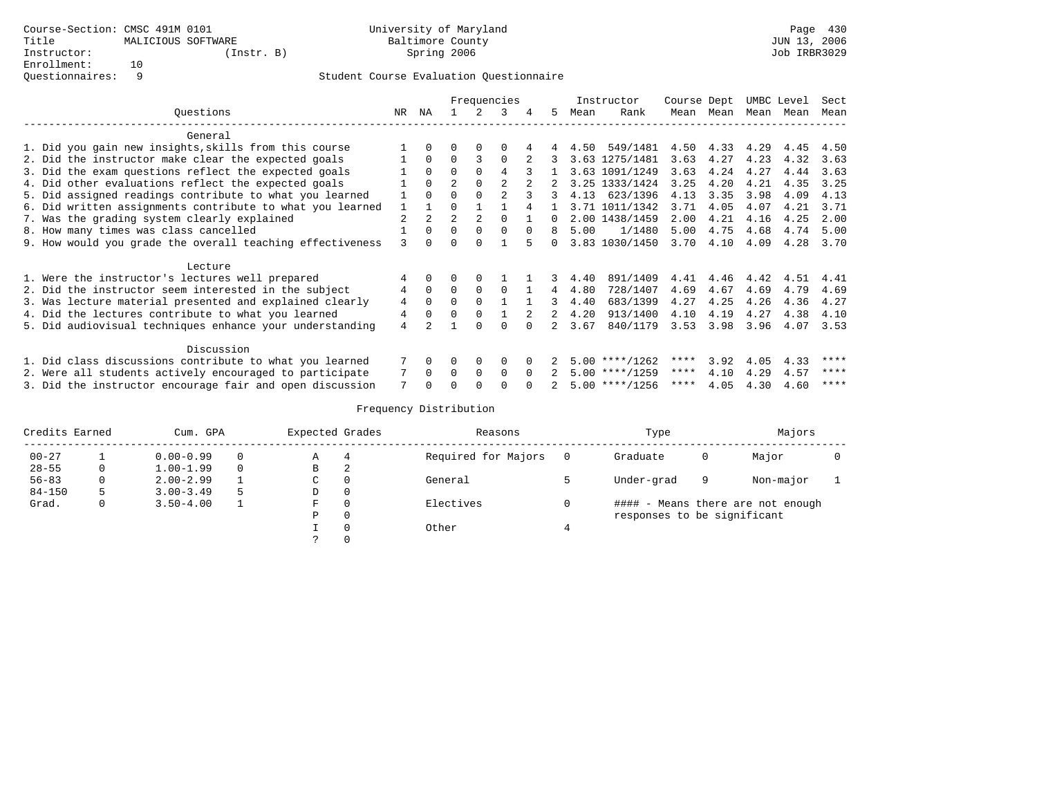|                                                           |    | Frequencies |                |               |          | Instructor | Course Dept |      | UMBC Level       |      | Sect |      |      |      |
|-----------------------------------------------------------|----|-------------|----------------|---------------|----------|------------|-------------|------|------------------|------|------|------|------|------|
| Ouestions                                                 | NR | ΝA          |                | $\mathcal{L}$ | 3        | 4          | .5          | Mean | Rank             | Mean | Mean | Mean | Mean | Mean |
| General                                                   |    |             |                |               |          |            |             |      |                  |      |      |      |      |      |
| 1. Did you gain new insights, skills from this course     |    |             |                |               |          |            |             | 4.50 | 549/1481         | 4.50 | 4.33 | 4.29 | 4.45 | 4.50 |
| 2. Did the instructor make clear the expected goals       |    | $\Omega$    | $\Omega$       | 3             | $\Omega$ |            |             |      | 3.63 1275/1481   | 3.63 | 4.27 | 4.23 | 4.32 | 3.63 |
| 3. Did the exam questions reflect the expected goals      |    | $\Omega$    | $\Omega$       | $\Omega$      |          |            |             |      | 3.63 1091/1249   | 3.63 | 4.24 | 4.27 | 4.44 | 3.63 |
| 4. Did other evaluations reflect the expected goals       |    | $\Omega$    |                |               |          |            |             |      | 3.25 1333/1424   | 3.25 | 4.20 | 4.21 | 4.35 | 3.25 |
| 5. Did assigned readings contribute to what you learned   |    | $\Omega$    | $\Omega$       |               |          |            |             |      | 4.13 623/1396    | 4.13 | 3.35 | 3.98 | 4.09 | 4.13 |
| 6. Did written assignments contribute to what you learned |    |             |                |               |          |            |             |      | 3.71 1011/1342   | 3.71 | 4.05 | 4.07 | 4.21 | 3.71 |
| 7. Was the grading system clearly explained               |    |             | $\overline{2}$ | 2             | $\cap$   |            | n.          |      | 2.00 1438/1459   | 2.00 | 4.21 | 4.16 | 4.25 | 2.00 |
| 8. How many times was class cancelled                     |    | $\Omega$    | $\Omega$       | $\Omega$      | $\Omega$ | $\Omega$   | 8           | 5.00 | 1/1480           | 5.00 | 4.75 | 4.68 | 4.74 | 5.00 |
| 9. How would you grade the overall teaching effectiveness | 3  | 0           | $\Omega$       | $\Omega$      |          |            | 0           |      | 3.83 1030/1450   | 3.70 | 4.10 | 4.09 | 4.28 | 3.70 |
| Lecture                                                   |    |             |                |               |          |            |             |      |                  |      |      |      |      |      |
| 1. Were the instructor's lectures well prepared           | 4  | $\Omega$    | 0              | $\Omega$      |          |            | 3.          | 4.40 | 891/1409         | 4.41 | 4.46 | 4.42 | 4.51 | 4.41 |
| 2. Did the instructor seem interested in the subject      | 4  | $\Omega$    | $\Omega$       | $\Omega$      | $\Omega$ |            | 4           | 4.80 | 728/1407         | 4.69 | 4.67 | 4.69 | 4.79 | 4.69 |
| 3. Was lecture material presented and explained clearly   | 4  | $\Omega$    | $\Omega$       | $\Omega$      |          |            | 3           | 4.40 | 683/1399         | 4.27 | 4.25 | 4.26 | 4.36 | 4.27 |
| 4. Did the lectures contribute to what you learned        | 4  | $\Omega$    | $\Omega$       | $\Omega$      |          | 2          | 2           | 4.20 | 913/1400         | 4.10 | 4.19 | 4.27 | 4.38 | 4.10 |
| 5. Did audiovisual techniques enhance your understanding  | 4  |             |                | ∩             | ∩        |            |             | 3.67 | 840/1179         | 3.53 | 3.98 | 3.96 | 4.07 | 3.53 |
| Discussion                                                |    |             |                |               |          |            |             |      |                  |      |      |      |      |      |
| 1. Did class discussions contribute to what you learned   |    | 0           | 0              | $\Omega$      | $\Omega$ |            |             |      | $5.00$ ****/1262 | **** | 3.92 | 4.05 | 4.33 | **** |
| 2. Were all students actively encouraged to participate   |    | $\Omega$    | $\Omega$       | $\Omega$      | $\Omega$ | $\Omega$   |             |      | $5.00$ ****/1259 | **** | 4.10 | 4.29 | 4.57 | **** |
| 3. Did the instructor encourage fair and open discussion  |    |             | U              |               | ∩        |            |             |      | $5.00$ ****/1256 | **** | 4.05 | 4.30 | 4.60 | **** |

| Credits Earned |   | Cum. GPA      |          | Expected Grades |   | Reasons             | Type                        |   | Majors                            |  |
|----------------|---|---------------|----------|-----------------|---|---------------------|-----------------------------|---|-----------------------------------|--|
| $00 - 27$      |   | $0.00 - 0.99$ | $\Omega$ | Α               | 4 | Required for Majors | Graduate                    | 0 | Major                             |  |
| $28 - 55$      | 0 | $1.00 - 1.99$ | 0        | B               | 2 |                     |                             |   |                                   |  |
| $56 - 83$      | 0 | $2.00 - 2.99$ |          | C               |   | General             | Under-grad                  | 9 | Non-major                         |  |
| $84 - 150$     |   | $3.00 - 3.49$ |          | D               |   |                     |                             |   |                                   |  |
| Grad.          |   | $3.50 - 4.00$ |          | F               |   | Electives           |                             |   | #### - Means there are not enough |  |
|                |   |               |          | D               |   |                     | responses to be significant |   |                                   |  |
|                |   |               |          |                 |   | Other               |                             |   |                                   |  |
|                |   |               |          |                 |   |                     |                             |   |                                   |  |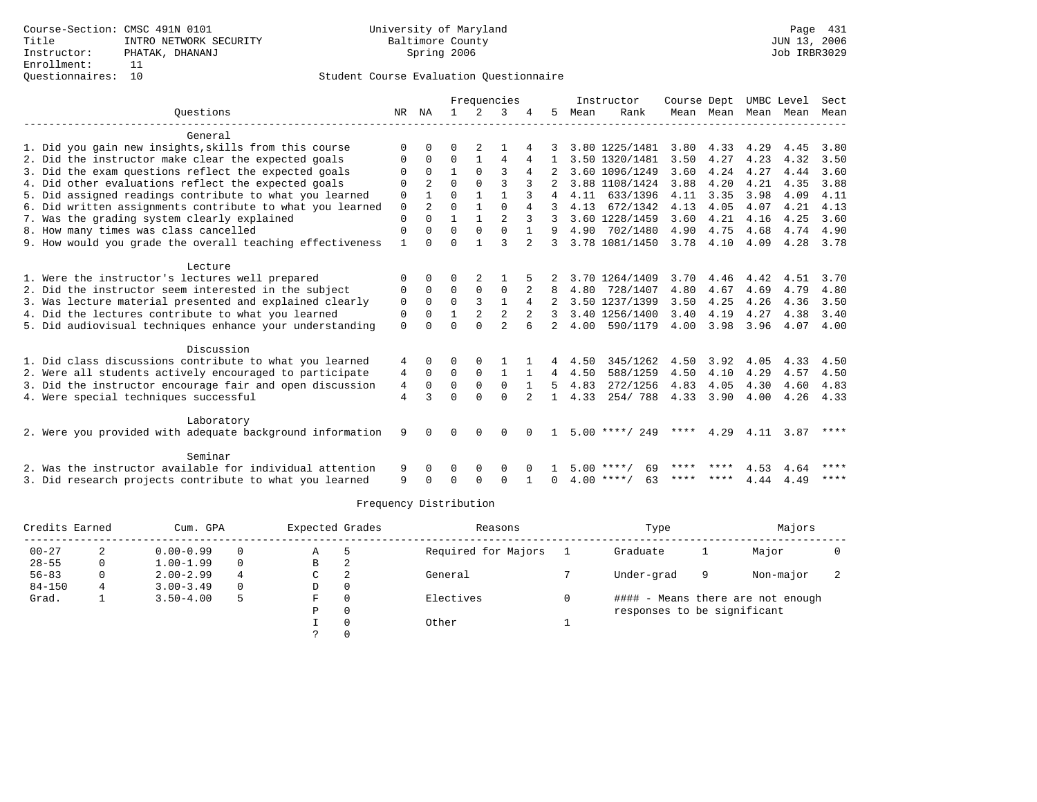## Questionnaires: 10 Student Course Evaluation Questionnaire

|                                                           | Frequencies    |                |              |             |                |                |              | Instructor | Course Dept        |      | UMBC Level |      | Sect |             |
|-----------------------------------------------------------|----------------|----------------|--------------|-------------|----------------|----------------|--------------|------------|--------------------|------|------------|------|------|-------------|
| Ouestions                                                 |                | NR NA          | $\mathbf{1}$ | $2^{\circ}$ | 3              |                | 5.           | Mean       | Rank               |      | Mean Mean  | Mean | Mean | Mean        |
| General                                                   |                |                |              |             |                |                |              |            |                    |      |            |      |      |             |
| 1. Did you gain new insights, skills from this course     | ∩              | <sup>0</sup>   | U            | 2           |                |                |              |            | 3.80 1225/1481     | 3.80 | 4.33       | 4.29 | 4.45 | 3.80        |
| 2. Did the instructor make clear the expected goals       | $\Omega$       | 0              | 0            |             | 4              |                |              |            | 3.50 1320/1481     | 3.50 | 4.27       | 4.23 | 4.32 | 3.50        |
| 3. Did the exam questions reflect the expected goals      | O              | <sup>0</sup>   |              |             |                | 4              |              |            | 3.60 1096/1249     | 3.60 | 4.24       | 4.27 | 4.44 | 3.60        |
| 4. Did other evaluations reflect the expected goals       | $\Omega$       |                | $\Omega$     | $\Omega$    | 3              |                |              |            | 3.88 1108/1424     | 3.88 | 4.20       | 4.21 | 4.35 | 3.88        |
| 5. Did assigned readings contribute to what you learned   | $\mathbf 0$    |                | $\Omega$     |             | 1              |                | 4            | 4.11       | 633/1396           | 4.11 | 3.35       | 3.98 | 4.09 | 4.11        |
| 6. Did written assignments contribute to what you learned | $\mathbf 0$    | $\overline{2}$ | $\Omega$     | 1           | $\cap$         | 4              |              | 4.13       | 672/1342           | 4.13 | 4.05       | 4.07 | 4.21 | 4.13        |
| 7. Was the grading system clearly explained               | $\Omega$       | $\Omega$       |              |             | $\mathfrak{D}$ |                |              |            | 3.60 1228/1459     | 3.60 | 4.21       | 4.16 | 4.25 | 3.60        |
| 8. How many times was class cancelled                     | 0              | 0              | $\Omega$     | 0           | $\mathbf 0$    |                | 9            | 4.90       | 702/1480           | 4.90 | 4.75       | 4.68 | 4.74 | 4.90        |
| 9. How would you grade the overall teaching effectiveness | 1              | <sup>n</sup>   | $\Omega$     |             | ζ              | 2              | ζ            |            | 3.78 1081/1450     | 3.78 | 4.10       | 4.09 | 4.28 | 3.78        |
| Lecture                                                   |                |                |              |             |                |                |              |            |                    |      |            |      |      |             |
| 1. Were the instructor's lectures well prepared           |                |                |              |             |                |                |              |            | 3.70 1264/1409     | 3.70 | 4.46       | 4.42 | 4.51 | 3.70        |
| 2. Did the instructor seem interested in the subject      | 0              | 0              | $\Omega$     | $\Omega$    | $\Omega$       |                |              | 4.80       | 728/1407           | 4.80 | 4.67       | 4.69 | 4.79 | 4.80        |
| 3. Was lecture material presented and explained clearly   | 0              | 0              | $\Omega$     | 3           | $\mathbf{1}$   | 4              |              |            | 3.50 1237/1399     | 3.50 | 4.25       | 4.26 | 4.36 | 3.50        |
| 4. Did the lectures contribute to what you learned        | 0              | $\Omega$       |              |             | $\overline{a}$ | $\overline{2}$ | 3            |            | 3.40 1256/1400     | 3.40 | 4.19       | 4.27 | 4.38 | 3.40        |
| 5. Did audiovisual techniques enhance your understanding  | $\Omega$       |                | $\Omega$     | $\Omega$    | $\mathfrak{D}$ |                |              | 4.00       | 590/1179           | 4.00 | 3.98       | 3.96 | 4.07 | 4.00        |
| Discussion                                                |                |                |              |             |                |                |              |            |                    |      |            |      |      |             |
| 1. Did class discussions contribute to what you learned   | 4              | 0              | 0            |             |                |                | 4            | 4.50       | 345/1262           | 4.50 | 3.92       | 4.05 | 4.33 | 4.50        |
| 2. Were all students actively encouraged to participate   | 4              | $\Omega$       | 0            | $\mathbf 0$ | 1              |                | 4            | 4.50       | 588/1259           | 4.50 | 4.10       | 4.29 | 4.57 | 4.50        |
| 3. Did the instructor encourage fair and open discussion  | 4              | $\Omega$       | $\Omega$     | $\Omega$    | $\Omega$       |                | 5.           | 4.83       | 272/1256           | 4.83 | 4.05       | 4.30 | 4.60 | 4.83        |
| 4. Were special techniques successful                     | $\overline{4}$ | ζ              | $\Omega$     | $\Omega$    | $\Omega$       |                | $\mathbf{1}$ | 4.33       | 254/788            |      | 4.33 3.90  | 4.00 | 4.26 | 4.33        |
| Laboratory                                                |                |                |              |             |                |                |              |            |                    |      |            |      |      |             |
| 2. Were you provided with adequate background information | 9              | 0              | 0            | 0           | $\Omega$       | <sup>n</sup>   |              |            | $5.00$ ****/ 249   | **** | 4.29       | 4.11 | 3.87 | ****        |
| Seminar                                                   |                |                |              |             |                |                |              |            |                    |      |            |      |      |             |
| 2. Was the instructor available for individual attention  | 9              | 0              | 0            | 0           | 0              |                |              | 500        | 69<br>**** /       | **** |            | 4.53 | 4.64 | ****        |
| 3. Did research projects contribute to what you learned   | 9              |                | ∩            | ∩           | $\Omega$       |                | 0            |            | $4.00$ ****/<br>63 | **** | ****       | 4.44 | 4.49 | $* * * * *$ |

| Credits Earned |   | Cum. GPA      |   | Expected Grades |          | Reasons             | Type                        |   | Majors                            |  |
|----------------|---|---------------|---|-----------------|----------|---------------------|-----------------------------|---|-----------------------------------|--|
| $00 - 27$      | 2 | $0.00 - 0.99$ |   | Α               | h        | Required for Majors | Graduate                    |   | Major                             |  |
| $28 - 55$      | 0 | $1.00 - 1.99$ |   | В               | 2        |                     |                             |   |                                   |  |
| $56 - 83$      | 0 | $2.00 - 2.99$ | 4 | C.              | 2        | General             | Under-grad                  | 9 | Non-major                         |  |
| $84 - 150$     |   | $3.00 - 3.49$ |   | D               | 0        |                     |                             |   |                                   |  |
| Grad.          |   | $3.50 - 4.00$ | 5 | F               | $\Omega$ | Electives           |                             |   | #### - Means there are not enough |  |
|                |   |               |   | Ρ               | 0        |                     | responses to be significant |   |                                   |  |
|                |   |               |   |                 | $\Omega$ | Other               |                             |   |                                   |  |
|                |   |               |   |                 |          |                     |                             |   |                                   |  |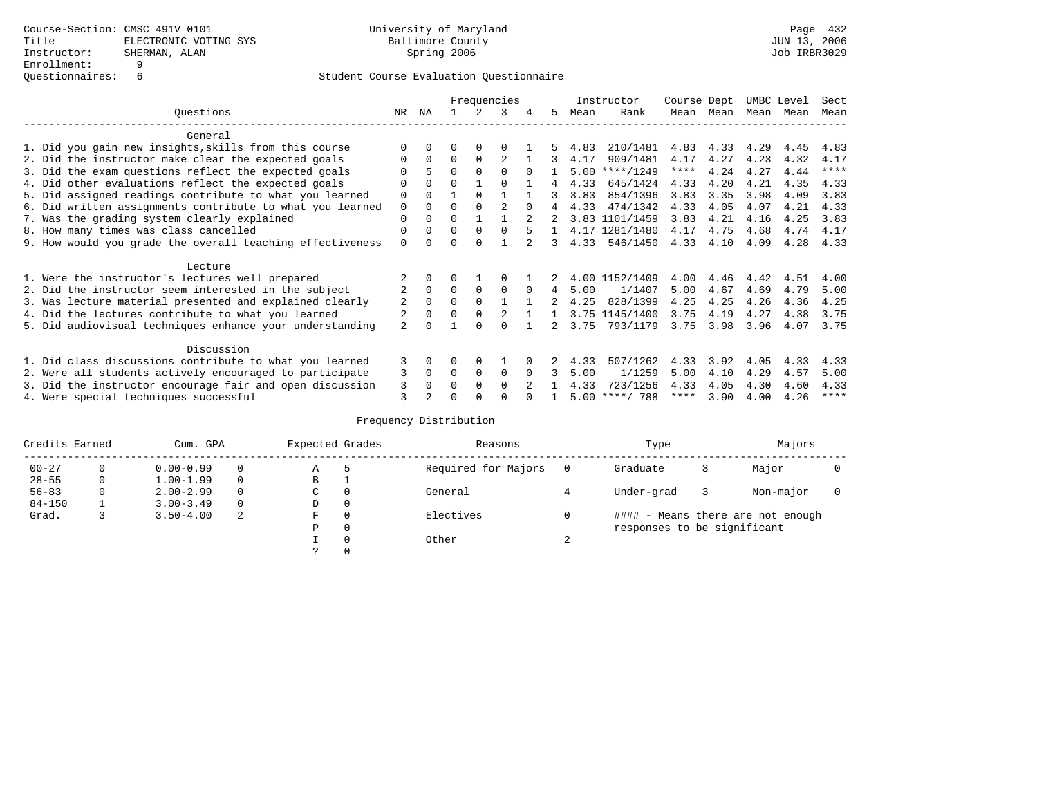|                                                           |                |              |          |          | Frequencies    |          |    |      | Instructor       | Course Dept |      | UMBC Level |      | Sect        |
|-----------------------------------------------------------|----------------|--------------|----------|----------|----------------|----------|----|------|------------------|-------------|------|------------|------|-------------|
| Ouestions                                                 | NR.            | ΝA           |          |          | 3              |          | 5. | Mean | Rank             | Mean        | Mean | Mean       | Mean | Mean        |
| General                                                   |                |              |          |          |                |          |    |      |                  |             |      |            |      |             |
| 1. Did you gain new insights, skills from this course     |                | $\Omega$     | O        | $\Omega$ |                |          |    | 4.83 | 210/1481         | 4.83        | 4.33 | 4.29       | 4.45 | 4.83        |
| 2. Did the instructor make clear the expected goals       | O              | $\Omega$     | $\Omega$ | $\Omega$ |                |          |    | 4.17 | 909/1481         | 4.17        | 4.27 | 4.23       | 4.32 | 4.17        |
| 3. Did the exam questions reflect the expected goals      |                | 5            | $\Omega$ | $\Omega$ | $\Omega$       | $\Omega$ |    | 5.00 | $***/1249$       | ****        | 4.24 | 4.27       | 4.44 | ****        |
| 4. Did other evaluations reflect the expected goals       | O              | $\Omega$     | $\Omega$ |          | $\Omega$       |          | 4  | 4.33 | 645/1424         | 4.33        | 4.20 | 4.21       | 4.35 | 4.33        |
| 5. Did assigned readings contribute to what you learned   | $\mathbf 0$    | $\Omega$     |          | $\Omega$ |                |          | २  | 3.83 | 854/1396         | 3.83        | 3.35 | 3.98       | 4.09 | 3.83        |
| 6. Did written assignments contribute to what you learned | $\mathbf 0$    | $\Omega$     | $\Omega$ |          | $\mathfrak{D}$ | $\cap$   |    | 4.33 | 474/1342         | 4.33        | 4.05 | 4.07       | 4.21 | 4.33        |
| 7. Was the grading system clearly explained               | $\Omega$       | $\Omega$     | $\Omega$ |          |                |          |    |      | 3.83 1101/1459   | 3.83        | 4.21 | 4.16       | 4.25 | 3.83        |
| 8. How many times was class cancelled                     | 0              | $\Omega$     | $\Omega$ | $\Omega$ | $\cap$         |          |    |      | 4.17 1281/1480   | 4.17        | 4.75 | 4.68       | 4.74 | 4.17        |
| 9. How would you grade the overall teaching effectiveness | $\Omega$       | <sup>n</sup> | U        | $\cap$   |                |          | 3  | 4.33 | 546/1450         | 4.33        | 4.10 | 4.09       | 4.28 | 4.33        |
| Lecture                                                   |                |              |          |          |                |          |    |      |                  |             |      |            |      |             |
| 1. Were the instructor's lectures well prepared           |                |              |          |          |                |          |    |      | 4.00 1152/1409   | 4.00        | 4.46 | 4.42       | 4.51 | 4.00        |
| 2. Did the instructor seem interested in the subject      | $\overline{2}$ | $\Omega$     | $\Omega$ | $\Omega$ | $\Omega$       | $\Omega$ | 4  | 5.00 | 1/1407           | 5.00        | 4.67 | 4.69       | 4.79 | 5.00        |
| 3. Was lecture material presented and explained clearly   | 2              | $\Omega$     | $\Omega$ | $\Omega$ |                |          |    | 4.25 | 828/1399         | 4.25        | 4.25 | 4.26       | 4.36 | 4.25        |
| 4. Did the lectures contribute to what you learned        |                | $\Omega$     | $\Omega$ | $\Omega$ |                |          |    |      | 3.75 1145/1400   | 3.75        | 4.19 | 4.27       | 4.38 | 3.75        |
| 5. Did audiovisual techniques enhance your understanding  | $\overline{a}$ |              |          |          |                |          |    | 3.75 | 793/1179         | 3.75        | 3.98 | 3.96       | 4.07 | 3.75        |
| Discussion                                                |                |              |          |          |                |          |    |      |                  |             |      |            |      |             |
| 1. Did class discussions contribute to what you learned   | 3              | $\Omega$     | U        | $\Omega$ |                |          |    | 4.33 | 507/1262         | 4.33        | 3.92 | 4.05       | 4.33 | 4.33        |
| 2. Were all students actively encouraged to participate   | 3              | $\Omega$     | $\Omega$ | $\Omega$ | $\Omega$       |          |    | 5.00 | 1/1259           | 5.00        | 4.10 | 4.29       | 4.57 | 5.00        |
| 3. Did the instructor encourage fair and open discussion  | 3              | $\Omega$     | 0        | $\Omega$ | $\Omega$       |          |    | 4.33 | 723/1256         | 4.33        | 4.05 | 4.30       | 4.60 | 4.33        |
| 4. Were special techniques successful                     | 3              |              |          |          |                |          |    |      | $5.00$ ****/ 788 | ****        | 3.90 | 4.00       | 4.26 | $***$ * * * |

| Credits Earned |          | Cum. GPA      |          | Expected Grades |          | Reasons             |        | Type                        |   | Majors                            |  |
|----------------|----------|---------------|----------|-----------------|----------|---------------------|--------|-----------------------------|---|-----------------------------------|--|
| $00 - 27$      | $\Omega$ | $0.00 - 0.99$ |          | Α               | 5        | Required for Majors | 0      | Graduate                    | 3 | Major                             |  |
| $28 - 55$      | 0        | $1.00 - 1.99$ |          | В               |          |                     |        |                             |   |                                   |  |
| $56 - 83$      | 0        | $2.00 - 2.99$ |          | $\sim$<br>◡     |          | General             |        | Under-grad                  |   | Non-major                         |  |
| $84 - 150$     |          | $3.00 - 3.49$ | $\Omega$ | D               | 0        |                     |        |                             |   |                                   |  |
| Grad.          |          | $3.50 - 4.00$ | 2        | F               | 0        | Electives           | 0      |                             |   | #### - Means there are not enough |  |
|                |          |               |          | Ρ               | 0        |                     |        | responses to be significant |   |                                   |  |
|                |          |               |          |                 | $\Omega$ | Other               | $\sim$ |                             |   |                                   |  |
|                |          |               |          |                 |          |                     |        |                             |   |                                   |  |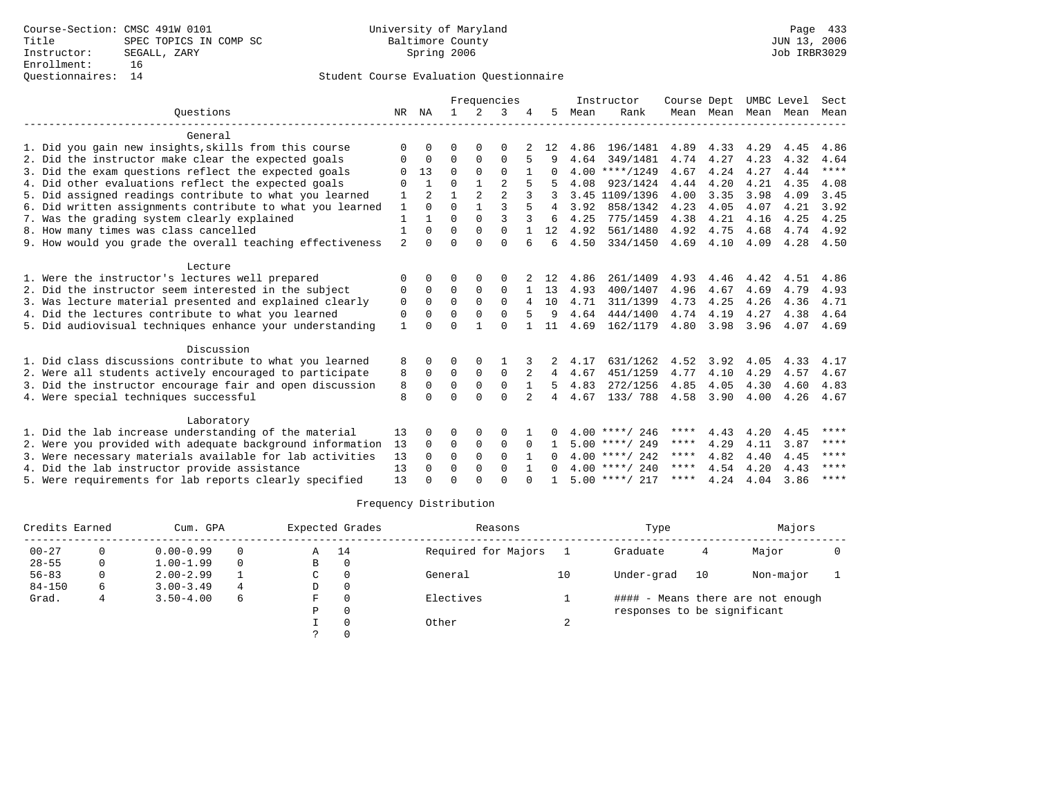## Questionnaires: 14 Student Course Evaluation Questionnaire

|                                                           |                |                |              |                | Frequencies    |              |              |      | Instructor       | Course Dept |           | UMBC Level |      | Sect  |
|-----------------------------------------------------------|----------------|----------------|--------------|----------------|----------------|--------------|--------------|------|------------------|-------------|-----------|------------|------|-------|
| Ouestions                                                 | NR             | ΝA             | $\mathbf{1}$ | $\mathcal{L}$  | 3              |              | 5.           | Mean | Rank             |             | Mean Mean | Mean       | Mean | Mean  |
| General                                                   |                |                |              |                |                |              |              |      |                  |             |           |            |      |       |
| 1. Did you gain new insights, skills from this course     | $\Omega$       | O              | O            | $\Omega$       | $\Omega$       |              | 12           | 4.86 | 196/1481         | 4.89        | 4.33      | 4.29       | 4.45 | 4.86  |
| 2. Did the instructor make clear the expected goals       | $\Omega$       | $\Omega$       | $\Omega$     | $\Omega$       | $\Omega$       | 5            | q            | 4.64 | 349/1481         | 4.74        | 4.27      | 4.23       | 4.32 | 4.64  |
| 3. Did the exam questions reflect the expected goals      |                | 13             | $\Omega$     | $\Omega$       | $\Omega$       |              |              |      | $4.00$ ****/1249 | 4.67        | 4.24      | 4.27       | 4.44 | $***$ |
| 4. Did other evaluations reflect the expected goals       | $\Omega$       |                | $\Omega$     | $\mathbf{1}$   | $\overline{2}$ |              |              | 4.08 | 923/1424         | 4.44        | 4.20      | 4.21       | 4.35 | 4.08  |
| 5. Did assigned readings contribute to what you learned   | 1              | $\overline{2}$ | 1            | $\mathfrak{D}$ | $\overline{a}$ |              |              |      | 3.45 1109/1396   | 4.00        | 3.35      | 3.98       | 4.09 | 3.45  |
| 6. Did written assignments contribute to what you learned | 1              | $\Omega$       | $\Omega$     | $\mathbf{1}$   | $\mathbf{3}$   |              | 4            | 3.92 | 858/1342         | 4.23        | 4.05      | 4.07       | 4.21 | 3.92  |
| 7. Was the grading system clearly explained               | 1              |                | $\Omega$     | $\Omega$       | $\mathbf{3}$   | 3            | 6            | 4.25 | 775/1459         | 4.38        | 4.21      | 4.16       | 4.25 | 4.25  |
| 8. How many times was class cancelled                     | $\mathbf{1}$   | $\Omega$       | $\Omega$     | $\Omega$       | $\Omega$       |              | 12           | 4.92 | 561/1480         | 4.92        | 4.75      | 4.68       | 4.74 | 4.92  |
| 9. How would you grade the overall teaching effectiveness | $\overline{a}$ | <sup>0</sup>   | $\Omega$     | $\cap$         | $\Omega$       | 6            | 6            | 4.50 | 334/1450         | 4.69        | 4.10      | 4.09       | 4.28 | 4.50  |
| Lecture                                                   |                |                |              |                |                |              |              |      |                  |             |           |            |      |       |
| 1. Were the instructor's lectures well prepared           | $\Omega$       | <sup>0</sup>   | O            | $\Omega$       | $\Omega$       |              | 12.          | 4.86 | 261/1409         | 4.93        | 4.46      | 4.42       | 4.51 | 4.86  |
| 2. Did the instructor seem interested in the subject      | 0              | $\Omega$       | $\Omega$     | 0              | $\Omega$       |              | 13           | 4.93 | 400/1407         | 4.96        | 4.67      | 4.69       | 4.79 | 4.93  |
| 3. Was lecture material presented and explained clearly   | 0              | $\Omega$       | $\Omega$     | $\Omega$       | $\Omega$       |              | 10           | 4.71 | 311/1399         | 4.73        | 4.25      | 4.26       | 4.36 | 4.71  |
| 4. Did the lectures contribute to what you learned        | $\Omega$       | O              | $\Omega$     | $\Omega$       | $\Omega$       |              | 9            | 4.64 | 444/1400         | 4.74        | 4.19      | 4.27       | 4.38 | 4.64  |
| 5. Did audiovisual techniques enhance your understanding  | 1              |                | $\Omega$     | $\mathbf{I}$   | $\cap$         |              | 11           | 4.69 | 162/1179         | 4.80        | 3.98      | 3.96       | 4.07 | 4.69  |
| Discussion                                                |                |                |              |                |                |              |              |      |                  |             |           |            |      |       |
| 1. Did class discussions contribute to what you learned   | 8              | 0              | 0            | O              |                |              |              | 4.17 | 631/1262         | 4.52        | 3.92      | 4.05       | 4.33 | 4.17  |
| 2. Were all students actively encouraged to participate   | 8              | $\Omega$       | $\Omega$     | $\Omega$       | $\Omega$       | 2            | 4            | 4.67 | 451/1259         | 4.77        | 4.10      | 4.29       | 4.57 | 4.67  |
| 3. Did the instructor encourage fair and open discussion  | 8              | $\Omega$       | $\Omega$     | $\mathbf 0$    | $\mathbf 0$    |              | 5            | 4.83 | 272/1256         | 4.85        | 4.05      | 4.30       | 4.60 | 4.83  |
| 4. Were special techniques successful                     | 8              | $\cap$         | $\Omega$     | $\cap$         | $\Omega$       | 2            | 4            | 4.67 | 133/ 788         | 4.58        | 3.90      | 4.00       | 4.26 | 4.67  |
| Laboratory                                                |                |                |              |                |                |              |              |      |                  |             |           |            |      |       |
| 1. Did the lab increase understanding of the material     | 13             | 0              | O            | 0              | $\Omega$       |              |              |      | $4.00$ ****/ 246 | ****        | 4.43      | 4.20       | 4.45 | ****  |
| 2. Were you provided with adequate background information | 13             | $\Omega$       | $\Omega$     | $\mathbf 0$    | $\mathbf 0$    | $\Omega$     |              |      | $5.00$ ****/ 249 | ****        | 4.29      | 4.11       | 3.87 | ****  |
| 3. Were necessary materials available for lab activities  | 13             | <sup>0</sup>   | $\Omega$     | $\Omega$       | $\Omega$       |              |              |      | $4.00$ ****/ 242 | ****        | 4.82      | 4.40       | 4.45 | ****  |
| 4. Did the lab instructor provide assistance              | 13             | $\Omega$       | 0            | 0              | $\Omega$       | $\mathbf{1}$ | <sup>0</sup> |      | $4.00$ ****/ 240 | ****        | 4.54      | 4.20       | 4.43 | ****  |
| 5. Were requirements for lab reports clearly specified    | 13             | U              | $\Omega$     |                | $\cap$         |              |              |      | $5.00$ ****/ 217 | ****        | 4.24      | 4.04       | 3.86 | ****  |

| Credits Earned |   | Cum. GPA      |          |   | Expected Grades | Reasons             |        | Type                        |    | Majors                            |  |
|----------------|---|---------------|----------|---|-----------------|---------------------|--------|-----------------------------|----|-----------------------------------|--|
| $00 - 27$      |   | $0.00 - 0.99$ | $\Omega$ | Α | 14              | Required for Majors |        | Graduate                    | 4  | Major                             |  |
| $28 - 55$      | 0 | $1.00 - 1.99$ | $\Omega$ | В |                 |                     |        |                             |    |                                   |  |
| $56 - 83$      |   | $2.00 - 2.99$ |          | C |                 | General             | 10     | Under-grad                  | 10 | Non-major                         |  |
| $84 - 150$     | 6 | $3.00 - 3.49$ | 4        | D |                 |                     |        |                             |    |                                   |  |
| Grad.          |   | $3.50 - 4.00$ | 6        | F |                 | Electives           |        |                             |    | #### - Means there are not enough |  |
|                |   |               |          | P |                 |                     |        | responses to be significant |    |                                   |  |
|                |   |               |          |   |                 | Other               | $\sim$ |                             |    |                                   |  |
|                |   |               |          |   |                 |                     |        |                             |    |                                   |  |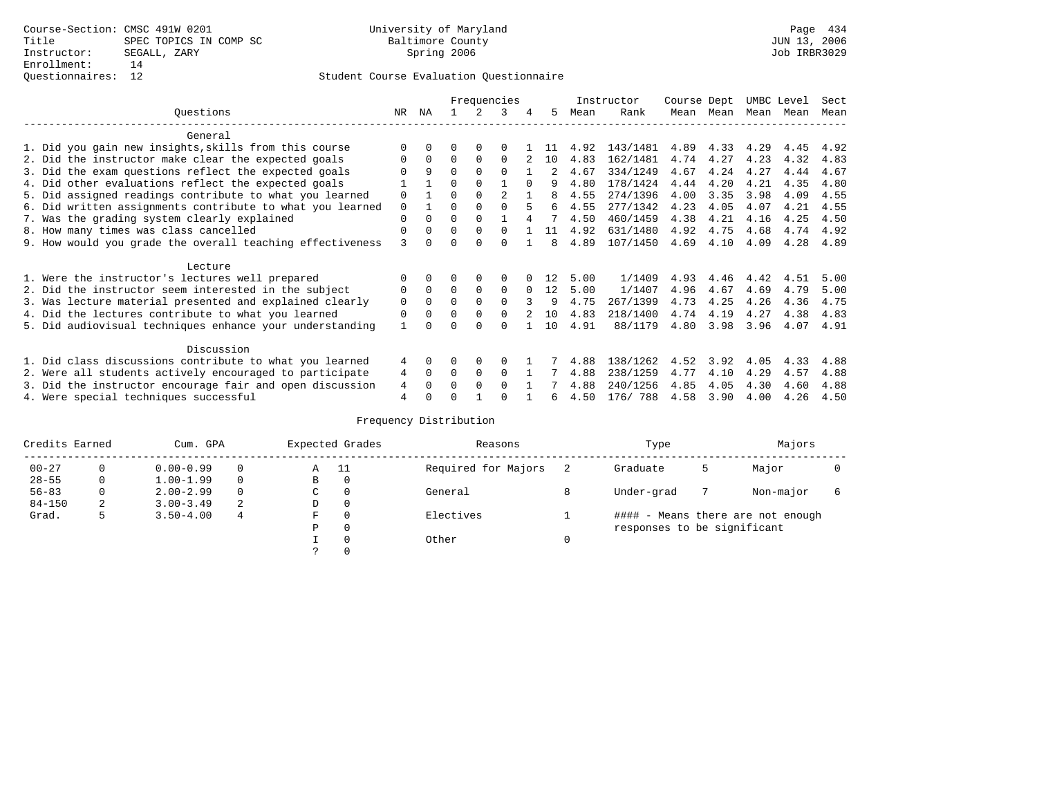## Questionnaires: 12 Student Course Evaluation Questionnaire

|                                                           |              |              |          |          | Frequencies    |              |    |      | Instructor | Course Dept |      | UMBC Level |      | Sect |
|-----------------------------------------------------------|--------------|--------------|----------|----------|----------------|--------------|----|------|------------|-------------|------|------------|------|------|
| Ouestions                                                 | NR.          | ΝA           |          |          | 3              |              | 5. | Mean | Rank       | Mean        | Mean | Mean       | Mean | Mean |
| General                                                   |              |              |          |          |                |              |    |      |            |             |      |            |      |      |
| 1. Did you gain new insights, skills from this course     |              | $\Omega$     | O        | $\Omega$ | $\Omega$       |              |    | 4.92 | 143/1481   | 4.89        | 4.33 | 4.29       | 4.45 | 4.92 |
| 2. Did the instructor make clear the expected goals       | O            | $\Omega$     | $\Omega$ | $\Omega$ | $\Omega$       |              | 10 | 4.83 | 162/1481   | 4.74        | 4.27 | 4.23       | 4.32 | 4.83 |
| 3. Did the exam questions reflect the expected goals      |              | 9            | $\Omega$ | $\Omega$ | $\Omega$       |              |    | 4.67 | 334/1249   | 4.67        | 4.24 | 4.27       | 4.44 | 4.67 |
| 4. Did other evaluations reflect the expected goals       |              |              | $\Omega$ | $\Omega$ |                | <sup>0</sup> |    | 4.80 | 178/1424   | 4.44        | 4.20 | 4.21       | 4.35 | 4.80 |
| 5. Did assigned readings contribute to what you learned   | $\mathbf 0$  |              | $\Omega$ |          | $\mathfrak{D}$ |              | 8  | 4.55 | 274/1396   | 4.00        | 3.35 | 3.98       | 4.09 | 4.55 |
| 6. Did written assignments contribute to what you learned | $\mathbf 0$  |              | $\Omega$ |          |                |              | 6  | 4.55 | 277/1342   | 4.23        | 4.05 | 4.07       | 4.21 | 4.55 |
| 7. Was the grading system clearly explained               | $\Omega$     | $\Omega$     | $\Omega$ | $\Omega$ |                |              |    | 4.50 | 460/1459   | 4.38        | 4.21 | 4.16       | 4.25 | 4.50 |
| 8. How many times was class cancelled                     | 0            | $\Omega$     | $\Omega$ | $\Omega$ | $\Omega$       |              | 11 | 4.92 | 631/1480   | 4.92        | 4.75 | 4.68       | 4.74 | 4.92 |
| 9. How would you grade the overall teaching effectiveness | 3            | <sup>n</sup> | U        | $\cap$   | $\cap$         |              | 8  | 4.89 | 107/1450   | 4.69        | 4.10 | 4.09       | 4.28 | 4.89 |
| Lecture                                                   |              |              |          |          |                |              |    |      |            |             |      |            |      |      |
| 1. Were the instructor's lectures well prepared           |              |              |          |          | $\Omega$       |              | 12 | 5.00 | 1/1409     | 4.93        | 4.46 | 4.42       | 4.51 | 5.00 |
| 2. Did the instructor seem interested in the subject      | 0            | $\Omega$     | $\Omega$ | $\Omega$ | $\Omega$       | $\Omega$     | 12 | 5.00 | 1/1407     | 4.96        | 4.67 | 4.69       | 4.79 | 5.00 |
| 3. Was lecture material presented and explained clearly   | $\mathbf 0$  | $\Omega$     | $\Omega$ | $\Omega$ | $\cap$         |              | 9  | 4.75 | 267/1399   | 4.73        | 4.25 | 4.26       | 4.36 | 4.75 |
| 4. Did the lectures contribute to what you learned        | $\mathbf 0$  | $\Omega$     | $\Omega$ | $\Omega$ | $\Omega$       |              | 10 | 4.83 | 218/1400   | 4.74        | 4.19 | 4.27       | 4.38 | 4.83 |
| 5. Did audiovisual techniques enhance your understanding  | $\mathbf{1}$ |              |          |          | $\cap$         |              | 10 | 4.91 | 88/1179    | 4.80        | 3.98 | 3.96       | 4.07 | 4.91 |
|                                                           |              |              |          |          |                |              |    |      |            |             |      |            |      |      |
| Discussion                                                |              |              |          |          |                |              |    |      |            |             |      |            |      |      |
| 1. Did class discussions contribute to what you learned   | 4            | $\Omega$     | U        | $\Omega$ | $\Omega$       |              |    | 4.88 | 138/1262   | 4.52        | 3.92 | 4.05       | 4.33 | 4.88 |
| 2. Were all students actively encouraged to participate   | 4            | $\Omega$     | $\Omega$ | $\Omega$ | $\Omega$       |              |    | 4.88 | 238/1259   | 4.77        | 4.10 | 4.29       | 4.57 | 4.88 |
| 3. Did the instructor encourage fair and open discussion  | 4            | $\Omega$     | 0        | $\Omega$ | $\Omega$       |              |    | 4.88 | 240/1256   | 4.85        | 4.05 | 4.30       | 4.60 | 4.88 |
| 4. Were special techniques successful                     | 4            |              |          |          |                |              | 6  | 4.50 | 176/788    | 4.58        | 3.90 | 4.00       | 4.26 | 4.50 |

| Credits Earned |   | Cum. GPA      | Expected Grades |   |         | Reasons             |   | Type                        |   | Majors                            |  |
|----------------|---|---------------|-----------------|---|---------|---------------------|---|-----------------------------|---|-----------------------------------|--|
| $00 - 27$      | 0 | $0.00 - 0.99$ | $\Omega$        | Α | - 11    | Required for Majors |   | Graduate                    | כ | Major                             |  |
| $28 - 55$      | 0 | $1.00 - 1.99$ | $\Omega$        | В | 0       |                     |   |                             |   |                                   |  |
| $56 - 83$      |   | $2.00 - 2.99$ | $\Omega$        | С | 0       | General             | 8 | Under-grad                  |   | Non-major                         |  |
| $84 - 150$     | 2 | $3.00 - 3.49$ | 2               | D | 0       |                     |   |                             |   |                                   |  |
| Grad.          | כ | $3.50 - 4.00$ | 4               | F | 0       | Electives           |   |                             |   | #### - Means there are not enough |  |
|                |   |               |                 | Ρ | $\circ$ |                     |   | responses to be significant |   |                                   |  |
|                |   |               |                 |   | 0       | Other               |   |                             |   |                                   |  |
|                |   |               |                 |   | 0       |                     |   |                             |   |                                   |  |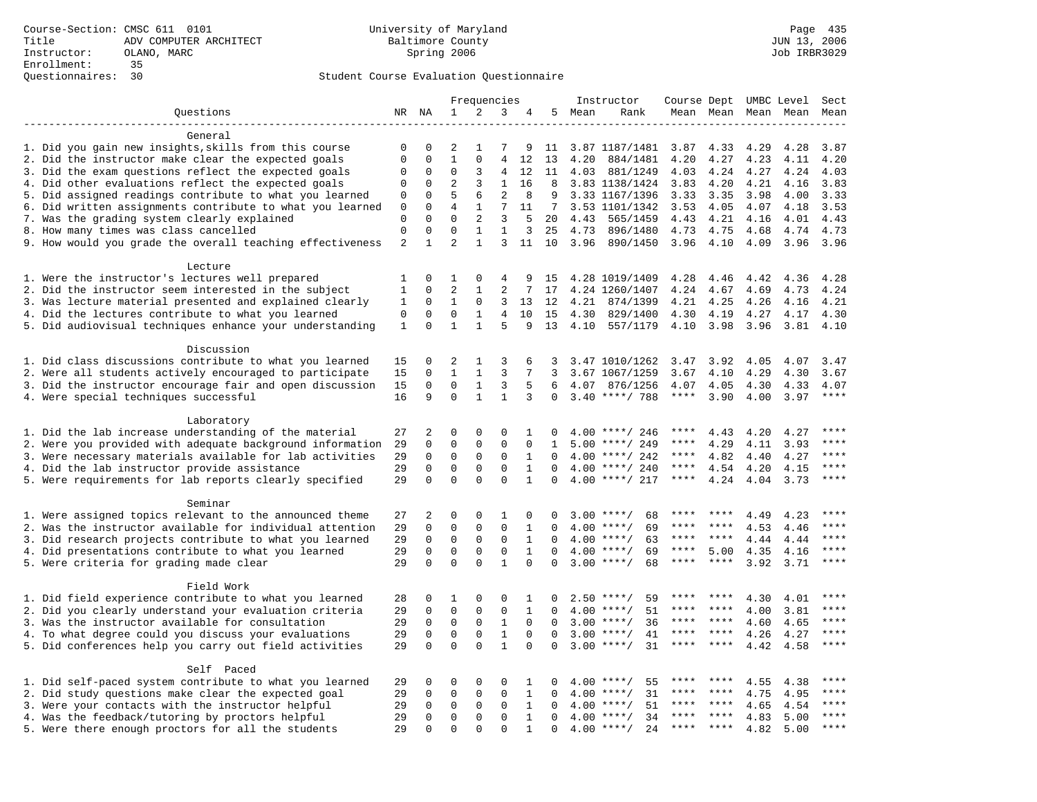|                                                                                                    | Frequencies      |                         |                            |                   |                                |              | Instructor  | Course Dept UMBC Level |                      |              |              | Sect         |              |              |
|----------------------------------------------------------------------------------------------------|------------------|-------------------------|----------------------------|-------------------|--------------------------------|--------------|-------------|------------------------|----------------------|--------------|--------------|--------------|--------------|--------------|
| Questions                                                                                          |                  | NR NA                   | $\mathbf 1$                | 2                 | 3                              | 4            |             | 5 Mean                 | Rank                 |              | Mean Mean    |              | Mean Mean    | Mean         |
|                                                                                                    |                  |                         |                            |                   |                                |              |             |                        |                      |              |              |              |              |              |
| General                                                                                            |                  |                         |                            |                   |                                |              |             |                        |                      |              |              |              |              |              |
| 1. Did you gain new insights, skills from this course                                              | 0                | 0                       | 2                          | -1                | 7                              | 9            | 11          |                        | 3.87 1187/1481       | 3.87         | 4.33         | 4.29         | 4.28         | 3.87         |
| 2. Did the instructor make clear the expected goals                                                | $\mathbf 0$      | $\Omega$                | $\mathbf{1}$               | $\mathbf{0}$      | 4                              | 12           | 13          | 4.20                   | 884/1481             | 4.20         | 4.27         | 4.23         | 4.11         | 4.20         |
| 3. Did the exam questions reflect the expected goals                                               | 0                | 0                       | $\Omega$                   | 3                 | 4                              | 12           | 11          | 4.03                   | 881/1249             | 4.03         | 4.24         | 4.27         | 4.24         | 4.03         |
| 4. Did other evaluations reflect the expected goals                                                | 0                | $\mathbf 0$             | $\overline{2}$             | 3                 | $\mathbf{1}$                   | 16           | 8           |                        | 3.83 1138/1424       | 3.83         | 4.20         | 4.21         | 4.16         | 3.83         |
| 5. Did assigned readings contribute to what you learned                                            | 0                | 0                       | 5                          | 6                 | $\overline{2}$                 | 8            | 9           |                        | 3.33 1167/1396       | 3.33         | 3.35         | 3.98         | 4.00         | 3.33         |
| 6. Did written assignments contribute to what you learned                                          | $\mathbf 0$      | $\mathbf 0$<br>$\Omega$ | $\overline{4}$<br>$\Omega$ | 1                 | 7                              | 11<br>5      | 7           |                        | 3.53 1101/1342       | 3.53         | 4.05         | 4.07         | 4.18         | 3.53         |
| 7. Was the grading system clearly explained                                                        | 0<br>$\mathbf 0$ | $\mathbf 0$             | $\mathbf 0$                | 2<br>$\mathbf{1}$ | $\overline{3}$<br>$\mathbf{1}$ | 3            | 20<br>25    | 4.43<br>4.73           | 565/1459<br>896/1480 | 4.43         | 4.21<br>4.75 | 4.16         | 4.01         | 4.43<br>4.73 |
| 8. How many times was class cancelled<br>9. How would you grade the overall teaching effectiveness | $\overline{c}$   | $\mathbf{1}$            | $\overline{2}$             | $\mathbf{1}$      | 3                              | 11           | 10          | 3.96                   | 890/1450             | 4.73<br>3.96 | 4.10         | 4.68<br>4.09 | 4.74<br>3.96 | 3.96         |
|                                                                                                    |                  |                         |                            |                   |                                |              |             |                        |                      |              |              |              |              |              |
| Lecture                                                                                            |                  |                         |                            |                   |                                |              |             |                        |                      |              |              |              |              |              |
| 1. Were the instructor's lectures well prepared                                                    | 1                | 0                       | 1                          | 0                 | 4                              | 9            | 15          |                        | 4.28 1019/1409       | 4.28         | 4.46         | 4.42         | 4.36         | 4.28         |
| 2. Did the instructor seem interested in the subject                                               | 1                | 0                       | $\overline{2}$             | 1                 | 2                              | 7            | 17          |                        | 4.24 1260/1407       | 4.24         | 4.67         | 4.69         | 4.73         | 4.24         |
| 3. Was lecture material presented and explained clearly                                            | 1                | 0                       | $\mathbf{1}$               | 0                 | 3                              | 13           | 12          | 4.21                   | 874/1399             | 4.21         | 4.25         | 4.26         | 4.16         | 4.21         |
| 4. Did the lectures contribute to what you learned                                                 | $\Omega$         | $\Omega$                | $\Omega$                   | $\mathbf{1}$      | 4                              | 10           | 15          | 4.30                   | 829/1400             | 4.30         | 4.19         | 4.27         | 4.17         | 4.30         |
| 5. Did audiovisual techniques enhance your understanding                                           | 1                | $\Omega$                | $\mathbf{1}$               | $\mathbf{1}$      | 5                              | 9            | 13          | 4.10                   | 557/1179             | 4.10         | 3.98         | 3.96         | 3.81         | 4.10         |
|                                                                                                    |                  |                         |                            |                   |                                |              |             |                        |                      |              |              |              |              |              |
| Discussion                                                                                         |                  |                         |                            |                   |                                |              |             |                        |                      |              |              |              |              |              |
| 1. Did class discussions contribute to what you learned                                            | 15               | 0                       | 2                          | 1                 | 3                              | 6            | 3           |                        | 3.47 1010/1262       | 3.47         | 3.92         | 4.05         | 4.07         | 3.47         |
| 2. Were all students actively encouraged to participate                                            | 15               | $\mathbf 0$             | $\mathbf{1}$               | $\mathbf{1}$      | 3                              | 7            | 3           |                        | 3.67 1067/1259       | 3.67         | 4.10         | 4.29         | 4.30         | 3.67         |
| 3. Did the instructor encourage fair and open discussion                                           | 15               | 0                       | $\mathbf 0$                | $\mathbf{1}$      | 3                              | 5            | 6           | 4.07                   | 876/1256             | 4.07         | 4.05         | 4.30         | 4.33         | 4.07         |
| 4. Were special techniques successful                                                              | 16               | 9                       | $\Omega$                   | $\mathbf{1}$      | $\mathbf{1}$                   | 3            | $\mathbf 0$ |                        | $3.40$ ****/ 788     | $***$ * * *  | 3.90         | 4.00         | 3.97         | $***$        |
|                                                                                                    |                  |                         |                            |                   |                                |              |             |                        |                      |              |              |              |              |              |
| Laboratory                                                                                         |                  |                         |                            |                   |                                |              |             |                        |                      |              |              |              |              |              |
| 1. Did the lab increase understanding of the material                                              | 27               | 2                       | 0                          | $\Omega$          | $\Omega$                       | 1            | $\Omega$    |                        | $4.00$ ****/ 246     |              | 4.43         | 4.20         | 4.27         |              |
| 2. Were you provided with adequate background information                                          | 29               | $\mathbf 0$             | $\mathbf 0$                | $\mathsf 0$       | 0                              | $\mathbf 0$  | 1           | 5.00                   | ****/ 249            | ****         | 4.29         | 4.11         | 3.93         | ****         |
| 3. Were necessary materials available for lab activities                                           | 29               | 0                       | $\mathbf 0$                | $\mathsf 0$       | $\mathbf 0$                    | $\mathbf{1}$ | $\Omega$    |                        | $4.00$ ****/ 242     | ****         | 4.82         | 4.40         | 4.27         | $***$        |
| 4. Did the lab instructor provide assistance                                                       | 29               | $\mathbf 0$             | $\mathbf 0$                | 0                 | $\mathbf 0$                    | $\mathbf 1$  | $\Omega$    |                        | $4.00$ ****/ 240     | ****         | 4.54         | 4.20         | 4.15         | $***$        |
| 5. Were requirements for lab reports clearly specified                                             | 29               | $\mathbf 0$             | $\mathbf 0$                | $\Omega$          | $\Omega$                       | $\mathbf{1}$ | $\Omega$    |                        | $4.00$ ****/ 217     | ****         | 4.24         | 4.04         | 3.73         | ****         |
| Seminar                                                                                            |                  |                         |                            |                   |                                |              |             |                        |                      |              |              |              |              |              |
| 1. Were assigned topics relevant to the announced theme                                            | 27               | 2                       | 0                          | $\Omega$          | 1                              | $\Omega$     | $\Omega$    |                        | $3.00$ ****/<br>68   | ****         | ****         | 4.49         | 4.23         | ****         |
| 2. Was the instructor available for individual attention                                           | 29               | $\mathbf 0$             | $\mathbf 0$                | $\mathbf{0}$      | $\mathbf 0$                    | 1            | $\Omega$    |                        | 69<br>$4.00$ ****/   | ****         |              | 4.53         | 4.46         | ****         |
| 3. Did research projects contribute to what you learned                                            | 29               | $\mathbf 0$             | $\mathsf 0$                | $\mathbf 0$       | $\mathbf 0$                    | 1            | $\mathbf 0$ | 4.00                   | $***/$<br>63         | ****         | ****         | 4.44         | 4.44         | ****         |
| 4. Did presentations contribute to what you learned                                                | 29               | $\mathbf 0$             | $\mathsf 0$                | $\mathbf 0$       | $\mathbf 0$                    | $\mathbf{1}$ | $\mathbf 0$ |                        | $4.00$ ****/<br>69   | $***$ * * *  | 5.00         | 4.35         | 4.16         | $***$        |
| 5. Were criteria for grading made clear                                                            | 29               | $\Omega$                | $\Omega$                   | $\Omega$          | $\mathbf{1}$                   | $\Omega$     | $\Omega$    |                        | $3.00$ ****/<br>68   | $***$ * * *  | $***$        | 3.92         | 3.71         | $***$        |
|                                                                                                    |                  |                         |                            |                   |                                |              |             |                        |                      |              |              |              |              |              |
| Field Work                                                                                         |                  |                         |                            |                   |                                |              |             |                        |                      |              |              |              |              |              |
| 1. Did field experience contribute to what you learned                                             | 28               | 0                       | 1                          | 0                 | $\Omega$                       | 1            | 0           |                        | $2.50$ ****/<br>59   |              |              | 4.30         | 4.01         | ****         |
| 2. Did you clearly understand your evaluation criteria                                             | 29               | $\mathbf 0$             | $\mathbf 0$                | $\mathbf 0$       | $\mathbf 0$                    | $\mathbf{1}$ | $\Omega$    |                        | 51<br>$4.00$ ****/   | ****         | ****         | 4.00         | 3.81         | ****         |
| 3. Was the instructor available for consultation                                                   | 29               | $\mathbf 0$             | $\mathbf 0$                | $\mathbf{0}$      | $\mathbf{1}$                   | $\Omega$     | $\Omega$    |                        | $3.00$ ****/<br>36   | ****         | ****         | 4.60         | 4.65         | ****         |
| 4. To what degree could you discuss your evaluations                                               | 29               | $\mathbf 0$             | $\mathbf 0$                | $\mathbf 0$       | $\mathbf{1}$                   | $\Omega$     | $\Omega$    | 3.00                   | $***$ /<br>41        | $***$ * * *  | ****         | 4.26         | 4.27         | ****         |
| 5. Did conferences help you carry out field activities                                             | 29               | $\Omega$                | $\Omega$                   | $\Omega$          | $\mathbf{1}$                   | $\Omega$     | $\Omega$    | 3.00                   | $***$ /<br>31        | ****         | $* * * *$    | 4.42         | 4.58         | ****         |
|                                                                                                    |                  |                         |                            |                   |                                |              |             |                        |                      |              |              |              |              |              |
| Self Paced                                                                                         |                  |                         |                            |                   |                                |              |             |                        |                      |              |              |              |              |              |
| 1. Did self-paced system contribute to what you learned                                            | 29               | 0                       | 0                          | 0                 | $\mathbf 0$                    | 1            | $\Omega$    | 4.00                   | 55<br>****/          |              |              | 4.55         | 4.38         | $***$        |
| 2. Did study questions make clear the expected goal                                                | 29               | 0                       | $\mathbf 0$                | 0                 | $\mathbf 0$                    | 1            | 0           | 4.00                   | 31<br>$***/$         | ****         | ****         | 4.75         | 4.95         | ****         |
| 3. Were your contacts with the instructor helpful                                                  | 29               | $\mathbf 0$             | 0                          | $\mathbf 0$       | 0                              | 1            | $\Omega$    | 4.00                   | $* * * * /$<br>51    | ****<br>**** | ****<br>**** | 4.65         | 4.54         | ****<br>**** |
| 4. Was the feedback/tutoring by proctors helpful                                                   | 29               | $\mathbf 0$             | $\mathbf 0$                | $\mathbf{0}$      | $\Omega$                       | $\mathbf{1}$ | $\Omega$    | 4.00                   | $***/$<br>34         | ****         |              | 4.83         | 5.00         | $***$        |
| 5. Were there enough proctors for all the students                                                 | 29               | $\Omega$                | $\Omega$                   | $\Omega$          | $\Omega$                       | $\mathbf{1}$ | $\Omega$    | 4.00                   | $***$ /<br>24        |              |              | 4.82         | 5.00         |              |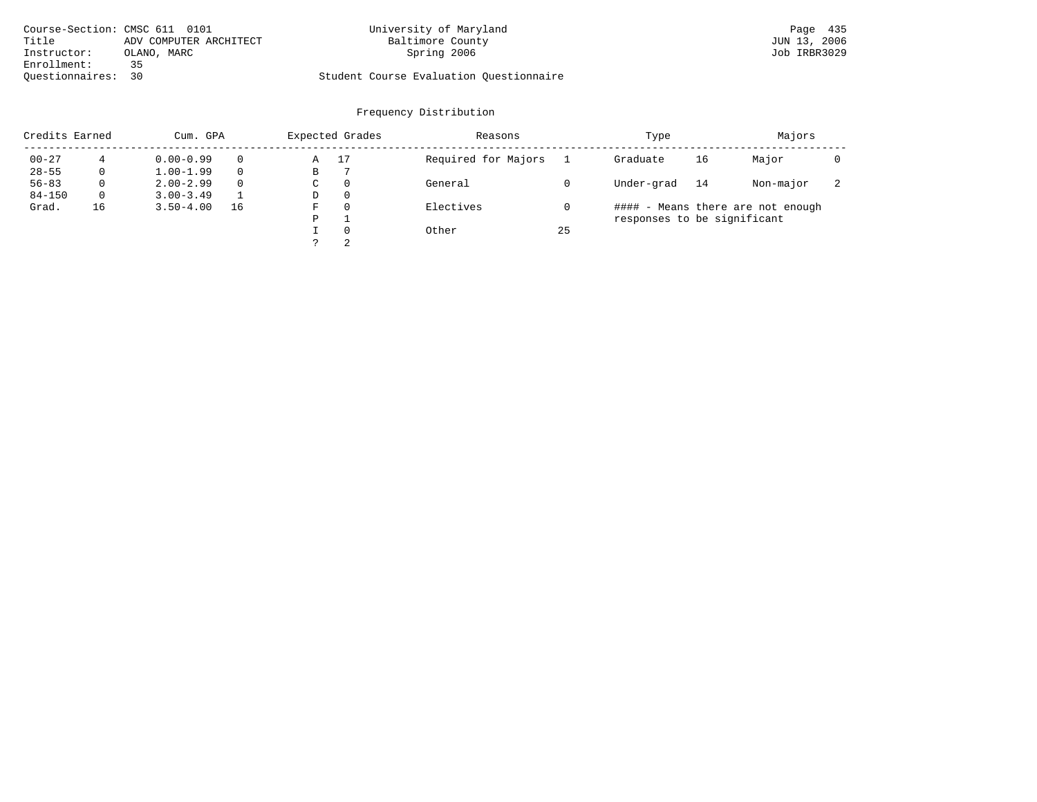| Course-Section: CMSC 611 0101 |                        | University of Maryland                  | Page 435     |
|-------------------------------|------------------------|-----------------------------------------|--------------|
| Title                         | ADV COMPUTER ARCHITECT | Baltimore County                        | JUN 13, 2006 |
| Instructor:                   | OLANO, MARC            | Spring 2006                             | Job IRBR3029 |
| Enrollment:                   | 35                     |                                         |              |
| Ouestionnaires: 30            |                        | Student Course Evaluation Questionnaire |              |

| Credits Earned |          | Cum. GPA      |          |    | Expected Grades | Reasons             |    | Type                        |    | Majors                            |                          |
|----------------|----------|---------------|----------|----|-----------------|---------------------|----|-----------------------------|----|-----------------------------------|--------------------------|
| $00 - 27$      |          | $0.00 - 0.99$ |          | Α  | 17              | Required for Majors |    | Graduate                    | 16 | Major                             |                          |
| $28 - 55$      | 0        | $1.00 - 1.99$ |          | В  |                 |                     |    |                             |    |                                   |                          |
| $56 - 83$      | $\Omega$ | $2.00 - 2.99$ | $\Omega$ | C. | $\Omega$        | General             |    | Under-grad                  | 14 | Non-major                         | $\overline{\phantom{a}}$ |
| $84 - 150$     | $\Omega$ | $3.00 - 3.49$ |          | D  | $\Omega$        |                     |    |                             |    |                                   |                          |
| Grad.          | 16       | $3.50 - 4.00$ | 16       | F  | $\Omega$        | Electives           |    |                             |    | #### - Means there are not enough |                          |
|                |          |               |          | P  |                 |                     |    | responses to be significant |    |                                   |                          |
|                |          |               |          |    | $\Omega$        | Other               | 25 |                             |    |                                   |                          |
|                |          |               |          |    | 2               |                     |    |                             |    |                                   |                          |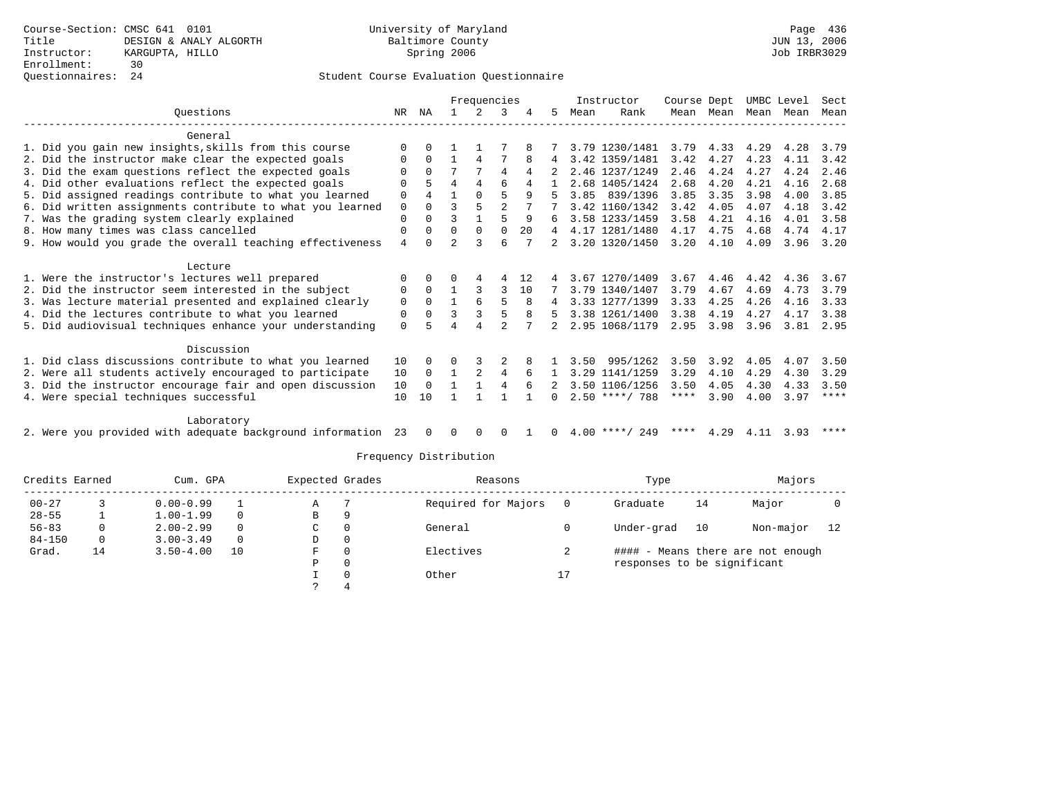### Questionnaires: 24 Student Course Evaluation Questionnaire

|                                                           |          | Frequencies |               |               |          |    |   |      | Instructor       | Course Dept |           | UMBC Level |      | Sect        |
|-----------------------------------------------------------|----------|-------------|---------------|---------------|----------|----|---|------|------------------|-------------|-----------|------------|------|-------------|
| Ouestions                                                 | NR       | ΝA          |               | $\mathcal{L}$ | 3        | 4  | 5 | Mean | Rank             |             | Mean Mean | Mean Mean  |      | Mean        |
| General                                                   |          |             |               |               |          |    |   |      |                  |             |           |            |      |             |
| 1. Did you gain new insights, skills from this course     | $\Omega$ | $\cap$      |               |               |          |    |   |      | 3.79 1230/1481   | 3.79        | 4.33      | 4.29       | 4.28 | 3.79        |
| 2. Did the instructor make clear the expected goals       |          | $\Omega$    |               | 4             |          | 8  | 4 |      | 3.42 1359/1481   | 3.42        | 4.27      | 4.23       | 4.11 | 3.42        |
| 3. Did the exam questions reflect the expected goals      |          | $\Omega$    | 7             |               | 4        | 4  |   |      | 2.46 1237/1249   | 2.46        | 4.24      | 4.27       | 4.24 | 2.46        |
| 4. Did other evaluations reflect the expected goals       | U        | 5           | 4             | 4             | б        |    |   |      | 2.68 1405/1424   | 2.68        | 4.20      | 4.21       | 4.16 | 2.68        |
| 5. Did assigned readings contribute to what you learned   | 0        | 4           |               | $\Omega$      | 5        | 9  |   |      | 3.85 839/1396    | 3.85        | 3.35      | 3.98       | 4.00 | 3.85        |
| 6. Did written assignments contribute to what you learned | 0        | $\Omega$    | ς             | 5             |          |    |   |      | 3.42 1160/1342   | 3.42        | 4.05      | 4.07       | 4.18 | 3.42        |
| 7. Was the grading system clearly explained               | $\Omega$ | $\Omega$    | ς             |               | 5        | 9  | 6 |      | 3.58 1233/1459   | 3.58        | 4.21      | 4.16       | 4.01 | 3.58        |
| 8. How many times was class cancelled                     | 0        | $\Omega$    | 0             | $\Omega$      | $\Omega$ | 20 | 4 |      | 4.17 1281/1480   | 4.17        | 4.75      | 4.68       | 4.74 | 4.17        |
| 9. How would you grade the overall teaching effectiveness | 4        | $\cap$      | $\mathcal{L}$ |               | 6        |    | 2 |      | 3.20 1320/1450   | 3.20        | 4.10      | 4.09       | 3.96 | 3.20        |
| Lecture                                                   |          |             |               |               |          |    |   |      |                  |             |           |            |      |             |
| 1. Were the instructor's lectures well prepared           |          | $\Omega$    | O             |               |          | 12 |   |      | 3.67 1270/1409   | 3.67        | 4.46      | 4.42       | 4.36 | 3.67        |
| 2. Did the instructor seem interested in the subject      | 0        | $\Omega$    |               |               | 3        | 10 |   |      | 3.79 1340/1407   | 3.79        | 4.67      | 4.69       | 4.73 | 3.79        |
| 3. Was lecture material presented and explained clearly   | 0        | $\Omega$    |               | 6             |          |    | 4 |      | 3.33 1277/1399   | 3.33        | 4.25      | 4.26       | 4.16 | 3.33        |
| 4. Did the lectures contribute to what you learned        | 0        | $\Omega$    | ς             |               | 5        | 8  | 5 |      | 3.38 1261/1400   | 3.38        | 4.19      | 4.27       | 4.17 | 3.38        |
| 5. Did audiovisual techniques enhance your understanding  | $\Omega$ |             |               |               |          |    |   |      | 2.95 1068/1179   | 2.95        | 3.98      | 3.96       | 3.81 | 2.95        |
| Discussion                                                |          |             |               |               |          |    |   |      |                  |             |           |            |      |             |
| 1. Did class discussions contribute to what you learned   | 10       | $\Omega$    | 0             |               |          |    |   | 3.50 | 995/1262         | 3.50        | 3.92      | 4.05       | 4.07 | 3.50        |
| 2. Were all students actively encouraged to participate   | 10       | $\Omega$    | 1             | 2             | 4        | 6  |   |      | 3.29 1141/1259   | 3.29        | 4.10      | 4.29       | 4.30 | 3.29        |
| 3. Did the instructor encourage fair and open discussion  | 10       | $\Omega$    |               |               | 4        |    |   |      | 3.50 1106/1256   | 3.50        | 4.05      | 4.30       | 4.33 | 3.50        |
| 4. Were special techniques successful                     | 10       | 10          |               |               |          |    |   |      | $2.50$ ****/ 788 | ****        | 3.90      | 4.00       | 3.97 | $***$ * * * |
|                                                           |          |             |               |               |          |    |   |      |                  |             |           |            |      |             |
| Laboratory                                                |          |             |               |               |          |    |   |      |                  |             |           |            |      |             |
|                                                           |          |             |               |               |          |    |   |      | .                |             |           |            |      |             |

2. Were you provided with adequate background information 23 0 0 0 0 1 0 4.00 \*\*\*\*/ 249 \*\*\*\* 4.29 4.11 3.93 \*\*\*\*

| Credits Earned |    | Cum. GPA      |          | Expected Grades |          | Reasons             |    | Type                        |    | Majors                            |    |
|----------------|----|---------------|----------|-----------------|----------|---------------------|----|-----------------------------|----|-----------------------------------|----|
| $00 - 27$      |    | $0.00 - 0.99$ |          | Α               |          | Required for Majors |    | Graduate                    | 14 | Major                             |    |
| $28 - 55$      |    | $1.00 - 1.99$ | $\Omega$ | В               | 9        |                     |    |                             |    |                                   |    |
| $56 - 83$      |    | $2.00 - 2.99$ | $\Omega$ | C               | 0        | General             |    | Under-grad                  | 10 | Non-major                         | 12 |
| $84 - 150$     | 0  | $3.00 - 3.49$ | $\Omega$ | D               | $\circ$  |                     |    |                             |    |                                   |    |
| Grad.          | 14 | $3.50 - 4.00$ | 10       | F               | 0        | Electives           |    |                             |    | #### - Means there are not enough |    |
|                |    |               |          | D               | 0        |                     |    | responses to be significant |    |                                   |    |
|                |    |               |          |                 | $\Omega$ | Other               | 17 |                             |    |                                   |    |
|                |    |               |          |                 |          |                     |    |                             |    |                                   |    |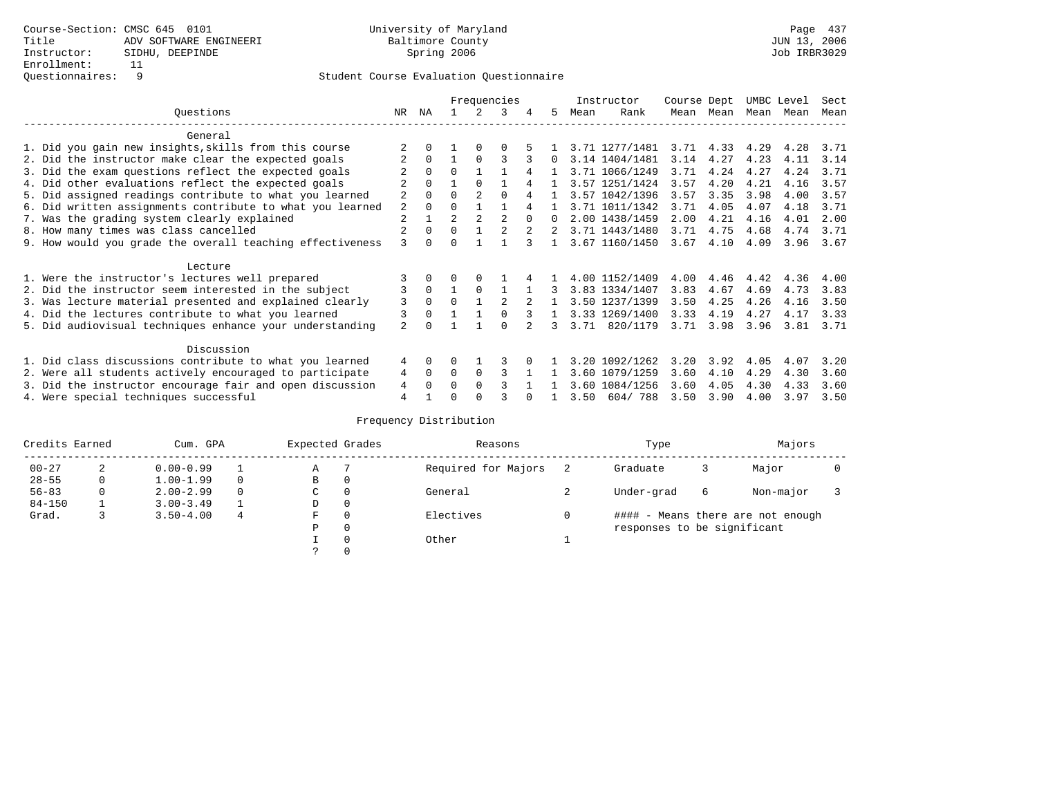|                                                           |                | Frequencies  |                |                |          |        |          |      | Instructor     | Course Dept |           | UMBC Level |      | Sect |
|-----------------------------------------------------------|----------------|--------------|----------------|----------------|----------|--------|----------|------|----------------|-------------|-----------|------------|------|------|
| Ouestions                                                 | NR.            | ΝA           |                |                | 3        |        | 5.       | Mean | Rank           |             | Mean Mean | Mean       | Mean | Mean |
| General                                                   |                |              |                |                |          |        |          |      |                |             |           |            |      |      |
| 1. Did you gain new insights, skills from this course     |                |              |                | $\Omega$       |          |        |          |      | 3.71 1277/1481 |             | 3.71 4.33 | 4.29       | 4.28 | 3.71 |
| 2. Did the instructor make clear the expected goals       |                | 0            |                | $\Omega$       | ς        |        | $\Omega$ |      | 3.14 1404/1481 | 3.14        | 4.27      | 4.23       | 4.11 | 3.14 |
| 3. Did the exam questions reflect the expected goals      |                |              | $\Omega$       |                |          |        |          |      | 3.71 1066/1249 | 3.71        | 4.24      | 4.27       | 4.24 | 3.71 |
| 4. Did other evaluations reflect the expected goals       |                |              |                |                |          |        |          |      | 3.57 1251/1424 | 3.57        | 4.20      | 4.21       | 4.16 | 3.57 |
| 5. Did assigned readings contribute to what you learned   | $\overline{2}$ |              | $\Omega$       | $\mathfrak{D}$ | $\Omega$ |        |          |      | 3.57 1042/1396 | 3.57        | 3.35      | 3.98       | 4.00 | 3.57 |
| 6. Did written assignments contribute to what you learned | 2              | <sup>0</sup> | $\Omega$       |                |          |        |          |      | 3.71 1011/1342 | 3.71        | 4.05      | 4.07       | 4.18 | 3.71 |
| 7. Was the grading system clearly explained               | $\overline{2}$ |              | $\overline{a}$ |                |          | $\cap$ |          |      | 2.00 1438/1459 | 2.00        | 4.21      | 4.16       | 4.01 | 2.00 |
| 8. How many times was class cancelled                     |                | $\Omega$     | $\Omega$       |                |          |        |          |      | 3.71 1443/1480 | 3.71        | 4.75      | 4.68       | 4.74 | 3.71 |
| 9. How would you grade the overall teaching effectiveness | 3              | <sup>n</sup> | ∩              |                |          |        |          |      | 3.67 1160/1450 | 3.67        | 4.10      | 4.09       | 3.96 | 3.67 |
| Lecture                                                   |                |              |                |                |          |        |          |      |                |             |           |            |      |      |
| 1. Were the instructor's lectures well prepared           |                |              |                |                |          |        |          |      | 4.00 1152/1409 | 4.00        | 4.46      | 4.42       | 4.36 | 4.00 |
| 2. Did the instructor seem interested in the subject      | 3              | $\Omega$     |                | $\Omega$       |          |        | 3        |      | 3.83 1334/1407 | 3.83        | 4.67      | 4.69       | 4.73 | 3.83 |
| 3. Was lecture material presented and explained clearly   | 3              | $\Omega$     | $\Omega$       |                |          |        |          |      | 3.50 1237/1399 | 3.50        | 4.25      | 4.26       | 4.16 | 3.50 |
| 4. Did the lectures contribute to what you learned        | 3              |              |                |                |          |        |          |      | 3.33 1269/1400 | 3.33        | 4.19      | 4.27       | 4.17 | 3.33 |
| 5. Did audiovisual techniques enhance your understanding  | $\mathfrak{D}$ |              |                |                | $\cap$   |        | ર        | 3.71 | 820/1179       | 3.71        | 3.98      | 3.96       | 3.81 | 3.71 |
| Discussion                                                |                |              |                |                |          |        |          |      |                |             |           |            |      |      |
| 1. Did class discussions contribute to what you learned   | 4              | $\Omega$     | U              |                |          |        |          | 3.20 | 1092/1262      | 3.20        | 3.92      | 4.05       | 4.07 | 3.20 |
| 2. Were all students actively encouraged to participate   | 4              | $\Omega$     | $\Omega$       | $\Omega$       |          |        |          | 3.60 | 1079/1259      | 3.60        | 4.10      | 4.29       | 4.30 | 3.60 |
| 3. Did the instructor encourage fair and open discussion  | 4              |              | O              |                |          |        |          | 3.60 | 1084/1256      | 3.60        | 4.05      | 4.30       | 4.33 | 3.60 |
| 4. Were special techniques successful                     | $\overline{4}$ |              | U              |                |          |        |          | 3.50 | 604/788        | 3.50        | 3.90      | 4.00       | 3.97 | 3.50 |

| Credits Earned |   | Cum. GPA      |   | Expected Grades |   | Reasons             | Type                        |   | Majors                            |  |
|----------------|---|---------------|---|-----------------|---|---------------------|-----------------------------|---|-----------------------------------|--|
| $00 - 27$      | 2 | $0.00 - 0.99$ |   | Α               |   | Required for Majors | Graduate                    |   | Major                             |  |
| $28 - 55$      | 0 | $1.00 - 1.99$ |   | B               | 0 |                     |                             |   |                                   |  |
| $56 - 83$      | 0 | $2.00 - 2.99$ | 0 | $\sim$<br>◡     | 0 | General             | Under-grad                  | 6 | Non-major                         |  |
| $84 - 150$     |   | $3.00 - 3.49$ |   | D               | 0 |                     |                             |   |                                   |  |
| Grad.          |   | $3.50 - 4.00$ | 4 | F               | 0 | Electives           |                             |   | #### - Means there are not enough |  |
|                |   |               |   | Ρ               | 0 |                     | responses to be significant |   |                                   |  |
|                |   |               |   |                 | 0 | Other               |                             |   |                                   |  |
|                |   |               |   | C.              |   |                     |                             |   |                                   |  |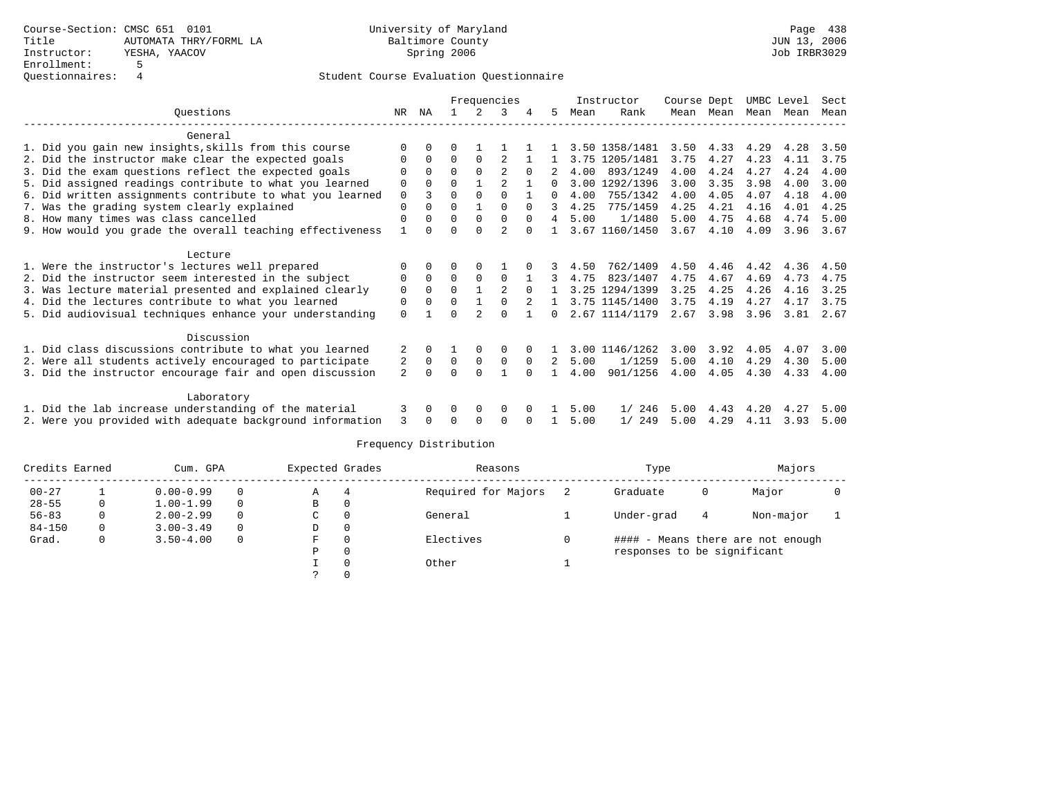|                                                           |                |             | Frequencies |             |                |              |          |      | Instructor     | Course Dept |      |      | UMBC Level | Sect |
|-----------------------------------------------------------|----------------|-------------|-------------|-------------|----------------|--------------|----------|------|----------------|-------------|------|------|------------|------|
| Ouestions                                                 | NR.            | ΝA          |             |             | 3              |              | 5.       | Mean | Rank           | Mean        | Mean | Mean | Mean       | Mean |
| General                                                   |                |             |             |             |                |              |          |      |                |             |      |      |            |      |
| 1. Did you gain new insights, skills from this course     | $\Omega$       | $\Omega$    |             |             |                |              |          |      | 3.50 1358/1481 | 3.50        | 4.33 | 4.29 | 4.28       | 3.50 |
| 2. Did the instructor make clear the expected goals       | $\Omega$       | $\Omega$    | $\Omega$    | $\Omega$    |                |              |          |      | 3.75 1205/1481 | 3.75        | 4.27 | 4.23 | 4.11       | 3.75 |
| 3. Did the exam questions reflect the expected goals      | O              | $\Omega$    | $\Omega$    | $\Omega$    | 2              | $\Omega$     |          | 4.00 | 893/1249       | 4.00        | 4.24 | 4.27 | 4.24       | 4.00 |
| 5. Did assigned readings contribute to what you learned   | $\mathbf 0$    | $\Omega$    | 0           |             | 2              |              | 0        | 3.00 | 1292/1396      | 3.00        | 3.35 | 3.98 | 4.00       | 3.00 |
| 6. Did written assignments contribute to what you learned | 0              | 3           | $\Omega$    | $\Omega$    | $\Omega$       |              |          | 4.00 | 755/1342       | 4.00        | 4.05 | 4.07 | 4.18       | 4.00 |
| 7. Was the grading system clearly explained               | $\Omega$       | $\Omega$    | $\Omega$    |             | $\Omega$       | $\Omega$     | 3        | 4.25 | 775/1459       | 4.25        | 4.21 | 4.16 | 4.01       | 4.25 |
| 8. How many times was class cancelled                     | $\mathbf 0$    | $\Omega$    | $\Omega$    | $\mathbf 0$ | $\mathbf 0$    | $\Omega$     | 4        | 5.00 | 1/1480         | 5.00        | 4.75 | 4.68 | 4.74       | 5.00 |
| 9. How would you grade the overall teaching effectiveness |                | ∩           | $\Omega$    | $\cap$      | $\mathfrak{D}$ |              |          |      | 3.67 1160/1450 | 3.67        | 4.10 | 4.09 | 3.96       | 3.67 |
| Lecture                                                   |                |             |             |             |                |              |          |      |                |             |      |      |            |      |
| 1. Were the instructor's lectures well prepared           |                | $\Omega$    | 0           | $\Omega$    |                |              |          | 4.50 | 762/1409       | 4.50        | 4.46 | 4.42 | 4.36       | 4.50 |
| 2. Did the instructor seem interested in the subject      | 0              | $\Omega$    | $\Omega$    | $\Omega$    | $\Omega$       |              |          | 4.75 | 823/1407       | 4.75        | 4.67 | 4.69 | 4.73       | 4.75 |
| 3. Was lecture material presented and explained clearly   | 0              | $\Omega$    | $\Omega$    |             | 2              | $\Omega$     |          |      | 3.25 1294/1399 | 3.25        | 4.25 | 4.26 | 4.16       | 3.25 |
| 4. Did the lectures contribute to what you learned        | 0              | $\Omega$    | U           |             | $\Omega$       |              |          |      | 3.75 1145/1400 | 3.75        | 4.19 | 4.27 | 4.17       | 3.75 |
| 5. Did audiovisual techniques enhance your understanding  | $\mathbf 0$    |             | U           |             | $\Omega$       |              | $\Omega$ |      | 2.67 1114/1179 | 2.67        | 3.98 | 3.96 | 3.81       | 2.67 |
| Discussion                                                |                |             |             |             |                |              |          |      |                |             |      |      |            |      |
| 1. Did class discussions contribute to what you learned   | 2              | 0           |             | $\Omega$    | $\Omega$       |              |          |      | 3.00 1146/1262 | 3.00        | 3.92 | 4.05 | 4.07       | 3.00 |
| 2. Were all students actively encouraged to participate   | 2              | $\mathbf 0$ | 0           | $\mathbf 0$ | $\mathbf 0$    | $\Omega$     | 2        | 5.00 | 1/1259         | 5.00        | 4.10 | 4.29 | 4.30       | 5.00 |
| 3. Did the instructor encourage fair and open discussion  | $\mathfrak{D}$ | $\Omega$    | $\Omega$    | $\Omega$    |                | $\Omega$     |          | 4.00 | 901/1256       | 4.00        | 4.05 | 4.30 | 4.33       | 4.00 |
|                                                           |                |             |             |             |                |              |          |      |                |             |      |      |            |      |
| Laboratory                                                |                |             |             |             |                |              |          |      |                |             |      |      |            |      |
| 1. Did the lab increase understanding of the material     | 3              | $\Omega$    | 0           | 0           | 0              | $\Omega$     |          | 5.00 | 1/246          | 5.00        | 4.43 | 4.20 | 4.27       | 5.00 |
| 2. Were you provided with adequate background information |                |             | U           | $\Omega$    | $\Omega$       | <sup>0</sup> |          | 5.00 | 249<br>1/      | 5.00        | 4.29 | 4.11 | 3.93       | 5.00 |

| Credits Earned |   | Cum. GPA      |          | Expected Grades |   | Reasons             | Type                        |   | Majors                            |  |
|----------------|---|---------------|----------|-----------------|---|---------------------|-----------------------------|---|-----------------------------------|--|
| $00 - 27$      |   | $0.00 - 0.99$ | $\Omega$ | Α               | 4 | Required for Majors | Graduate                    | 0 | Major                             |  |
| $28 - 55$      | 0 | $1.00 - 1.99$ | $\Omega$ | в               |   |                     |                             |   |                                   |  |
| $56 - 83$      |   | $2.00 - 2.99$ | $\Omega$ | C               |   | General             | Under-grad                  | 4 | Non-major                         |  |
| $84 - 150$     |   | $3.00 - 3.49$ | $\Omega$ | D               |   |                     |                             |   |                                   |  |
| Grad.          |   | $3.50 - 4.00$ | $\Omega$ | F               |   | Electives           |                             |   | #### - Means there are not enough |  |
|                |   |               |          | Ρ               |   |                     | responses to be significant |   |                                   |  |
|                |   |               |          |                 |   | Other               |                             |   |                                   |  |
|                |   |               |          |                 |   |                     |                             |   |                                   |  |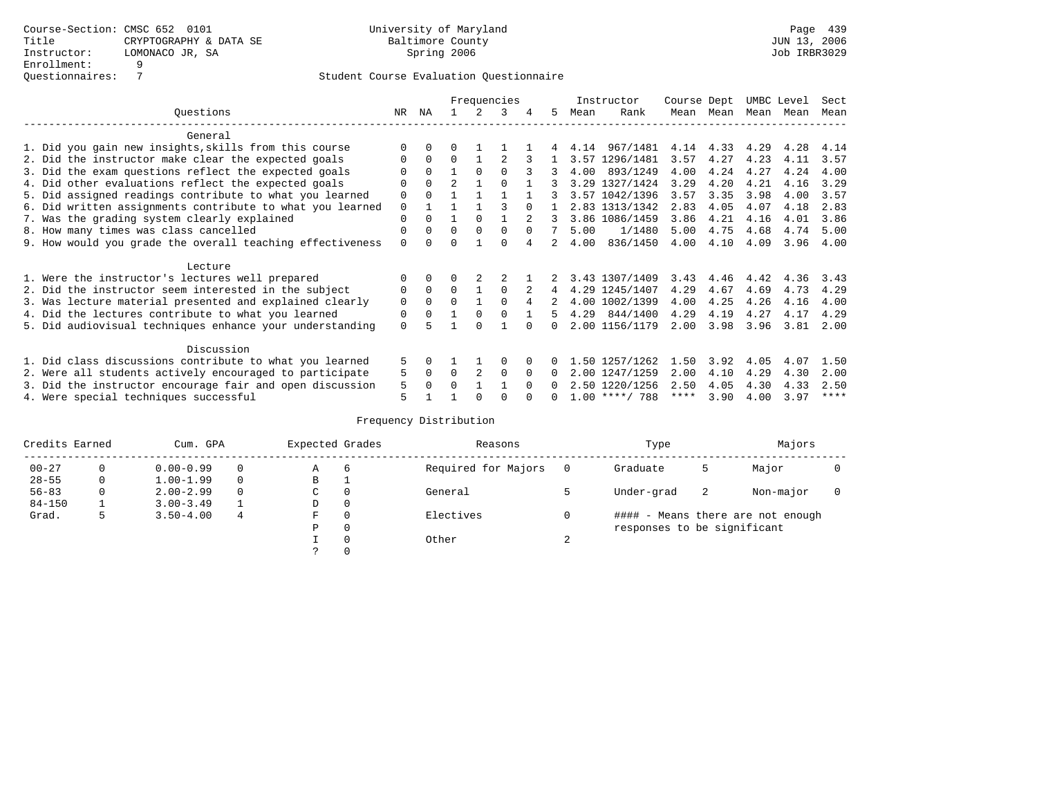|                                                           |             | Frequencies |                |          |          |          |          | Instructor | Course Dept      |      | UMBC Level |           | Sect |      |
|-----------------------------------------------------------|-------------|-------------|----------------|----------|----------|----------|----------|------------|------------------|------|------------|-----------|------|------|
| Ouestions                                                 | NR.         | ΝA          |                |          | 3        |          | 5.       | Mean       | Rank             |      | Mean Mean  | Mean Mean |      | Mean |
| General                                                   |             |             |                |          |          |          |          |            |                  |      |            |           |      |      |
| 1. Did you gain new insights, skills from this course     |             |             |                |          |          |          |          | 4.14       | 967/1481         | 4.14 | 4.33       | 4.29      | 4.28 | 4.14 |
| 2. Did the instructor make clear the expected goals       | O           | $\Omega$    | 0              |          |          |          |          |            | 3.57 1296/1481   | 3.57 | 4.27       | 4.23      | 4.11 | 3.57 |
| 3. Did the exam questions reflect the expected goals      |             | $\Omega$    |                | $\Omega$ | $\cap$   |          | 3        | 4.00       | 893/1249         | 4.00 | 4.24       | 4.27      | 4.24 | 4.00 |
| 4. Did other evaluations reflect the expected goals       | U           | $\Omega$    | $\overline{a}$ |          | $\cap$   |          |          |            | 3.29 1327/1424   | 3.29 | 4.20       | 4.21      | 4.16 | 3.29 |
| 5. Did assigned readings contribute to what you learned   | $\mathbf 0$ |             |                |          |          |          |          |            | 3.57 1042/1396   | 3.57 | 3.35       | 3.98      | 4.00 | 3.57 |
| 6. Did written assignments contribute to what you learned | $\mathbf 0$ |             |                |          |          |          |          |            | 2.83 1313/1342   | 2.83 | 4.05       | 4.07      | 4.18 | 2.83 |
| 7. Was the grading system clearly explained               | $\mathbf 0$ | $\Omega$    |                | $\Omega$ |          |          |          |            | 3.86 1086/1459   | 3.86 | 4.21       | 4.16      | 4.01 | 3.86 |
| 8. How many times was class cancelled                     | 0           | $\Omega$    | 0              | $\Omega$ |          |          |          | 5.00       | 1/1480           | 5.00 | 4.75       | 4.68      | 4.74 | 5.00 |
| 9. How would you grade the overall teaching effectiveness | $\Omega$    |             |                |          | U        |          |          | 4.00       | 836/1450         | 4.00 | 4.10       | 4.09      | 3.96 | 4.00 |
| Lecture                                                   |             |             |                |          |          |          |          |            |                  |      |            |           |      |      |
| 1. Were the instructor's lectures well prepared           |             |             |                |          |          |          |          |            | 3.43 1307/1409   | 3.43 | 4.46       | 4.42      | 4.36 | 3.43 |
| 2. Did the instructor seem interested in the subject      | 0           | $\Omega$    | $\Omega$       |          | $\Omega$ |          | 4        |            | 4.29 1245/1407   | 4.29 | 4.67       | 4.69      | 4.73 | 4.29 |
| 3. Was lecture material presented and explained clearly   | 0           | $\Omega$    | $\Omega$       |          | $\Omega$ |          |          |            | 4.00 1002/1399   | 4.00 | 4.25       | 4.26      | 4.16 | 4.00 |
| 4. Did the lectures contribute to what you learned        | 0           | $\Omega$    |                | $\Omega$ | $\Omega$ |          | 5.       | 4.29       | 844/1400         | 4.29 | 4.19       | 4.27      | 4.17 | 4.29 |
| 5. Did audiovisual techniques enhance your understanding  | $\Omega$    |             |                |          |          |          |          |            | 2.00 1156/1179   | 2.00 | 3.98       | 3.96      | 3.81 | 2.00 |
| Discussion                                                |             |             |                |          |          |          |          |            |                  |      |            |           |      |      |
| 1. Did class discussions contribute to what you learned   | 5           | 0           |                |          | O        |          |          |            | 1.50 1257/1262   | 1.50 | 3.92       | 4.05      | 4.07 | 1.50 |
| 2. Were all students actively encouraged to participate   | 5           | $\Omega$    | $\Omega$       |          | $\Omega$ | $\Omega$ | $\Omega$ | 2.00       | 1247/1259        | 2.00 | 4.10       | 4.29      | 4.30 | 2.00 |
| 3. Did the instructor encourage fair and open discussion  | 5           |             | U              |          |          | $\Omega$ |          |            | 2.50 1220/1256   | 2.50 | 4.05       | 4.30      | 4.33 | 2.50 |
| 4. Were special techniques successful                     | 5           |             |                |          |          |          |          |            | $1.00$ ****/ 788 | **** | 3.90       | 4.00      | 3.97 | **** |

| Credits Earned |   | Cum. GPA      |   | Expected Grades |          | Reasons             |        | Type                        |    | Majors                            |  |
|----------------|---|---------------|---|-----------------|----------|---------------------|--------|-----------------------------|----|-----------------------------------|--|
| $00 - 27$      | 0 | $0.00 - 0.99$ |   | Α               | -6       | Required for Majors |        | Graduate                    | כ  | Major                             |  |
| $28 - 55$      | 0 | $1.00 - 1.99$ |   | B               | <b>.</b> |                     |        |                             |    |                                   |  |
| $56 - 83$      | 0 | $2.00 - 2.99$ |   | C               | 0        | General             |        | Under-grad                  | -2 | Non-major                         |  |
| $84 - 150$     |   | $3.00 - 3.49$ |   | D               | 0        |                     |        |                             |    |                                   |  |
| Grad.          | ל | $3.50 - 4.00$ | 4 | F               | 0        | Electives           |        |                             |    | #### - Means there are not enough |  |
|                |   |               |   | Ρ               | 0        |                     |        | responses to be significant |    |                                   |  |
|                |   |               |   |                 | $\Omega$ | Other               | $\sim$ |                             |    |                                   |  |
|                |   |               |   |                 |          |                     |        |                             |    |                                   |  |